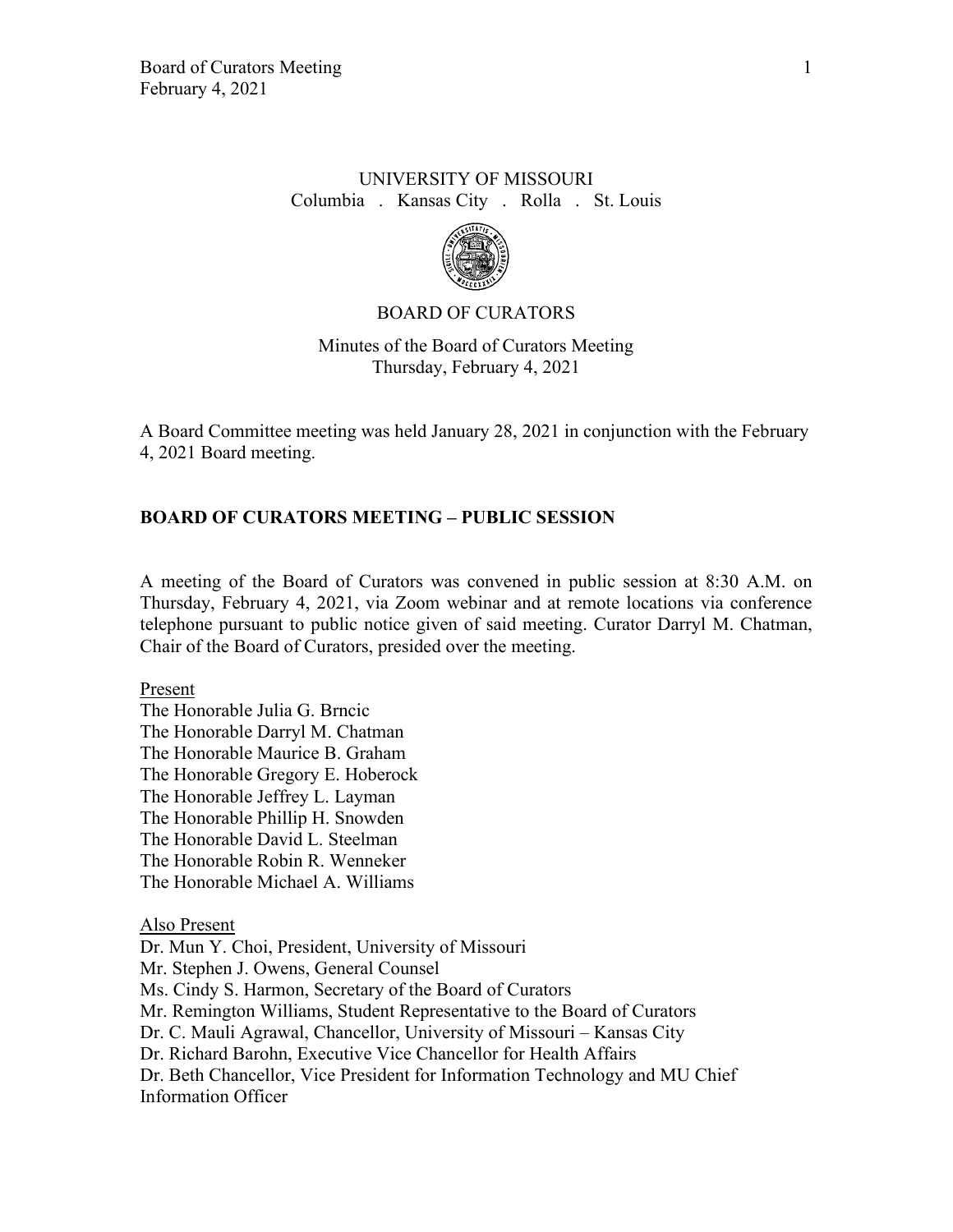# UNIVERSITY OF MISSOURI Columbia . Kansas City . Rolla . St. Louis



### BOARD OF CURATORS

Minutes of the Board of Curators Meeting Thursday, February 4, 2021

A Board Committee meeting was held January 28, 2021 in conjunction with the February 4, 2021 Board meeting.

#### **BOARD OF CURATORS MEETING – PUBLIC SESSION**

A meeting of the Board of Curators was convened in public session at 8:30 A.M. on Thursday, February 4, 2021, via Zoom webinar and at remote locations via conference telephone pursuant to public notice given of said meeting. Curator Darryl M. Chatman, Chair of the Board of Curators, presided over the meeting.

Present

The Honorable Julia G. Brncic The Honorable Darryl M. Chatman The Honorable Maurice B. Graham The Honorable Gregory E. Hoberock The Honorable Jeffrey L. Layman The Honorable Phillip H. Snowden The Honorable David L. Steelman The Honorable Robin R. Wenneker The Honorable Michael A. Williams

Also Present

Dr. Mun Y. Choi, President, University of Missouri Mr. Stephen J. Owens, General Counsel Ms. Cindy S. Harmon, Secretary of the Board of Curators Mr. Remington Williams, Student Representative to the Board of Curators Dr. C. Mauli Agrawal, Chancellor, University of Missouri – Kansas City Dr. Richard Barohn, Executive Vice Chancellor for Health Affairs Dr. Beth Chancellor, Vice President for Information Technology and MU Chief Information Officer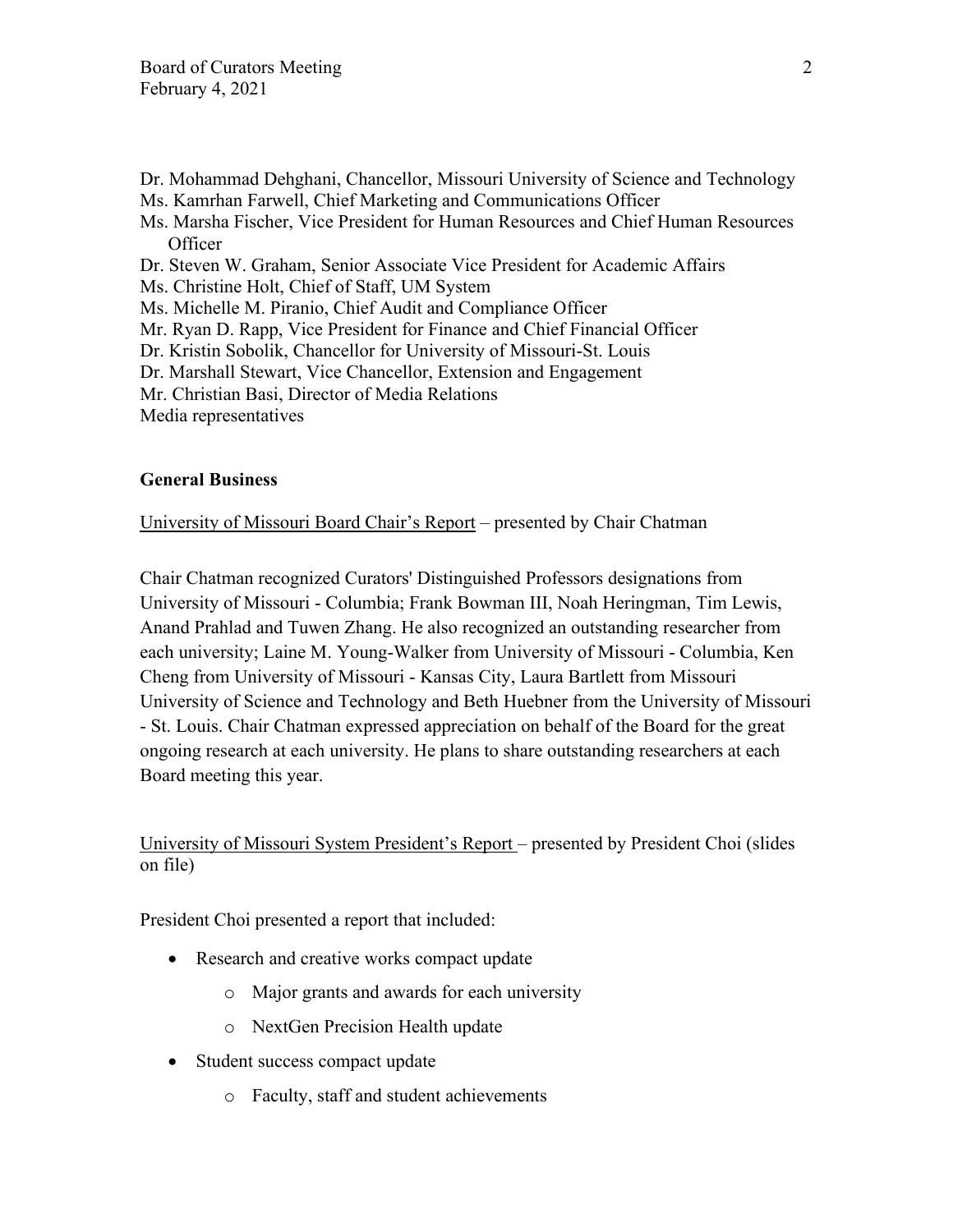- Dr. Mohammad Dehghani, Chancellor, Missouri University of Science and Technology
- Ms. Kamrhan Farwell, Chief Marketing and Communications Officer
- Ms. Marsha Fischer, Vice President for Human Resources and Chief Human Resources **Officer**
- Dr. Steven W. Graham, Senior Associate Vice President for Academic Affairs
- Ms. Christine Holt, Chief of Staff, UM System
- Ms. Michelle M. Piranio, Chief Audit and Compliance Officer
- Mr. Ryan D. Rapp, Vice President for Finance and Chief Financial Officer
- Dr. Kristin Sobolik, Chancellor for University of Missouri-St. Louis
- Dr. Marshall Stewart, Vice Chancellor, Extension and Engagement
- Mr. Christian Basi, Director of Media Relations

Media representatives

# **General Business**

University of Missouri Board Chair's Report – presented by Chair Chatman

Chair Chatman recognized Curators' Distinguished Professors designations from University of Missouri - Columbia; Frank Bowman III, Noah Heringman, Tim Lewis, Anand Prahlad and Tuwen Zhang. He also recognized an outstanding researcher from each university; Laine M. Young-Walker from University of Missouri - Columbia, Ken Cheng from University of Missouri - Kansas City, Laura Bartlett from Missouri University of Science and Technology and Beth Huebner from the University of Missouri - St. Louis. Chair Chatman expressed appreciation on behalf of the Board for the great ongoing research at each university. He plans to share outstanding researchers at each Board meeting this year.

# University of Missouri System President's Report – presented by President Choi (slides on file)

President Choi presented a report that included:

- Research and creative works compact update
	- o Major grants and awards for each university
	- o NextGen Precision Health update
- Student success compact update
	- o Faculty, staff and student achievements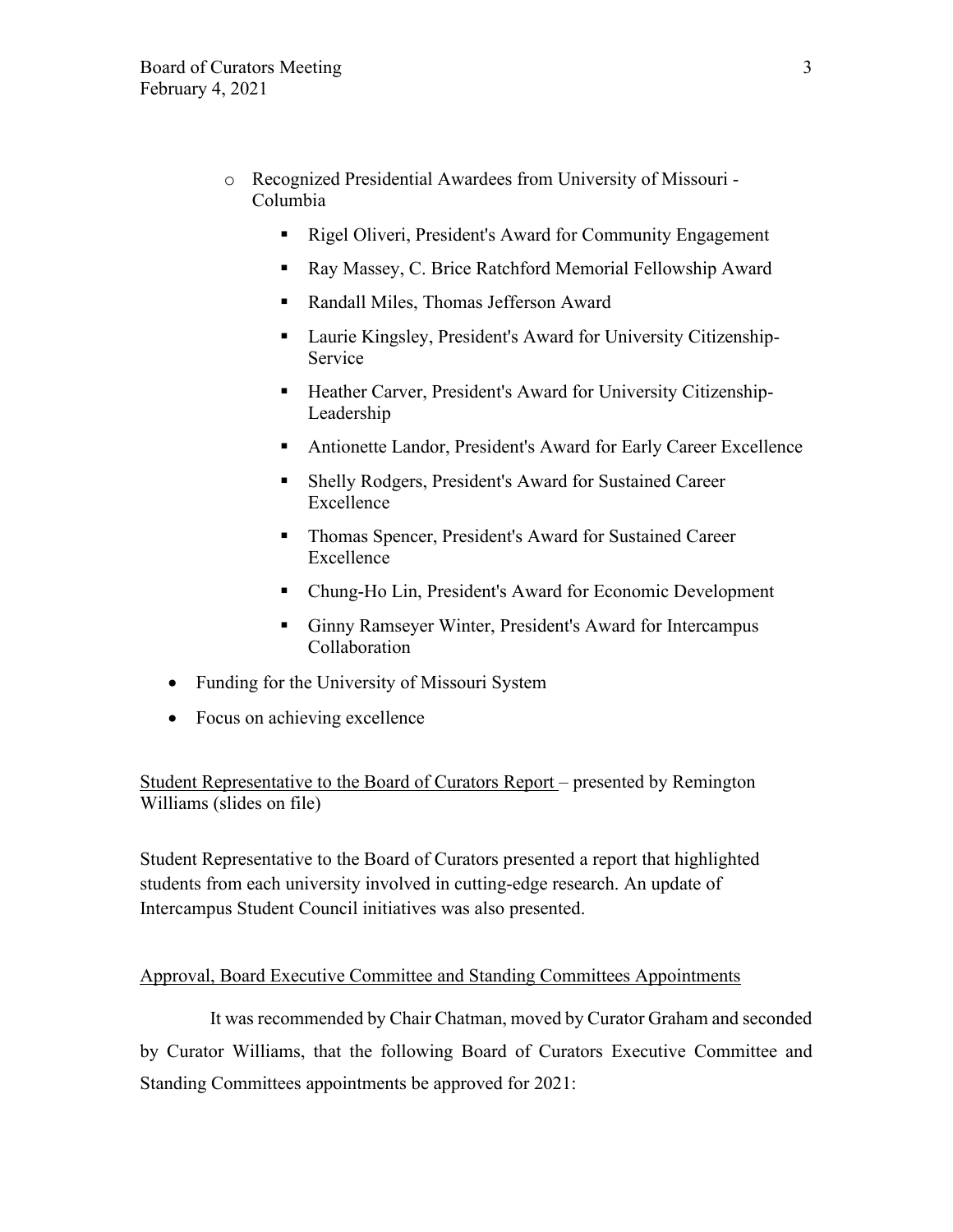- o Recognized Presidential Awardees from University of Missouri Columbia
	- Rigel Oliveri, President's Award for Community Engagement
	- Ray Massey, C. Brice Ratchford Memorial Fellowship Award
	- Randall Miles, Thomas Jefferson Award
	- Laurie Kingsley, President's Award for University Citizenship-Service
	- **Heather Carver, President's Award for University Citizenship-**Leadership
	- Antionette Landor, President's Award for Early Career Excellence
	- Shelly Rodgers, President's Award for Sustained Career Excellence
	- **Thomas Spencer, President's Award for Sustained Career** Excellence
	- Chung-Ho Lin, President's Award for Economic Development
	- Ginny Ramseyer Winter, President's Award for Intercampus Collaboration
- Funding for the University of Missouri System
- Focus on achieving excellence

Student Representative to the Board of Curators Report – presented by Remington Williams (slides on file)

Student Representative to the Board of Curators presented a report that highlighted students from each university involved in cutting-edge research. An update of Intercampus Student Council initiatives was also presented.

### Approval, Board Executive Committee and Standing Committees Appointments

It was recommended by Chair Chatman, moved by Curator Graham and seconded by Curator Williams, that the following Board of Curators Executive Committee and Standing Committees appointments be approved for 2021: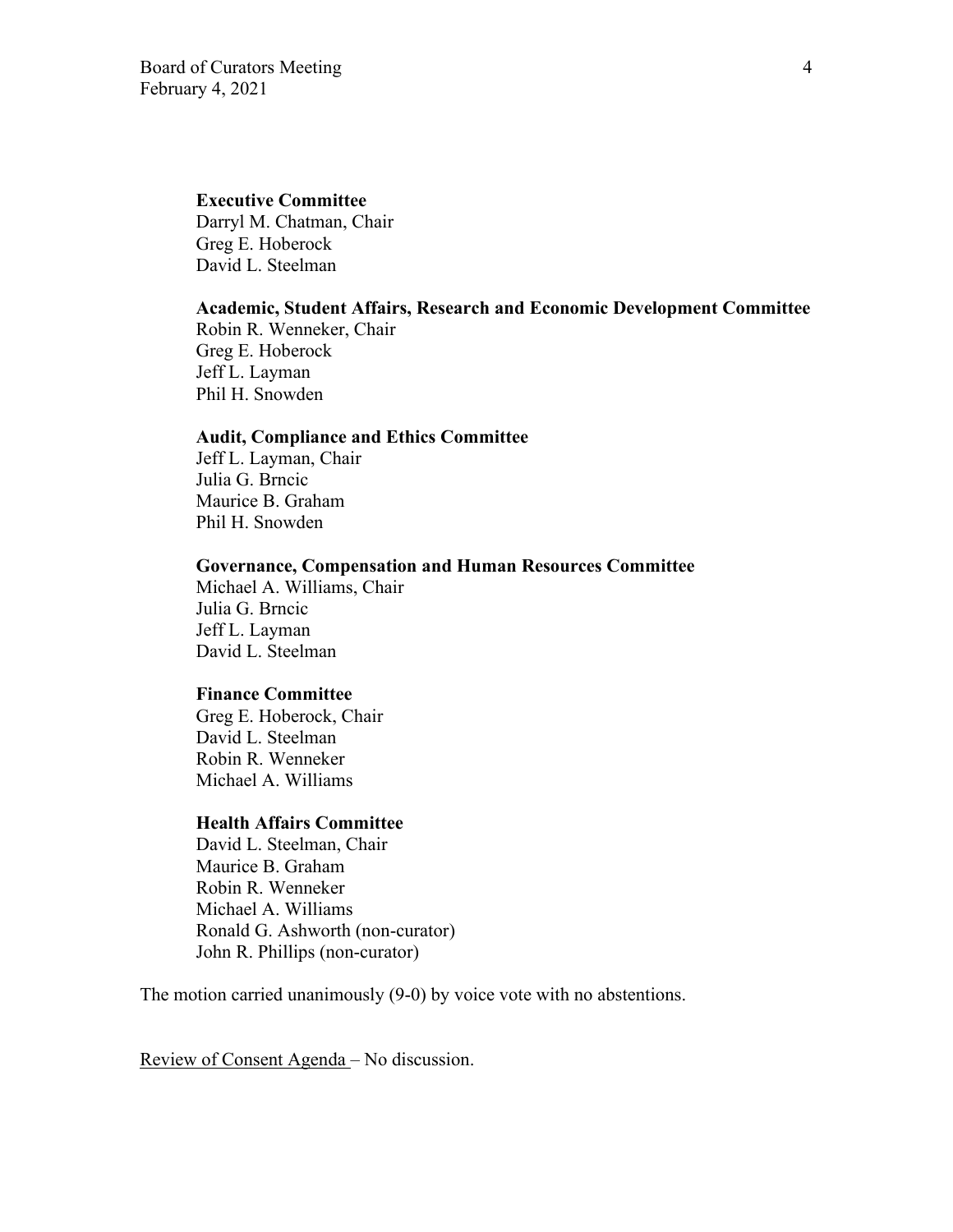### **Executive Committee**

Darryl M. Chatman, Chair Greg E. Hoberock David L. Steelman

#### **Academic, Student Affairs, Research and Economic Development Committee**

Robin R. Wenneker, Chair Greg E. Hoberock Jeff L. Layman Phil H. Snowden

## **Audit, Compliance and Ethics Committee**

Jeff L. Layman, Chair Julia G. Brncic Maurice B. Graham Phil H. Snowden

### **Governance, Compensation and Human Resources Committee**

Michael A. Williams, Chair Julia G. Brncic Jeff L. Layman David L. Steelman

### **Finance Committee**

Greg E. Hoberock, Chair David L. Steelman Robin R. Wenneker Michael A. Williams

# **Health Affairs Committee**

 David L. Steelman, Chair Maurice B. Graham Robin R. Wenneker Michael A. Williams Ronald G. Ashworth (non-curator) John R. Phillips (non-curator)

The motion carried unanimously (9-0) by voice vote with no abstentions.

Review of Consent Agenda – No discussion.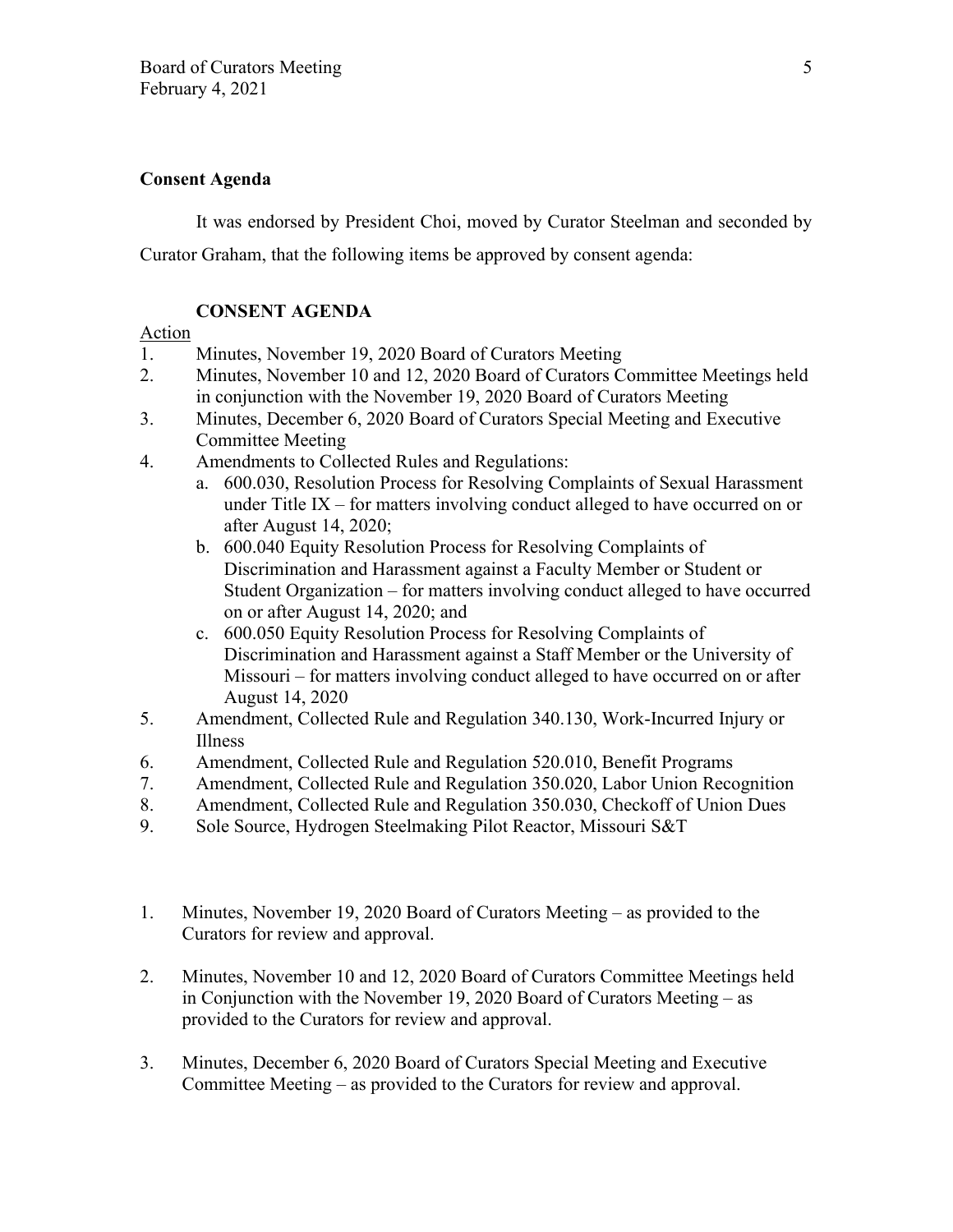# **Consent Agenda**

It was endorsed by President Choi, moved by Curator Steelman and seconded by Curator Graham, that the following items be approved by consent agenda:

# **CONSENT AGENDA**

# Action

- 1. Minutes, November 19, 2020 Board of Curators Meeting
- 2. Minutes, November 10 and 12, 2020 Board of Curators Committee Meetings held in conjunction with the November 19, 2020 Board of Curators Meeting
- 3. Minutes, December 6, 2020 Board of Curators Special Meeting and Executive Committee Meeting
- 4. Amendments to Collected Rules and Regulations:
	- a. 600.030, Resolution Process for Resolving Complaints of Sexual Harassment under Title IX – for matters involving conduct alleged to have occurred on or after August 14, 2020;
	- b. 600.040 Equity Resolution Process for Resolving Complaints of Discrimination and Harassment against a Faculty Member or Student or Student Organization – for matters involving conduct alleged to have occurred on or after August 14, 2020; and
	- c. 600.050 Equity Resolution Process for Resolving Complaints of Discrimination and Harassment against a Staff Member or the University of Missouri – for matters involving conduct alleged to have occurred on or after August 14, 2020
- 5. Amendment, Collected Rule and Regulation 340.130, Work-Incurred Injury or Illness
- 6. Amendment, Collected Rule and Regulation 520.010, Benefit Programs
- 7. Amendment, Collected Rule and Regulation 350.020, Labor Union Recognition
- 8. Amendment, Collected Rule and Regulation 350.030, Checkoff of Union Dues
- 9. Sole Source, Hydrogen Steelmaking Pilot Reactor, Missouri S&T
- 1. Minutes, November 19, 2020 Board of Curators Meeting as provided to the Curators for review and approval.
- 2. Minutes, November 10 and 12, 2020 Board of Curators Committee Meetings held in Conjunction with the November 19, 2020 Board of Curators Meeting – as provided to the Curators for review and approval.
- 3. Minutes, December 6, 2020 Board of Curators Special Meeting and Executive Committee Meeting – as provided to the Curators for review and approval.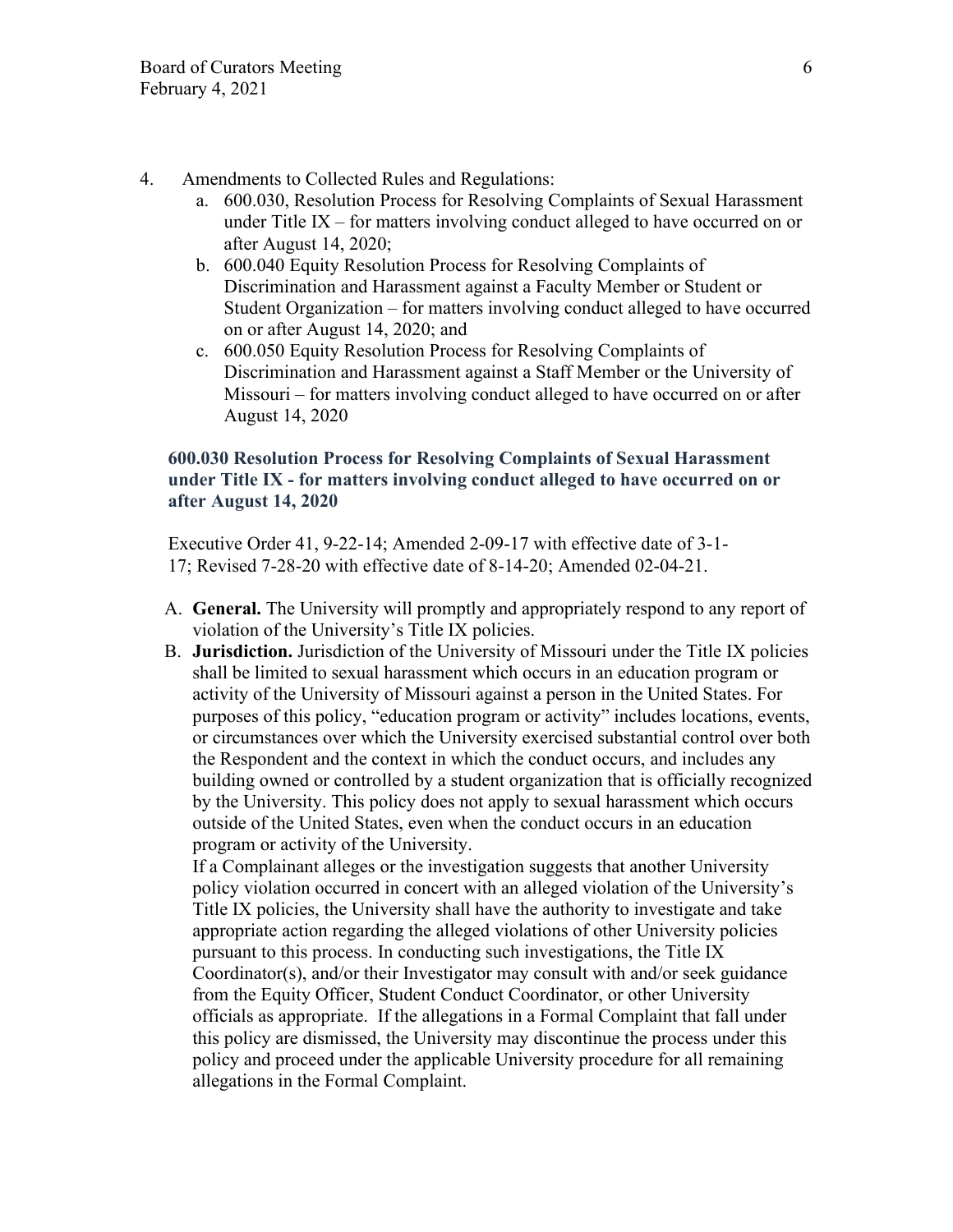- 4. Amendments to Collected Rules and Regulations:
	- a. 600.030, Resolution Process for Resolving Complaints of Sexual Harassment under Title IX – for matters involving conduct alleged to have occurred on or after August 14, 2020;
	- b. 600.040 Equity Resolution Process for Resolving Complaints of Discrimination and Harassment against a Faculty Member or Student or Student Organization – for matters involving conduct alleged to have occurred on or after August 14, 2020; and
	- c. 600.050 Equity Resolution Process for Resolving Complaints of Discrimination and Harassment against a Staff Member or the University of Missouri – for matters involving conduct alleged to have occurred on or after August 14, 2020

# **600.030 Resolution Process for Resolving Complaints of Sexual Harassment under Title IX - for matters involving conduct alleged to have occurred on or after August 14, 2020**

Executive Order 41, 9-22-14; Amended 2-09-17 with effective date of 3-1- 17; Revised 7-28-20 with effective date of 8-14-20; Amended 02-04-21.

- A. **General.** The University will promptly and appropriately respond to any report of violation of the University's Title IX policies.
- B. **Jurisdiction.** Jurisdiction of the University of Missouri under the Title IX policies shall be limited to sexual harassment which occurs in an education program or activity of the University of Missouri against a person in the United States. For purposes of this policy, "education program or activity" includes locations, events, or circumstances over which the University exercised substantial control over both the Respondent and the context in which the conduct occurs, and includes any building owned or controlled by a student organization that is officially recognized by the University. This policy does not apply to sexual harassment which occurs outside of the United States, even when the conduct occurs in an education program or activity of the University.

If a Complainant alleges or the investigation suggests that another University policy violation occurred in concert with an alleged violation of the University's Title IX policies, the University shall have the authority to investigate and take appropriate action regarding the alleged violations of other University policies pursuant to this process. In conducting such investigations, the Title IX Coordinator(s), and/or their Investigator may consult with and/or seek guidance from the Equity Officer, Student Conduct Coordinator, or other University officials as appropriate. If the allegations in a Formal Complaint that fall under this policy are dismissed, the University may discontinue the process under this policy and proceed under the applicable University procedure for all remaining allegations in the Formal Complaint.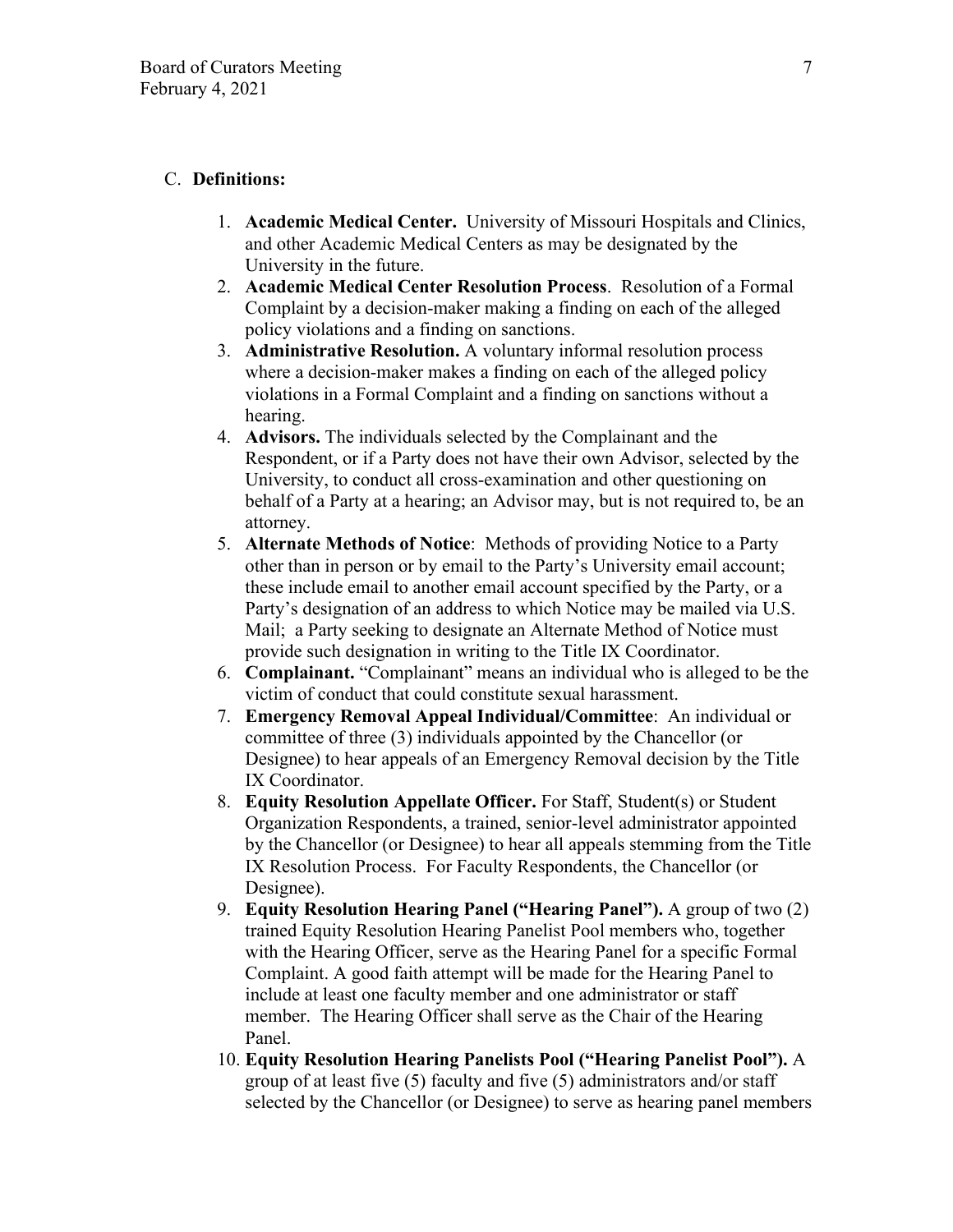# C. **Definitions:**

- 1. **Academic Medical Center.** University of Missouri Hospitals and Clinics, and other Academic Medical Centers as may be designated by the University in the future.
- 2. **Academic Medical Center Resolution Process**. Resolution of a Formal Complaint by a decision-maker making a finding on each of the alleged policy violations and a finding on sanctions.
- 3. **Administrative Resolution.** A voluntary informal resolution process where a decision-maker makes a finding on each of the alleged policy violations in a Formal Complaint and a finding on sanctions without a hearing.
- 4. **Advisors.** The individuals selected by the Complainant and the Respondent, or if a Party does not have their own Advisor, selected by the University, to conduct all cross-examination and other questioning on behalf of a Party at a hearing; an Advisor may, but is not required to, be an attorney.
- 5. **Alternate Methods of Notice**: Methods of providing Notice to a Party other than in person or by email to the Party's University email account; these include email to another email account specified by the Party, or a Party's designation of an address to which Notice may be mailed via U.S. Mail; a Party seeking to designate an Alternate Method of Notice must provide such designation in writing to the Title IX Coordinator.
- 6. **Complainant.** "Complainant" means an individual who is alleged to be the victim of conduct that could constitute sexual harassment.
- 7. **Emergency Removal Appeal Individual/Committee**: An individual or committee of three (3) individuals appointed by the Chancellor (or Designee) to hear appeals of an Emergency Removal decision by the Title IX Coordinator.
- 8. **Equity Resolution Appellate Officer.** For Staff, Student(s) or Student Organization Respondents, a trained, senior-level administrator appointed by the Chancellor (or Designee) to hear all appeals stemming from the Title IX Resolution Process. For Faculty Respondents, the Chancellor (or Designee).
- 9. **Equity Resolution Hearing Panel ("Hearing Panel").** A group of two (2) trained Equity Resolution Hearing Panelist Pool members who, together with the Hearing Officer, serve as the Hearing Panel for a specific Formal Complaint. A good faith attempt will be made for the Hearing Panel to include at least one faculty member and one administrator or staff member. The Hearing Officer shall serve as the Chair of the Hearing Panel.
- 10. **Equity Resolution Hearing Panelists Pool ("Hearing Panelist Pool").** A group of at least five (5) faculty and five (5) administrators and/or staff selected by the Chancellor (or Designee) to serve as hearing panel members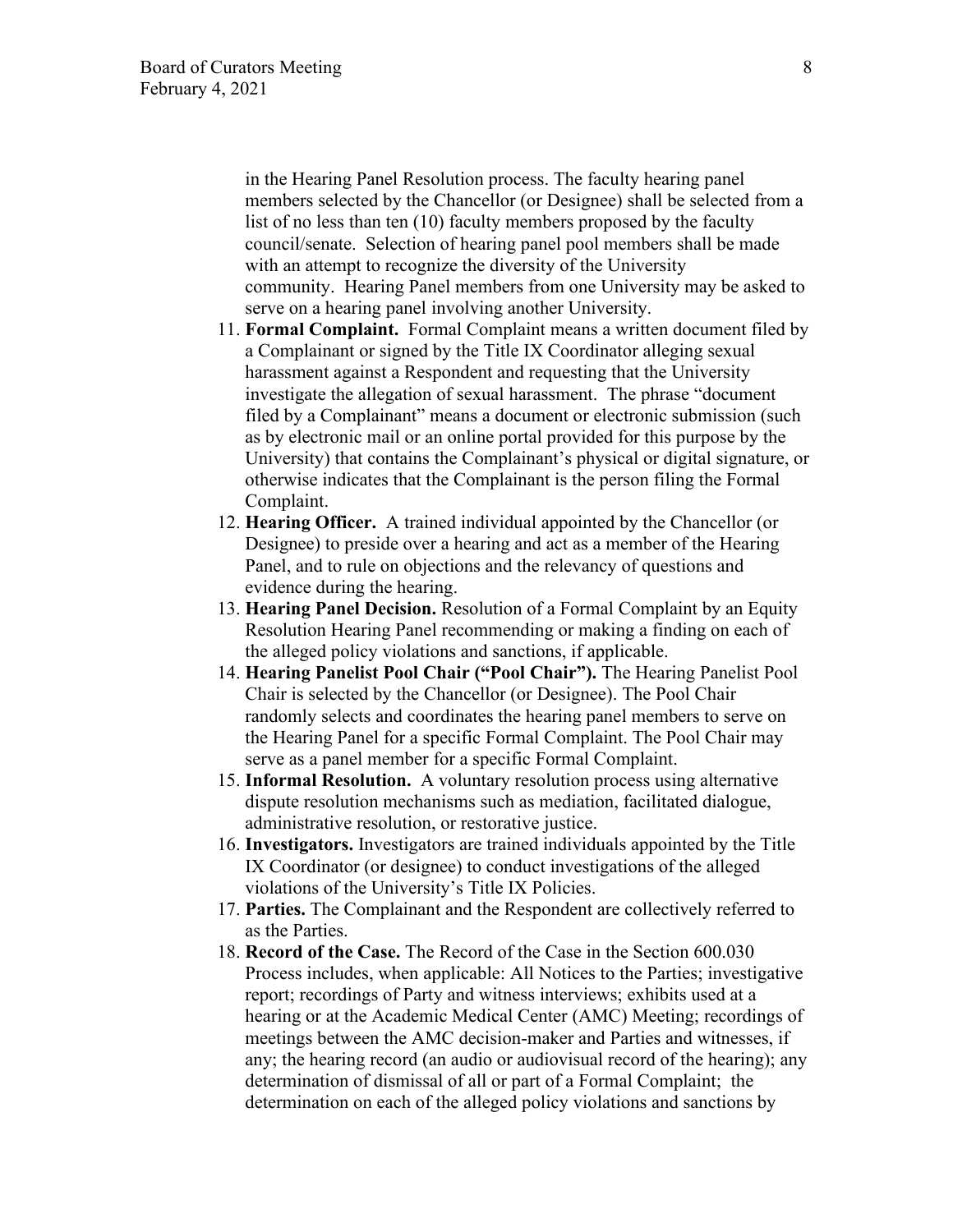in the Hearing Panel Resolution process. The faculty hearing panel members selected by the Chancellor (or Designee) shall be selected from a list of no less than ten (10) faculty members proposed by the faculty council/senate. Selection of hearing panel pool members shall be made with an attempt to recognize the diversity of the University community. Hearing Panel members from one University may be asked to serve on a hearing panel involving another University.

- 11. **Formal Complaint.** Formal Complaint means a written document filed by a Complainant or signed by the Title IX Coordinator alleging sexual harassment against a Respondent and requesting that the University investigate the allegation of sexual harassment. The phrase "document filed by a Complainant" means a document or electronic submission (such as by electronic mail or an online portal provided for this purpose by the University) that contains the Complainant's physical or digital signature, or otherwise indicates that the Complainant is the person filing the Formal Complaint.
- 12. **Hearing Officer.** A trained individual appointed by the Chancellor (or Designee) to preside over a hearing and act as a member of the Hearing Panel, and to rule on objections and the relevancy of questions and evidence during the hearing.
- 13. **Hearing Panel Decision.** Resolution of a Formal Complaint by an Equity Resolution Hearing Panel recommending or making a finding on each of the alleged policy violations and sanctions, if applicable.
- 14. **Hearing Panelist Pool Chair ("Pool Chair").** The Hearing Panelist Pool Chair is selected by the Chancellor (or Designee). The Pool Chair randomly selects and coordinates the hearing panel members to serve on the Hearing Panel for a specific Formal Complaint. The Pool Chair may serve as a panel member for a specific Formal Complaint.
- 15. **Informal Resolution.** A voluntary resolution process using alternative dispute resolution mechanisms such as mediation, facilitated dialogue, administrative resolution, or restorative justice.
- 16. **Investigators.** Investigators are trained individuals appointed by the Title IX Coordinator (or designee) to conduct investigations of the alleged violations of the University's Title IX Policies.
- 17. **Parties.** The Complainant and the Respondent are collectively referred to as the Parties.
- 18. **Record of the Case.** The Record of the Case in the Section 600.030 Process includes, when applicable: All Notices to the Parties; investigative report; recordings of Party and witness interviews; exhibits used at a hearing or at the Academic Medical Center (AMC) Meeting; recordings of meetings between the AMC decision-maker and Parties and witnesses, if any; the hearing record (an audio or audiovisual record of the hearing); any determination of dismissal of all or part of a Formal Complaint; the determination on each of the alleged policy violations and sanctions by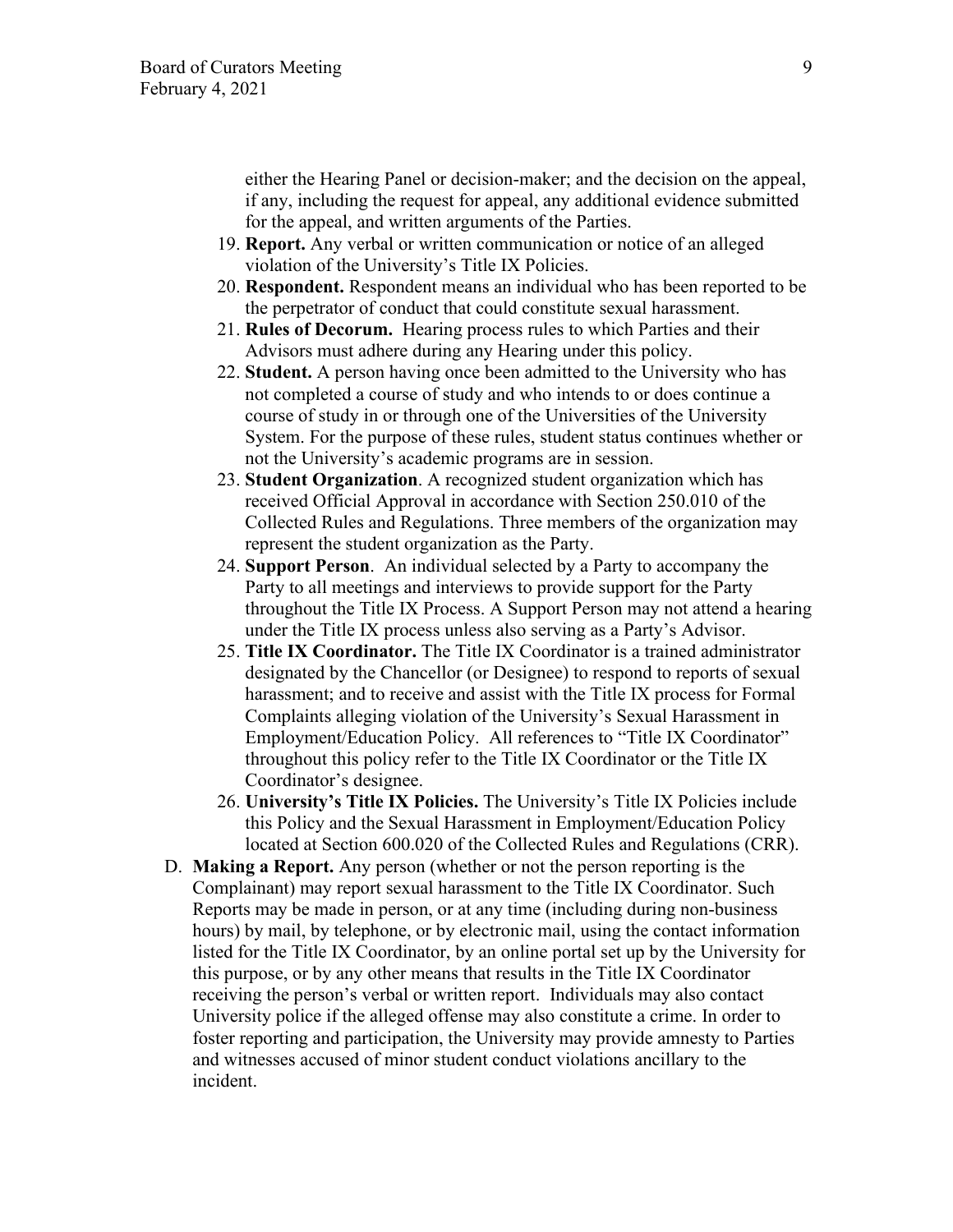either the Hearing Panel or decision-maker; and the decision on the appeal, if any, including the request for appeal, any additional evidence submitted for the appeal, and written arguments of the Parties.

- 19. **Report.** Any verbal or written communication or notice of an alleged violation of the University's Title IX Policies.
- 20. **Respondent.** Respondent means an individual who has been reported to be the perpetrator of conduct that could constitute sexual harassment.
- 21. **Rules of Decorum.** Hearing process rules to which Parties and their Advisors must adhere during any Hearing under this policy.
- 22. **Student.** A person having once been admitted to the University who has not completed a course of study and who intends to or does continue a course of study in or through one of the Universities of the University System. For the purpose of these rules, student status continues whether or not the University's academic programs are in session.
- 23. **Student Organization**. A recognized student organization which has received Official Approval in accordance with Section 250.010 of the Collected Rules and Regulations. Three members of the organization may represent the student organization as the Party.
- 24. **Support Person**. An individual selected by a Party to accompany the Party to all meetings and interviews to provide support for the Party throughout the Title IX Process. A Support Person may not attend a hearing under the Title IX process unless also serving as a Party's Advisor.
- 25. **Title IX Coordinator.** The Title IX Coordinator is a trained administrator designated by the Chancellor (or Designee) to respond to reports of sexual harassment; and to receive and assist with the Title IX process for Formal Complaints alleging violation of the University's Sexual Harassment in Employment/Education Policy. All references to "Title IX Coordinator" throughout this policy refer to the Title IX Coordinator or the Title IX Coordinator's designee.
- 26. **University's Title IX Policies.** The University's Title IX Policies include this Policy and the Sexual Harassment in Employment/Education Policy located at Section 600.020 of the Collected Rules and Regulations (CRR).
- D. **Making a Report.** Any person (whether or not the person reporting is the Complainant) may report sexual harassment to the Title IX Coordinator. Such Reports may be made in person, or at any time (including during non-business hours) by mail, by telephone, or by electronic mail, using the contact information listed for the Title IX Coordinator, by an online portal set up by the University for this purpose, or by any other means that results in the Title IX Coordinator receiving the person's verbal or written report. Individuals may also contact University police if the alleged offense may also constitute a crime. In order to foster reporting and participation, the University may provide amnesty to Parties and witnesses accused of minor student conduct violations ancillary to the incident.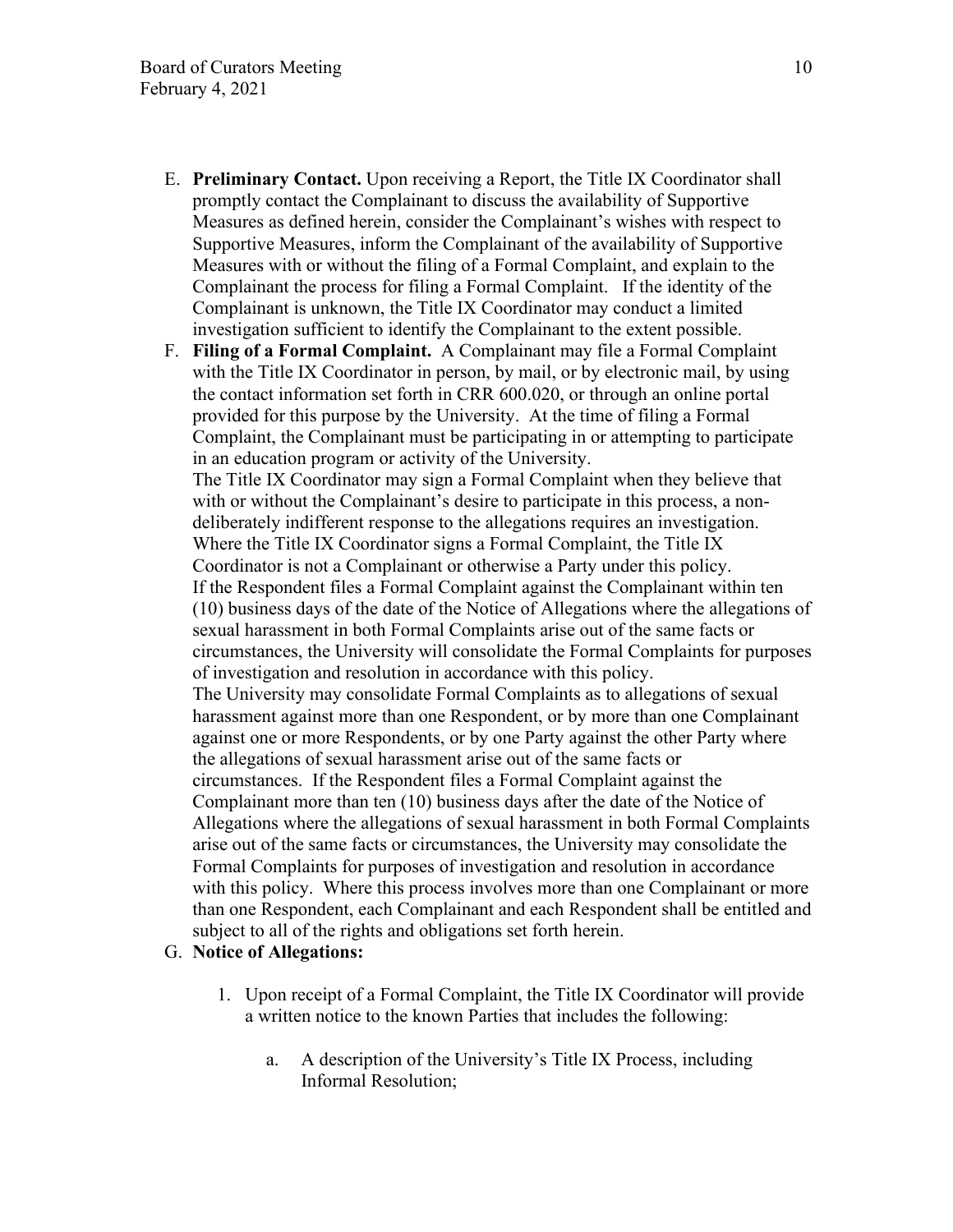- E. **Preliminary Contact.** Upon receiving a Report, the Title IX Coordinator shall promptly contact the Complainant to discuss the availability of Supportive Measures as defined herein, consider the Complainant's wishes with respect to Supportive Measures, inform the Complainant of the availability of Supportive Measures with or without the filing of a Formal Complaint, and explain to the Complainant the process for filing a Formal Complaint. If the identity of the Complainant is unknown, the Title IX Coordinator may conduct a limited investigation sufficient to identify the Complainant to the extent possible.
- F. **Filing of a Formal Complaint.** A Complainant may file a Formal Complaint with the Title IX Coordinator in person, by mail, or by electronic mail, by using the contact information set forth in CRR 600.020, or through an online portal provided for this purpose by the University. At the time of filing a Formal Complaint, the Complainant must be participating in or attempting to participate in an education program or activity of the University. The Title IX Coordinator may sign a Formal Complaint when they believe that with or without the Complainant's desire to participate in this process, a nondeliberately indifferent response to the allegations requires an investigation. Where the Title IX Coordinator signs a Formal Complaint, the Title IX Coordinator is not a Complainant or otherwise a Party under this policy. If the Respondent files a Formal Complaint against the Complainant within ten (10) business days of the date of the Notice of Allegations where the allegations of sexual harassment in both Formal Complaints arise out of the same facts or circumstances, the University will consolidate the Formal Complaints for purposes of investigation and resolution in accordance with this policy. The University may consolidate Formal Complaints as to allegations of sexual harassment against more than one Respondent, or by more than one Complainant against one or more Respondents, or by one Party against the other Party where the allegations of sexual harassment arise out of the same facts or circumstances. If the Respondent files a Formal Complaint against the Complainant more than ten (10) business days after the date of the Notice of Allegations where the allegations of sexual harassment in both Formal Complaints arise out of the same facts or circumstances, the University may consolidate the Formal Complaints for purposes of investigation and resolution in accordance with this policy. Where this process involves more than one Complainant or more than one Respondent, each Complainant and each Respondent shall be entitled and subject to all of the rights and obligations set forth herein.

# G. **Notice of Allegations:**

- 1. Upon receipt of a Formal Complaint, the Title IX Coordinator will provide a written notice to the known Parties that includes the following:
	- a. A description of the University's Title IX Process, including Informal Resolution;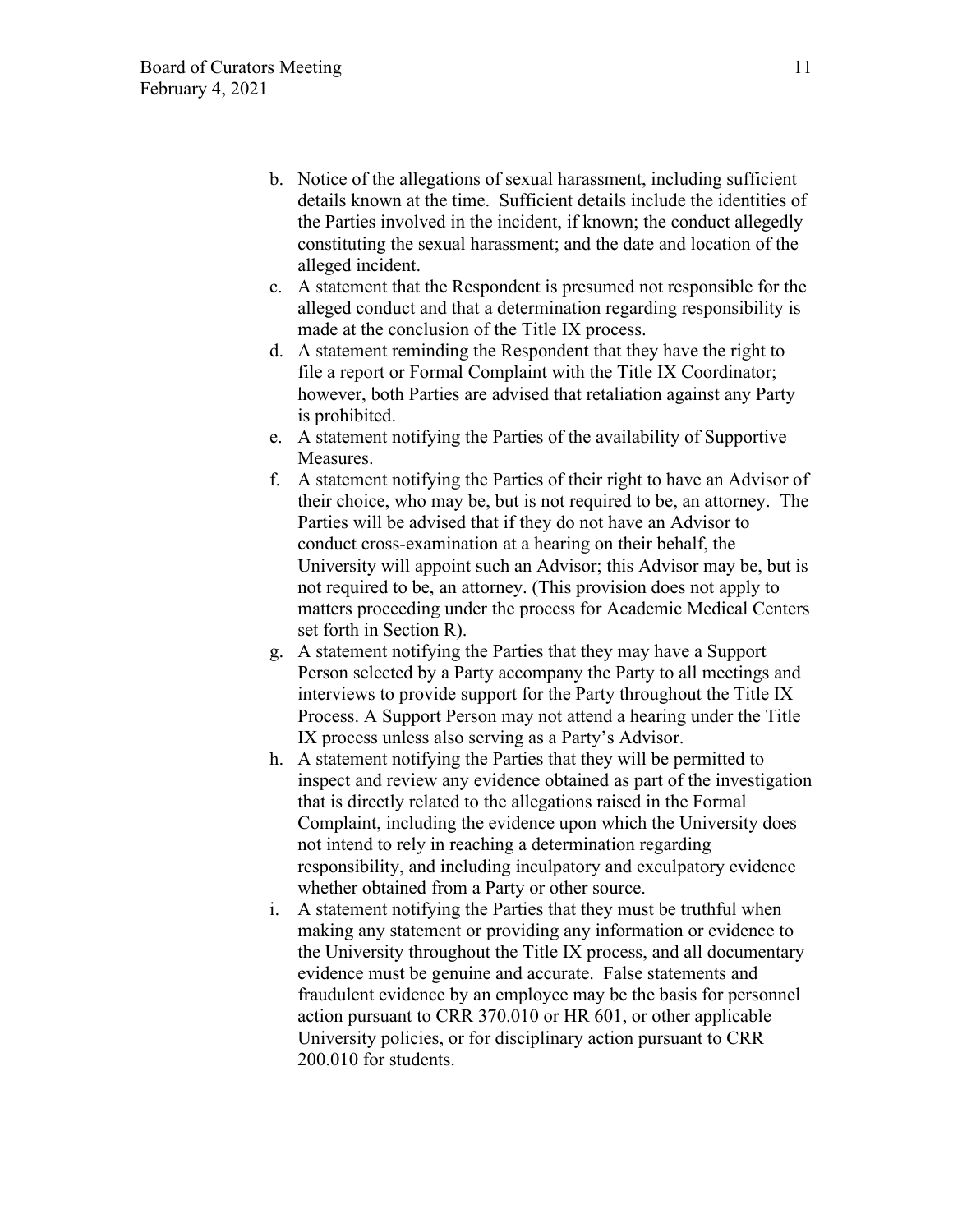- b. Notice of the allegations of sexual harassment, including sufficient details known at the time. Sufficient details include the identities of the Parties involved in the incident, if known; the conduct allegedly constituting the sexual harassment; and the date and location of the alleged incident.
- c. A statement that the Respondent is presumed not responsible for the alleged conduct and that a determination regarding responsibility is made at the conclusion of the Title IX process.
- d. A statement reminding the Respondent that they have the right to file a report or Formal Complaint with the Title IX Coordinator; however, both Parties are advised that retaliation against any Party is prohibited.
- e. A statement notifying the Parties of the availability of Supportive Measures.
- f. A statement notifying the Parties of their right to have an Advisor of their choice, who may be, but is not required to be, an attorney. The Parties will be advised that if they do not have an Advisor to conduct cross-examination at a hearing on their behalf, the University will appoint such an Advisor; this Advisor may be, but is not required to be, an attorney. (This provision does not apply to matters proceeding under the process for Academic Medical Centers set forth in Section R).
- g. A statement notifying the Parties that they may have a Support Person selected by a Party accompany the Party to all meetings and interviews to provide support for the Party throughout the Title IX Process. A Support Person may not attend a hearing under the Title IX process unless also serving as a Party's Advisor.
- h. A statement notifying the Parties that they will be permitted to inspect and review any evidence obtained as part of the investigation that is directly related to the allegations raised in the Formal Complaint, including the evidence upon which the University does not intend to rely in reaching a determination regarding responsibility, and including inculpatory and exculpatory evidence whether obtained from a Party or other source.
- i. A statement notifying the Parties that they must be truthful when making any statement or providing any information or evidence to the University throughout the Title IX process, and all documentary evidence must be genuine and accurate. False statements and fraudulent evidence by an employee may be the basis for personnel action pursuant to CRR 370.010 or HR 601, or other applicable University policies, or for disciplinary action pursuant to CRR 200.010 for students.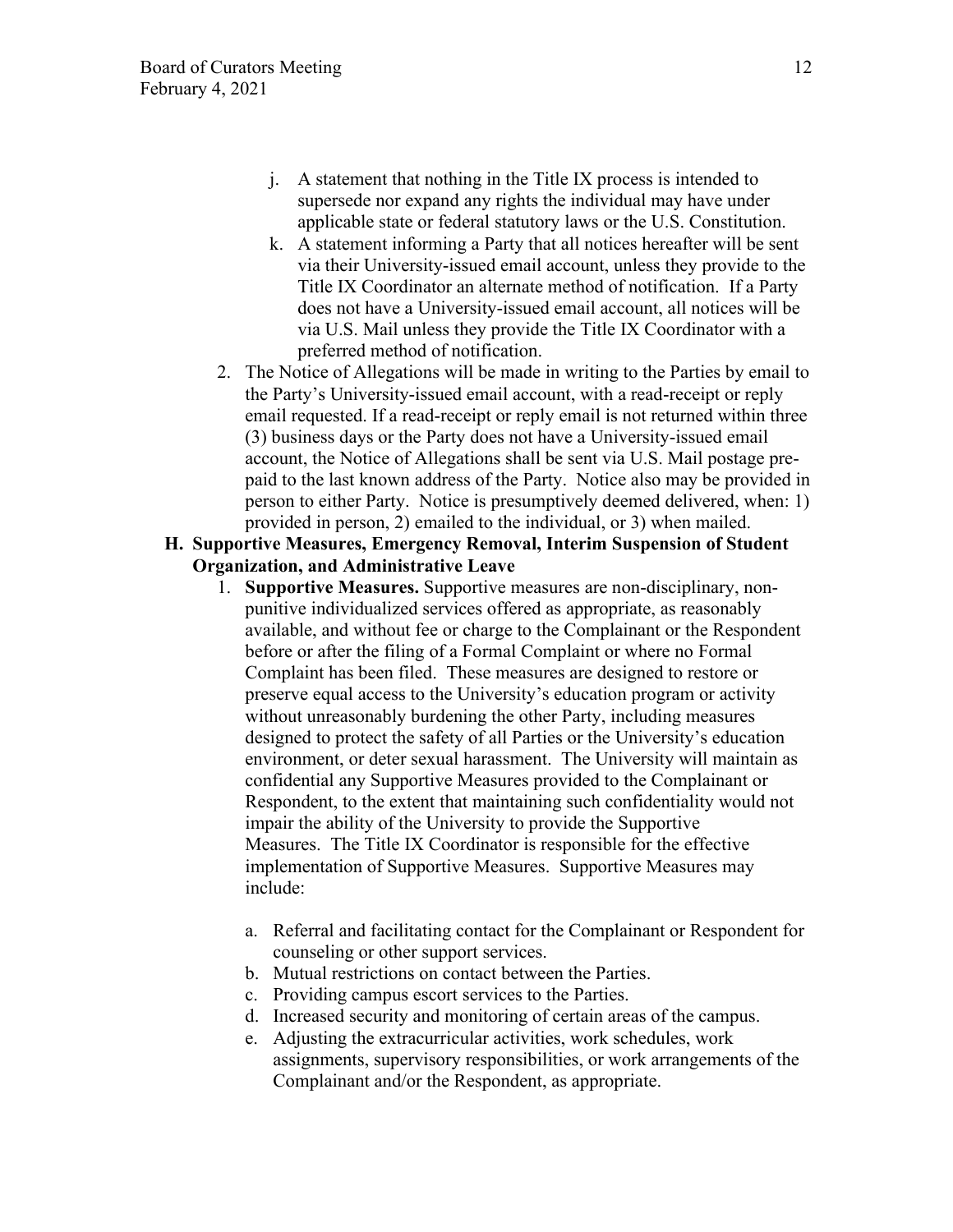- j. A statement that nothing in the Title IX process is intended to supersede nor expand any rights the individual may have under applicable state or federal statutory laws or the U.S. Constitution.
- k. A statement informing a Party that all notices hereafter will be sent via their University-issued email account, unless they provide to the Title IX Coordinator an alternate method of notification. If a Party does not have a University-issued email account, all notices will be via U.S. Mail unless they provide the Title IX Coordinator with a preferred method of notification.
- 2. The Notice of Allegations will be made in writing to the Parties by email to the Party's University-issued email account, with a read-receipt or reply email requested. If a read-receipt or reply email is not returned within three (3) business days or the Party does not have a University-issued email account, the Notice of Allegations shall be sent via U.S. Mail postage prepaid to the last known address of the Party. Notice also may be provided in person to either Party. Notice is presumptively deemed delivered, when: 1) provided in person, 2) emailed to the individual, or 3) when mailed.
- **H. Supportive Measures, Emergency Removal, Interim Suspension of Student Organization, and Administrative Leave** 
	- 1. **Supportive Measures.** Supportive measures are non-disciplinary, nonpunitive individualized services offered as appropriate, as reasonably available, and without fee or charge to the Complainant or the Respondent before or after the filing of a Formal Complaint or where no Formal Complaint has been filed. These measures are designed to restore or preserve equal access to the University's education program or activity without unreasonably burdening the other Party, including measures designed to protect the safety of all Parties or the University's education environment, or deter sexual harassment. The University will maintain as confidential any Supportive Measures provided to the Complainant or Respondent, to the extent that maintaining such confidentiality would not impair the ability of the University to provide the Supportive Measures. The Title IX Coordinator is responsible for the effective implementation of Supportive Measures. Supportive Measures may include:
		- a. Referral and facilitating contact for the Complainant or Respondent for counseling or other support services.
		- b. Mutual restrictions on contact between the Parties.
		- c. Providing campus escort services to the Parties.
		- d. Increased security and monitoring of certain areas of the campus.
		- e. Adjusting the extracurricular activities, work schedules, work assignments, supervisory responsibilities, or work arrangements of the Complainant and/or the Respondent, as appropriate.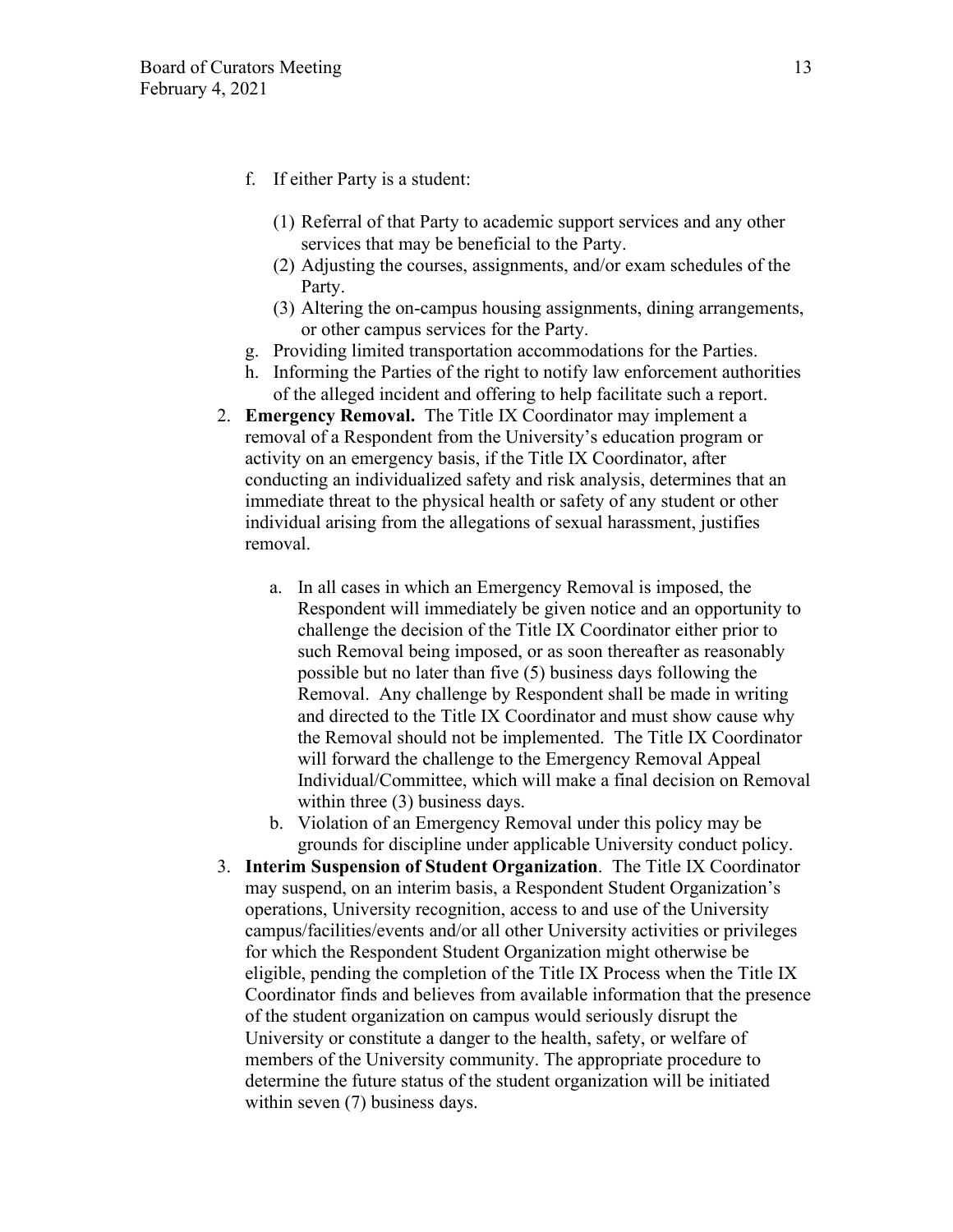- f. If either Party is a student:
	- (1) Referral of that Party to academic support services and any other services that may be beneficial to the Party.
	- (2) Adjusting the courses, assignments, and/or exam schedules of the Party.
	- (3) Altering the on-campus housing assignments, dining arrangements, or other campus services for the Party.
- g. Providing limited transportation accommodations for the Parties.
- h. Informing the Parties of the right to notify law enforcement authorities of the alleged incident and offering to help facilitate such a report.
- 2. **Emergency Removal.** The Title IX Coordinator may implement a removal of a Respondent from the University's education program or activity on an emergency basis, if the Title IX Coordinator, after conducting an individualized safety and risk analysis, determines that an immediate threat to the physical health or safety of any student or other individual arising from the allegations of sexual harassment, justifies removal.
	- a. In all cases in which an Emergency Removal is imposed, the Respondent will immediately be given notice and an opportunity to challenge the decision of the Title IX Coordinator either prior to such Removal being imposed, or as soon thereafter as reasonably possible but no later than five (5) business days following the Removal. Any challenge by Respondent shall be made in writing and directed to the Title IX Coordinator and must show cause why the Removal should not be implemented. The Title IX Coordinator will forward the challenge to the Emergency Removal Appeal Individual/Committee, which will make a final decision on Removal within three (3) business days.
	- b. Violation of an Emergency Removal under this policy may be grounds for discipline under applicable University conduct policy.
- 3. **Interim Suspension of Student Organization**. The Title IX Coordinator may suspend, on an interim basis, a Respondent Student Organization's operations, University recognition, access to and use of the University campus/facilities/events and/or all other University activities or privileges for which the Respondent Student Organization might otherwise be eligible, pending the completion of the Title IX Process when the Title IX Coordinator finds and believes from available information that the presence of the student organization on campus would seriously disrupt the University or constitute a danger to the health, safety, or welfare of members of the University community. The appropriate procedure to determine the future status of the student organization will be initiated within seven (7) business days.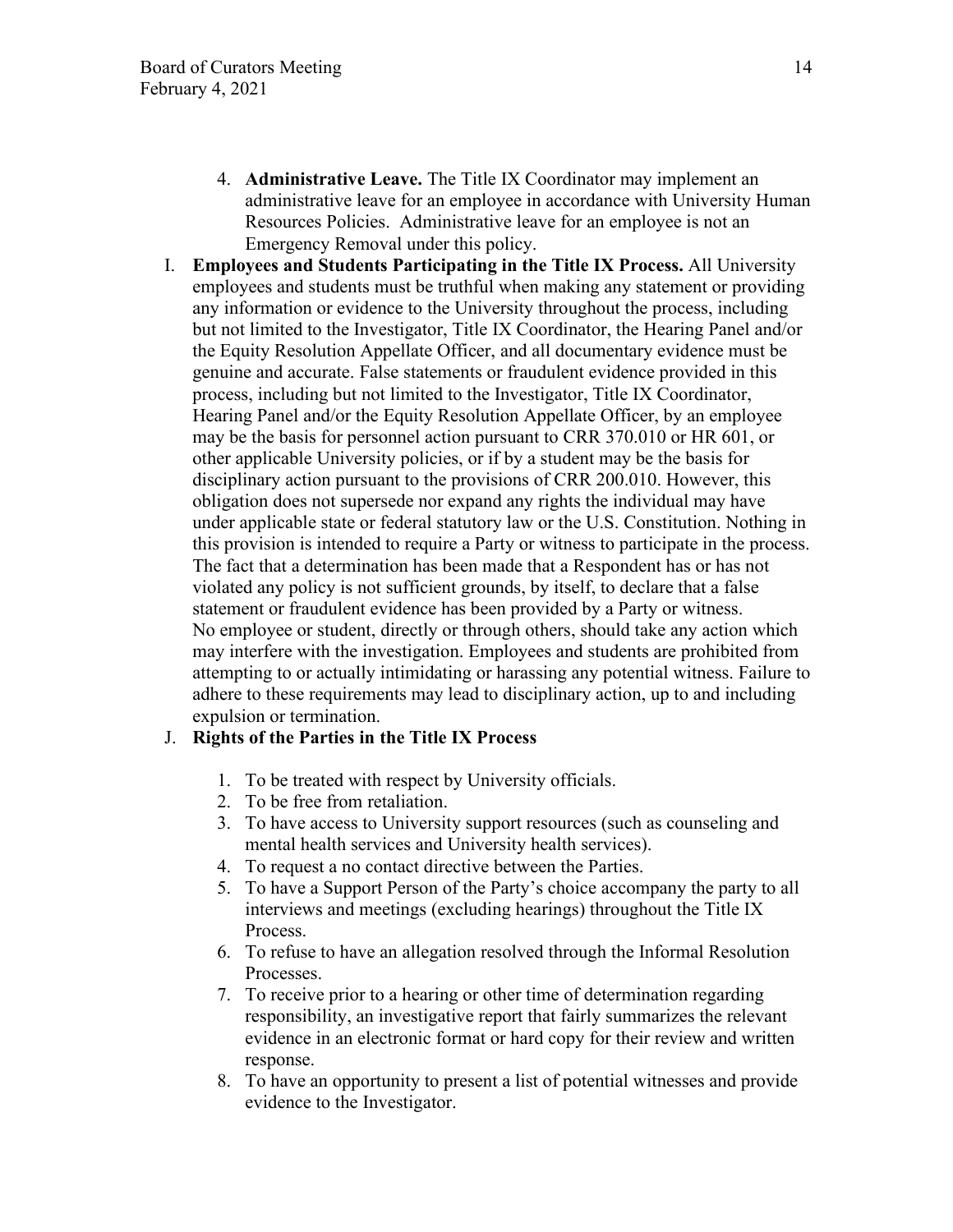- 4. **Administrative Leave.** The Title IX Coordinator may implement an administrative leave for an employee in accordance with University Human Resources Policies. Administrative leave for an employee is not an Emergency Removal under this policy.
- I. **Employees and Students Participating in the Title IX Process.** All University employees and students must be truthful when making any statement or providing any information or evidence to the University throughout the process, including but not limited to the Investigator, Title IX Coordinator, the Hearing Panel and/or the Equity Resolution Appellate Officer, and all documentary evidence must be genuine and accurate. False statements or fraudulent evidence provided in this process, including but not limited to the Investigator, Title IX Coordinator, Hearing Panel and/or the Equity Resolution Appellate Officer, by an employee may be the basis for personnel action pursuant to CRR 370.010 or HR 601, or other applicable University policies, or if by a student may be the basis for disciplinary action pursuant to the provisions of CRR 200.010. However, this obligation does not supersede nor expand any rights the individual may have under applicable state or federal statutory law or the U.S. Constitution. Nothing in this provision is intended to require a Party or witness to participate in the process. The fact that a determination has been made that a Respondent has or has not violated any policy is not sufficient grounds, by itself, to declare that a false statement or fraudulent evidence has been provided by a Party or witness. No employee or student, directly or through others, should take any action which may interfere with the investigation. Employees and students are prohibited from attempting to or actually intimidating or harassing any potential witness. Failure to adhere to these requirements may lead to disciplinary action, up to and including expulsion or termination.

# J. **Rights of the Parties in the Title IX Process**

- 1. To be treated with respect by University officials.
- 2. To be free from retaliation.
- 3. To have access to University support resources (such as counseling and mental health services and University health services).
- 4. To request a no contact directive between the Parties.
- 5. To have a Support Person of the Party's choice accompany the party to all interviews and meetings (excluding hearings) throughout the Title IX Process.
- 6. To refuse to have an allegation resolved through the Informal Resolution Processes.
- 7. To receive prior to a hearing or other time of determination regarding responsibility, an investigative report that fairly summarizes the relevant evidence in an electronic format or hard copy for their review and written response.
- 8. To have an opportunity to present a list of potential witnesses and provide evidence to the Investigator.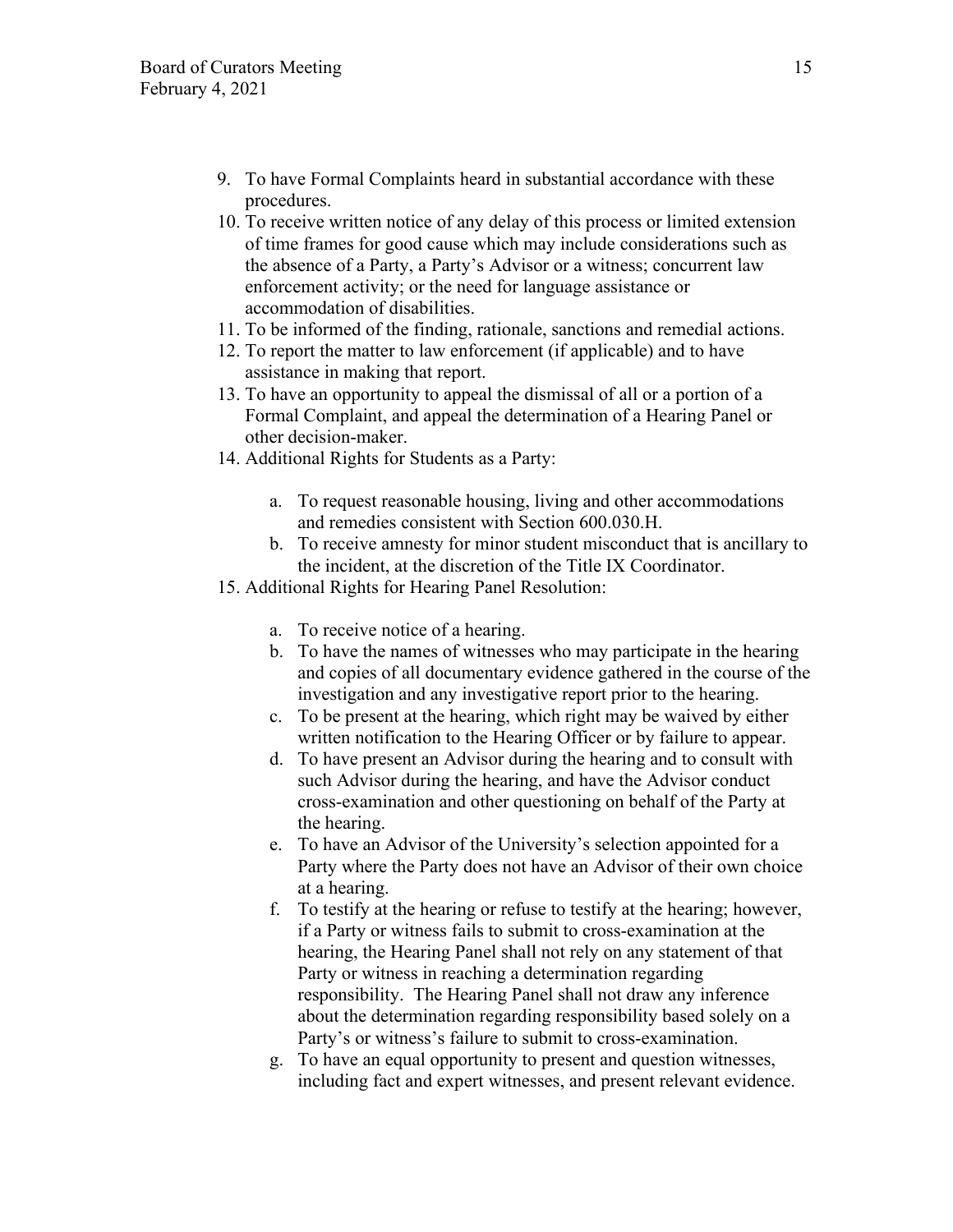- 9. To have Formal Complaints heard in substantial accordance with these procedures.
- 10. To receive written notice of any delay of this process or limited extension of time frames for good cause which may include considerations such as the absence of a Party, a Party's Advisor or a witness; concurrent law enforcement activity; or the need for language assistance or accommodation of disabilities.
- 11. To be informed of the finding, rationale, sanctions and remedial actions.
- 12. To report the matter to law enforcement (if applicable) and to have assistance in making that report.
- 13. To have an opportunity to appeal the dismissal of all or a portion of a Formal Complaint, and appeal the determination of a Hearing Panel or other decision-maker.
- 14. Additional Rights for Students as a Party:
	- a. To request reasonable housing, living and other accommodations and remedies consistent with Section 600.030.H.
	- b. To receive amnesty for minor student misconduct that is ancillary to the incident, at the discretion of the Title IX Coordinator.
- 15. Additional Rights for Hearing Panel Resolution:
	- a. To receive notice of a hearing.
	- b. To have the names of witnesses who may participate in the hearing and copies of all documentary evidence gathered in the course of the investigation and any investigative report prior to the hearing.
	- c. To be present at the hearing, which right may be waived by either written notification to the Hearing Officer or by failure to appear.
	- d. To have present an Advisor during the hearing and to consult with such Advisor during the hearing, and have the Advisor conduct cross-examination and other questioning on behalf of the Party at the hearing.
	- e. To have an Advisor of the University's selection appointed for a Party where the Party does not have an Advisor of their own choice at a hearing.
	- f. To testify at the hearing or refuse to testify at the hearing; however, if a Party or witness fails to submit to cross-examination at the hearing, the Hearing Panel shall not rely on any statement of that Party or witness in reaching a determination regarding responsibility. The Hearing Panel shall not draw any inference about the determination regarding responsibility based solely on a Party's or witness's failure to submit to cross-examination.
	- g. To have an equal opportunity to present and question witnesses, including fact and expert witnesses, and present relevant evidence.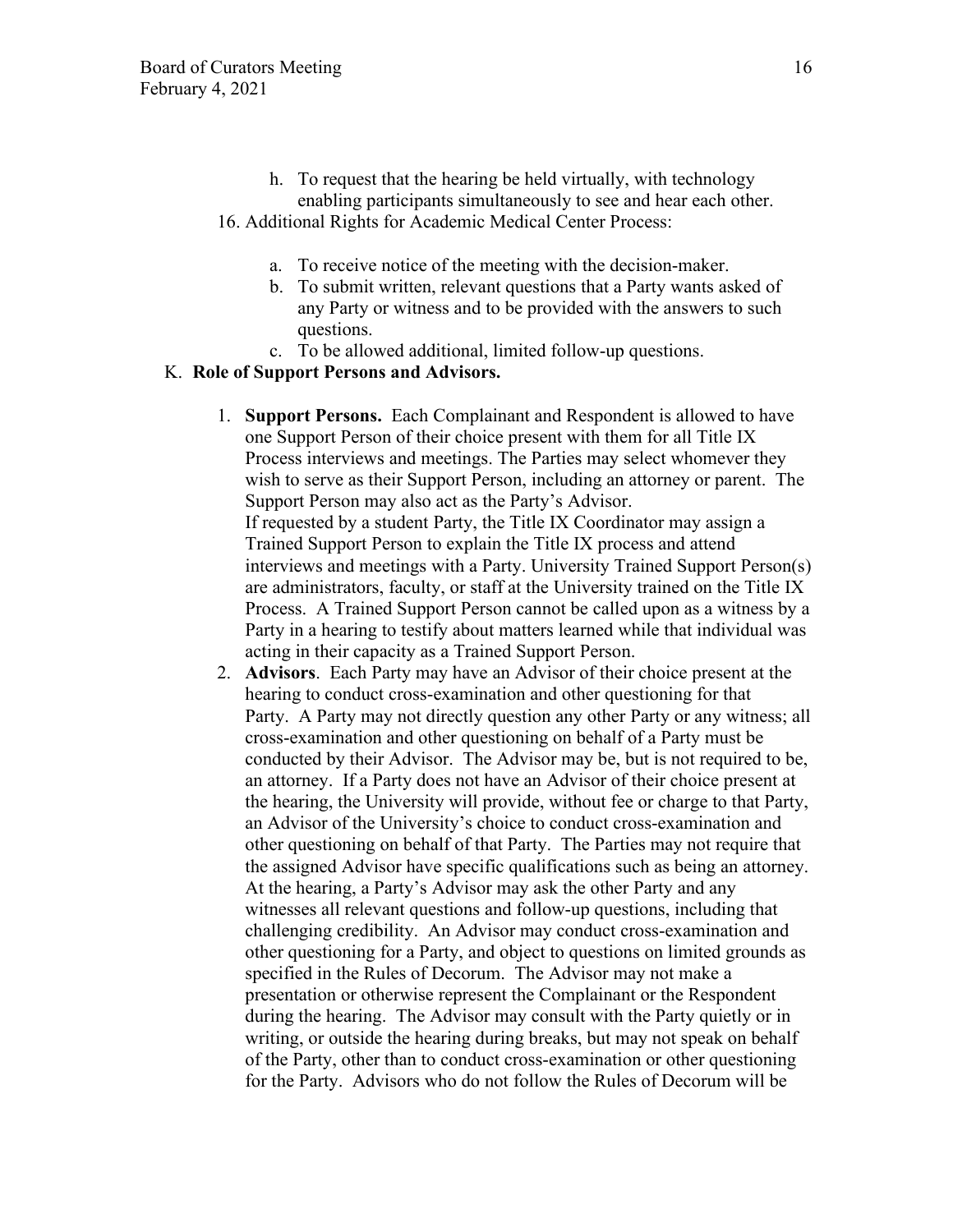- h. To request that the hearing be held virtually, with technology enabling participants simultaneously to see and hear each other. 16. Additional Rights for Academic Medical Center Process:
	- a. To receive notice of the meeting with the decision-maker.
	- b. To submit written, relevant questions that a Party wants asked of any Party or witness and to be provided with the answers to such questions.
	- c. To be allowed additional, limited follow-up questions.

### K. **Role of Support Persons and Advisors.**

- 1. **Support Persons.** Each Complainant and Respondent is allowed to have one Support Person of their choice present with them for all Title IX Process interviews and meetings. The Parties may select whomever they wish to serve as their Support Person, including an attorney or parent. The Support Person may also act as the Party's Advisor. If requested by a student Party, the Title IX Coordinator may assign a Trained Support Person to explain the Title IX process and attend interviews and meetings with a Party. University Trained Support Person(s) are administrators, faculty, or staff at the University trained on the Title IX Process. A Trained Support Person cannot be called upon as a witness by a Party in a hearing to testify about matters learned while that individual was acting in their capacity as a Trained Support Person.
- 2. **Advisors**. Each Party may have an Advisor of their choice present at the hearing to conduct cross-examination and other questioning for that Party. A Party may not directly question any other Party or any witness; all cross-examination and other questioning on behalf of a Party must be conducted by their Advisor. The Advisor may be, but is not required to be, an attorney. If a Party does not have an Advisor of their choice present at the hearing, the University will provide, without fee or charge to that Party, an Advisor of the University's choice to conduct cross-examination and other questioning on behalf of that Party. The Parties may not require that the assigned Advisor have specific qualifications such as being an attorney. At the hearing, a Party's Advisor may ask the other Party and any witnesses all relevant questions and follow-up questions, including that challenging credibility. An Advisor may conduct cross-examination and other questioning for a Party, and object to questions on limited grounds as specified in the Rules of Decorum. The Advisor may not make a presentation or otherwise represent the Complainant or the Respondent during the hearing. The Advisor may consult with the Party quietly or in writing, or outside the hearing during breaks, but may not speak on behalf of the Party, other than to conduct cross-examination or other questioning for the Party. Advisors who do not follow the Rules of Decorum will be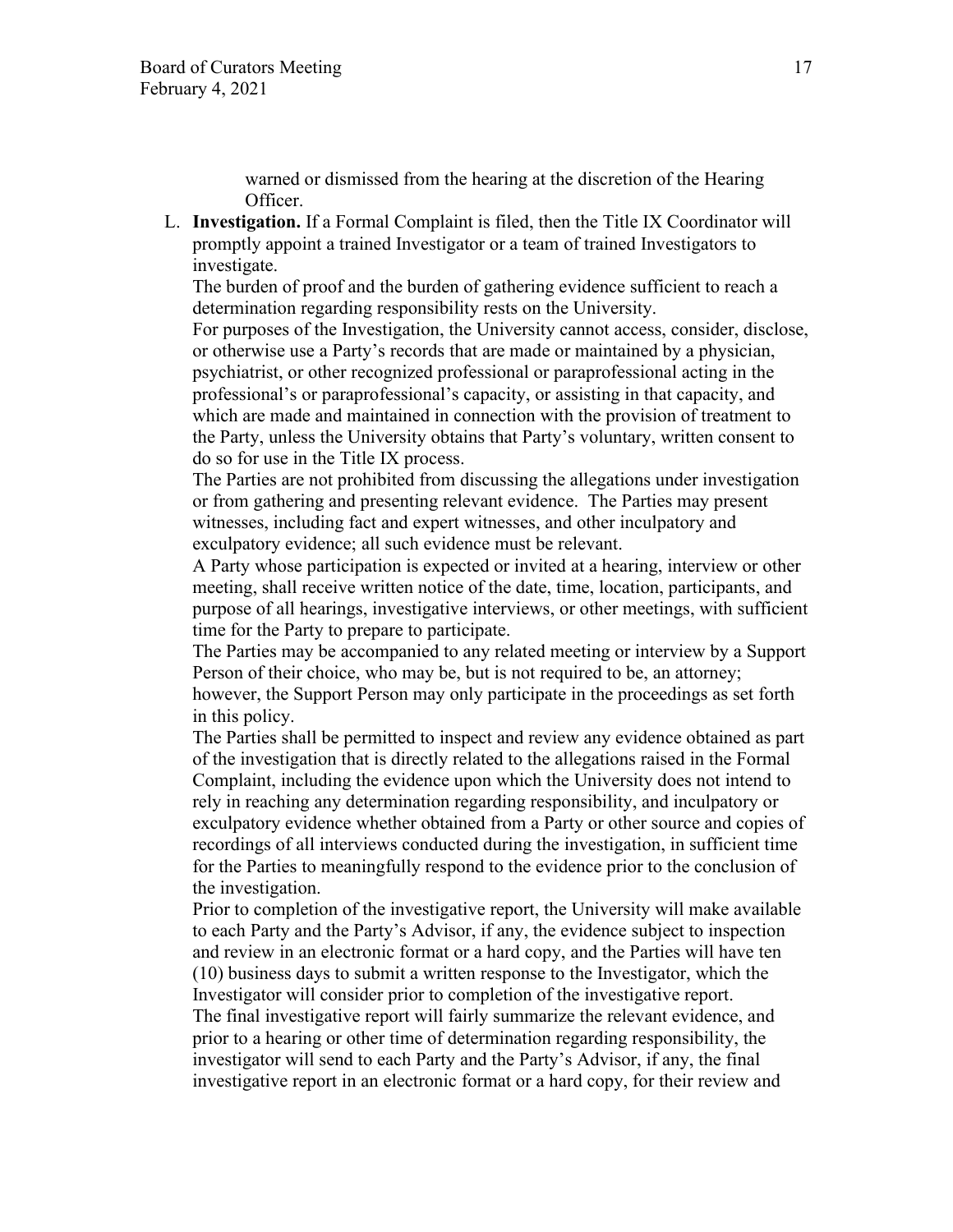warned or dismissed from the hearing at the discretion of the Hearing Officer.

L. **Investigation.** If a Formal Complaint is filed, then the Title IX Coordinator will promptly appoint a trained Investigator or a team of trained Investigators to investigate.

The burden of proof and the burden of gathering evidence sufficient to reach a determination regarding responsibility rests on the University.

For purposes of the Investigation, the University cannot access, consider, disclose, or otherwise use a Party's records that are made or maintained by a physician, psychiatrist, or other recognized professional or paraprofessional acting in the professional's or paraprofessional's capacity, or assisting in that capacity, and which are made and maintained in connection with the provision of treatment to the Party, unless the University obtains that Party's voluntary, written consent to do so for use in the Title IX process.

The Parties are not prohibited from discussing the allegations under investigation or from gathering and presenting relevant evidence. The Parties may present witnesses, including fact and expert witnesses, and other inculpatory and exculpatory evidence; all such evidence must be relevant.

A Party whose participation is expected or invited at a hearing, interview or other meeting, shall receive written notice of the date, time, location, participants, and purpose of all hearings, investigative interviews, or other meetings, with sufficient time for the Party to prepare to participate.

The Parties may be accompanied to any related meeting or interview by a Support Person of their choice, who may be, but is not required to be, an attorney; however, the Support Person may only participate in the proceedings as set forth in this policy.

The Parties shall be permitted to inspect and review any evidence obtained as part of the investigation that is directly related to the allegations raised in the Formal Complaint, including the evidence upon which the University does not intend to rely in reaching any determination regarding responsibility, and inculpatory or exculpatory evidence whether obtained from a Party or other source and copies of recordings of all interviews conducted during the investigation, in sufficient time for the Parties to meaningfully respond to the evidence prior to the conclusion of the investigation.

Prior to completion of the investigative report, the University will make available to each Party and the Party's Advisor, if any, the evidence subject to inspection and review in an electronic format or a hard copy, and the Parties will have ten (10) business days to submit a written response to the Investigator, which the Investigator will consider prior to completion of the investigative report. The final investigative report will fairly summarize the relevant evidence, and prior to a hearing or other time of determination regarding responsibility, the investigator will send to each Party and the Party's Advisor, if any, the final

investigative report in an electronic format or a hard copy, for their review and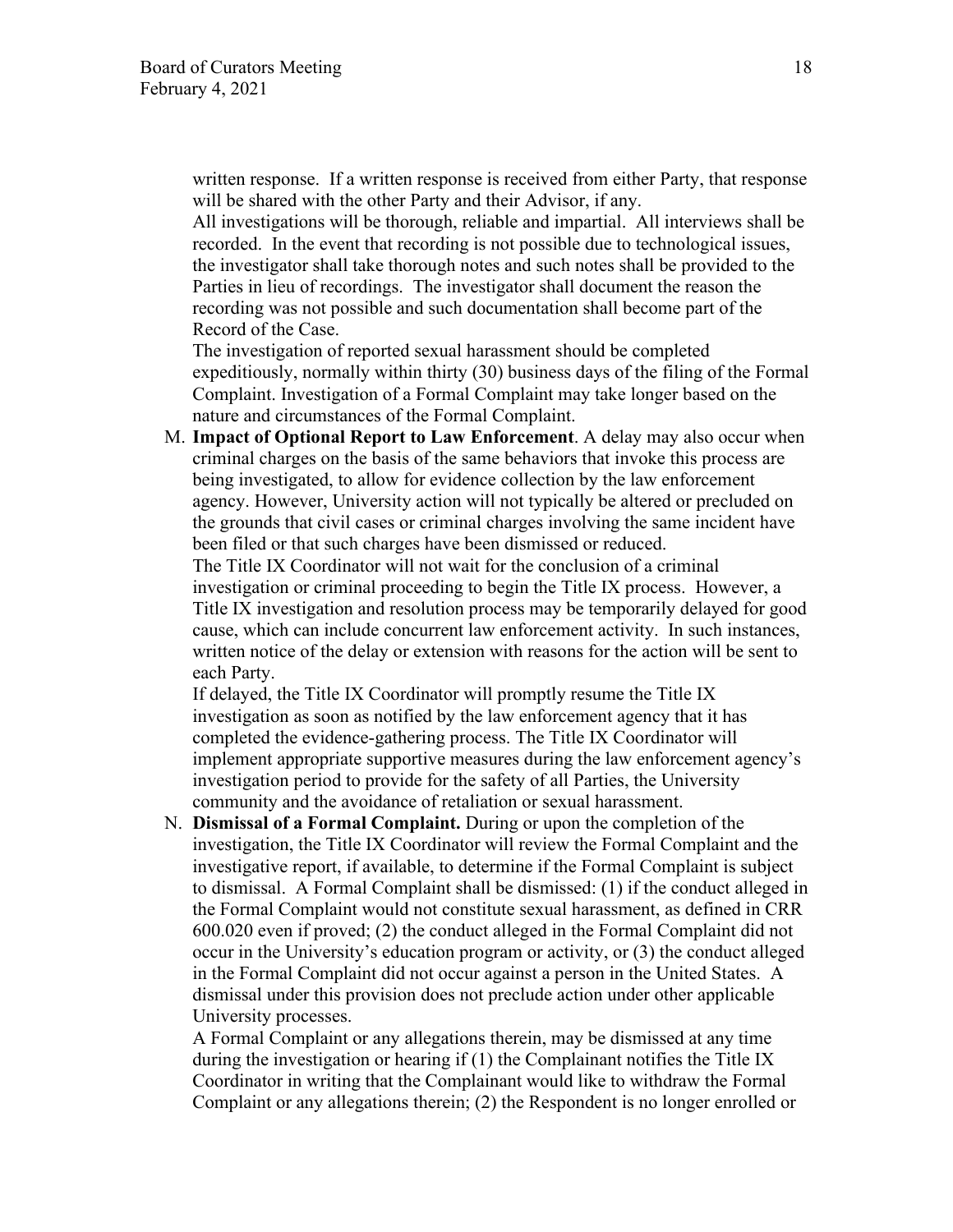written response. If a written response is received from either Party, that response will be shared with the other Party and their Advisor, if any.

All investigations will be thorough, reliable and impartial. All interviews shall be recorded. In the event that recording is not possible due to technological issues, the investigator shall take thorough notes and such notes shall be provided to the Parties in lieu of recordings. The investigator shall document the reason the recording was not possible and such documentation shall become part of the Record of the Case.

The investigation of reported sexual harassment should be completed expeditiously, normally within thirty (30) business days of the filing of the Formal Complaint. Investigation of a Formal Complaint may take longer based on the nature and circumstances of the Formal Complaint.

M. **Impact of Optional Report to Law Enforcement**. A delay may also occur when criminal charges on the basis of the same behaviors that invoke this process are being investigated, to allow for evidence collection by the law enforcement agency. However, University action will not typically be altered or precluded on the grounds that civil cases or criminal charges involving the same incident have been filed or that such charges have been dismissed or reduced.

The Title IX Coordinator will not wait for the conclusion of a criminal investigation or criminal proceeding to begin the Title IX process. However, a Title IX investigation and resolution process may be temporarily delayed for good cause, which can include concurrent law enforcement activity. In such instances, written notice of the delay or extension with reasons for the action will be sent to each Party.

If delayed, the Title IX Coordinator will promptly resume the Title IX investigation as soon as notified by the law enforcement agency that it has completed the evidence-gathering process. The Title IX Coordinator will implement appropriate supportive measures during the law enforcement agency's investigation period to provide for the safety of all Parties, the University community and the avoidance of retaliation or sexual harassment.

N. **Dismissal of a Formal Complaint.** During or upon the completion of the investigation, the Title IX Coordinator will review the Formal Complaint and the investigative report, if available, to determine if the Formal Complaint is subject to dismissal. A Formal Complaint shall be dismissed: (1) if the conduct alleged in the Formal Complaint would not constitute sexual harassment, as defined in CRR 600.020 even if proved; (2) the conduct alleged in the Formal Complaint did not occur in the University's education program or activity, or (3) the conduct alleged in the Formal Complaint did not occur against a person in the United States. A dismissal under this provision does not preclude action under other applicable University processes.

A Formal Complaint or any allegations therein, may be dismissed at any time during the investigation or hearing if (1) the Complainant notifies the Title IX Coordinator in writing that the Complainant would like to withdraw the Formal Complaint or any allegations therein; (2) the Respondent is no longer enrolled or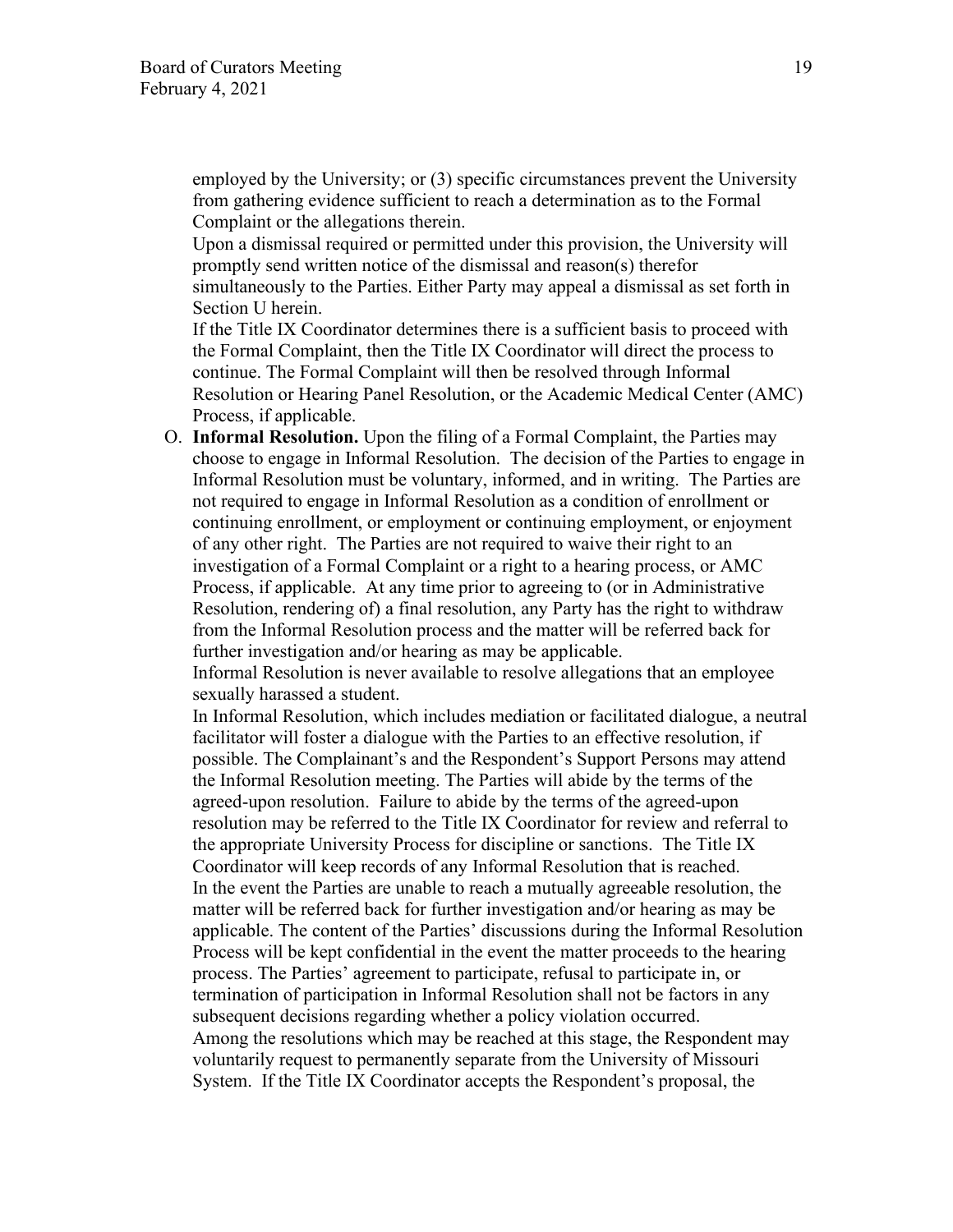employed by the University; or (3) specific circumstances prevent the University from gathering evidence sufficient to reach a determination as to the Formal Complaint or the allegations therein.

Upon a dismissal required or permitted under this provision, the University will promptly send written notice of the dismissal and reason(s) therefor simultaneously to the Parties. Either Party may appeal a dismissal as set forth in Section U herein.

If the Title IX Coordinator determines there is a sufficient basis to proceed with the Formal Complaint, then the Title IX Coordinator will direct the process to continue. The Formal Complaint will then be resolved through Informal Resolution or Hearing Panel Resolution, or the Academic Medical Center (AMC) Process, if applicable.

O. **Informal Resolution.** Upon the filing of a Formal Complaint, the Parties may choose to engage in Informal Resolution. The decision of the Parties to engage in Informal Resolution must be voluntary, informed, and in writing. The Parties are not required to engage in Informal Resolution as a condition of enrollment or continuing enrollment, or employment or continuing employment, or enjoyment of any other right. The Parties are not required to waive their right to an investigation of a Formal Complaint or a right to a hearing process, or AMC Process, if applicable. At any time prior to agreeing to (or in Administrative Resolution, rendering of) a final resolution, any Party has the right to withdraw from the Informal Resolution process and the matter will be referred back for further investigation and/or hearing as may be applicable.

Informal Resolution is never available to resolve allegations that an employee sexually harassed a student.

In Informal Resolution, which includes mediation or facilitated dialogue, a neutral facilitator will foster a dialogue with the Parties to an effective resolution, if possible. The Complainant's and the Respondent's Support Persons may attend the Informal Resolution meeting. The Parties will abide by the terms of the agreed-upon resolution. Failure to abide by the terms of the agreed-upon resolution may be referred to the Title IX Coordinator for review and referral to the appropriate University Process for discipline or sanctions. The Title IX Coordinator will keep records of any Informal Resolution that is reached. In the event the Parties are unable to reach a mutually agreeable resolution, the matter will be referred back for further investigation and/or hearing as may be applicable. The content of the Parties' discussions during the Informal Resolution Process will be kept confidential in the event the matter proceeds to the hearing process. The Parties' agreement to participate, refusal to participate in, or termination of participation in Informal Resolution shall not be factors in any subsequent decisions regarding whether a policy violation occurred. Among the resolutions which may be reached at this stage, the Respondent may voluntarily request to permanently separate from the University of Missouri System. If the Title IX Coordinator accepts the Respondent's proposal, the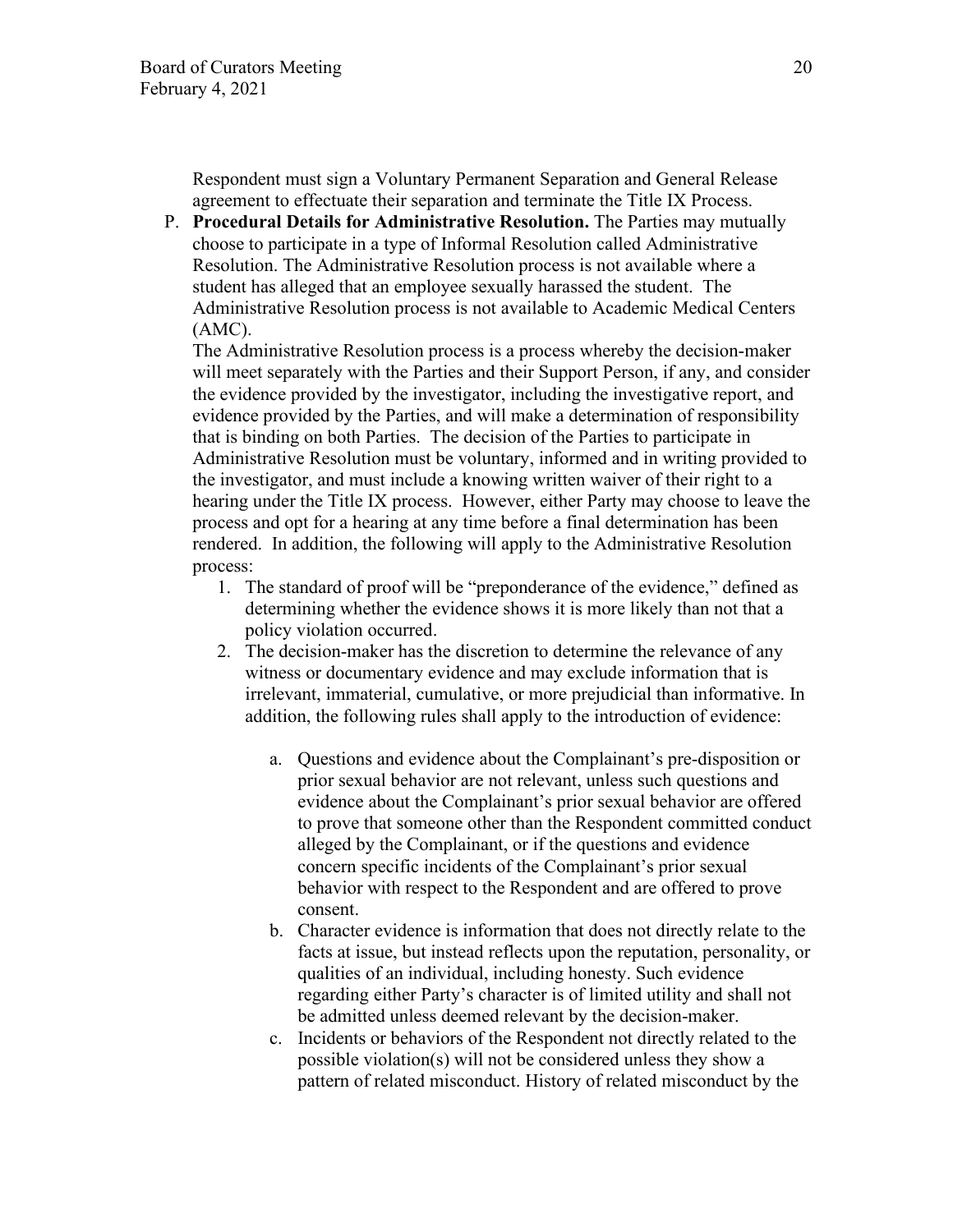Respondent must sign a Voluntary Permanent Separation and General Release agreement to effectuate their separation and terminate the Title IX Process.

P. **Procedural Details for Administrative Resolution.** The Parties may mutually choose to participate in a type of Informal Resolution called Administrative Resolution. The Administrative Resolution process is not available where a student has alleged that an employee sexually harassed the student. The Administrative Resolution process is not available to Academic Medical Centers (AMC).

The Administrative Resolution process is a process whereby the decision-maker will meet separately with the Parties and their Support Person, if any, and consider the evidence provided by the investigator, including the investigative report, and evidence provided by the Parties, and will make a determination of responsibility that is binding on both Parties. The decision of the Parties to participate in Administrative Resolution must be voluntary, informed and in writing provided to the investigator, and must include a knowing written waiver of their right to a hearing under the Title IX process. However, either Party may choose to leave the process and opt for a hearing at any time before a final determination has been rendered. In addition, the following will apply to the Administrative Resolution process:

- 1. The standard of proof will be "preponderance of the evidence," defined as determining whether the evidence shows it is more likely than not that a policy violation occurred.
- 2. The decision-maker has the discretion to determine the relevance of any witness or documentary evidence and may exclude information that is irrelevant, immaterial, cumulative, or more prejudicial than informative. In addition, the following rules shall apply to the introduction of evidence:
	- a. Questions and evidence about the Complainant's pre-disposition or prior sexual behavior are not relevant, unless such questions and evidence about the Complainant's prior sexual behavior are offered to prove that someone other than the Respondent committed conduct alleged by the Complainant, or if the questions and evidence concern specific incidents of the Complainant's prior sexual behavior with respect to the Respondent and are offered to prove consent.
	- b. Character evidence is information that does not directly relate to the facts at issue, but instead reflects upon the reputation, personality, or qualities of an individual, including honesty. Such evidence regarding either Party's character is of limited utility and shall not be admitted unless deemed relevant by the decision-maker.
	- c. Incidents or behaviors of the Respondent not directly related to the possible violation(s) will not be considered unless they show a pattern of related misconduct. History of related misconduct by the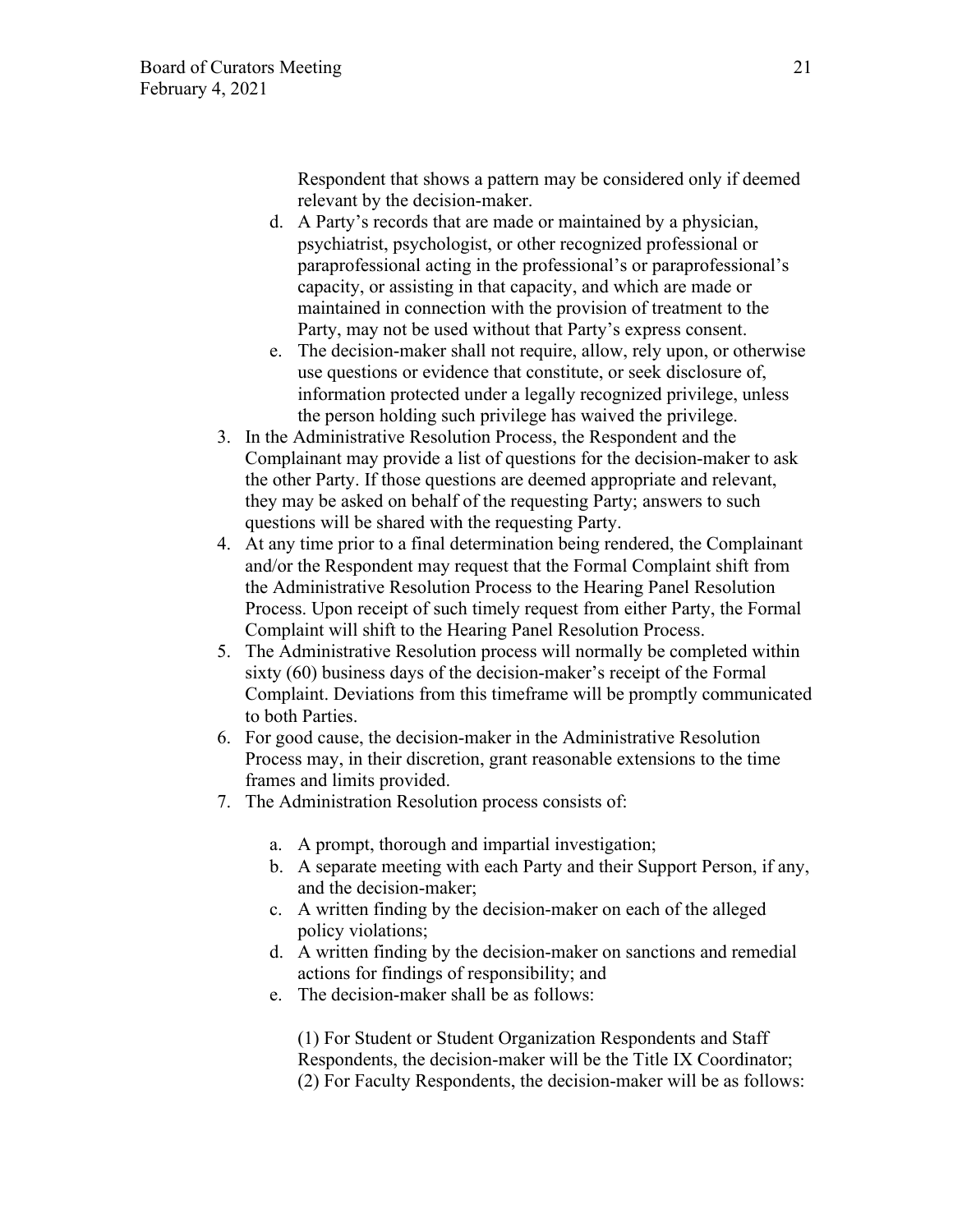Respondent that shows a pattern may be considered only if deemed relevant by the decision-maker.

- d. A Party's records that are made or maintained by a physician, psychiatrist, psychologist, or other recognized professional or paraprofessional acting in the professional's or paraprofessional's capacity, or assisting in that capacity, and which are made or maintained in connection with the provision of treatment to the Party, may not be used without that Party's express consent.
- e. The decision-maker shall not require, allow, rely upon, or otherwise use questions or evidence that constitute, or seek disclosure of, information protected under a legally recognized privilege, unless the person holding such privilege has waived the privilege.
- 3. In the Administrative Resolution Process, the Respondent and the Complainant may provide a list of questions for the decision-maker to ask the other Party. If those questions are deemed appropriate and relevant, they may be asked on behalf of the requesting Party; answers to such questions will be shared with the requesting Party.
- 4. At any time prior to a final determination being rendered, the Complainant and/or the Respondent may request that the Formal Complaint shift from the Administrative Resolution Process to the Hearing Panel Resolution Process. Upon receipt of such timely request from either Party, the Formal Complaint will shift to the Hearing Panel Resolution Process.
- 5. The Administrative Resolution process will normally be completed within sixty (60) business days of the decision-maker's receipt of the Formal Complaint. Deviations from this timeframe will be promptly communicated to both Parties.
- 6. For good cause, the decision-maker in the Administrative Resolution Process may, in their discretion, grant reasonable extensions to the time frames and limits provided.
- 7. The Administration Resolution process consists of:
	- a. A prompt, thorough and impartial investigation;
	- b. A separate meeting with each Party and their Support Person, if any, and the decision-maker;
	- c. A written finding by the decision-maker on each of the alleged policy violations;
	- d. A written finding by the decision-maker on sanctions and remedial actions for findings of responsibility; and
	- e. The decision-maker shall be as follows:

(1) For Student or Student Organization Respondents and Staff Respondents, the decision-maker will be the Title IX Coordinator; (2) For Faculty Respondents, the decision-maker will be as follows: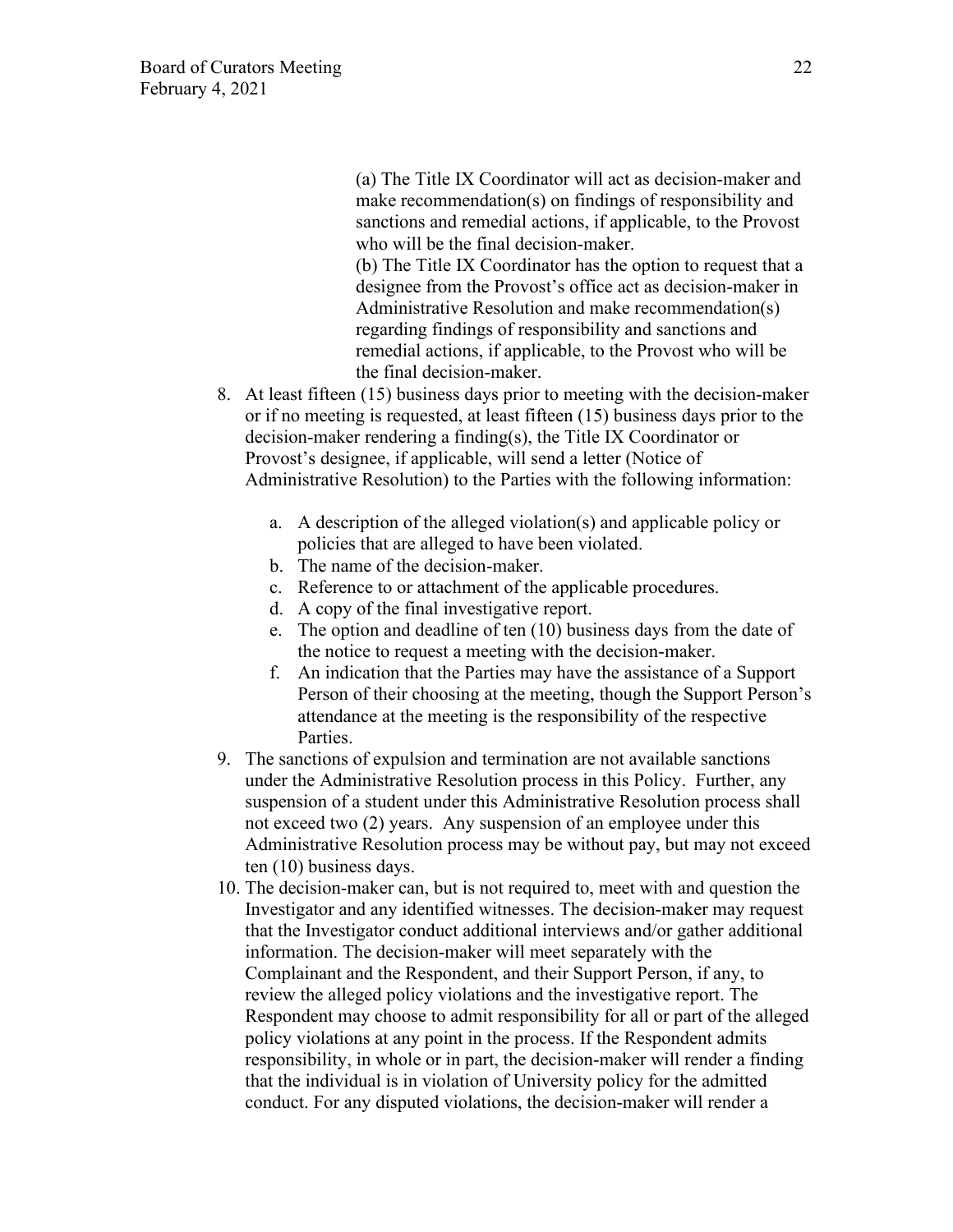(a) The Title IX Coordinator will act as decision-maker and make recommendation(s) on findings of responsibility and sanctions and remedial actions, if applicable, to the Provost who will be the final decision-maker.

(b) The Title IX Coordinator has the option to request that a designee from the Provost's office act as decision-maker in Administrative Resolution and make recommendation(s) regarding findings of responsibility and sanctions and remedial actions, if applicable, to the Provost who will be the final decision-maker.

- 8. At least fifteen (15) business days prior to meeting with the decision-maker or if no meeting is requested, at least fifteen (15) business days prior to the decision-maker rendering a finding(s), the Title IX Coordinator or Provost's designee, if applicable, will send a letter (Notice of Administrative Resolution) to the Parties with the following information:
	- a. A description of the alleged violation(s) and applicable policy or policies that are alleged to have been violated.
	- b. The name of the decision-maker.
	- c. Reference to or attachment of the applicable procedures.
	- d. A copy of the final investigative report.
	- e. The option and deadline of ten (10) business days from the date of the notice to request a meeting with the decision-maker.
	- f. An indication that the Parties may have the assistance of a Support Person of their choosing at the meeting, though the Support Person's attendance at the meeting is the responsibility of the respective Parties.
- 9. The sanctions of expulsion and termination are not available sanctions under the Administrative Resolution process in this Policy. Further, any suspension of a student under this Administrative Resolution process shall not exceed two (2) years. Any suspension of an employee under this Administrative Resolution process may be without pay, but may not exceed ten (10) business days.
- 10. The decision-maker can, but is not required to, meet with and question the Investigator and any identified witnesses. The decision-maker may request that the Investigator conduct additional interviews and/or gather additional information. The decision-maker will meet separately with the Complainant and the Respondent, and their Support Person, if any, to review the alleged policy violations and the investigative report. The Respondent may choose to admit responsibility for all or part of the alleged policy violations at any point in the process. If the Respondent admits responsibility, in whole or in part, the decision-maker will render a finding that the individual is in violation of University policy for the admitted conduct. For any disputed violations, the decision-maker will render a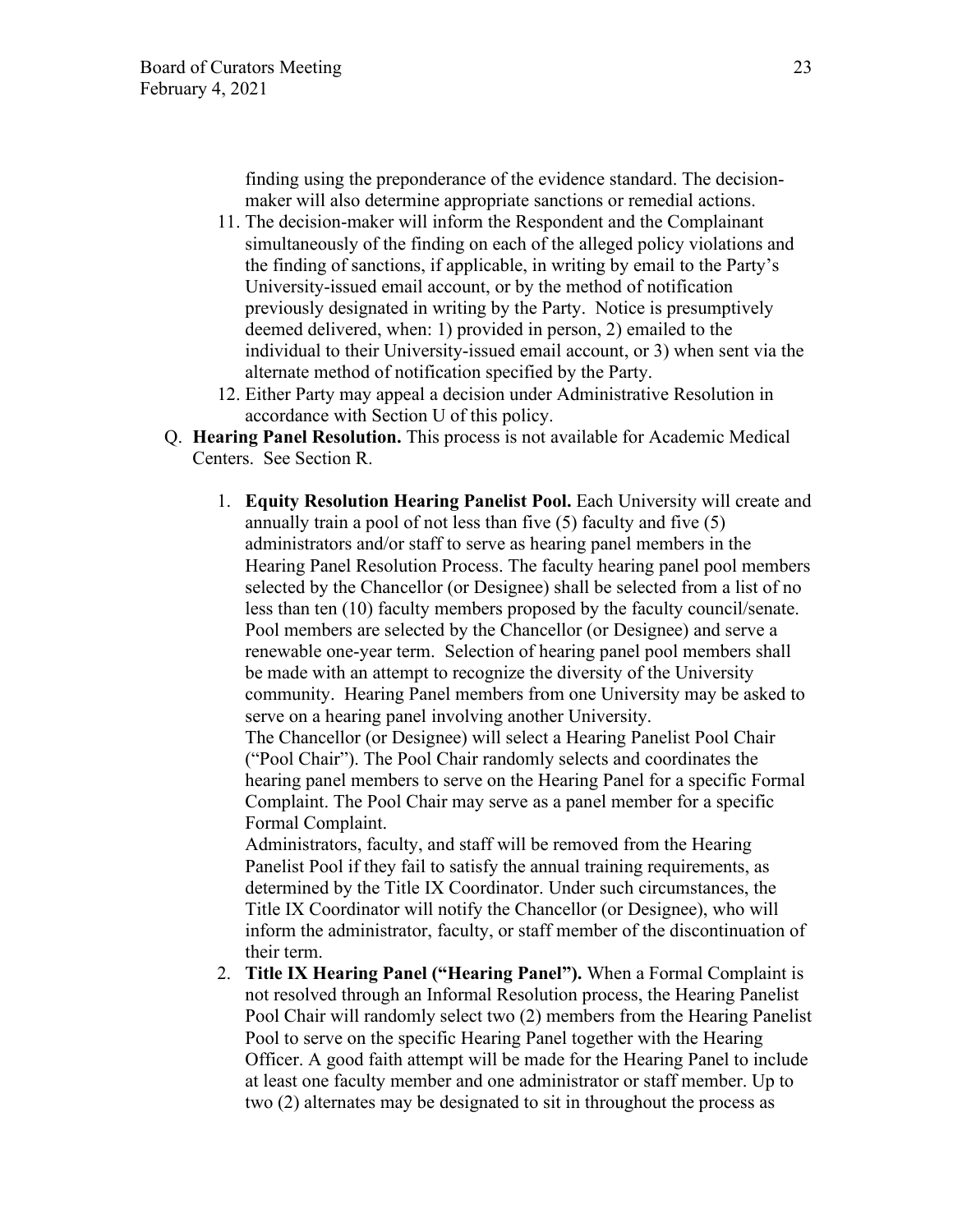finding using the preponderance of the evidence standard. The decisionmaker will also determine appropriate sanctions or remedial actions.

- 11. The decision-maker will inform the Respondent and the Complainant simultaneously of the finding on each of the alleged policy violations and the finding of sanctions, if applicable, in writing by email to the Party's University-issued email account, or by the method of notification previously designated in writing by the Party. Notice is presumptively deemed delivered, when: 1) provided in person, 2) emailed to the individual to their University-issued email account, or 3) when sent via the alternate method of notification specified by the Party.
- 12. Either Party may appeal a decision under Administrative Resolution in accordance with Section U of this policy.
- Q. **Hearing Panel Resolution.** This process is not available for Academic Medical Centers. See Section R.
	- 1. **Equity Resolution Hearing Panelist Pool.** Each University will create and annually train a pool of not less than five (5) faculty and five (5) administrators and/or staff to serve as hearing panel members in the Hearing Panel Resolution Process. The faculty hearing panel pool members selected by the Chancellor (or Designee) shall be selected from a list of no less than ten (10) faculty members proposed by the faculty council/senate. Pool members are selected by the Chancellor (or Designee) and serve a renewable one-year term. Selection of hearing panel pool members shall be made with an attempt to recognize the diversity of the University community. Hearing Panel members from one University may be asked to serve on a hearing panel involving another University. The Chancellor (or Designee) will select a Hearing Panelist Pool Chair ("Pool Chair"). The Pool Chair randomly selects and coordinates the hearing panel members to serve on the Hearing Panel for a specific Formal Complaint. The Pool Chair may serve as a panel member for a specific Formal Complaint.

Administrators, faculty, and staff will be removed from the Hearing Panelist Pool if they fail to satisfy the annual training requirements, as determined by the Title IX Coordinator. Under such circumstances, the Title IX Coordinator will notify the Chancellor (or Designee), who will inform the administrator, faculty, or staff member of the discontinuation of their term.

2. **Title IX Hearing Panel ("Hearing Panel").** When a Formal Complaint is not resolved through an Informal Resolution process, the Hearing Panelist Pool Chair will randomly select two (2) members from the Hearing Panelist Pool to serve on the specific Hearing Panel together with the Hearing Officer. A good faith attempt will be made for the Hearing Panel to include at least one faculty member and one administrator or staff member. Up to two (2) alternates may be designated to sit in throughout the process as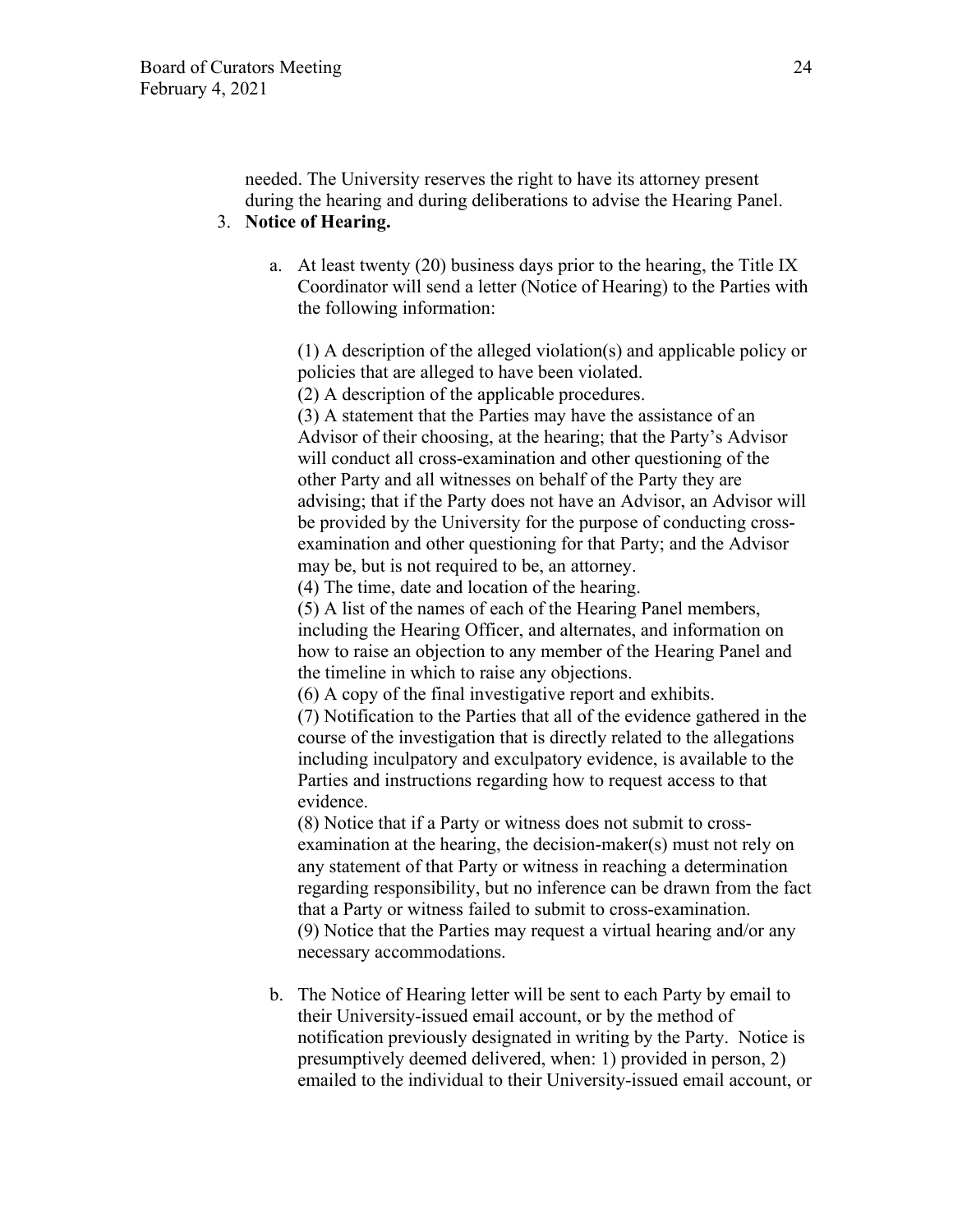needed. The University reserves the right to have its attorney present during the hearing and during deliberations to advise the Hearing Panel.

# 3. **Notice of Hearing.**

a. At least twenty (20) business days prior to the hearing, the Title IX Coordinator will send a letter (Notice of Hearing) to the Parties with the following information:

(1) A description of the alleged violation(s) and applicable policy or policies that are alleged to have been violated.

(2) A description of the applicable procedures.

(3) A statement that the Parties may have the assistance of an Advisor of their choosing, at the hearing; that the Party's Advisor will conduct all cross-examination and other questioning of the other Party and all witnesses on behalf of the Party they are advising; that if the Party does not have an Advisor, an Advisor will be provided by the University for the purpose of conducting crossexamination and other questioning for that Party; and the Advisor may be, but is not required to be, an attorney.

(4) The time, date and location of the hearing.

(5) A list of the names of each of the Hearing Panel members, including the Hearing Officer, and alternates, and information on how to raise an objection to any member of the Hearing Panel and the timeline in which to raise any objections.

(6) A copy of the final investigative report and exhibits.

(7) Notification to the Parties that all of the evidence gathered in the course of the investigation that is directly related to the allegations including inculpatory and exculpatory evidence, is available to the Parties and instructions regarding how to request access to that evidence.

(8) Notice that if a Party or witness does not submit to crossexamination at the hearing, the decision-maker(s) must not rely on any statement of that Party or witness in reaching a determination regarding responsibility, but no inference can be drawn from the fact that a Party or witness failed to submit to cross-examination. (9) Notice that the Parties may request a virtual hearing and/or any necessary accommodations.

b. The Notice of Hearing letter will be sent to each Party by email to their University-issued email account, or by the method of notification previously designated in writing by the Party. Notice is presumptively deemed delivered, when: 1) provided in person, 2) emailed to the individual to their University-issued email account, or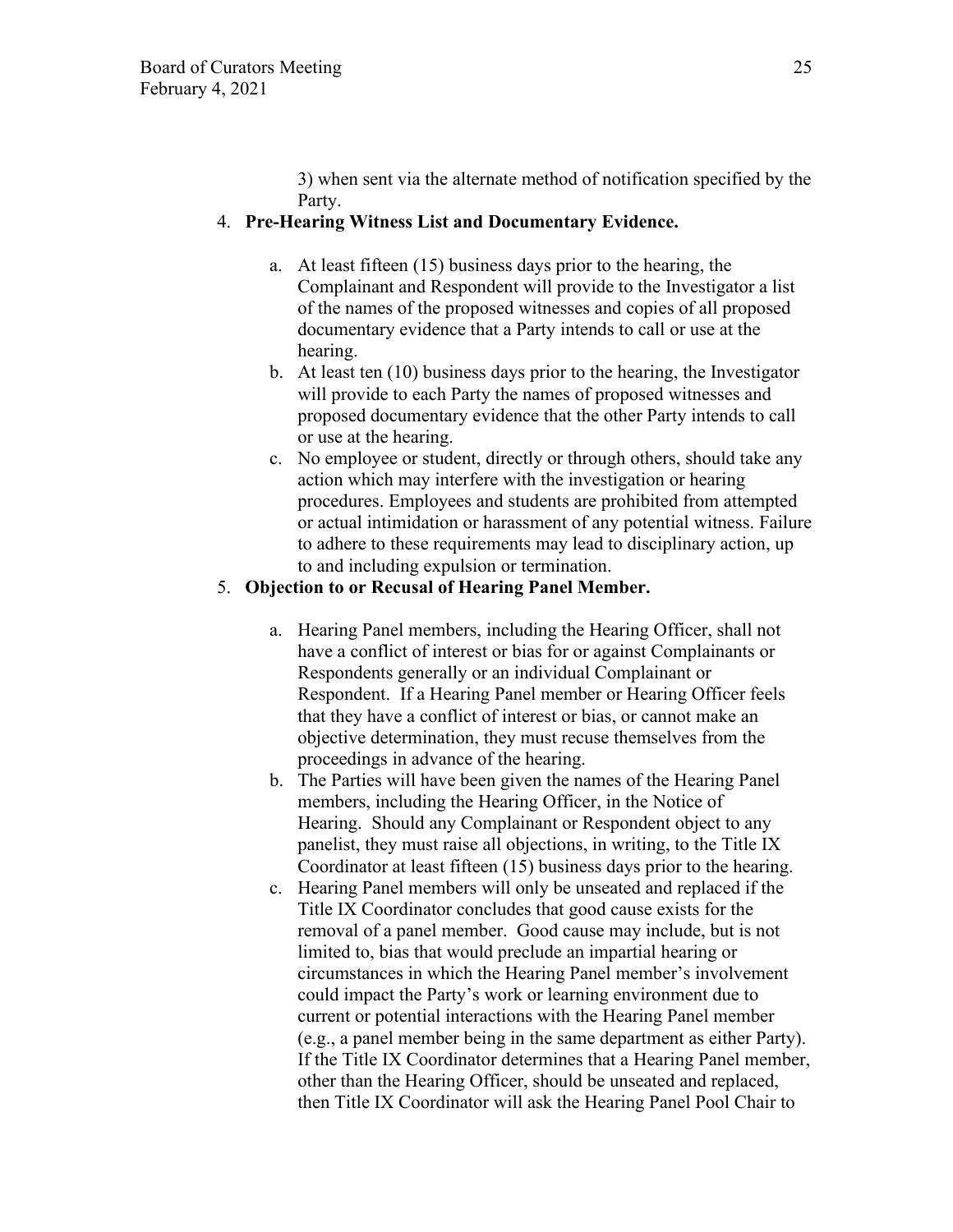3) when sent via the alternate method of notification specified by the Party.

# 4. **Pre-Hearing Witness List and Documentary Evidence.**

- a. At least fifteen (15) business days prior to the hearing, the Complainant and Respondent will provide to the Investigator a list of the names of the proposed witnesses and copies of all proposed documentary evidence that a Party intends to call or use at the hearing.
- b. At least ten (10) business days prior to the hearing, the Investigator will provide to each Party the names of proposed witnesses and proposed documentary evidence that the other Party intends to call or use at the hearing.
- c. No employee or student, directly or through others, should take any action which may interfere with the investigation or hearing procedures. Employees and students are prohibited from attempted or actual intimidation or harassment of any potential witness. Failure to adhere to these requirements may lead to disciplinary action, up to and including expulsion or termination.

### 5. **Objection to or Recusal of Hearing Panel Member.**

- a. Hearing Panel members, including the Hearing Officer, shall not have a conflict of interest or bias for or against Complainants or Respondents generally or an individual Complainant or Respondent. If a Hearing Panel member or Hearing Officer feels that they have a conflict of interest or bias, or cannot make an objective determination, they must recuse themselves from the proceedings in advance of the hearing.
- b. The Parties will have been given the names of the Hearing Panel members, including the Hearing Officer, in the Notice of Hearing. Should any Complainant or Respondent object to any panelist, they must raise all objections, in writing, to the Title IX Coordinator at least fifteen (15) business days prior to the hearing.
- c. Hearing Panel members will only be unseated and replaced if the Title IX Coordinator concludes that good cause exists for the removal of a panel member. Good cause may include, but is not limited to, bias that would preclude an impartial hearing or circumstances in which the Hearing Panel member's involvement could impact the Party's work or learning environment due to current or potential interactions with the Hearing Panel member (e.g., a panel member being in the same department as either Party). If the Title IX Coordinator determines that a Hearing Panel member, other than the Hearing Officer, should be unseated and replaced, then Title IX Coordinator will ask the Hearing Panel Pool Chair to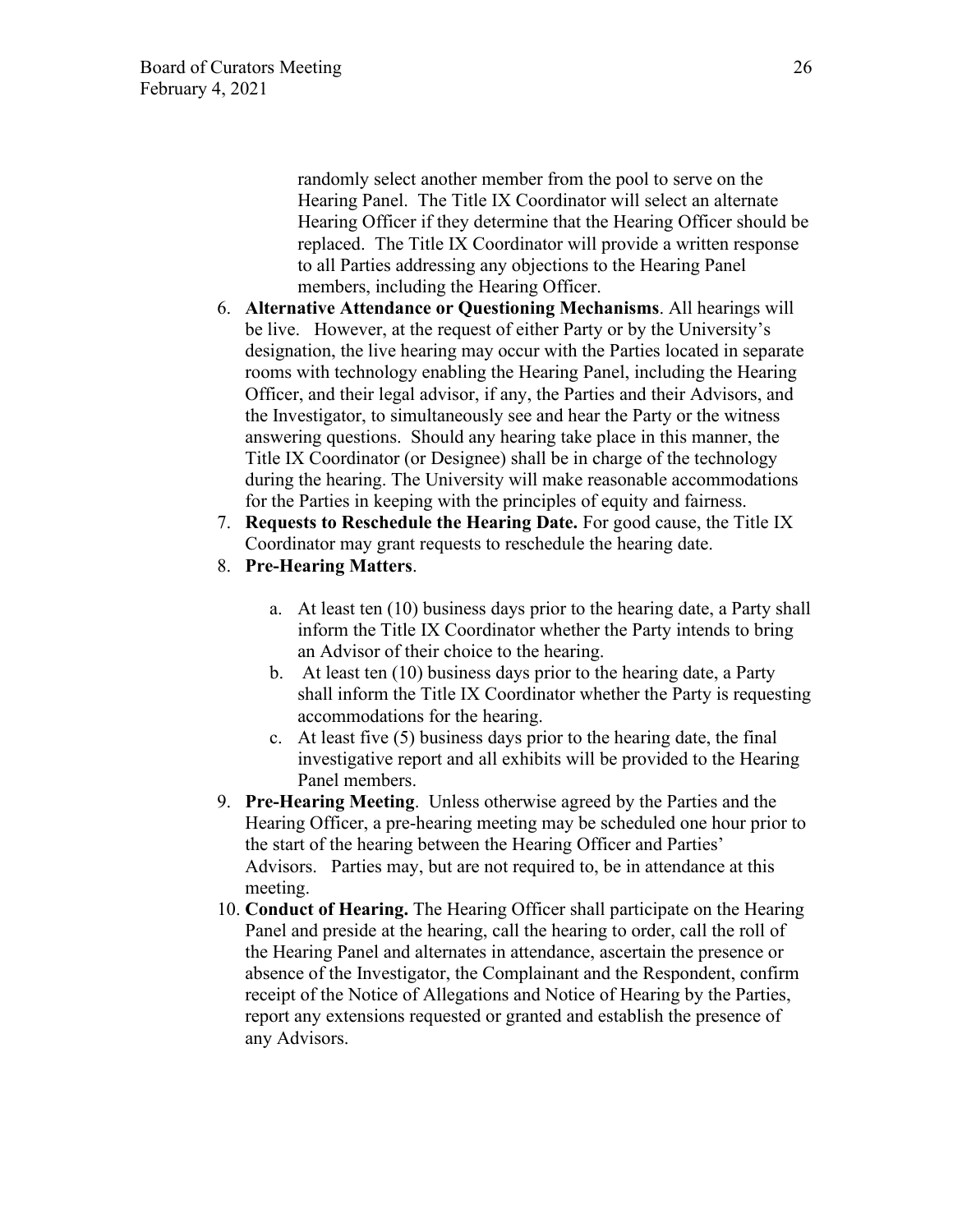randomly select another member from the pool to serve on the Hearing Panel. The Title IX Coordinator will select an alternate Hearing Officer if they determine that the Hearing Officer should be replaced. The Title IX Coordinator will provide a written response to all Parties addressing any objections to the Hearing Panel members, including the Hearing Officer.

- 6. **Alternative Attendance or Questioning Mechanisms**. All hearings will be live. However, at the request of either Party or by the University's designation, the live hearing may occur with the Parties located in separate rooms with technology enabling the Hearing Panel, including the Hearing Officer, and their legal advisor, if any, the Parties and their Advisors, and the Investigator, to simultaneously see and hear the Party or the witness answering questions. Should any hearing take place in this manner, the Title IX Coordinator (or Designee) shall be in charge of the technology during the hearing. The University will make reasonable accommodations for the Parties in keeping with the principles of equity and fairness.
- 7. **Requests to Reschedule the Hearing Date.** For good cause, the Title IX Coordinator may grant requests to reschedule the hearing date.
- 8. **Pre-Hearing Matters**.
	- a. At least ten (10) business days prior to the hearing date, a Party shall inform the Title IX Coordinator whether the Party intends to bring an Advisor of their choice to the hearing.
	- b. At least ten (10) business days prior to the hearing date, a Party shall inform the Title IX Coordinator whether the Party is requesting accommodations for the hearing.
	- c. At least five (5) business days prior to the hearing date, the final investigative report and all exhibits will be provided to the Hearing Panel members.
- 9. **Pre-Hearing Meeting**. Unless otherwise agreed by the Parties and the Hearing Officer, a pre-hearing meeting may be scheduled one hour prior to the start of the hearing between the Hearing Officer and Parties' Advisors. Parties may, but are not required to, be in attendance at this meeting.
- 10. **Conduct of Hearing.** The Hearing Officer shall participate on the Hearing Panel and preside at the hearing, call the hearing to order, call the roll of the Hearing Panel and alternates in attendance, ascertain the presence or absence of the Investigator, the Complainant and the Respondent, confirm receipt of the Notice of Allegations and Notice of Hearing by the Parties, report any extensions requested or granted and establish the presence of any Advisors.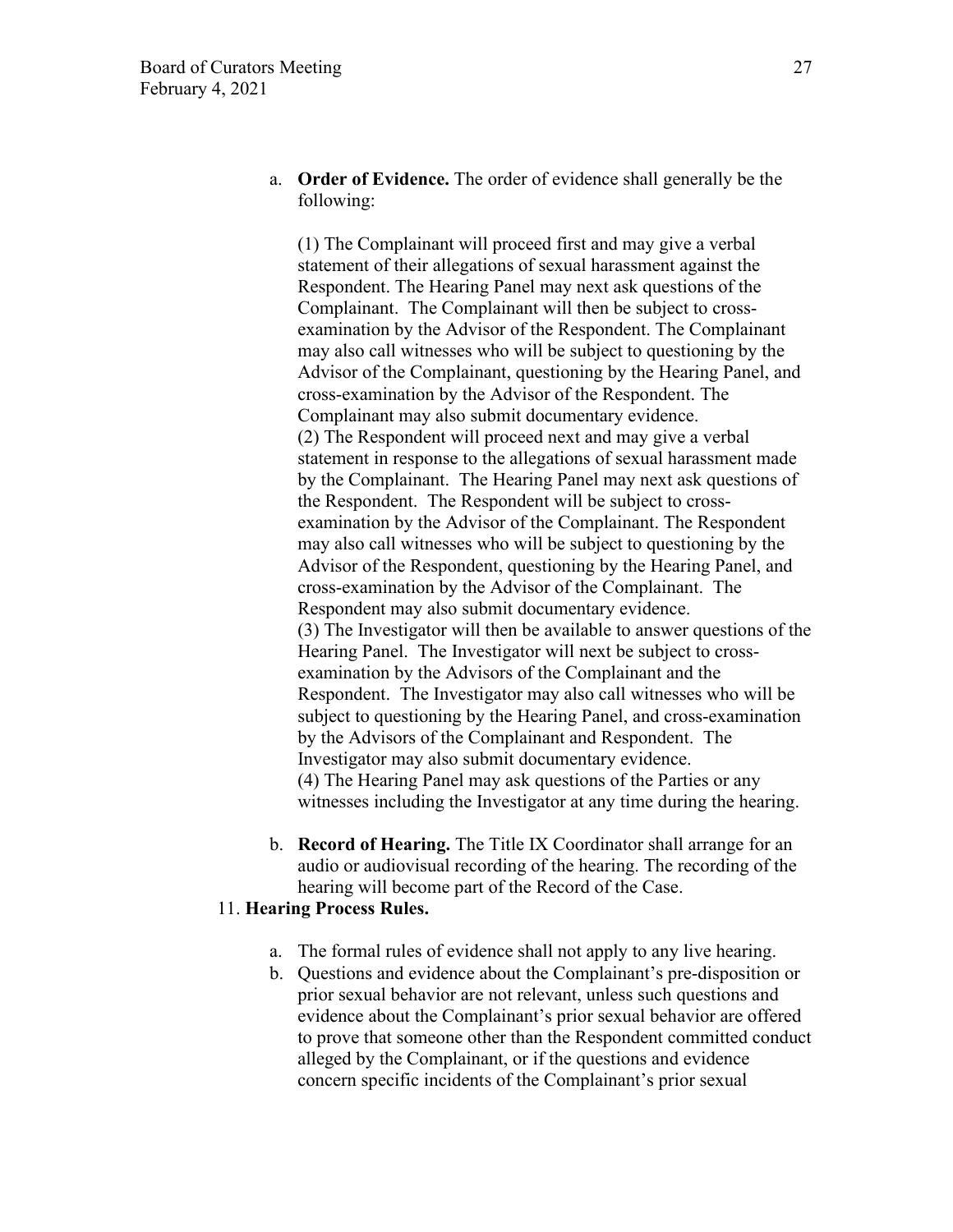a. **Order of Evidence.** The order of evidence shall generally be the following:

(1) The Complainant will proceed first and may give a verbal statement of their allegations of sexual harassment against the Respondent. The Hearing Panel may next ask questions of the Complainant. The Complainant will then be subject to crossexamination by the Advisor of the Respondent. The Complainant may also call witnesses who will be subject to questioning by the Advisor of the Complainant, questioning by the Hearing Panel, and cross-examination by the Advisor of the Respondent. The Complainant may also submit documentary evidence. (2) The Respondent will proceed next and may give a verbal statement in response to the allegations of sexual harassment made by the Complainant. The Hearing Panel may next ask questions of the Respondent. The Respondent will be subject to crossexamination by the Advisor of the Complainant. The Respondent may also call witnesses who will be subject to questioning by the Advisor of the Respondent, questioning by the Hearing Panel, and cross-examination by the Advisor of the Complainant. The Respondent may also submit documentary evidence. (3) The Investigator will then be available to answer questions of the Hearing Panel. The Investigator will next be subject to crossexamination by the Advisors of the Complainant and the Respondent. The Investigator may also call witnesses who will be subject to questioning by the Hearing Panel, and cross-examination by the Advisors of the Complainant and Respondent. The Investigator may also submit documentary evidence. (4) The Hearing Panel may ask questions of the Parties or any witnesses including the Investigator at any time during the hearing.

b. **Record of Hearing.** The Title IX Coordinator shall arrange for an audio or audiovisual recording of the hearing. The recording of the hearing will become part of the Record of the Case.

### 11. **Hearing Process Rules.**

- a. The formal rules of evidence shall not apply to any live hearing.
- b. Questions and evidence about the Complainant's pre-disposition or prior sexual behavior are not relevant, unless such questions and evidence about the Complainant's prior sexual behavior are offered to prove that someone other than the Respondent committed conduct alleged by the Complainant, or if the questions and evidence concern specific incidents of the Complainant's prior sexual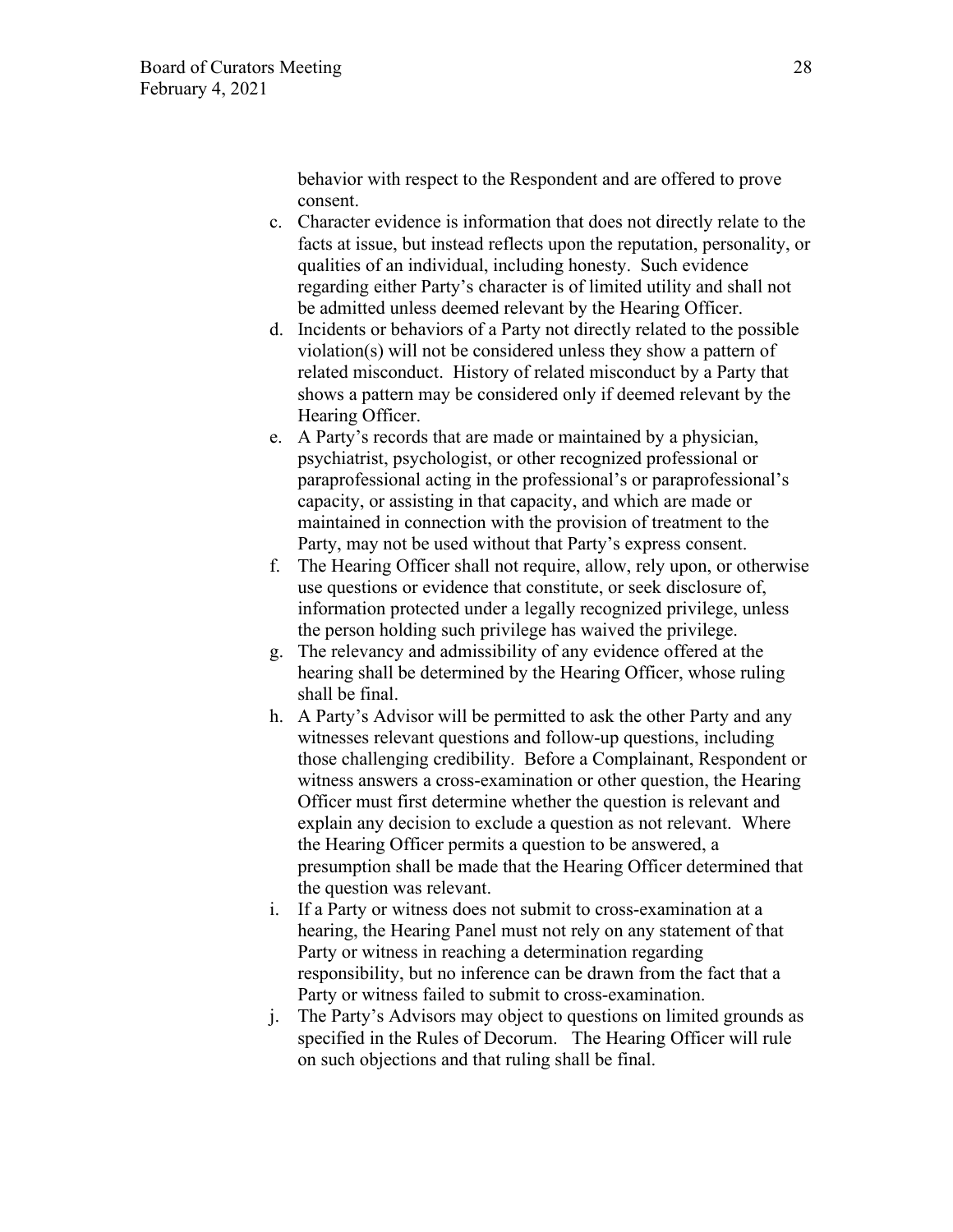behavior with respect to the Respondent and are offered to prove consent.

- c. Character evidence is information that does not directly relate to the facts at issue, but instead reflects upon the reputation, personality, or qualities of an individual, including honesty. Such evidence regarding either Party's character is of limited utility and shall not be admitted unless deemed relevant by the Hearing Officer.
- d. Incidents or behaviors of a Party not directly related to the possible violation(s) will not be considered unless they show a pattern of related misconduct. History of related misconduct by a Party that shows a pattern may be considered only if deemed relevant by the Hearing Officer.
- e. A Party's records that are made or maintained by a physician, psychiatrist, psychologist, or other recognized professional or paraprofessional acting in the professional's or paraprofessional's capacity, or assisting in that capacity, and which are made or maintained in connection with the provision of treatment to the Party, may not be used without that Party's express consent.
- f. The Hearing Officer shall not require, allow, rely upon, or otherwise use questions or evidence that constitute, or seek disclosure of, information protected under a legally recognized privilege, unless the person holding such privilege has waived the privilege.
- g. The relevancy and admissibility of any evidence offered at the hearing shall be determined by the Hearing Officer, whose ruling shall be final.
- h. A Party's Advisor will be permitted to ask the other Party and any witnesses relevant questions and follow-up questions, including those challenging credibility. Before a Complainant, Respondent or witness answers a cross-examination or other question, the Hearing Officer must first determine whether the question is relevant and explain any decision to exclude a question as not relevant. Where the Hearing Officer permits a question to be answered, a presumption shall be made that the Hearing Officer determined that the question was relevant.
- i. If a Party or witness does not submit to cross-examination at a hearing, the Hearing Panel must not rely on any statement of that Party or witness in reaching a determination regarding responsibility, but no inference can be drawn from the fact that a Party or witness failed to submit to cross-examination.
- j. The Party's Advisors may object to questions on limited grounds as specified in the Rules of Decorum. The Hearing Officer will rule on such objections and that ruling shall be final.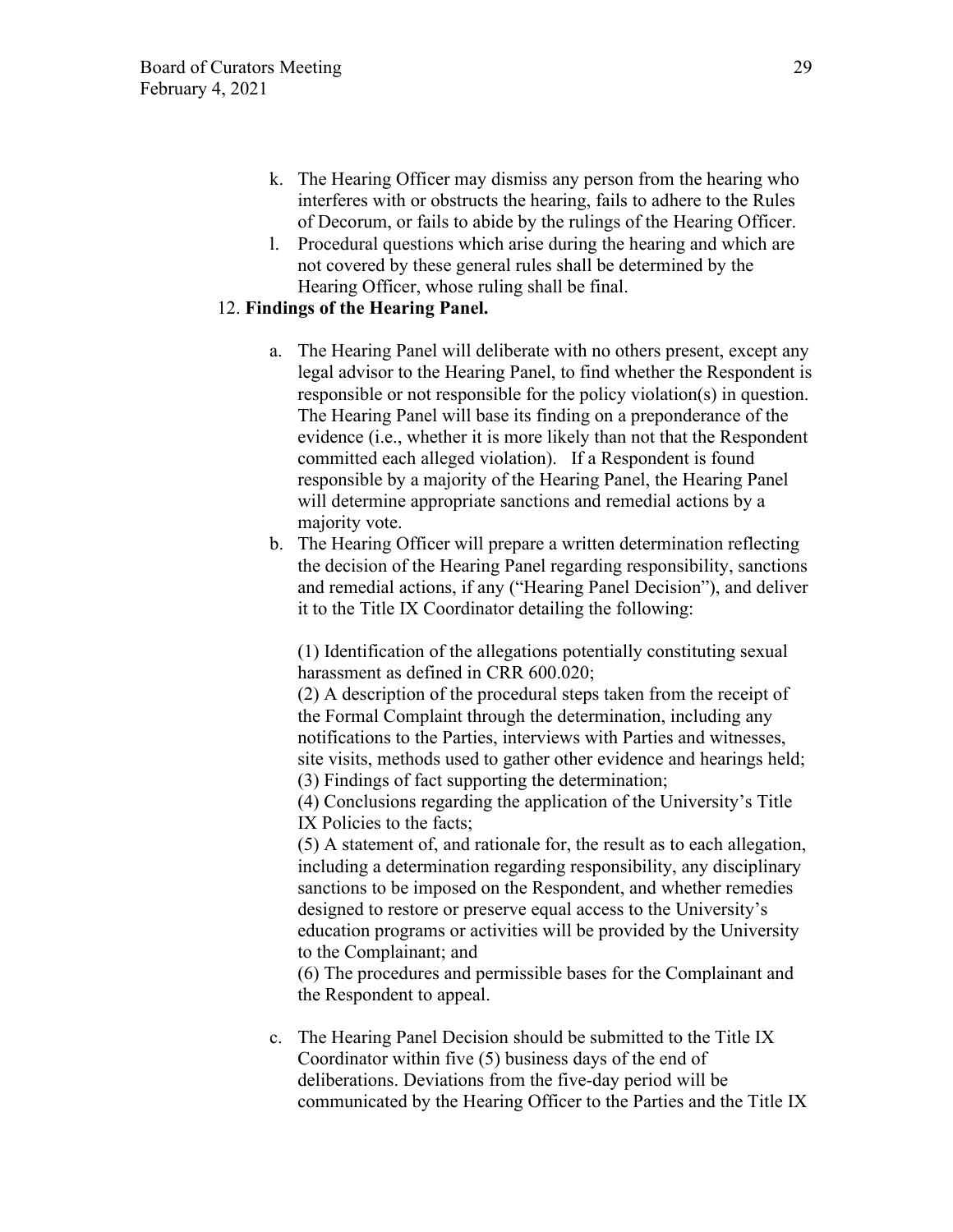- k. The Hearing Officer may dismiss any person from the hearing who interferes with or obstructs the hearing, fails to adhere to the Rules of Decorum, or fails to abide by the rulings of the Hearing Officer.
- l. Procedural questions which arise during the hearing and which are not covered by these general rules shall be determined by the Hearing Officer, whose ruling shall be final.

# 12. **Findings of the Hearing Panel.**

- a. The Hearing Panel will deliberate with no others present, except any legal advisor to the Hearing Panel, to find whether the Respondent is responsible or not responsible for the policy violation(s) in question. The Hearing Panel will base its finding on a preponderance of the evidence (i.e., whether it is more likely than not that the Respondent committed each alleged violation). If a Respondent is found responsible by a majority of the Hearing Panel, the Hearing Panel will determine appropriate sanctions and remedial actions by a majority vote.
- b. The Hearing Officer will prepare a written determination reflecting the decision of the Hearing Panel regarding responsibility, sanctions and remedial actions, if any ("Hearing Panel Decision"), and deliver it to the Title IX Coordinator detailing the following:

(1) Identification of the allegations potentially constituting sexual harassment as defined in CRR 600.020;

(2) A description of the procedural steps taken from the receipt of the Formal Complaint through the determination, including any notifications to the Parties, interviews with Parties and witnesses, site visits, methods used to gather other evidence and hearings held; (3) Findings of fact supporting the determination;

(4) Conclusions regarding the application of the University's Title IX Policies to the facts;

(5) A statement of, and rationale for, the result as to each allegation, including a determination regarding responsibility, any disciplinary sanctions to be imposed on the Respondent, and whether remedies designed to restore or preserve equal access to the University's education programs or activities will be provided by the University to the Complainant; and

(6) The procedures and permissible bases for the Complainant and the Respondent to appeal.

c. The Hearing Panel Decision should be submitted to the Title IX Coordinator within five (5) business days of the end of deliberations. Deviations from the five-day period will be communicated by the Hearing Officer to the Parties and the Title IX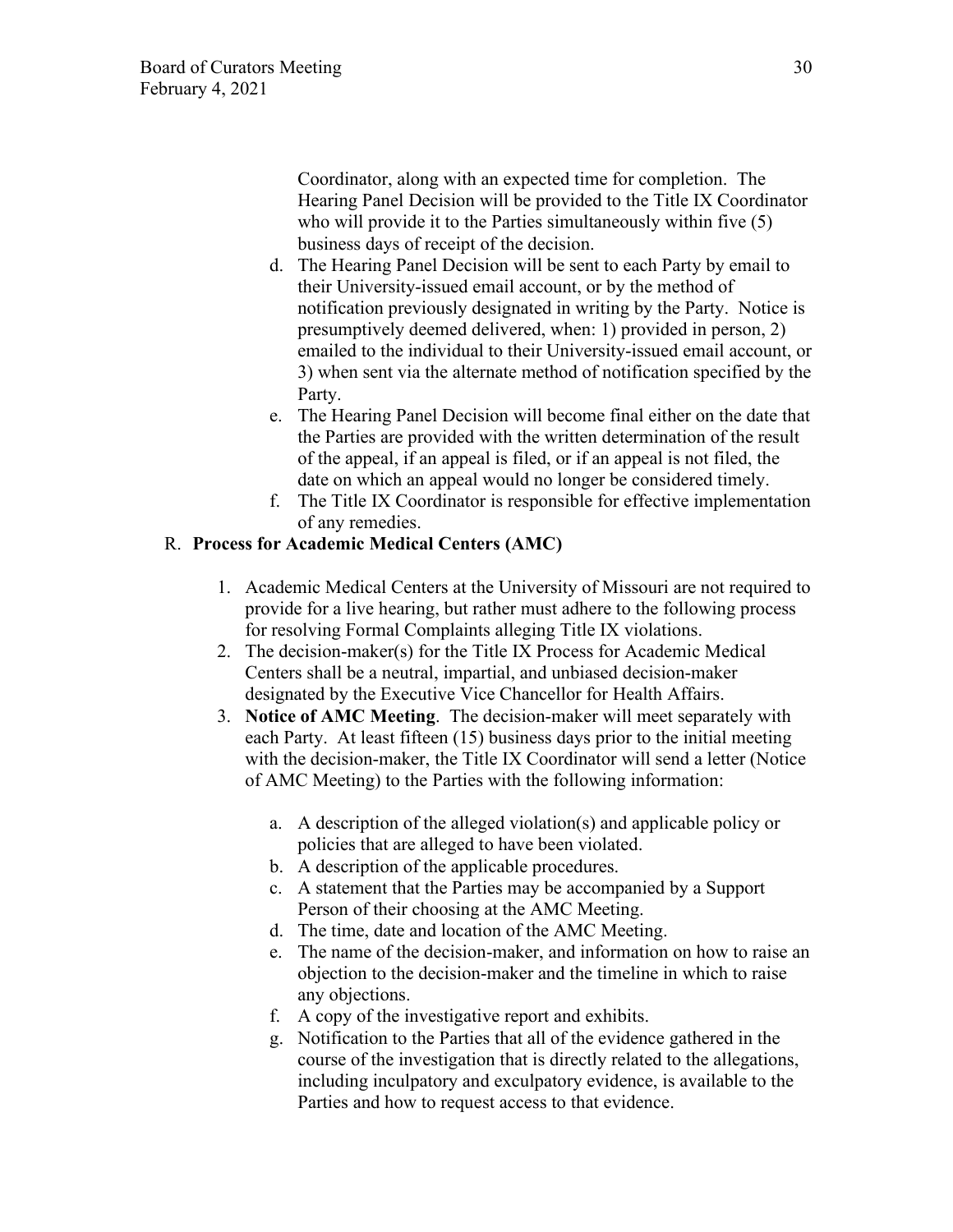Coordinator, along with an expected time for completion. The Hearing Panel Decision will be provided to the Title IX Coordinator who will provide it to the Parties simultaneously within five (5) business days of receipt of the decision.

- d. The Hearing Panel Decision will be sent to each Party by email to their University-issued email account, or by the method of notification previously designated in writing by the Party. Notice is presumptively deemed delivered, when: 1) provided in person, 2) emailed to the individual to their University-issued email account, or 3) when sent via the alternate method of notification specified by the Party.
- e. The Hearing Panel Decision will become final either on the date that the Parties are provided with the written determination of the result of the appeal, if an appeal is filed, or if an appeal is not filed, the date on which an appeal would no longer be considered timely.
- f. The Title IX Coordinator is responsible for effective implementation of any remedies.

# R. **Process for Academic Medical Centers (AMC)**

- 1. Academic Medical Centers at the University of Missouri are not required to provide for a live hearing, but rather must adhere to the following process for resolving Formal Complaints alleging Title IX violations.
- 2. The decision-maker(s) for the Title IX Process for Academic Medical Centers shall be a neutral, impartial, and unbiased decision-maker designated by the Executive Vice Chancellor for Health Affairs.
- 3. **Notice of AMC Meeting**. The decision-maker will meet separately with each Party. At least fifteen (15) business days prior to the initial meeting with the decision-maker, the Title IX Coordinator will send a letter (Notice of AMC Meeting) to the Parties with the following information:
	- a. A description of the alleged violation(s) and applicable policy or policies that are alleged to have been violated.
	- b. A description of the applicable procedures.
	- c. A statement that the Parties may be accompanied by a Support Person of their choosing at the AMC Meeting.
	- d. The time, date and location of the AMC Meeting.
	- e. The name of the decision-maker, and information on how to raise an objection to the decision-maker and the timeline in which to raise any objections.
	- f. A copy of the investigative report and exhibits.
	- g. Notification to the Parties that all of the evidence gathered in the course of the investigation that is directly related to the allegations, including inculpatory and exculpatory evidence, is available to the Parties and how to request access to that evidence.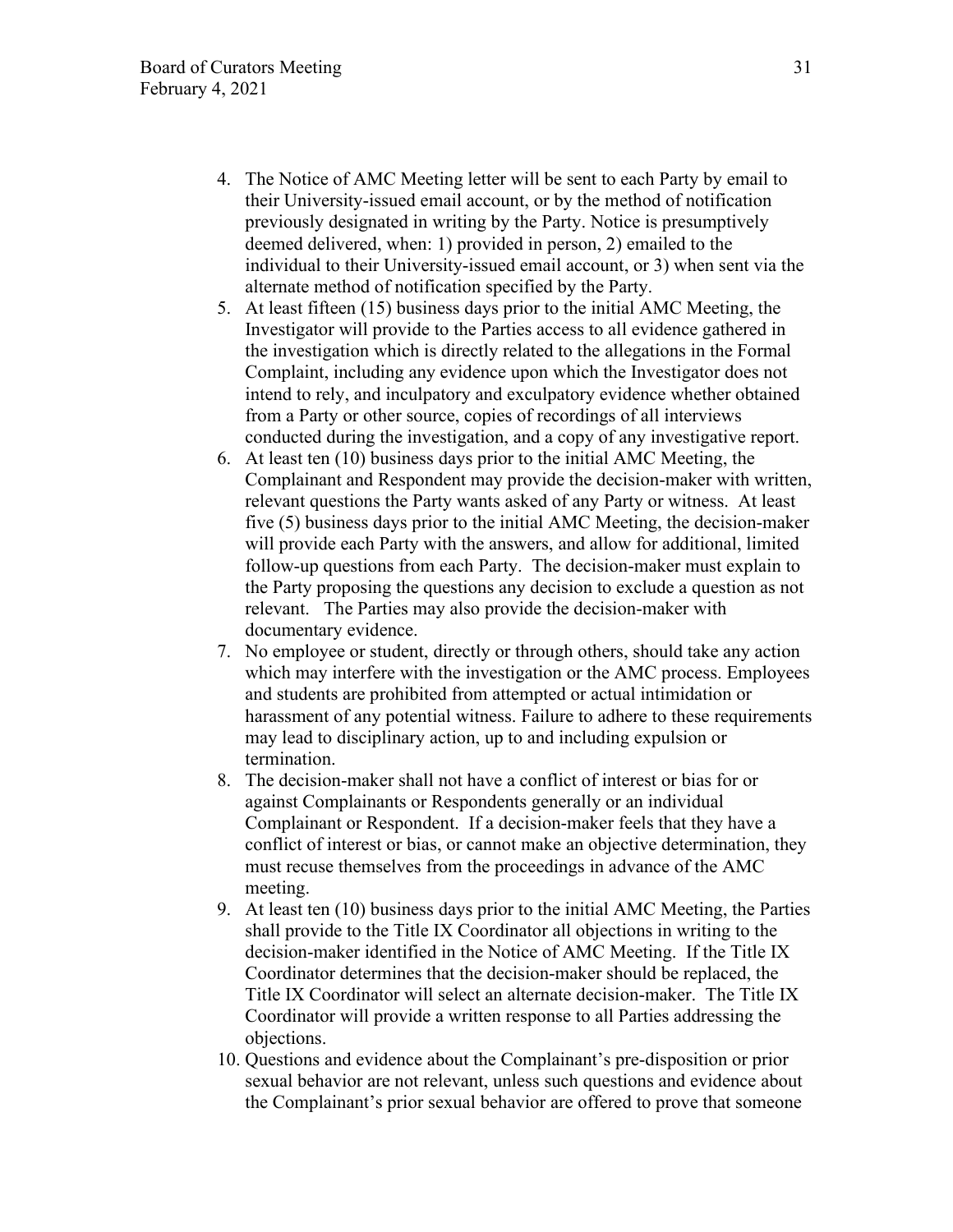- 4. The Notice of AMC Meeting letter will be sent to each Party by email to their University-issued email account, or by the method of notification previously designated in writing by the Party. Notice is presumptively deemed delivered, when: 1) provided in person, 2) emailed to the individual to their University-issued email account, or 3) when sent via the alternate method of notification specified by the Party.
- 5. At least fifteen (15) business days prior to the initial AMC Meeting, the Investigator will provide to the Parties access to all evidence gathered in the investigation which is directly related to the allegations in the Formal Complaint, including any evidence upon which the Investigator does not intend to rely, and inculpatory and exculpatory evidence whether obtained from a Party or other source, copies of recordings of all interviews conducted during the investigation, and a copy of any investigative report.
- 6. At least ten (10) business days prior to the initial AMC Meeting, the Complainant and Respondent may provide the decision-maker with written, relevant questions the Party wants asked of any Party or witness. At least five (5) business days prior to the initial AMC Meeting, the decision-maker will provide each Party with the answers, and allow for additional, limited follow-up questions from each Party. The decision-maker must explain to the Party proposing the questions any decision to exclude a question as not relevant. The Parties may also provide the decision-maker with documentary evidence.
- 7. No employee or student, directly or through others, should take any action which may interfere with the investigation or the AMC process. Employees and students are prohibited from attempted or actual intimidation or harassment of any potential witness. Failure to adhere to these requirements may lead to disciplinary action, up to and including expulsion or termination.
- 8. The decision-maker shall not have a conflict of interest or bias for or against Complainants or Respondents generally or an individual Complainant or Respondent. If a decision-maker feels that they have a conflict of interest or bias, or cannot make an objective determination, they must recuse themselves from the proceedings in advance of the AMC meeting.
- 9. At least ten (10) business days prior to the initial AMC Meeting, the Parties shall provide to the Title IX Coordinator all objections in writing to the decision-maker identified in the Notice of AMC Meeting. If the Title IX Coordinator determines that the decision-maker should be replaced, the Title IX Coordinator will select an alternate decision-maker. The Title IX Coordinator will provide a written response to all Parties addressing the objections.
- 10. Questions and evidence about the Complainant's pre-disposition or prior sexual behavior are not relevant, unless such questions and evidence about the Complainant's prior sexual behavior are offered to prove that someone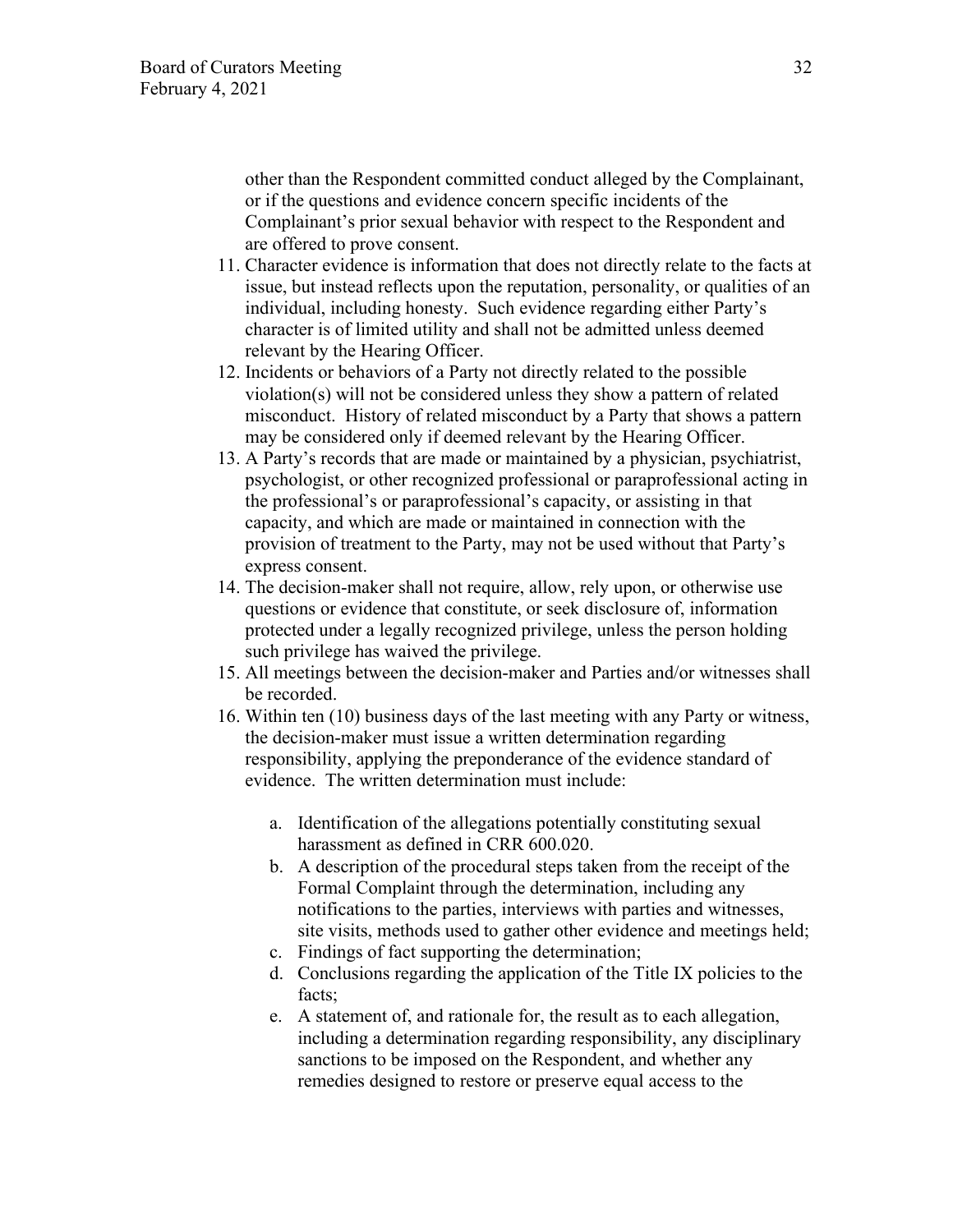other than the Respondent committed conduct alleged by the Complainant, or if the questions and evidence concern specific incidents of the Complainant's prior sexual behavior with respect to the Respondent and are offered to prove consent.

- 11. Character evidence is information that does not directly relate to the facts at issue, but instead reflects upon the reputation, personality, or qualities of an individual, including honesty. Such evidence regarding either Party's character is of limited utility and shall not be admitted unless deemed relevant by the Hearing Officer.
- 12. Incidents or behaviors of a Party not directly related to the possible violation(s) will not be considered unless they show a pattern of related misconduct. History of related misconduct by a Party that shows a pattern may be considered only if deemed relevant by the Hearing Officer.
- 13. A Party's records that are made or maintained by a physician, psychiatrist, psychologist, or other recognized professional or paraprofessional acting in the professional's or paraprofessional's capacity, or assisting in that capacity, and which are made or maintained in connection with the provision of treatment to the Party, may not be used without that Party's express consent.
- 14. The decision-maker shall not require, allow, rely upon, or otherwise use questions or evidence that constitute, or seek disclosure of, information protected under a legally recognized privilege, unless the person holding such privilege has waived the privilege.
- 15. All meetings between the decision-maker and Parties and/or witnesses shall be recorded.
- 16. Within ten (10) business days of the last meeting with any Party or witness, the decision-maker must issue a written determination regarding responsibility, applying the preponderance of the evidence standard of evidence. The written determination must include:
	- a. Identification of the allegations potentially constituting sexual harassment as defined in CRR 600.020.
	- b. A description of the procedural steps taken from the receipt of the Formal Complaint through the determination, including any notifications to the parties, interviews with parties and witnesses, site visits, methods used to gather other evidence and meetings held;
	- c. Findings of fact supporting the determination;
	- d. Conclusions regarding the application of the Title IX policies to the facts;
	- e. A statement of, and rationale for, the result as to each allegation, including a determination regarding responsibility, any disciplinary sanctions to be imposed on the Respondent, and whether any remedies designed to restore or preserve equal access to the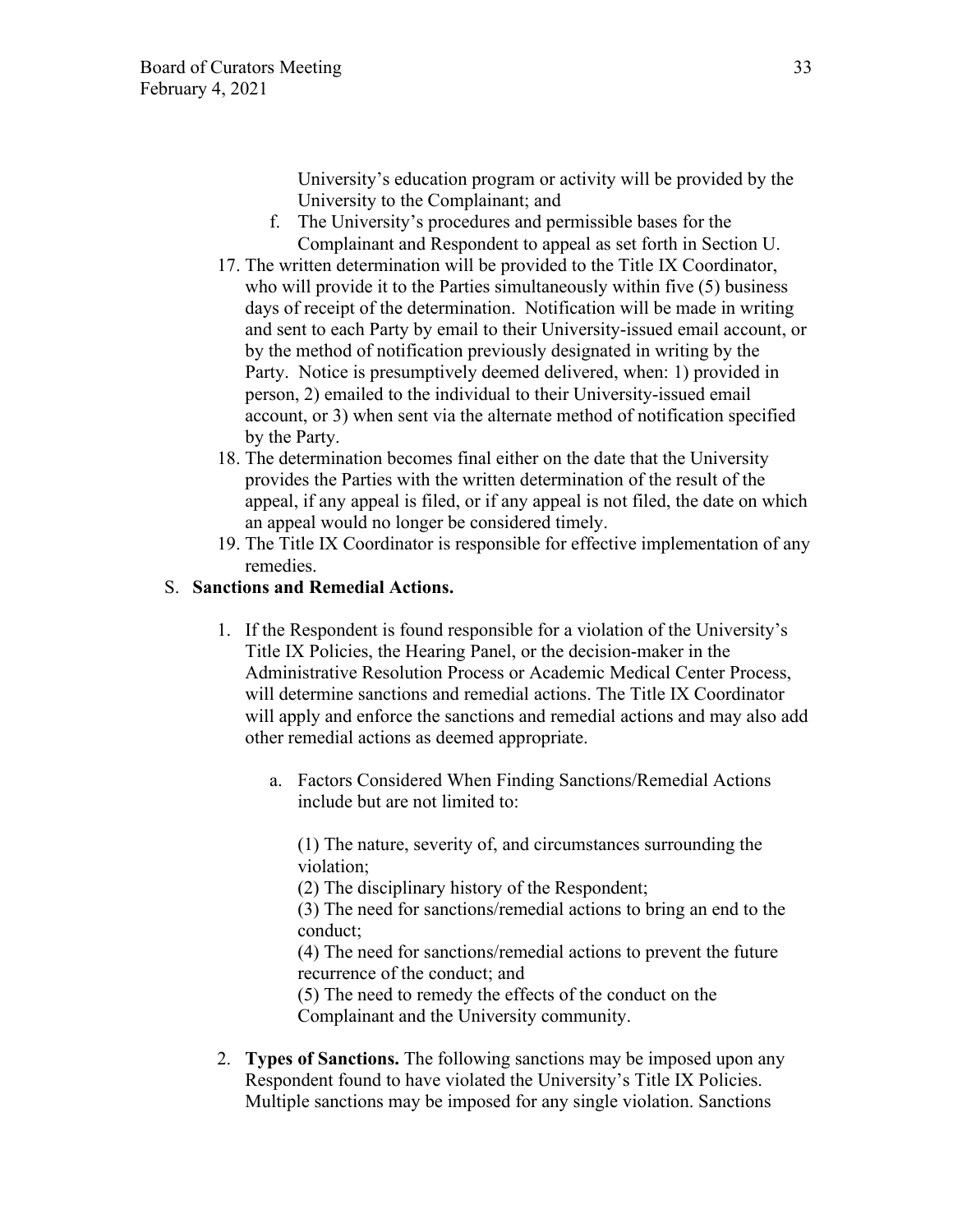University's education program or activity will be provided by the University to the Complainant; and

- f. The University's procedures and permissible bases for the Complainant and Respondent to appeal as set forth in Section U.
- 17. The written determination will be provided to the Title IX Coordinator, who will provide it to the Parties simultaneously within five (5) business days of receipt of the determination. Notification will be made in writing and sent to each Party by email to their University-issued email account, or by the method of notification previously designated in writing by the Party. Notice is presumptively deemed delivered, when: 1) provided in person, 2) emailed to the individual to their University-issued email account, or 3) when sent via the alternate method of notification specified by the Party.
- 18. The determination becomes final either on the date that the University provides the Parties with the written determination of the result of the appeal, if any appeal is filed, or if any appeal is not filed, the date on which an appeal would no longer be considered timely.
- 19. The Title IX Coordinator is responsible for effective implementation of any remedies.

# S. **Sanctions and Remedial Actions.**

- 1. If the Respondent is found responsible for a violation of the University's Title IX Policies, the Hearing Panel, or the decision-maker in the Administrative Resolution Process or Academic Medical Center Process, will determine sanctions and remedial actions. The Title IX Coordinator will apply and enforce the sanctions and remedial actions and may also add other remedial actions as deemed appropriate.
	- a. Factors Considered When Finding Sanctions/Remedial Actions include but are not limited to:

(1) The nature, severity of, and circumstances surrounding the violation;

(2) The disciplinary history of the Respondent;

(3) The need for sanctions/remedial actions to bring an end to the conduct;

(4) The need for sanctions/remedial actions to prevent the future recurrence of the conduct; and

(5) The need to remedy the effects of the conduct on the Complainant and the University community.

2. **Types of Sanctions.** The following sanctions may be imposed upon any Respondent found to have violated the University's Title IX Policies. Multiple sanctions may be imposed for any single violation. Sanctions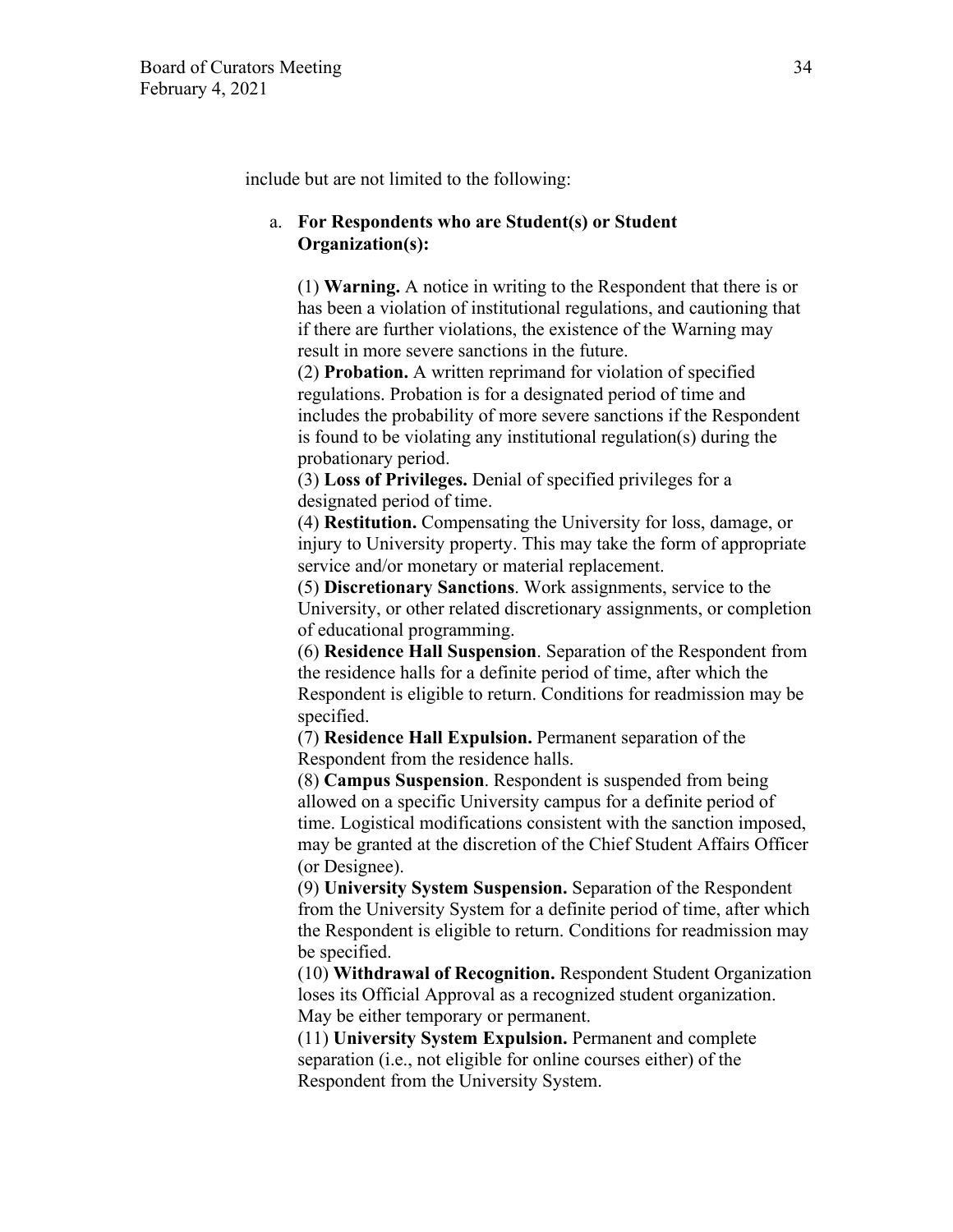include but are not limited to the following:

### a. **For Respondents who are Student(s) or Student Organization(s):**

(1) **Warning.** A notice in writing to the Respondent that there is or has been a violation of institutional regulations, and cautioning that if there are further violations, the existence of the Warning may result in more severe sanctions in the future.

(2) **Probation.** A written reprimand for violation of specified regulations. Probation is for a designated period of time and includes the probability of more severe sanctions if the Respondent is found to be violating any institutional regulation(s) during the probationary period.

(3) **Loss of Privileges.** Denial of specified privileges for a designated period of time.

(4) **Restitution.** Compensating the University for loss, damage, or injury to University property. This may take the form of appropriate service and/or monetary or material replacement.

(5) **Discretionary Sanctions**. Work assignments, service to the University, or other related discretionary assignments, or completion of educational programming.

(6) **Residence Hall Suspension**. Separation of the Respondent from the residence halls for a definite period of time, after which the Respondent is eligible to return. Conditions for readmission may be specified.

(7) **Residence Hall Expulsion.** Permanent separation of the Respondent from the residence halls.

(8) **Campus Suspension**. Respondent is suspended from being allowed on a specific University campus for a definite period of time. Logistical modifications consistent with the sanction imposed, may be granted at the discretion of the Chief Student Affairs Officer (or Designee).

(9) **University System Suspension.** Separation of the Respondent from the University System for a definite period of time, after which the Respondent is eligible to return. Conditions for readmission may be specified.

(10) **Withdrawal of Recognition.** Respondent Student Organization loses its Official Approval as a recognized student organization. May be either temporary or permanent.

(11) **University System Expulsion.** Permanent and complete separation (i.e., not eligible for online courses either) of the Respondent from the University System.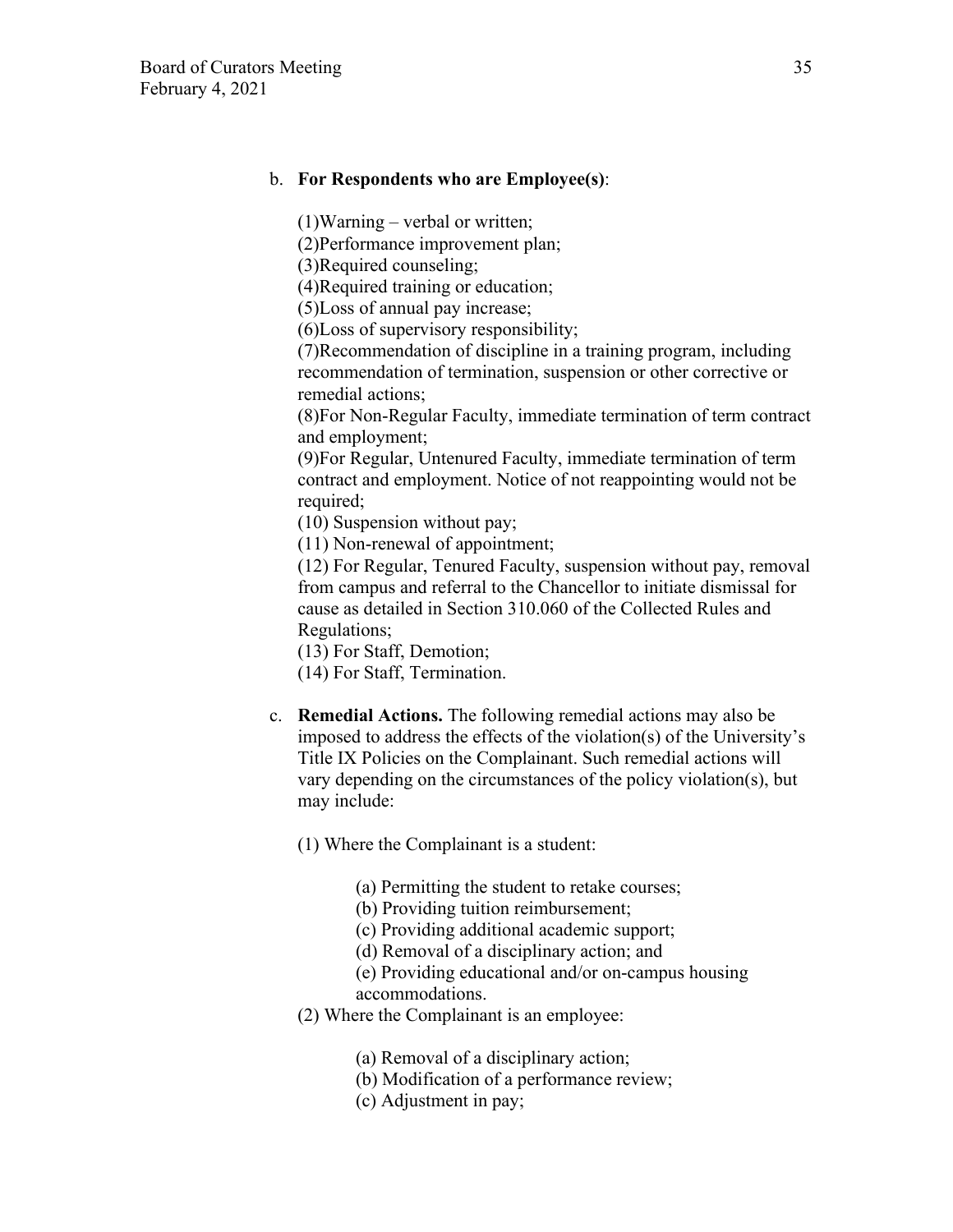#### b. **For Respondents who are Employee(s)**:

(1)Warning – verbal or written;

(2)Performance improvement plan;

(3)Required counseling;

(4)Required training or education;

(5)Loss of annual pay increase;

(6)Loss of supervisory responsibility;

(7)Recommendation of discipline in a training program, including recommendation of termination, suspension or other corrective or remedial actions;

(8)For Non-Regular Faculty, immediate termination of term contract and employment;

(9)For Regular, Untenured Faculty, immediate termination of term contract and employment. Notice of not reappointing would not be required;

(10) Suspension without pay;

(11) Non-renewal of appointment;

(12) For Regular, Tenured Faculty, suspension without pay, removal from campus and referral to the Chancellor to initiate dismissal for cause as detailed in Section 310.060 of the Collected Rules and Regulations;

(13) For Staff, Demotion;

(14) For Staff, Termination.

c. **Remedial Actions.** The following remedial actions may also be imposed to address the effects of the violation(s) of the University's Title IX Policies on the Complainant. Such remedial actions will vary depending on the circumstances of the policy violation(s), but may include:

(1) Where the Complainant is a student:

- (a) Permitting the student to retake courses;
- (b) Providing tuition reimbursement;
- (c) Providing additional academic support;
- (d) Removal of a disciplinary action; and
- (e) Providing educational and/or on-campus housing

accommodations.

- (2) Where the Complainant is an employee:
	- (a) Removal of a disciplinary action;
	- (b) Modification of a performance review;
	- (c) Adjustment in pay;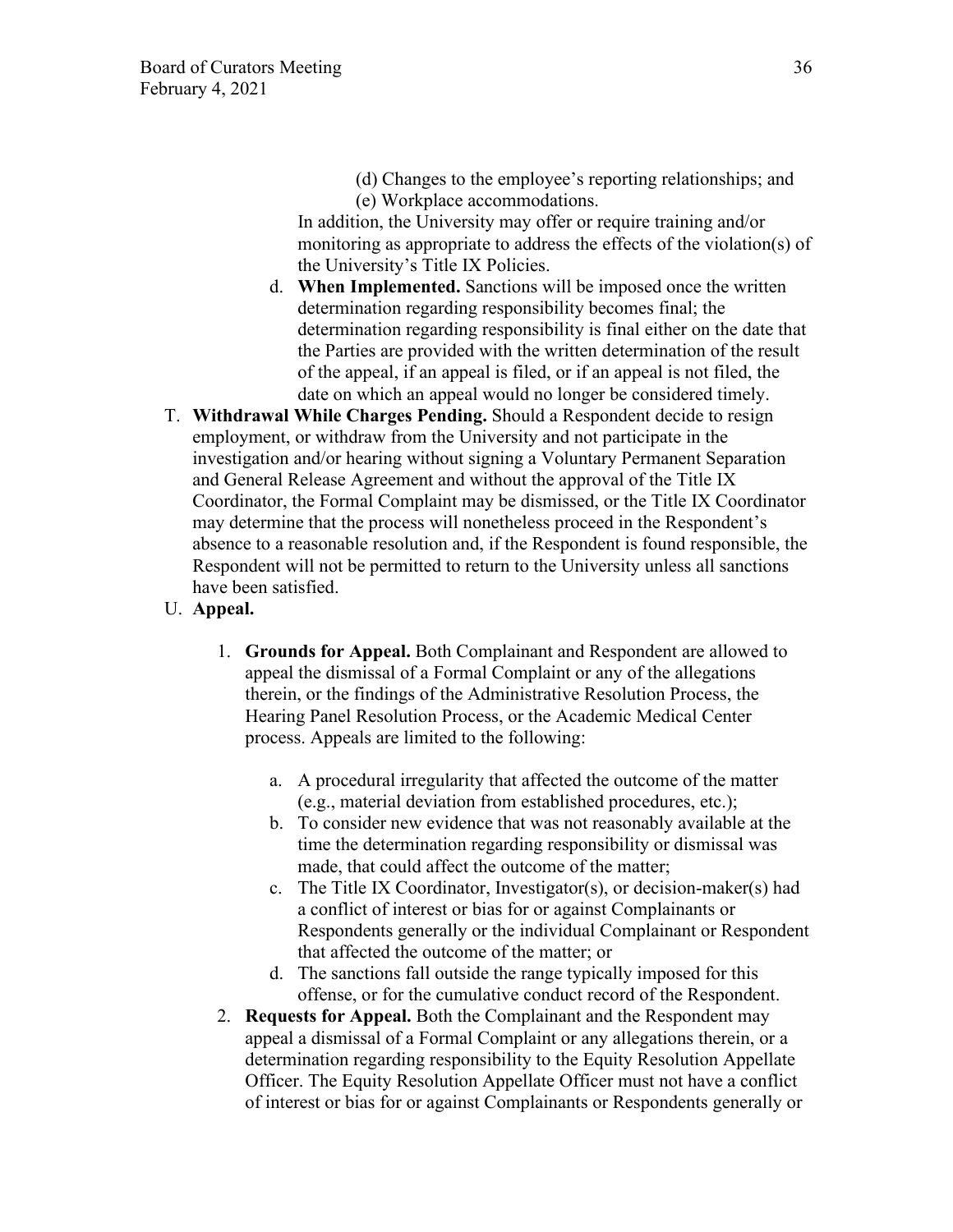(d) Changes to the employee's reporting relationships; and (e) Workplace accommodations.

In addition, the University may offer or require training and/or monitoring as appropriate to address the effects of the violation(s) of the University's Title IX Policies.

- d. **When Implemented.** Sanctions will be imposed once the written determination regarding responsibility becomes final; the determination regarding responsibility is final either on the date that the Parties are provided with the written determination of the result of the appeal, if an appeal is filed, or if an appeal is not filed, the date on which an appeal would no longer be considered timely.
- T. **Withdrawal While Charges Pending.** Should a Respondent decide to resign employment, or withdraw from the University and not participate in the investigation and/or hearing without signing a Voluntary Permanent Separation and General Release Agreement and without the approval of the Title IX Coordinator, the Formal Complaint may be dismissed, or the Title IX Coordinator may determine that the process will nonetheless proceed in the Respondent's absence to a reasonable resolution and, if the Respondent is found responsible, the Respondent will not be permitted to return to the University unless all sanctions have been satisfied.
- U. **Appeal.**
	- 1. **Grounds for Appeal.** Both Complainant and Respondent are allowed to appeal the dismissal of a Formal Complaint or any of the allegations therein, or the findings of the Administrative Resolution Process, the Hearing Panel Resolution Process, or the Academic Medical Center process. Appeals are limited to the following:
		- a. A procedural irregularity that affected the outcome of the matter (e.g., material deviation from established procedures, etc.);
		- b. To consider new evidence that was not reasonably available at the time the determination regarding responsibility or dismissal was made, that could affect the outcome of the matter;
		- c. The Title IX Coordinator, Investigator(s), or decision-maker(s) had a conflict of interest or bias for or against Complainants or Respondents generally or the individual Complainant or Respondent that affected the outcome of the matter; or
		- d. The sanctions fall outside the range typically imposed for this offense, or for the cumulative conduct record of the Respondent.
	- 2. **Requests for Appeal.** Both the Complainant and the Respondent may appeal a dismissal of a Formal Complaint or any allegations therein, or a determination regarding responsibility to the Equity Resolution Appellate Officer. The Equity Resolution Appellate Officer must not have a conflict of interest or bias for or against Complainants or Respondents generally or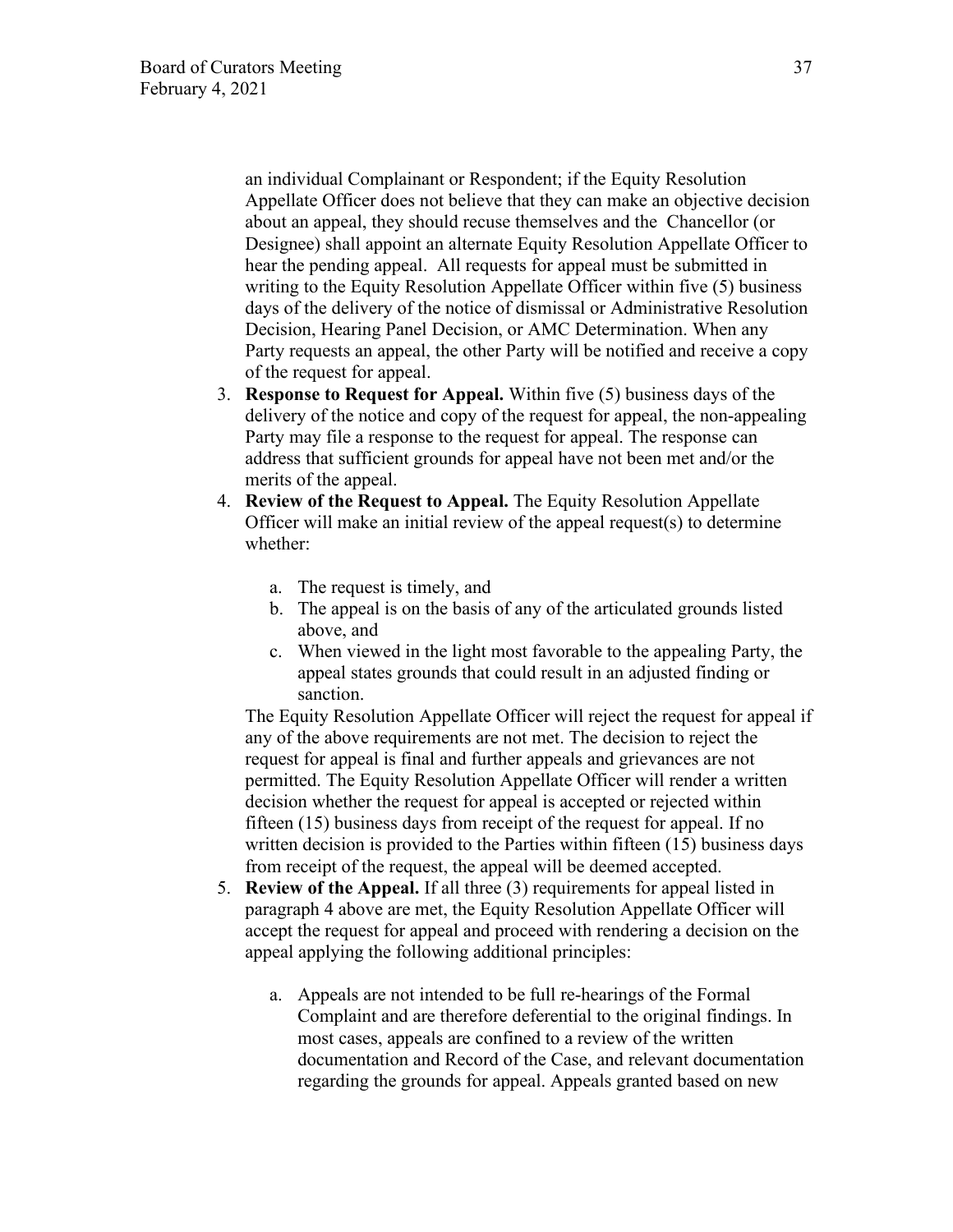an individual Complainant or Respondent; if the Equity Resolution Appellate Officer does not believe that they can make an objective decision about an appeal, they should recuse themselves and the Chancellor (or Designee) shall appoint an alternate Equity Resolution Appellate Officer to hear the pending appeal. All requests for appeal must be submitted in writing to the Equity Resolution Appellate Officer within five (5) business days of the delivery of the notice of dismissal or Administrative Resolution Decision, Hearing Panel Decision, or AMC Determination. When any Party requests an appeal, the other Party will be notified and receive a copy of the request for appeal.

- 3. **Response to Request for Appeal.** Within five (5) business days of the delivery of the notice and copy of the request for appeal, the non-appealing Party may file a response to the request for appeal. The response can address that sufficient grounds for appeal have not been met and/or the merits of the appeal.
- 4. **Review of the Request to Appeal.** The Equity Resolution Appellate Officer will make an initial review of the appeal request(s) to determine whether:
	- a. The request is timely, and
	- b. The appeal is on the basis of any of the articulated grounds listed above, and
	- c. When viewed in the light most favorable to the appealing Party, the appeal states grounds that could result in an adjusted finding or sanction.

The Equity Resolution Appellate Officer will reject the request for appeal if any of the above requirements are not met. The decision to reject the request for appeal is final and further appeals and grievances are not permitted. The Equity Resolution Appellate Officer will render a written decision whether the request for appeal is accepted or rejected within fifteen (15) business days from receipt of the request for appeal. If no written decision is provided to the Parties within fifteen (15) business days from receipt of the request, the appeal will be deemed accepted.

- 5. **Review of the Appeal.** If all three (3) requirements for appeal listed in paragraph 4 above are met, the Equity Resolution Appellate Officer will accept the request for appeal and proceed with rendering a decision on the appeal applying the following additional principles:
	- a. Appeals are not intended to be full re-hearings of the Formal Complaint and are therefore deferential to the original findings. In most cases, appeals are confined to a review of the written documentation and Record of the Case, and relevant documentation regarding the grounds for appeal. Appeals granted based on new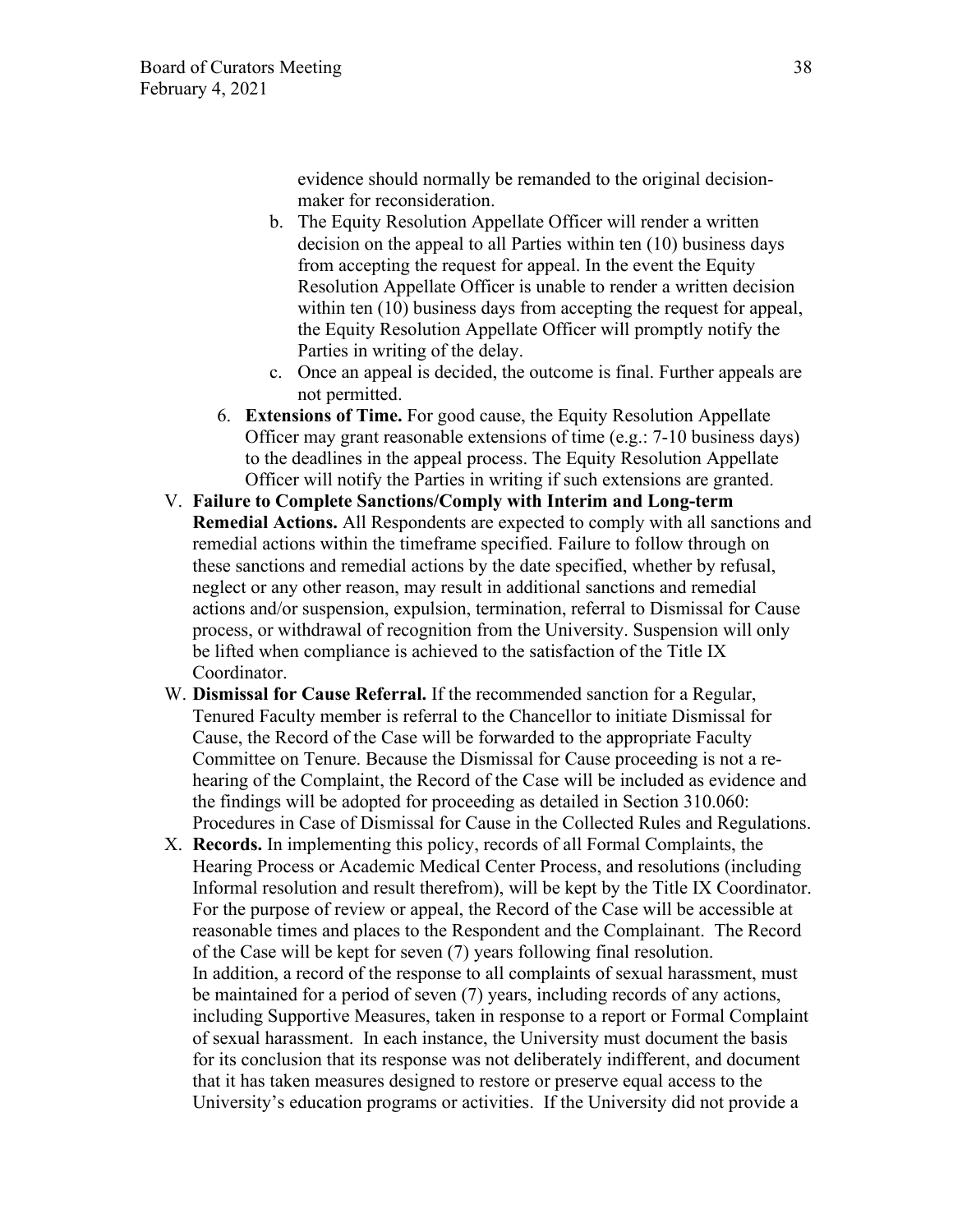evidence should normally be remanded to the original decisionmaker for reconsideration.

- b. The Equity Resolution Appellate Officer will render a written decision on the appeal to all Parties within ten (10) business days from accepting the request for appeal. In the event the Equity Resolution Appellate Officer is unable to render a written decision within ten (10) business days from accepting the request for appeal, the Equity Resolution Appellate Officer will promptly notify the Parties in writing of the delay.
- c. Once an appeal is decided, the outcome is final. Further appeals are not permitted.
- 6. **Extensions of Time.** For good cause, the Equity Resolution Appellate Officer may grant reasonable extensions of time (e.g.: 7-10 business days) to the deadlines in the appeal process. The Equity Resolution Appellate Officer will notify the Parties in writing if such extensions are granted.
- V. **Failure to Complete Sanctions/Comply with Interim and Long-term Remedial Actions.** All Respondents are expected to comply with all sanctions and remedial actions within the timeframe specified. Failure to follow through on these sanctions and remedial actions by the date specified, whether by refusal, neglect or any other reason, may result in additional sanctions and remedial actions and/or suspension, expulsion, termination, referral to Dismissal for Cause process, or withdrawal of recognition from the University. Suspension will only be lifted when compliance is achieved to the satisfaction of the Title IX Coordinator.
- W. **Dismissal for Cause Referral.** If the recommended sanction for a Regular, Tenured Faculty member is referral to the Chancellor to initiate Dismissal for Cause, the Record of the Case will be forwarded to the appropriate Faculty Committee on Tenure. Because the Dismissal for Cause proceeding is not a rehearing of the Complaint, the Record of the Case will be included as evidence and the findings will be adopted for proceeding as detailed in Section 310.060: Procedures in Case of Dismissal for Cause in the Collected Rules and Regulations.
- X. **Records.** In implementing this policy, records of all Formal Complaints, the Hearing Process or Academic Medical Center Process, and resolutions (including Informal resolution and result therefrom), will be kept by the Title IX Coordinator. For the purpose of review or appeal, the Record of the Case will be accessible at reasonable times and places to the Respondent and the Complainant. The Record of the Case will be kept for seven (7) years following final resolution. In addition, a record of the response to all complaints of sexual harassment, must be maintained for a period of seven (7) years, including records of any actions, including Supportive Measures, taken in response to a report or Formal Complaint of sexual harassment. In each instance, the University must document the basis for its conclusion that its response was not deliberately indifferent, and document that it has taken measures designed to restore or preserve equal access to the University's education programs or activities. If the University did not provide a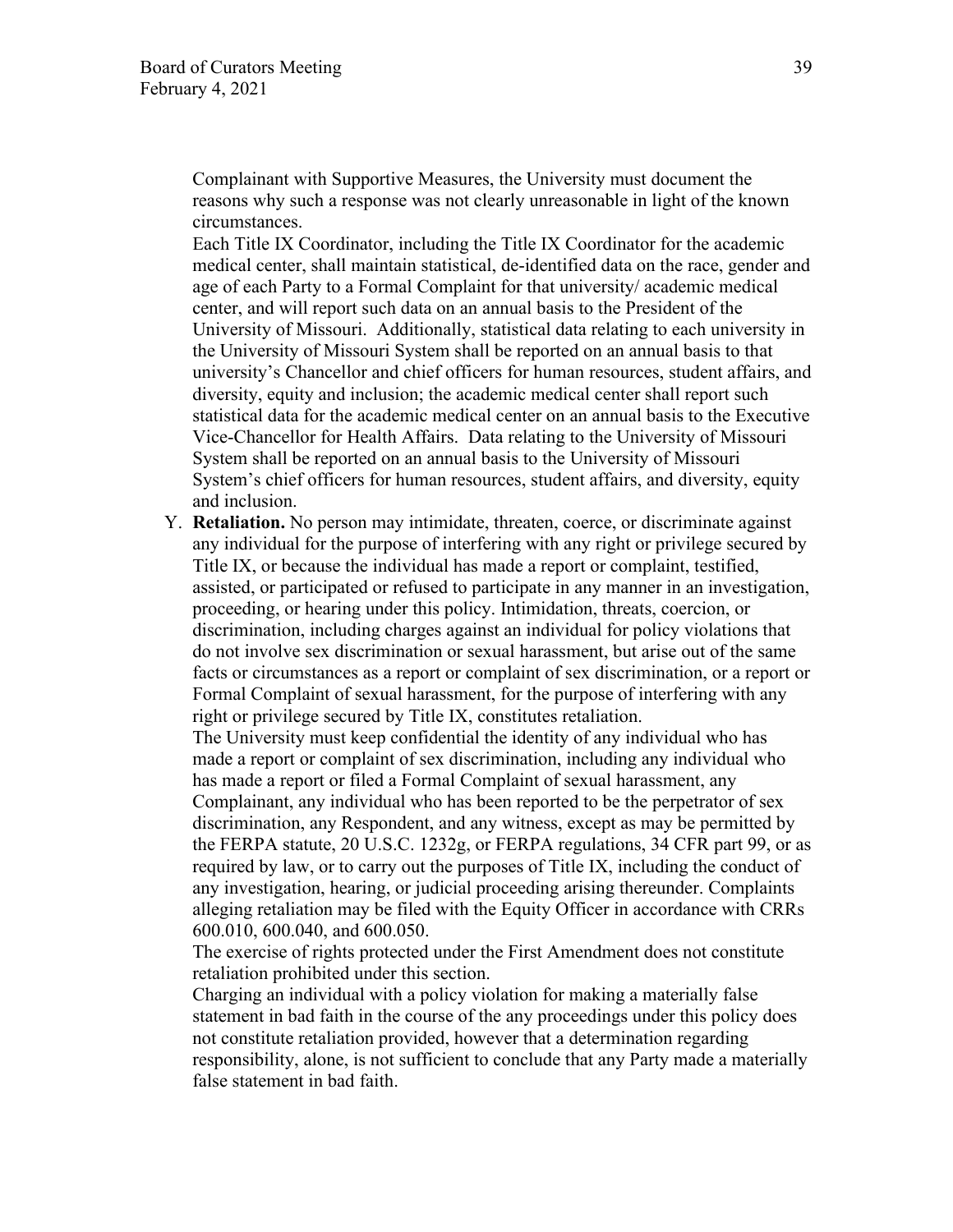Complainant with Supportive Measures, the University must document the reasons why such a response was not clearly unreasonable in light of the known circumstances.

Each Title IX Coordinator, including the Title IX Coordinator for the academic medical center, shall maintain statistical, de-identified data on the race, gender and age of each Party to a Formal Complaint for that university/ academic medical center, and will report such data on an annual basis to the President of the University of Missouri. Additionally, statistical data relating to each university in the University of Missouri System shall be reported on an annual basis to that university's Chancellor and chief officers for human resources, student affairs, and diversity, equity and inclusion; the academic medical center shall report such statistical data for the academic medical center on an annual basis to the Executive Vice-Chancellor for Health Affairs. Data relating to the University of Missouri System shall be reported on an annual basis to the University of Missouri System's chief officers for human resources, student affairs, and diversity, equity and inclusion.

Y. **Retaliation.** No person may intimidate, threaten, coerce, or discriminate against any individual for the purpose of interfering with any right or privilege secured by Title IX, or because the individual has made a report or complaint, testified, assisted, or participated or refused to participate in any manner in an investigation, proceeding, or hearing under this policy. Intimidation, threats, coercion, or discrimination, including charges against an individual for policy violations that do not involve sex discrimination or sexual harassment, but arise out of the same facts or circumstances as a report or complaint of sex discrimination, or a report or Formal Complaint of sexual harassment, for the purpose of interfering with any right or privilege secured by Title IX, constitutes retaliation.

The University must keep confidential the identity of any individual who has made a report or complaint of sex discrimination, including any individual who has made a report or filed a Formal Complaint of sexual harassment, any Complainant, any individual who has been reported to be the perpetrator of sex discrimination, any Respondent, and any witness, except as may be permitted by the FERPA statute, 20 U.S.C. 1232g, or FERPA regulations, 34 CFR part 99, or as required by law, or to carry out the purposes of Title IX, including the conduct of any investigation, hearing, or judicial proceeding arising thereunder. Complaints alleging retaliation may be filed with the Equity Officer in accordance with CRRs 600.010, 600.040, and 600.050.

The exercise of rights protected under the First Amendment does not constitute retaliation prohibited under this section.

Charging an individual with a policy violation for making a materially false statement in bad faith in the course of the any proceedings under this policy does not constitute retaliation provided, however that a determination regarding responsibility, alone, is not sufficient to conclude that any Party made a materially false statement in bad faith.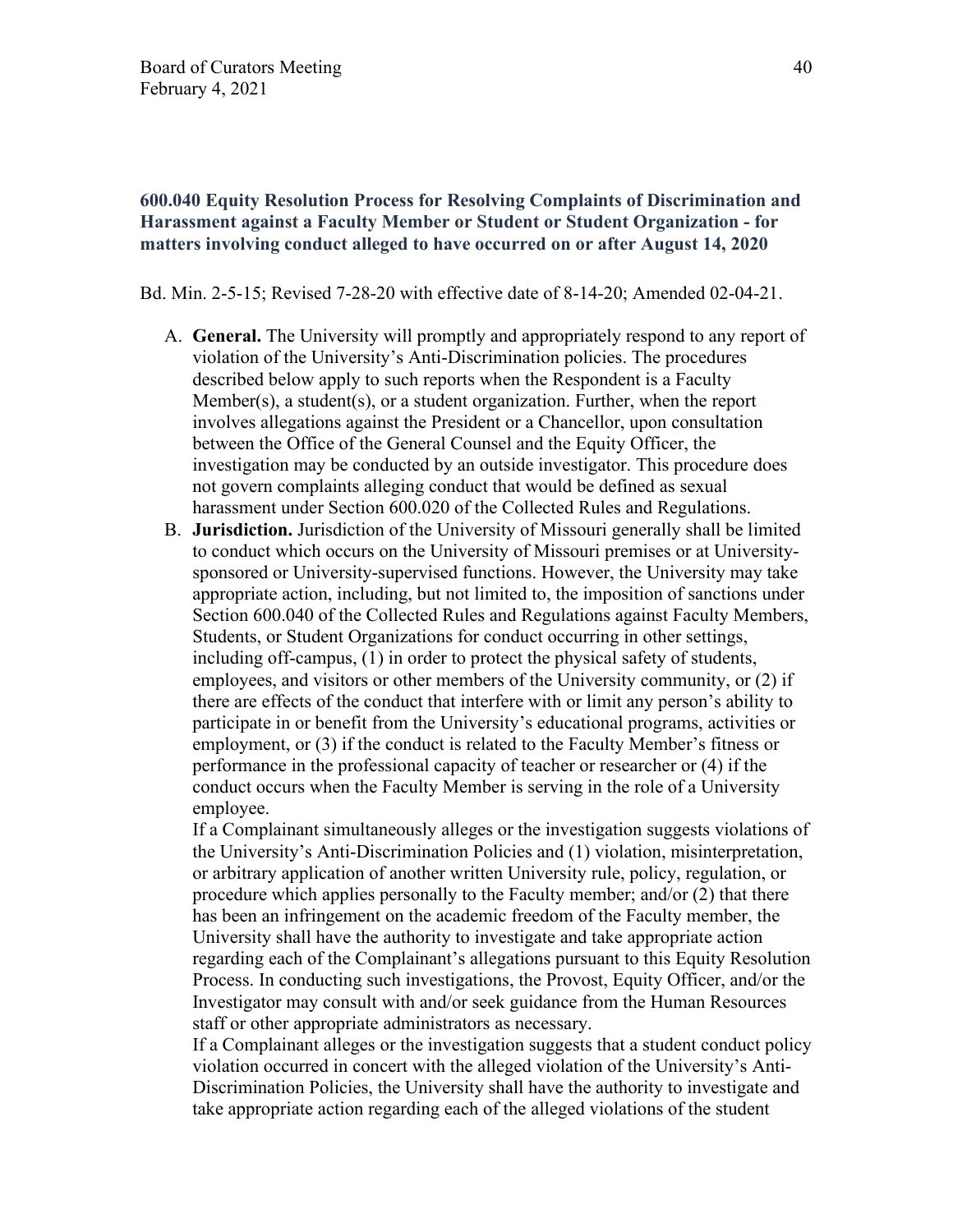# **600.040 Equity Resolution Process for Resolving Complaints of Discrimination and Harassment against a Faculty Member or Student or Student Organization - for matters involving conduct alleged to have occurred on or after August 14, 2020**

Bd. Min. 2-5-15; Revised 7-28-20 with effective date of 8-14-20; Amended 02-04-21.

- A. **General.** The University will promptly and appropriately respond to any report of violation of the University's Anti-Discrimination policies. The procedures described below apply to such reports when the Respondent is a Faculty Member(s), a student(s), or a student organization. Further, when the report involves allegations against the President or a Chancellor, upon consultation between the Office of the General Counsel and the Equity Officer, the investigation may be conducted by an outside investigator. This procedure does not govern complaints alleging conduct that would be defined as sexual harassment under Section 600.020 of the Collected Rules and Regulations.
- B. **Jurisdiction.** Jurisdiction of the University of Missouri generally shall be limited to conduct which occurs on the University of Missouri premises or at Universitysponsored or University-supervised functions. However, the University may take appropriate action, including, but not limited to, the imposition of sanctions under Section 600.040 of the Collected Rules and Regulations against Faculty Members, Students, or Student Organizations for conduct occurring in other settings, including off-campus, (1) in order to protect the physical safety of students, employees, and visitors or other members of the University community, or (2) if there are effects of the conduct that interfere with or limit any person's ability to participate in or benefit from the University's educational programs, activities or employment, or (3) if the conduct is related to the Faculty Member's fitness or performance in the professional capacity of teacher or researcher or (4) if the conduct occurs when the Faculty Member is serving in the role of a University employee.

If a Complainant simultaneously alleges or the investigation suggests violations of the University's Anti-Discrimination Policies and (1) violation, misinterpretation, or arbitrary application of another written University rule, policy, regulation, or procedure which applies personally to the Faculty member; and/or (2) that there has been an infringement on the academic freedom of the Faculty member, the University shall have the authority to investigate and take appropriate action regarding each of the Complainant's allegations pursuant to this Equity Resolution Process. In conducting such investigations, the Provost, Equity Officer, and/or the Investigator may consult with and/or seek guidance from the Human Resources staff or other appropriate administrators as necessary.

If a Complainant alleges or the investigation suggests that a student conduct policy violation occurred in concert with the alleged violation of the University's Anti-Discrimination Policies, the University shall have the authority to investigate and take appropriate action regarding each of the alleged violations of the student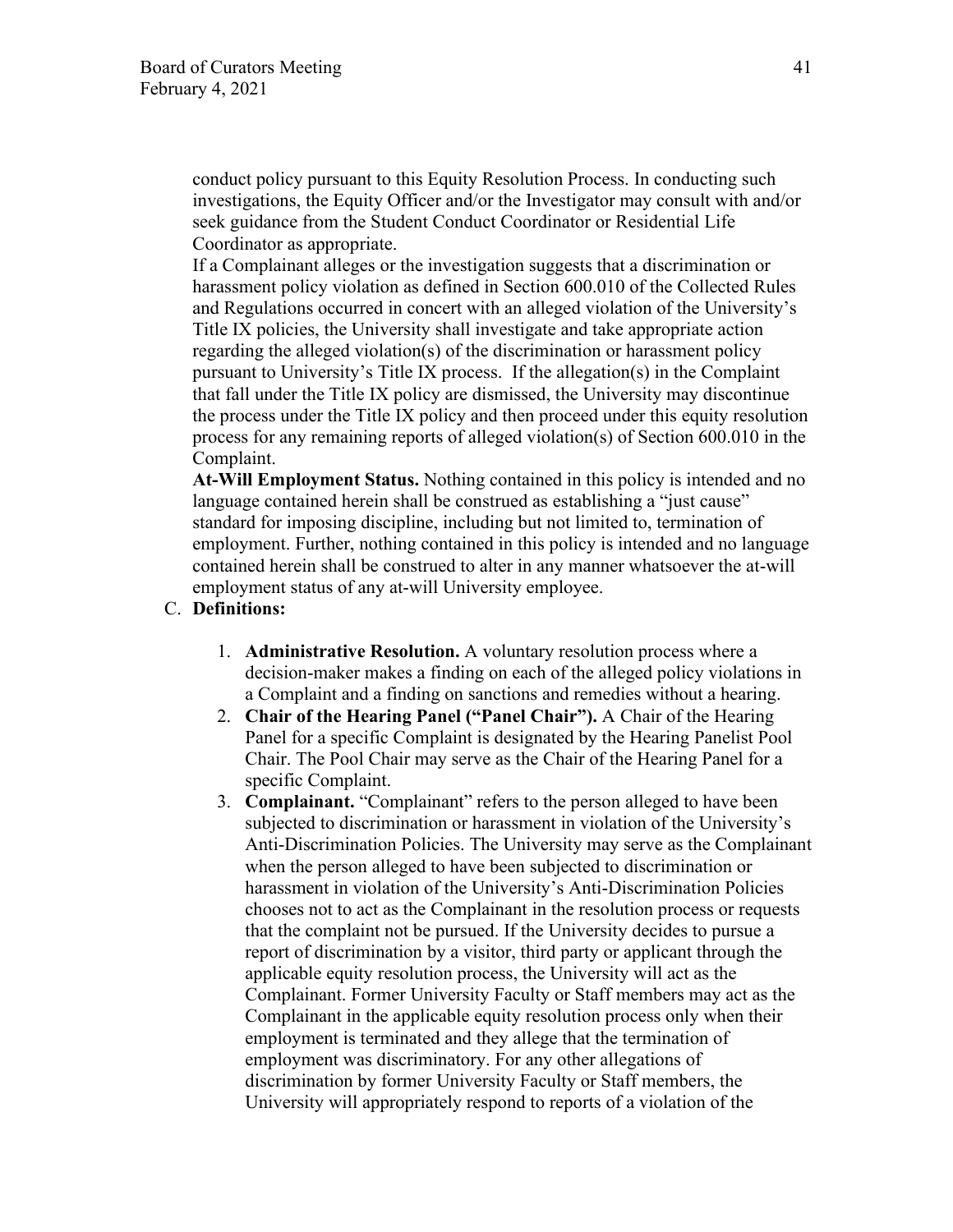conduct policy pursuant to this Equity Resolution Process. In conducting such investigations, the Equity Officer and/or the Investigator may consult with and/or seek guidance from the Student Conduct Coordinator or Residential Life Coordinator as appropriate.

If a Complainant alleges or the investigation suggests that a discrimination or harassment policy violation as defined in Section 600.010 of the Collected Rules and Regulations occurred in concert with an alleged violation of the University's Title IX policies, the University shall investigate and take appropriate action regarding the alleged violation(s) of the discrimination or harassment policy pursuant to University's Title IX process. If the allegation(s) in the Complaint that fall under the Title IX policy are dismissed, the University may discontinue the process under the Title IX policy and then proceed under this equity resolution process for any remaining reports of alleged violation(s) of Section 600.010 in the Complaint.

**At-Will Employment Status.** Nothing contained in this policy is intended and no language contained herein shall be construed as establishing a "just cause" standard for imposing discipline, including but not limited to, termination of employment. Further, nothing contained in this policy is intended and no language contained herein shall be construed to alter in any manner whatsoever the at-will employment status of any at-will University employee.

### C. **Definitions:**

- 1. **Administrative Resolution.** A voluntary resolution process where a decision-maker makes a finding on each of the alleged policy violations in a Complaint and a finding on sanctions and remedies without a hearing.
- 2. **Chair of the Hearing Panel ("Panel Chair").** A Chair of the Hearing Panel for a specific Complaint is designated by the Hearing Panelist Pool Chair. The Pool Chair may serve as the Chair of the Hearing Panel for a specific Complaint.
- 3. **Complainant.** "Complainant" refers to the person alleged to have been subjected to discrimination or harassment in violation of the University's Anti-Discrimination Policies. The University may serve as the Complainant when the person alleged to have been subjected to discrimination or harassment in violation of the University's Anti-Discrimination Policies chooses not to act as the Complainant in the resolution process or requests that the complaint not be pursued. If the University decides to pursue a report of discrimination by a visitor, third party or applicant through the applicable equity resolution process, the University will act as the Complainant. Former University Faculty or Staff members may act as the Complainant in the applicable equity resolution process only when their employment is terminated and they allege that the termination of employment was discriminatory. For any other allegations of discrimination by former University Faculty or Staff members, the University will appropriately respond to reports of a violation of the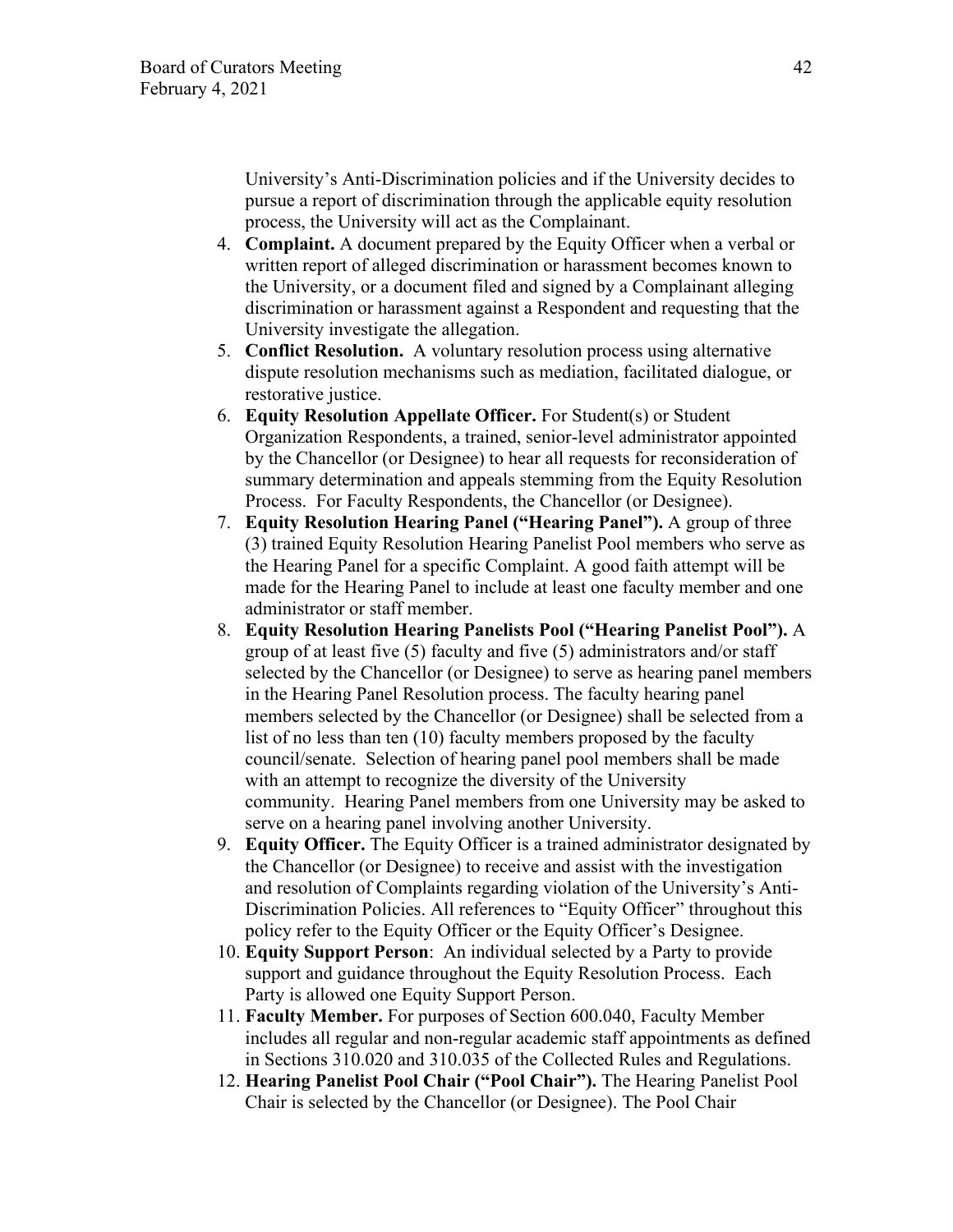University's Anti-Discrimination policies and if the University decides to pursue a report of discrimination through the applicable equity resolution process, the University will act as the Complainant.

- 4. **Complaint.** A document prepared by the Equity Officer when a verbal or written report of alleged discrimination or harassment becomes known to the University, or a document filed and signed by a Complainant alleging discrimination or harassment against a Respondent and requesting that the University investigate the allegation.
- 5. **Conflict Resolution.** A voluntary resolution process using alternative dispute resolution mechanisms such as mediation, facilitated dialogue, or restorative justice.
- 6. **Equity Resolution Appellate Officer.** For Student(s) or Student Organization Respondents, a trained, senior-level administrator appointed by the Chancellor (or Designee) to hear all requests for reconsideration of summary determination and appeals stemming from the Equity Resolution Process. For Faculty Respondents, the Chancellor (or Designee).
- 7. **Equity Resolution Hearing Panel ("Hearing Panel").** A group of three (3) trained Equity Resolution Hearing Panelist Pool members who serve as the Hearing Panel for a specific Complaint. A good faith attempt will be made for the Hearing Panel to include at least one faculty member and one administrator or staff member.
- 8. **Equity Resolution Hearing Panelists Pool ("Hearing Panelist Pool").** A group of at least five (5) faculty and five (5) administrators and/or staff selected by the Chancellor (or Designee) to serve as hearing panel members in the Hearing Panel Resolution process. The faculty hearing panel members selected by the Chancellor (or Designee) shall be selected from a list of no less than ten (10) faculty members proposed by the faculty council/senate. Selection of hearing panel pool members shall be made with an attempt to recognize the diversity of the University community. Hearing Panel members from one University may be asked to serve on a hearing panel involving another University.
- 9. **Equity Officer.** The Equity Officer is a trained administrator designated by the Chancellor (or Designee) to receive and assist with the investigation and resolution of Complaints regarding violation of the University's Anti-Discrimination Policies. All references to "Equity Officer" throughout this policy refer to the Equity Officer or the Equity Officer's Designee.
- 10. **Equity Support Person**: An individual selected by a Party to provide support and guidance throughout the Equity Resolution Process. Each Party is allowed one Equity Support Person.
- 11. **Faculty Member.** For purposes of Section 600.040, Faculty Member includes all regular and non-regular academic staff appointments as defined in Sections 310.020 and 310.035 of the Collected Rules and Regulations.
- 12. **Hearing Panelist Pool Chair ("Pool Chair").** The Hearing Panelist Pool Chair is selected by the Chancellor (or Designee). The Pool Chair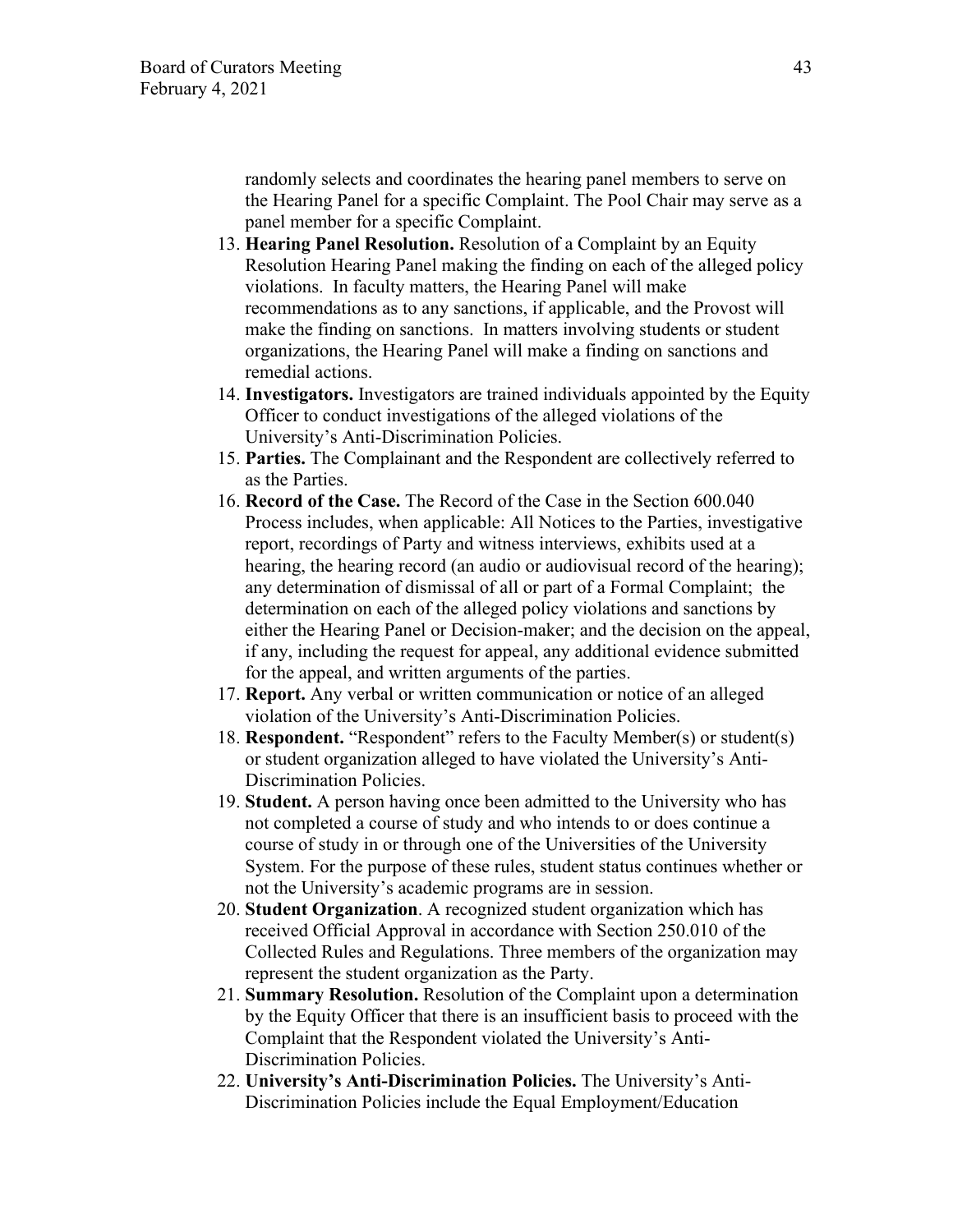randomly selects and coordinates the hearing panel members to serve on the Hearing Panel for a specific Complaint. The Pool Chair may serve as a panel member for a specific Complaint.

- 13. **Hearing Panel Resolution.** Resolution of a Complaint by an Equity Resolution Hearing Panel making the finding on each of the alleged policy violations. In faculty matters, the Hearing Panel will make recommendations as to any sanctions, if applicable, and the Provost will make the finding on sanctions. In matters involving students or student organizations, the Hearing Panel will make a finding on sanctions and remedial actions.
- 14. **Investigators.** Investigators are trained individuals appointed by the Equity Officer to conduct investigations of the alleged violations of the University's Anti-Discrimination Policies.
- 15. **Parties.** The Complainant and the Respondent are collectively referred to as the Parties.
- 16. **Record of the Case.** The Record of the Case in the Section 600.040 Process includes, when applicable: All Notices to the Parties, investigative report, recordings of Party and witness interviews, exhibits used at a hearing, the hearing record (an audio or audiovisual record of the hearing); any determination of dismissal of all or part of a Formal Complaint; the determination on each of the alleged policy violations and sanctions by either the Hearing Panel or Decision-maker; and the decision on the appeal, if any, including the request for appeal, any additional evidence submitted for the appeal, and written arguments of the parties.
- 17. **Report.** Any verbal or written communication or notice of an alleged violation of the University's Anti-Discrimination Policies.
- 18. **Respondent.** "Respondent" refers to the Faculty Member(s) or student(s) or student organization alleged to have violated the University's Anti-Discrimination Policies.
- 19. **Student.** A person having once been admitted to the University who has not completed a course of study and who intends to or does continue a course of study in or through one of the Universities of the University System. For the purpose of these rules, student status continues whether or not the University's academic programs are in session.
- 20. **Student Organization**. A recognized student organization which has received Official Approval in accordance with Section 250.010 of the Collected Rules and Regulations. Three members of the organization may represent the student organization as the Party.
- 21. **Summary Resolution.** Resolution of the Complaint upon a determination by the Equity Officer that there is an insufficient basis to proceed with the Complaint that the Respondent violated the University's Anti-Discrimination Policies.
- 22. **University's Anti-Discrimination Policies.** The University's Anti-Discrimination Policies include the Equal Employment/Education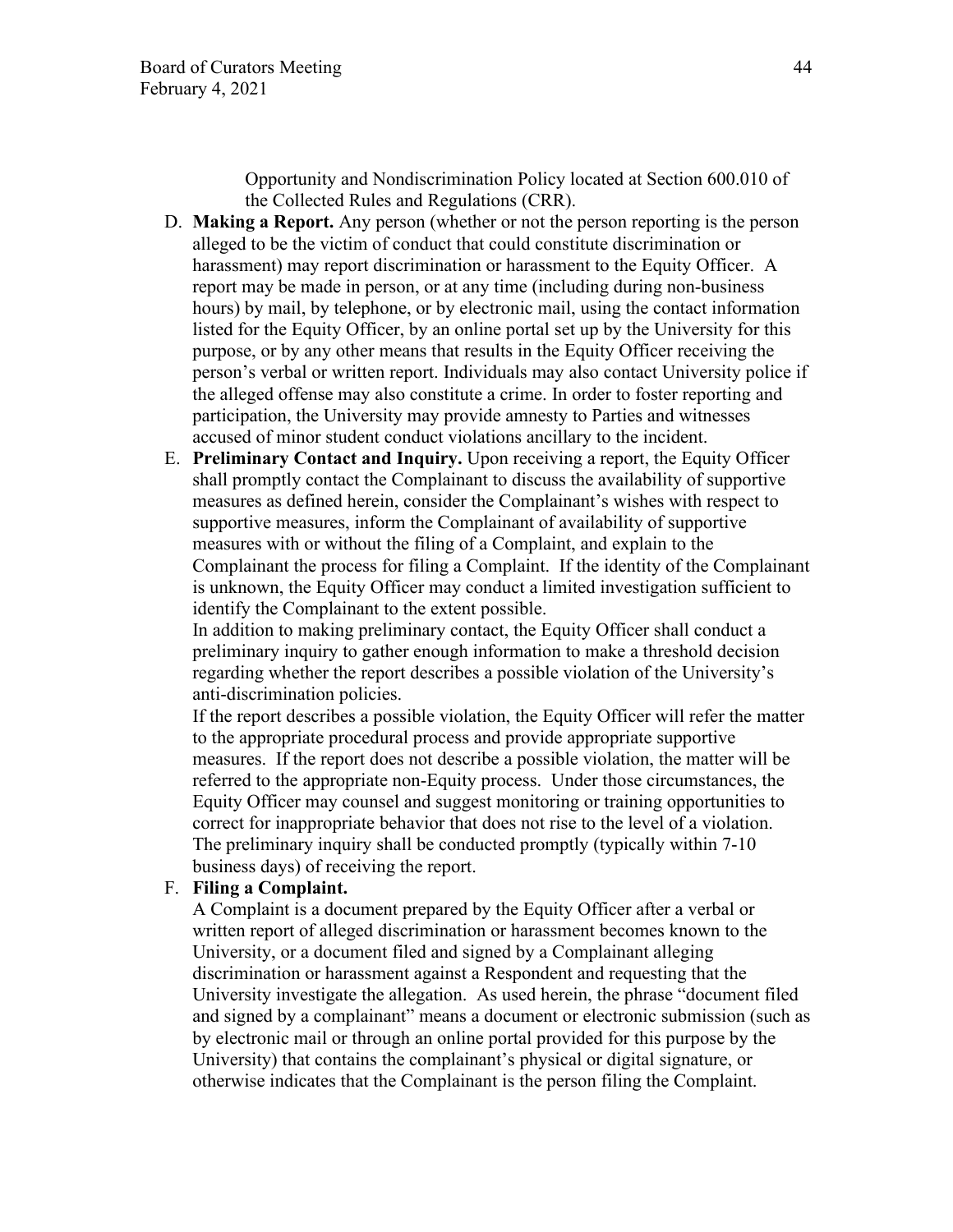Opportunity and Nondiscrimination Policy located at Section 600.010 of the Collected Rules and Regulations (CRR).

- D. **Making a Report.** Any person (whether or not the person reporting is the person alleged to be the victim of conduct that could constitute discrimination or harassment) may report discrimination or harassment to the Equity Officer. A report may be made in person, or at any time (including during non-business hours) by mail, by telephone, or by electronic mail, using the contact information listed for the Equity Officer, by an online portal set up by the University for this purpose, or by any other means that results in the Equity Officer receiving the person's verbal or written report. Individuals may also contact University police if the alleged offense may also constitute a crime. In order to foster reporting and participation, the University may provide amnesty to Parties and witnesses accused of minor student conduct violations ancillary to the incident.
- E. **Preliminary Contact and Inquiry.** Upon receiving a report, the Equity Officer shall promptly contact the Complainant to discuss the availability of supportive measures as defined herein, consider the Complainant's wishes with respect to supportive measures, inform the Complainant of availability of supportive measures with or without the filing of a Complaint, and explain to the Complainant the process for filing a Complaint. If the identity of the Complainant is unknown, the Equity Officer may conduct a limited investigation sufficient to identify the Complainant to the extent possible.

In addition to making preliminary contact, the Equity Officer shall conduct a preliminary inquiry to gather enough information to make a threshold decision regarding whether the report describes a possible violation of the University's anti-discrimination policies.

If the report describes a possible violation, the Equity Officer will refer the matter to the appropriate procedural process and provide appropriate supportive measures. If the report does not describe a possible violation, the matter will be referred to the appropriate non-Equity process. Under those circumstances, the Equity Officer may counsel and suggest monitoring or training opportunities to correct for inappropriate behavior that does not rise to the level of a violation. The preliminary inquiry shall be conducted promptly (typically within 7-10 business days) of receiving the report.

#### F. **Filing a Complaint.**

A Complaint is a document prepared by the Equity Officer after a verbal or written report of alleged discrimination or harassment becomes known to the University, or a document filed and signed by a Complainant alleging discrimination or harassment against a Respondent and requesting that the University investigate the allegation. As used herein, the phrase "document filed and signed by a complainant" means a document or electronic submission (such as by electronic mail or through an online portal provided for this purpose by the University) that contains the complainant's physical or digital signature, or otherwise indicates that the Complainant is the person filing the Complaint.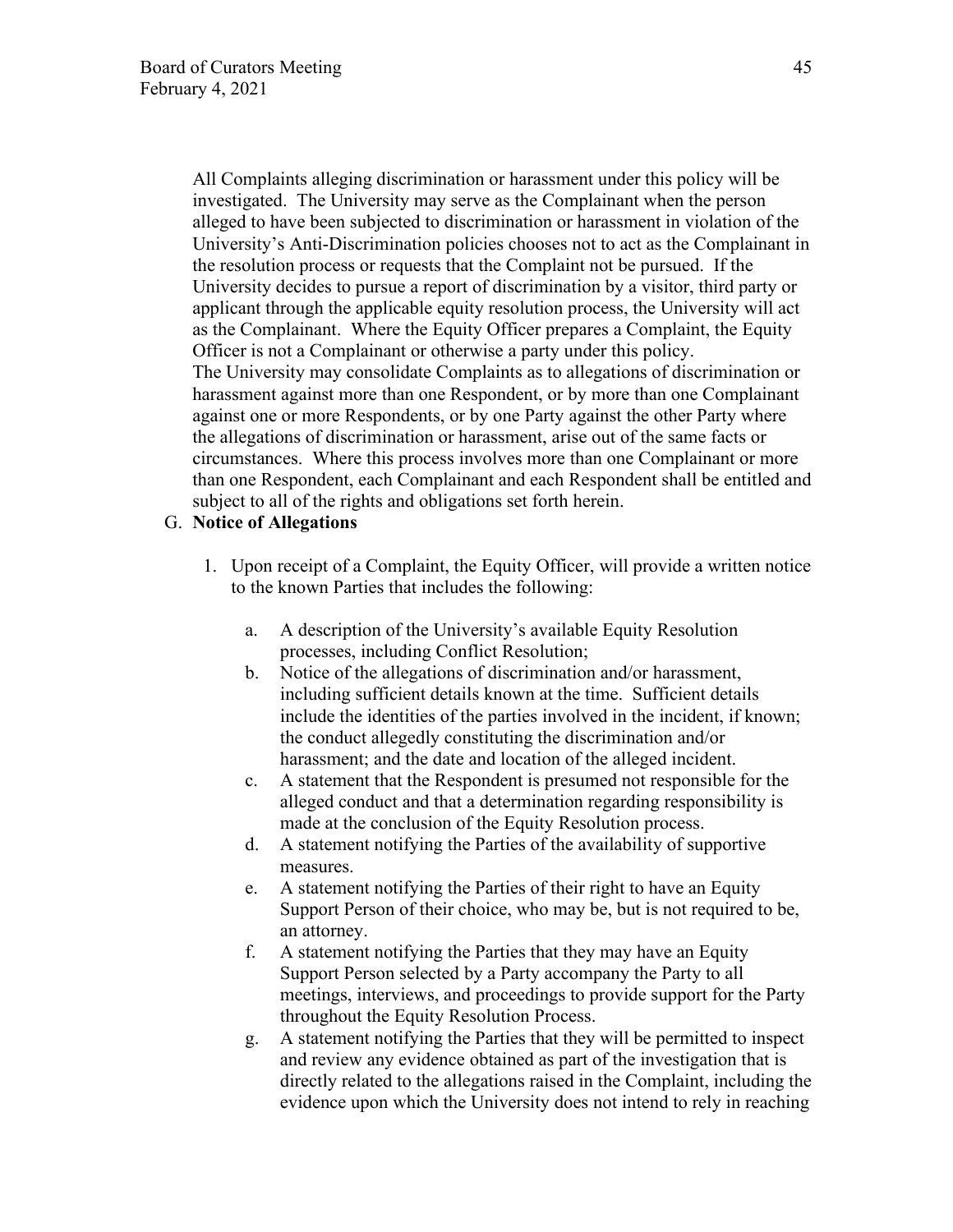All Complaints alleging discrimination or harassment under this policy will be investigated. The University may serve as the Complainant when the person alleged to have been subjected to discrimination or harassment in violation of the University's Anti-Discrimination policies chooses not to act as the Complainant in the resolution process or requests that the Complaint not be pursued. If the University decides to pursue a report of discrimination by a visitor, third party or applicant through the applicable equity resolution process, the University will act as the Complainant. Where the Equity Officer prepares a Complaint, the Equity Officer is not a Complainant or otherwise a party under this policy. The University may consolidate Complaints as to allegations of discrimination or harassment against more than one Respondent, or by more than one Complainant against one or more Respondents, or by one Party against the other Party where the allegations of discrimination or harassment, arise out of the same facts or circumstances. Where this process involves more than one Complainant or more than one Respondent, each Complainant and each Respondent shall be entitled and subject to all of the rights and obligations set forth herein.

#### G. **Notice of Allegations**

- 1. Upon receipt of a Complaint, the Equity Officer, will provide a written notice to the known Parties that includes the following:
	- a. A description of the University's available Equity Resolution processes, including Conflict Resolution;
	- b. Notice of the allegations of discrimination and/or harassment, including sufficient details known at the time. Sufficient details include the identities of the parties involved in the incident, if known; the conduct allegedly constituting the discrimination and/or harassment; and the date and location of the alleged incident.
	- c. A statement that the Respondent is presumed not responsible for the alleged conduct and that a determination regarding responsibility is made at the conclusion of the Equity Resolution process.
	- d. A statement notifying the Parties of the availability of supportive measures.
	- e. A statement notifying the Parties of their right to have an Equity Support Person of their choice, who may be, but is not required to be, an attorney.
	- f. A statement notifying the Parties that they may have an Equity Support Person selected by a Party accompany the Party to all meetings, interviews, and proceedings to provide support for the Party throughout the Equity Resolution Process.
	- g. A statement notifying the Parties that they will be permitted to inspect and review any evidence obtained as part of the investigation that is directly related to the allegations raised in the Complaint, including the evidence upon which the University does not intend to rely in reaching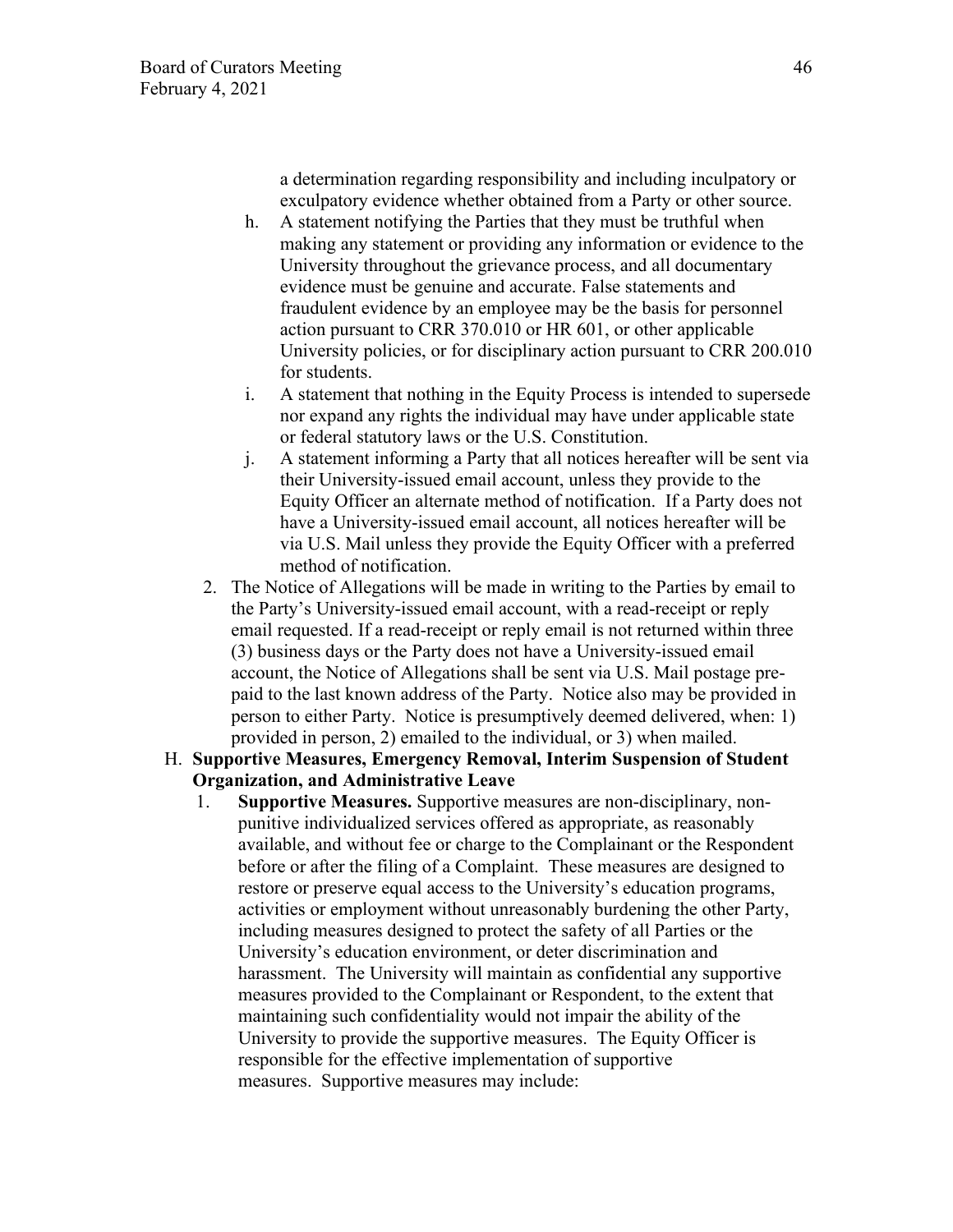a determination regarding responsibility and including inculpatory or exculpatory evidence whether obtained from a Party or other source.

- h. A statement notifying the Parties that they must be truthful when making any statement or providing any information or evidence to the University throughout the grievance process, and all documentary evidence must be genuine and accurate. False statements and fraudulent evidence by an employee may be the basis for personnel action pursuant to CRR 370.010 or HR 601, or other applicable University policies, or for disciplinary action pursuant to CRR 200.010 for students.
- i. A statement that nothing in the Equity Process is intended to supersede nor expand any rights the individual may have under applicable state or federal statutory laws or the U.S. Constitution.
- j. A statement informing a Party that all notices hereafter will be sent via their University-issued email account, unless they provide to the Equity Officer an alternate method of notification. If a Party does not have a University-issued email account, all notices hereafter will be via U.S. Mail unless they provide the Equity Officer with a preferred method of notification.
- 2. The Notice of Allegations will be made in writing to the Parties by email to the Party's University-issued email account, with a read-receipt or reply email requested. If a read-receipt or reply email is not returned within three (3) business days or the Party does not have a University-issued email account, the Notice of Allegations shall be sent via U.S. Mail postage prepaid to the last known address of the Party. Notice also may be provided in person to either Party. Notice is presumptively deemed delivered, when: 1) provided in person, 2) emailed to the individual, or 3) when mailed.
- H. **Supportive Measures, Emergency Removal, Interim Suspension of Student Organization, and Administrative Leave** 
	- 1. **Supportive Measures.** Supportive measures are non-disciplinary, nonpunitive individualized services offered as appropriate, as reasonably available, and without fee or charge to the Complainant or the Respondent before or after the filing of a Complaint. These measures are designed to restore or preserve equal access to the University's education programs, activities or employment without unreasonably burdening the other Party, including measures designed to protect the safety of all Parties or the University's education environment, or deter discrimination and harassment. The University will maintain as confidential any supportive measures provided to the Complainant or Respondent, to the extent that maintaining such confidentiality would not impair the ability of the University to provide the supportive measures. The Equity Officer is responsible for the effective implementation of supportive measures. Supportive measures may include: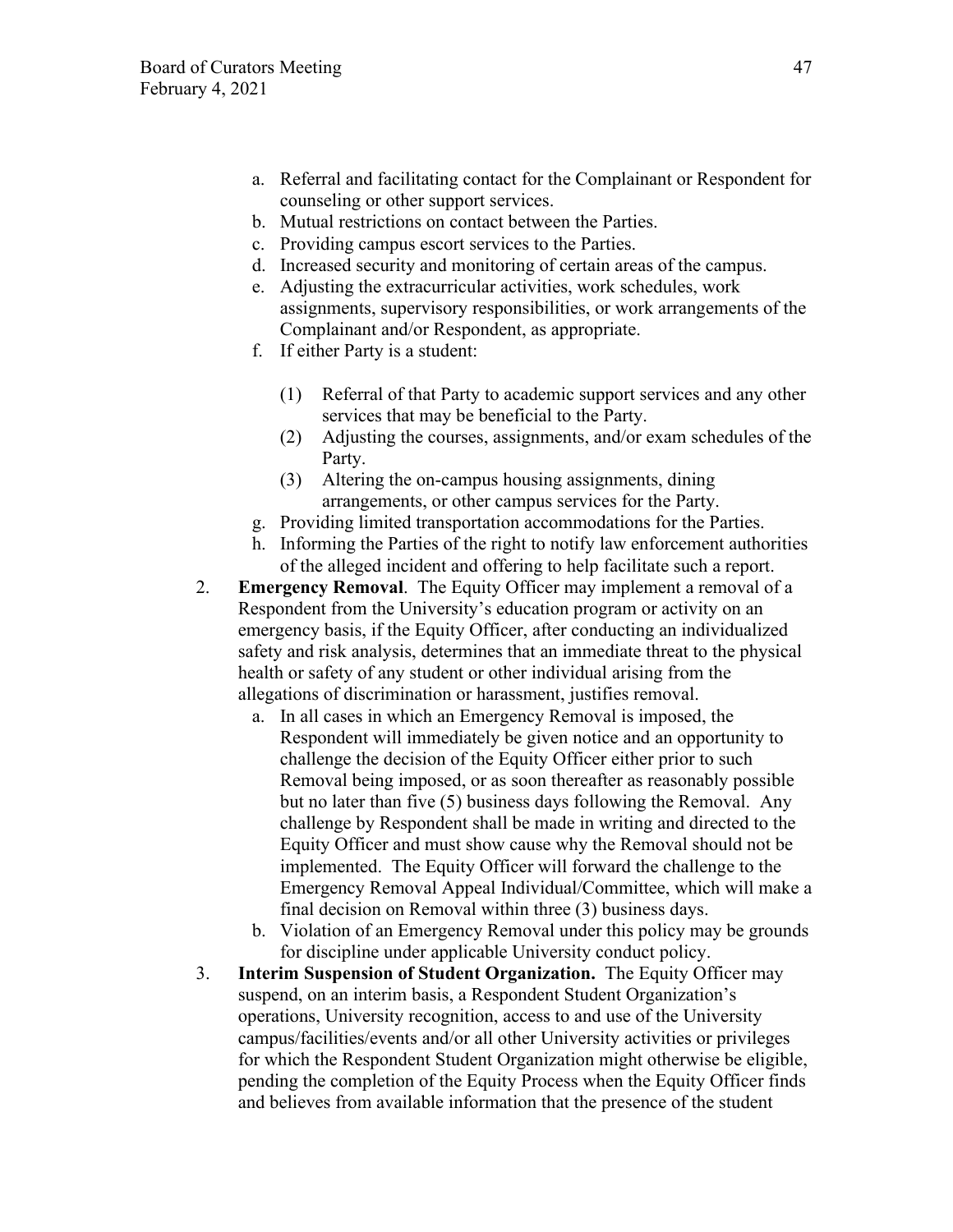- a. Referral and facilitating contact for the Complainant or Respondent for counseling or other support services.
- b. Mutual restrictions on contact between the Parties.
- c. Providing campus escort services to the Parties.
- d. Increased security and monitoring of certain areas of the campus.
- e. Adjusting the extracurricular activities, work schedules, work assignments, supervisory responsibilities, or work arrangements of the Complainant and/or Respondent, as appropriate.
- f. If either Party is a student:
	- (1) Referral of that Party to academic support services and any other services that may be beneficial to the Party.
	- (2) Adjusting the courses, assignments, and/or exam schedules of the Party.
	- (3) Altering the on-campus housing assignments, dining arrangements, or other campus services for the Party.
- g. Providing limited transportation accommodations for the Parties.
- h. Informing the Parties of the right to notify law enforcement authorities of the alleged incident and offering to help facilitate such a report.
- 2. **Emergency Removal**. The Equity Officer may implement a removal of a Respondent from the University's education program or activity on an emergency basis, if the Equity Officer, after conducting an individualized safety and risk analysis, determines that an immediate threat to the physical health or safety of any student or other individual arising from the allegations of discrimination or harassment, justifies removal.
	- a. In all cases in which an Emergency Removal is imposed, the Respondent will immediately be given notice and an opportunity to challenge the decision of the Equity Officer either prior to such Removal being imposed, or as soon thereafter as reasonably possible but no later than five (5) business days following the Removal. Any challenge by Respondent shall be made in writing and directed to the Equity Officer and must show cause why the Removal should not be implemented. The Equity Officer will forward the challenge to the Emergency Removal Appeal Individual/Committee, which will make a final decision on Removal within three (3) business days.
	- b. Violation of an Emergency Removal under this policy may be grounds for discipline under applicable University conduct policy.
- 3. **Interim Suspension of Student Organization.** The Equity Officer may suspend, on an interim basis, a Respondent Student Organization's operations, University recognition, access to and use of the University campus/facilities/events and/or all other University activities or privileges for which the Respondent Student Organization might otherwise be eligible, pending the completion of the Equity Process when the Equity Officer finds and believes from available information that the presence of the student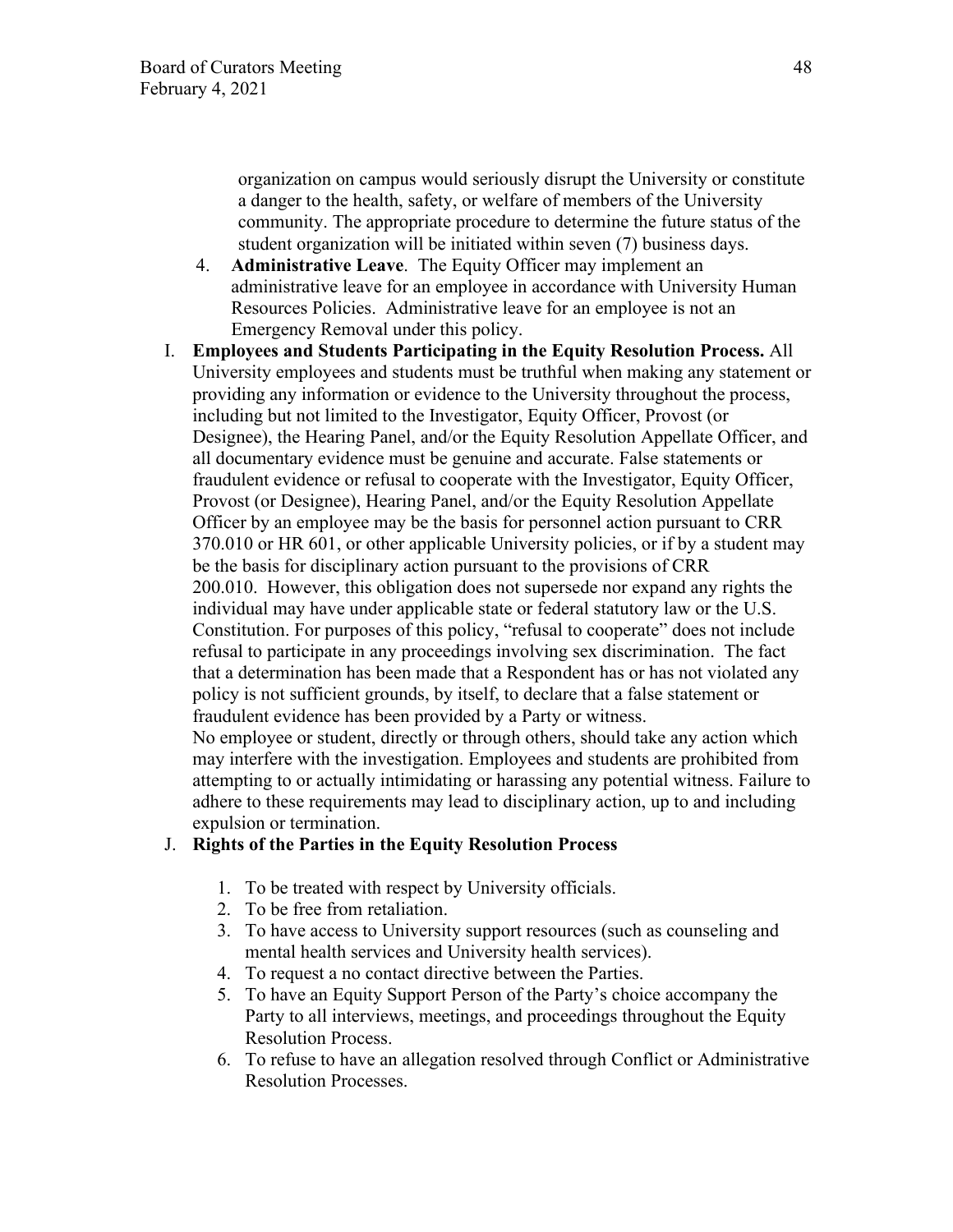organization on campus would seriously disrupt the University or constitute a danger to the health, safety, or welfare of members of the University community. The appropriate procedure to determine the future status of the student organization will be initiated within seven (7) business days.

- 4. **Administrative Leave**. The Equity Officer may implement an administrative leave for an employee in accordance with University Human Resources Policies. Administrative leave for an employee is not an Emergency Removal under this policy.
- I. **Employees and Students Participating in the Equity Resolution Process.** All University employees and students must be truthful when making any statement or providing any information or evidence to the University throughout the process, including but not limited to the Investigator, Equity Officer, Provost (or Designee), the Hearing Panel, and/or the Equity Resolution Appellate Officer, and all documentary evidence must be genuine and accurate. False statements or fraudulent evidence or refusal to cooperate with the Investigator, Equity Officer, Provost (or Designee), Hearing Panel, and/or the Equity Resolution Appellate Officer by an employee may be the basis for personnel action pursuant to CRR 370.010 or HR 601, or other applicable University policies, or if by a student may be the basis for disciplinary action pursuant to the provisions of CRR 200.010. However, this obligation does not supersede nor expand any rights the individual may have under applicable state or federal statutory law or the U.S. Constitution. For purposes of this policy, "refusal to cooperate" does not include refusal to participate in any proceedings involving sex discrimination. The fact that a determination has been made that a Respondent has or has not violated any policy is not sufficient grounds, by itself, to declare that a false statement or fraudulent evidence has been provided by a Party or witness. No employee or student, directly or through others, should take any action which may interfere with the investigation. Employees and students are prohibited from

attempting to or actually intimidating or harassing any potential witness. Failure to adhere to these requirements may lead to disciplinary action, up to and including expulsion or termination.

## J. **Rights of the Parties in the Equity Resolution Process**

- 1. To be treated with respect by University officials.
- 2. To be free from retaliation.
- 3. To have access to University support resources (such as counseling and mental health services and University health services).
- 4. To request a no contact directive between the Parties.
- 5. To have an Equity Support Person of the Party's choice accompany the Party to all interviews, meetings, and proceedings throughout the Equity Resolution Process.
- 6. To refuse to have an allegation resolved through Conflict or Administrative Resolution Processes.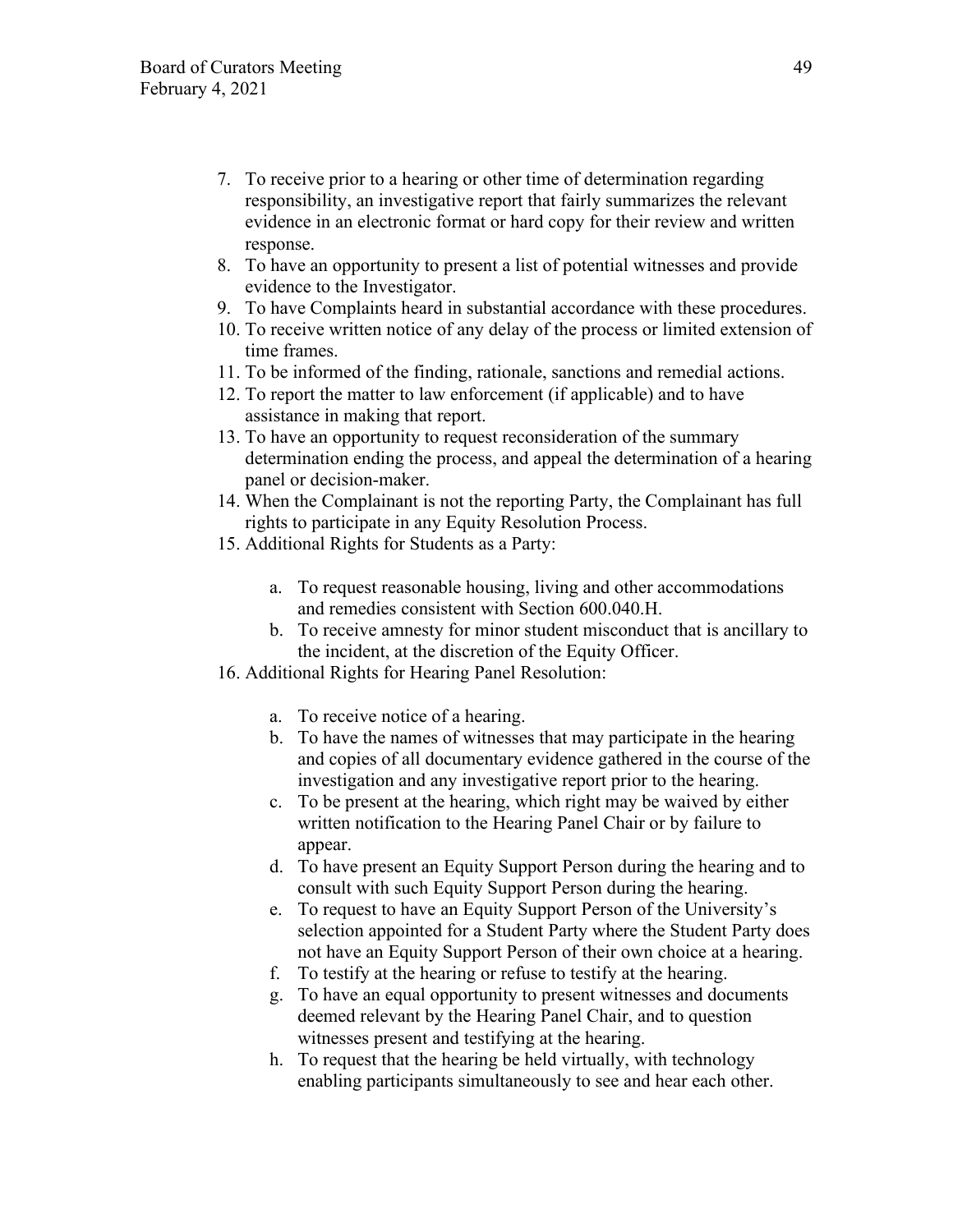- 7. To receive prior to a hearing or other time of determination regarding responsibility, an investigative report that fairly summarizes the relevant evidence in an electronic format or hard copy for their review and written response.
- 8. To have an opportunity to present a list of potential witnesses and provide evidence to the Investigator.
- 9. To have Complaints heard in substantial accordance with these procedures.
- 10. To receive written notice of any delay of the process or limited extension of time frames.
- 11. To be informed of the finding, rationale, sanctions and remedial actions.
- 12. To report the matter to law enforcement (if applicable) and to have assistance in making that report.
- 13. To have an opportunity to request reconsideration of the summary determination ending the process, and appeal the determination of a hearing panel or decision-maker.
- 14. When the Complainant is not the reporting Party, the Complainant has full rights to participate in any Equity Resolution Process.
- 15. Additional Rights for Students as a Party:
	- a. To request reasonable housing, living and other accommodations and remedies consistent with Section 600.040.H.
	- b. To receive amnesty for minor student misconduct that is ancillary to the incident, at the discretion of the Equity Officer.
- 16. Additional Rights for Hearing Panel Resolution:
	- a. To receive notice of a hearing.
	- b. To have the names of witnesses that may participate in the hearing and copies of all documentary evidence gathered in the course of the investigation and any investigative report prior to the hearing.
	- c. To be present at the hearing, which right may be waived by either written notification to the Hearing Panel Chair or by failure to appear.
	- d. To have present an Equity Support Person during the hearing and to consult with such Equity Support Person during the hearing.
	- e. To request to have an Equity Support Person of the University's selection appointed for a Student Party where the Student Party does not have an Equity Support Person of their own choice at a hearing.
	- f. To testify at the hearing or refuse to testify at the hearing.
	- g. To have an equal opportunity to present witnesses and documents deemed relevant by the Hearing Panel Chair, and to question witnesses present and testifying at the hearing.
	- h. To request that the hearing be held virtually, with technology enabling participants simultaneously to see and hear each other.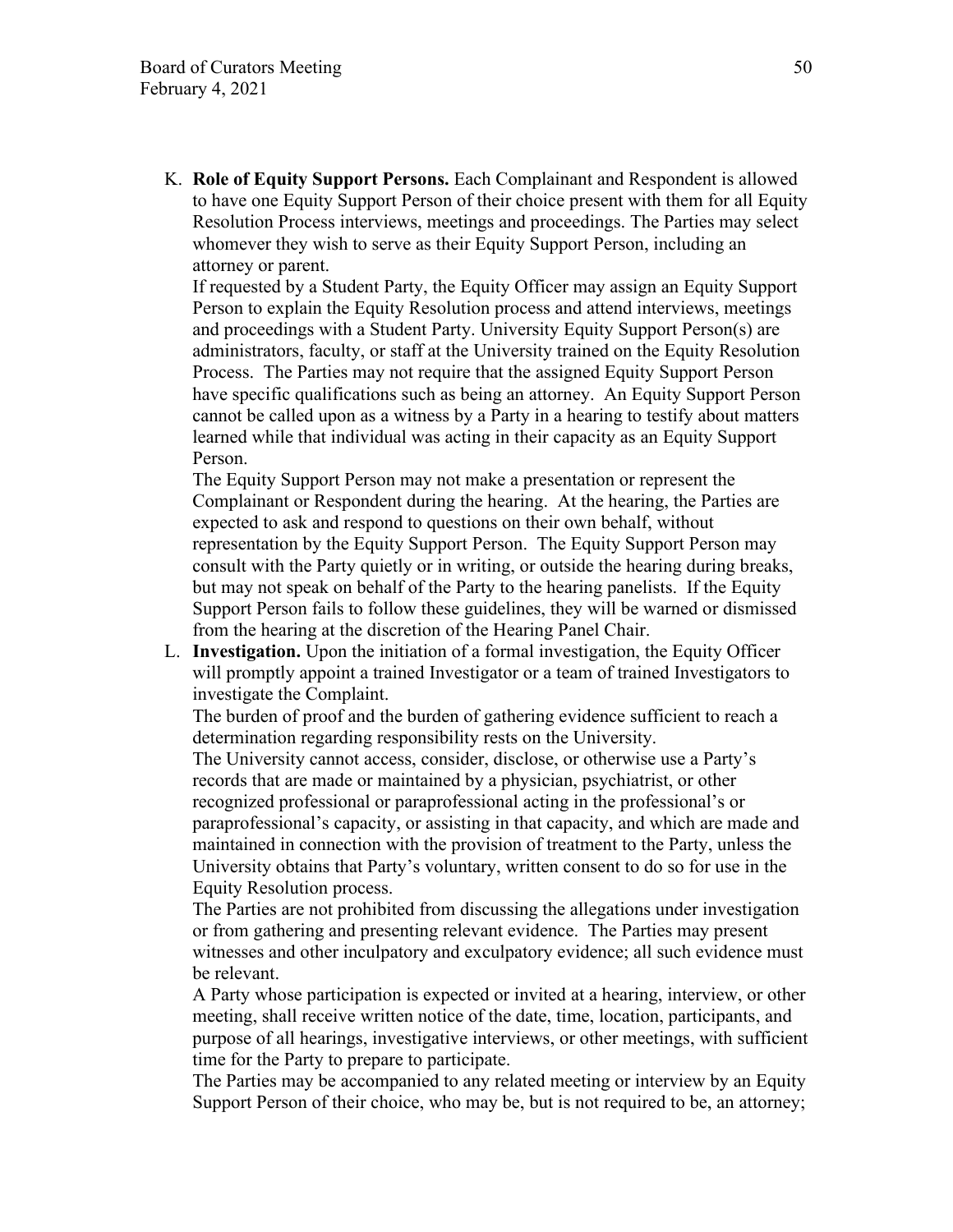K. **Role of Equity Support Persons.** Each Complainant and Respondent is allowed to have one Equity Support Person of their choice present with them for all Equity Resolution Process interviews, meetings and proceedings. The Parties may select whomever they wish to serve as their Equity Support Person, including an attorney or parent.

If requested by a Student Party, the Equity Officer may assign an Equity Support Person to explain the Equity Resolution process and attend interviews, meetings and proceedings with a Student Party. University Equity Support Person(s) are administrators, faculty, or staff at the University trained on the Equity Resolution Process. The Parties may not require that the assigned Equity Support Person have specific qualifications such as being an attorney. An Equity Support Person cannot be called upon as a witness by a Party in a hearing to testify about matters learned while that individual was acting in their capacity as an Equity Support Person.

The Equity Support Person may not make a presentation or represent the Complainant or Respondent during the hearing. At the hearing, the Parties are expected to ask and respond to questions on their own behalf, without representation by the Equity Support Person. The Equity Support Person may consult with the Party quietly or in writing, or outside the hearing during breaks, but may not speak on behalf of the Party to the hearing panelists. If the Equity Support Person fails to follow these guidelines, they will be warned or dismissed from the hearing at the discretion of the Hearing Panel Chair.

L. **Investigation.** Upon the initiation of a formal investigation, the Equity Officer will promptly appoint a trained Investigator or a team of trained Investigators to investigate the Complaint.

The burden of proof and the burden of gathering evidence sufficient to reach a determination regarding responsibility rests on the University.

The University cannot access, consider, disclose, or otherwise use a Party's records that are made or maintained by a physician, psychiatrist, or other recognized professional or paraprofessional acting in the professional's or paraprofessional's capacity, or assisting in that capacity, and which are made and maintained in connection with the provision of treatment to the Party, unless the University obtains that Party's voluntary, written consent to do so for use in the Equity Resolution process.

The Parties are not prohibited from discussing the allegations under investigation or from gathering and presenting relevant evidence. The Parties may present witnesses and other inculpatory and exculpatory evidence; all such evidence must be relevant.

A Party whose participation is expected or invited at a hearing, interview, or other meeting, shall receive written notice of the date, time, location, participants, and purpose of all hearings, investigative interviews, or other meetings, with sufficient time for the Party to prepare to participate.

The Parties may be accompanied to any related meeting or interview by an Equity Support Person of their choice, who may be, but is not required to be, an attorney;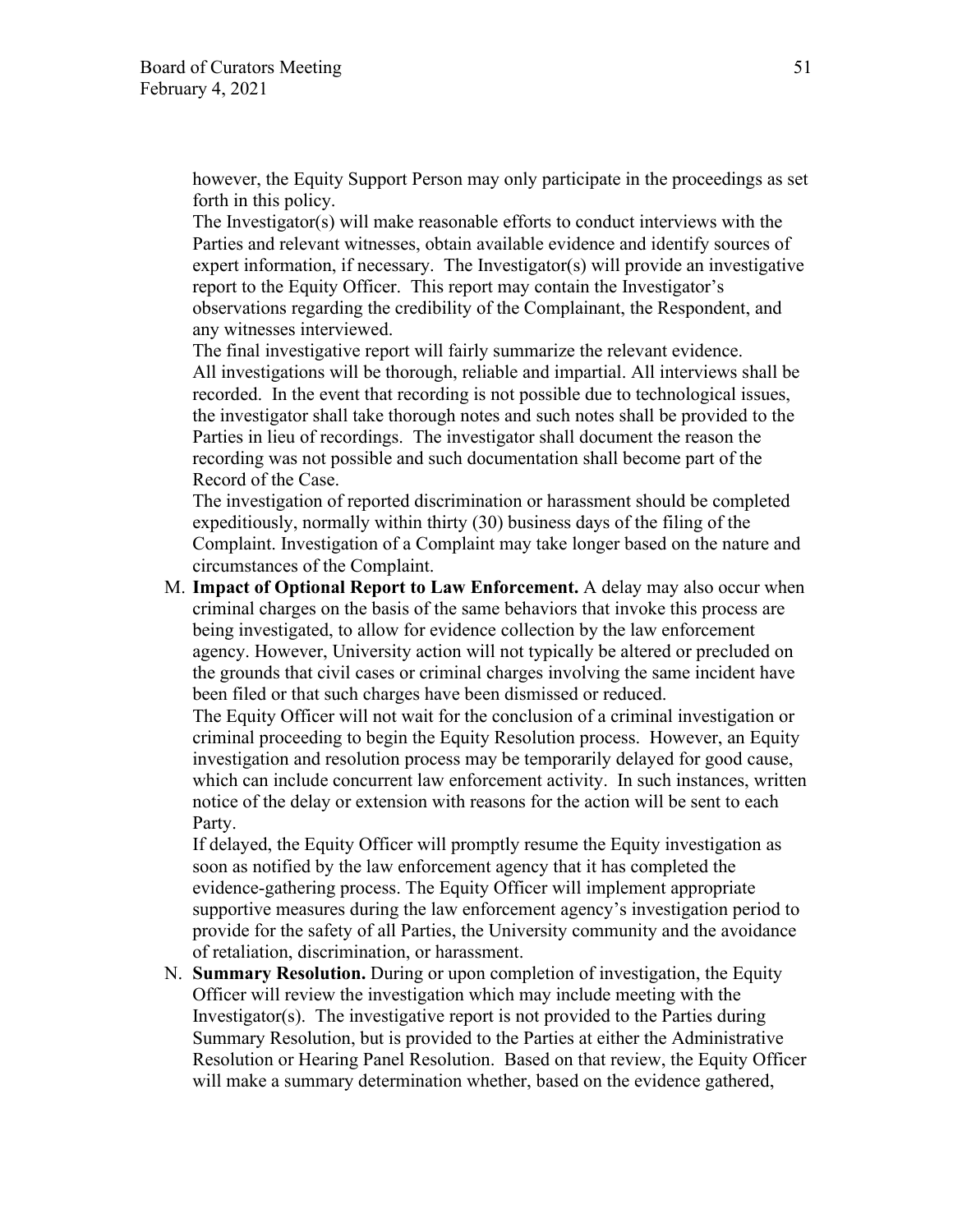however, the Equity Support Person may only participate in the proceedings as set forth in this policy.

The Investigator(s) will make reasonable efforts to conduct interviews with the Parties and relevant witnesses, obtain available evidence and identify sources of expert information, if necessary. The Investigator(s) will provide an investigative report to the Equity Officer. This report may contain the Investigator's observations regarding the credibility of the Complainant, the Respondent, and any witnesses interviewed.

The final investigative report will fairly summarize the relevant evidence. All investigations will be thorough, reliable and impartial. All interviews shall be recorded. In the event that recording is not possible due to technological issues, the investigator shall take thorough notes and such notes shall be provided to the Parties in lieu of recordings. The investigator shall document the reason the recording was not possible and such documentation shall become part of the Record of the Case.

The investigation of reported discrimination or harassment should be completed expeditiously, normally within thirty (30) business days of the filing of the Complaint. Investigation of a Complaint may take longer based on the nature and circumstances of the Complaint.

M. **Impact of Optional Report to Law Enforcement.** A delay may also occur when criminal charges on the basis of the same behaviors that invoke this process are being investigated, to allow for evidence collection by the law enforcement agency. However, University action will not typically be altered or precluded on the grounds that civil cases or criminal charges involving the same incident have been filed or that such charges have been dismissed or reduced.

The Equity Officer will not wait for the conclusion of a criminal investigation or criminal proceeding to begin the Equity Resolution process. However, an Equity investigation and resolution process may be temporarily delayed for good cause, which can include concurrent law enforcement activity. In such instances, written notice of the delay or extension with reasons for the action will be sent to each Party.

If delayed, the Equity Officer will promptly resume the Equity investigation as soon as notified by the law enforcement agency that it has completed the evidence-gathering process. The Equity Officer will implement appropriate supportive measures during the law enforcement agency's investigation period to provide for the safety of all Parties, the University community and the avoidance of retaliation, discrimination, or harassment.

N. **Summary Resolution.** During or upon completion of investigation, the Equity Officer will review the investigation which may include meeting with the Investigator(s). The investigative report is not provided to the Parties during Summary Resolution, but is provided to the Parties at either the Administrative Resolution or Hearing Panel Resolution. Based on that review, the Equity Officer will make a summary determination whether, based on the evidence gathered,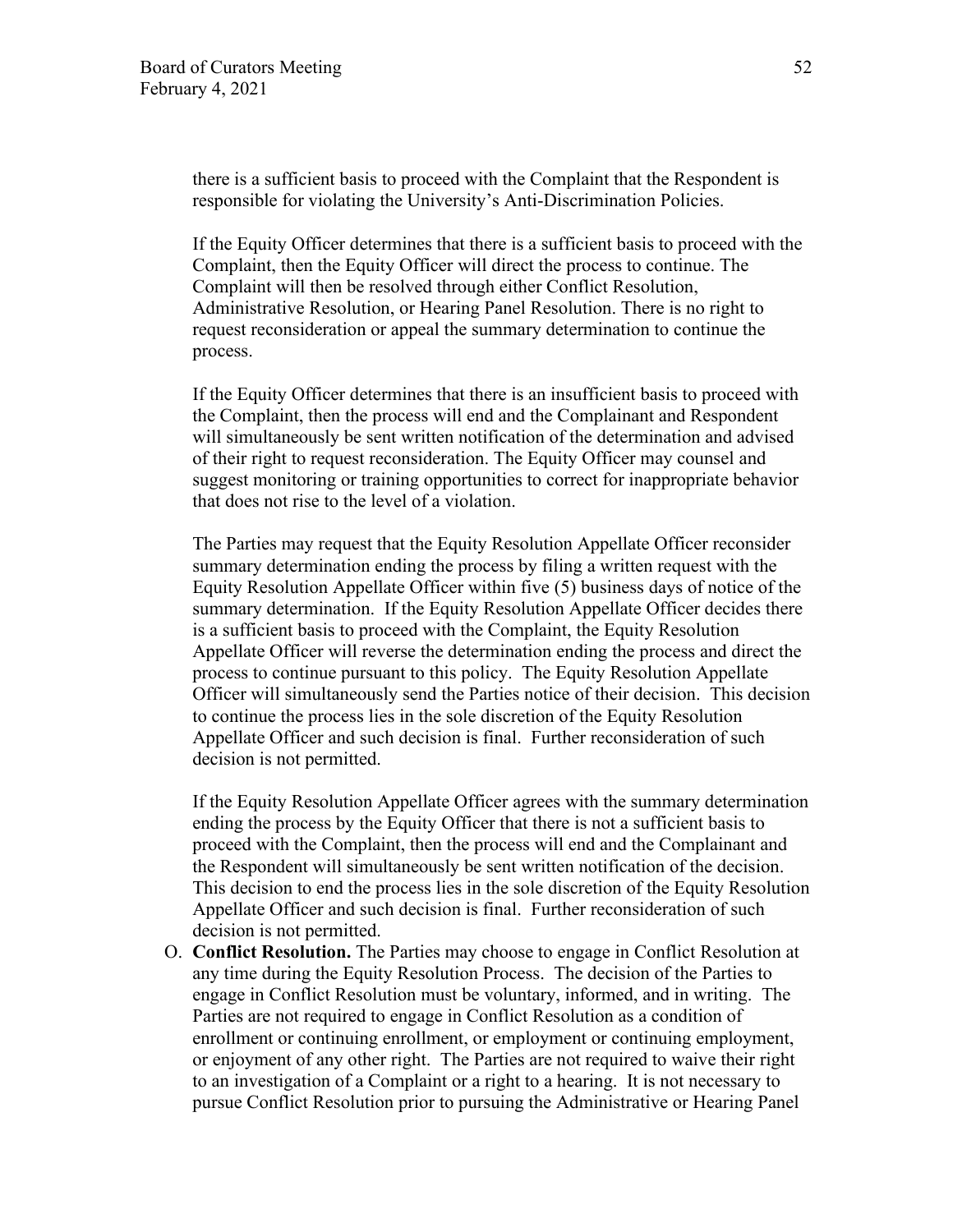there is a sufficient basis to proceed with the Complaint that the Respondent is responsible for violating the University's Anti-Discrimination Policies.

If the Equity Officer determines that there is a sufficient basis to proceed with the Complaint, then the Equity Officer will direct the process to continue. The Complaint will then be resolved through either Conflict Resolution, Administrative Resolution, or Hearing Panel Resolution. There is no right to request reconsideration or appeal the summary determination to continue the process.

If the Equity Officer determines that there is an insufficient basis to proceed with the Complaint, then the process will end and the Complainant and Respondent will simultaneously be sent written notification of the determination and advised of their right to request reconsideration. The Equity Officer may counsel and suggest monitoring or training opportunities to correct for inappropriate behavior that does not rise to the level of a violation.

The Parties may request that the Equity Resolution Appellate Officer reconsider summary determination ending the process by filing a written request with the Equity Resolution Appellate Officer within five (5) business days of notice of the summary determination. If the Equity Resolution Appellate Officer decides there is a sufficient basis to proceed with the Complaint, the Equity Resolution Appellate Officer will reverse the determination ending the process and direct the process to continue pursuant to this policy. The Equity Resolution Appellate Officer will simultaneously send the Parties notice of their decision. This decision to continue the process lies in the sole discretion of the Equity Resolution Appellate Officer and such decision is final. Further reconsideration of such decision is not permitted.

If the Equity Resolution Appellate Officer agrees with the summary determination ending the process by the Equity Officer that there is not a sufficient basis to proceed with the Complaint, then the process will end and the Complainant and the Respondent will simultaneously be sent written notification of the decision. This decision to end the process lies in the sole discretion of the Equity Resolution Appellate Officer and such decision is final. Further reconsideration of such decision is not permitted.

O. **Conflict Resolution.** The Parties may choose to engage in Conflict Resolution at any time during the Equity Resolution Process. The decision of the Parties to engage in Conflict Resolution must be voluntary, informed, and in writing. The Parties are not required to engage in Conflict Resolution as a condition of enrollment or continuing enrollment, or employment or continuing employment, or enjoyment of any other right. The Parties are not required to waive their right to an investigation of a Complaint or a right to a hearing. It is not necessary to pursue Conflict Resolution prior to pursuing the Administrative or Hearing Panel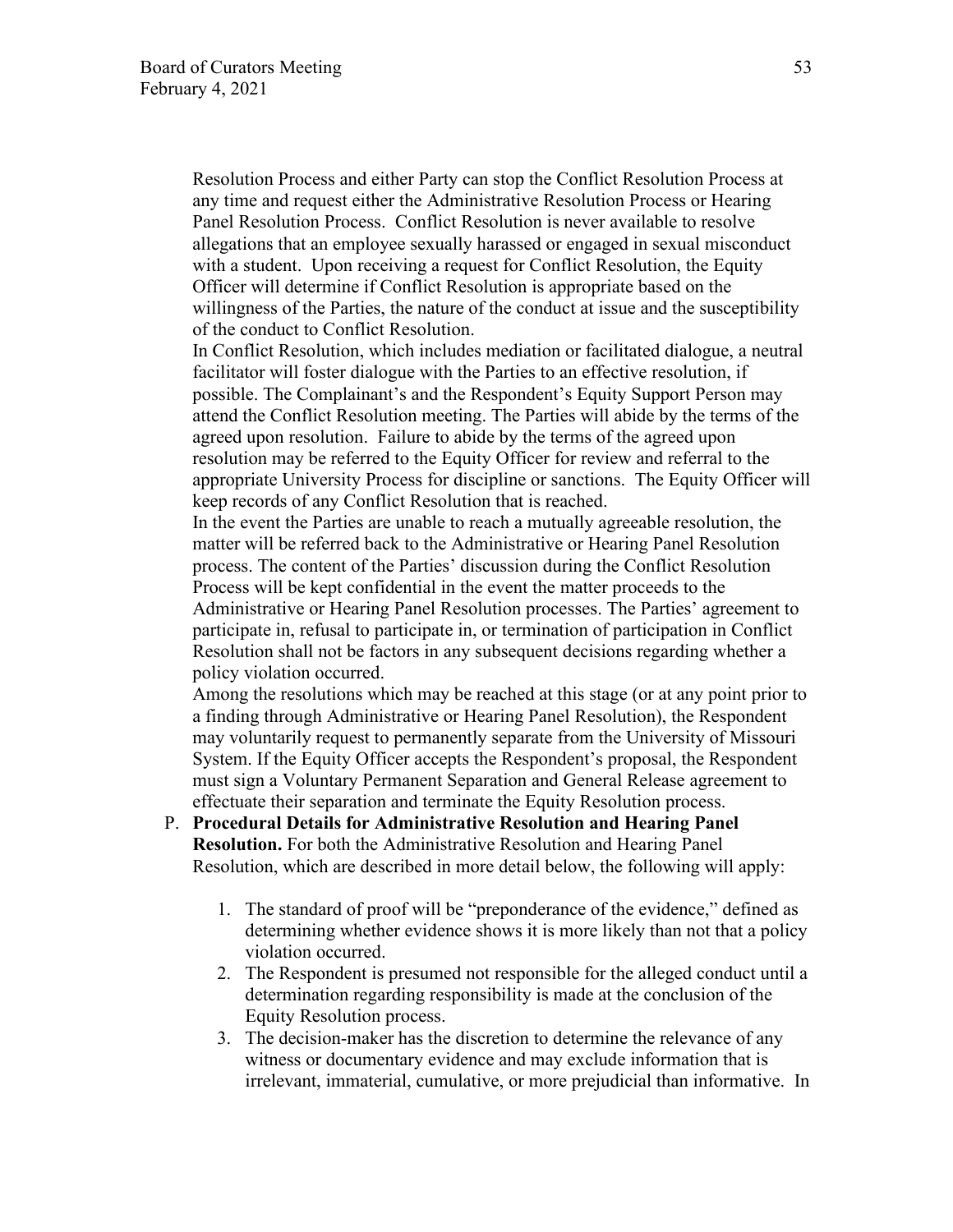Resolution Process and either Party can stop the Conflict Resolution Process at any time and request either the Administrative Resolution Process or Hearing Panel Resolution Process. Conflict Resolution is never available to resolve allegations that an employee sexually harassed or engaged in sexual misconduct with a student. Upon receiving a request for Conflict Resolution, the Equity Officer will determine if Conflict Resolution is appropriate based on the willingness of the Parties, the nature of the conduct at issue and the susceptibility of the conduct to Conflict Resolution.

In Conflict Resolution, which includes mediation or facilitated dialogue, a neutral facilitator will foster dialogue with the Parties to an effective resolution, if possible. The Complainant's and the Respondent's Equity Support Person may attend the Conflict Resolution meeting. The Parties will abide by the terms of the agreed upon resolution. Failure to abide by the terms of the agreed upon resolution may be referred to the Equity Officer for review and referral to the appropriate University Process for discipline or sanctions. The Equity Officer will keep records of any Conflict Resolution that is reached.

In the event the Parties are unable to reach a mutually agreeable resolution, the matter will be referred back to the Administrative or Hearing Panel Resolution process. The content of the Parties' discussion during the Conflict Resolution Process will be kept confidential in the event the matter proceeds to the Administrative or Hearing Panel Resolution processes. The Parties' agreement to participate in, refusal to participate in, or termination of participation in Conflict Resolution shall not be factors in any subsequent decisions regarding whether a policy violation occurred.

Among the resolutions which may be reached at this stage (or at any point prior to a finding through Administrative or Hearing Panel Resolution), the Respondent may voluntarily request to permanently separate from the University of Missouri System. If the Equity Officer accepts the Respondent's proposal, the Respondent must sign a Voluntary Permanent Separation and General Release agreement to effectuate their separation and terminate the Equity Resolution process.

- P. **Procedural Details for Administrative Resolution and Hearing Panel Resolution.** For both the Administrative Resolution and Hearing Panel Resolution, which are described in more detail below, the following will apply:
	- 1. The standard of proof will be "preponderance of the evidence," defined as determining whether evidence shows it is more likely than not that a policy violation occurred.
	- 2. The Respondent is presumed not responsible for the alleged conduct until a determination regarding responsibility is made at the conclusion of the Equity Resolution process.
	- 3. The decision-maker has the discretion to determine the relevance of any witness or documentary evidence and may exclude information that is irrelevant, immaterial, cumulative, or more prejudicial than informative. In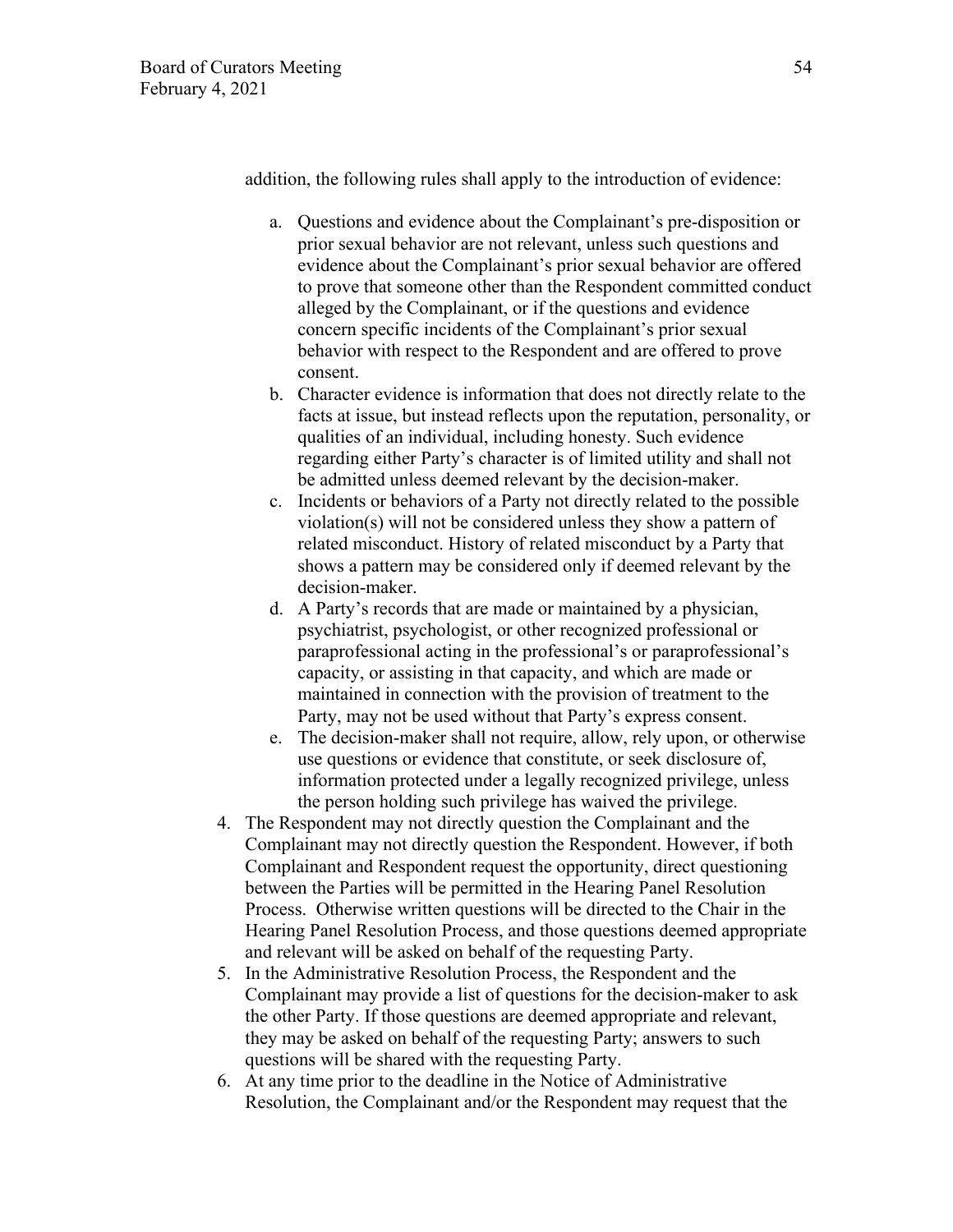addition, the following rules shall apply to the introduction of evidence:

- a. Questions and evidence about the Complainant's pre-disposition or prior sexual behavior are not relevant, unless such questions and evidence about the Complainant's prior sexual behavior are offered to prove that someone other than the Respondent committed conduct alleged by the Complainant, or if the questions and evidence concern specific incidents of the Complainant's prior sexual behavior with respect to the Respondent and are offered to prove consent.
- b. Character evidence is information that does not directly relate to the facts at issue, but instead reflects upon the reputation, personality, or qualities of an individual, including honesty. Such evidence regarding either Party's character is of limited utility and shall not be admitted unless deemed relevant by the decision-maker.
- c. Incidents or behaviors of a Party not directly related to the possible violation(s) will not be considered unless they show a pattern of related misconduct. History of related misconduct by a Party that shows a pattern may be considered only if deemed relevant by the decision-maker.
- d. A Party's records that are made or maintained by a physician, psychiatrist, psychologist, or other recognized professional or paraprofessional acting in the professional's or paraprofessional's capacity, or assisting in that capacity, and which are made or maintained in connection with the provision of treatment to the Party, may not be used without that Party's express consent.
- e. The decision-maker shall not require, allow, rely upon, or otherwise use questions or evidence that constitute, or seek disclosure of, information protected under a legally recognized privilege, unless the person holding such privilege has waived the privilege.
- 4. The Respondent may not directly question the Complainant and the Complainant may not directly question the Respondent. However, if both Complainant and Respondent request the opportunity, direct questioning between the Parties will be permitted in the Hearing Panel Resolution Process. Otherwise written questions will be directed to the Chair in the Hearing Panel Resolution Process, and those questions deemed appropriate and relevant will be asked on behalf of the requesting Party.
- 5. In the Administrative Resolution Process, the Respondent and the Complainant may provide a list of questions for the decision-maker to ask the other Party. If those questions are deemed appropriate and relevant, they may be asked on behalf of the requesting Party; answers to such questions will be shared with the requesting Party.
- 6. At any time prior to the deadline in the Notice of Administrative Resolution, the Complainant and/or the Respondent may request that the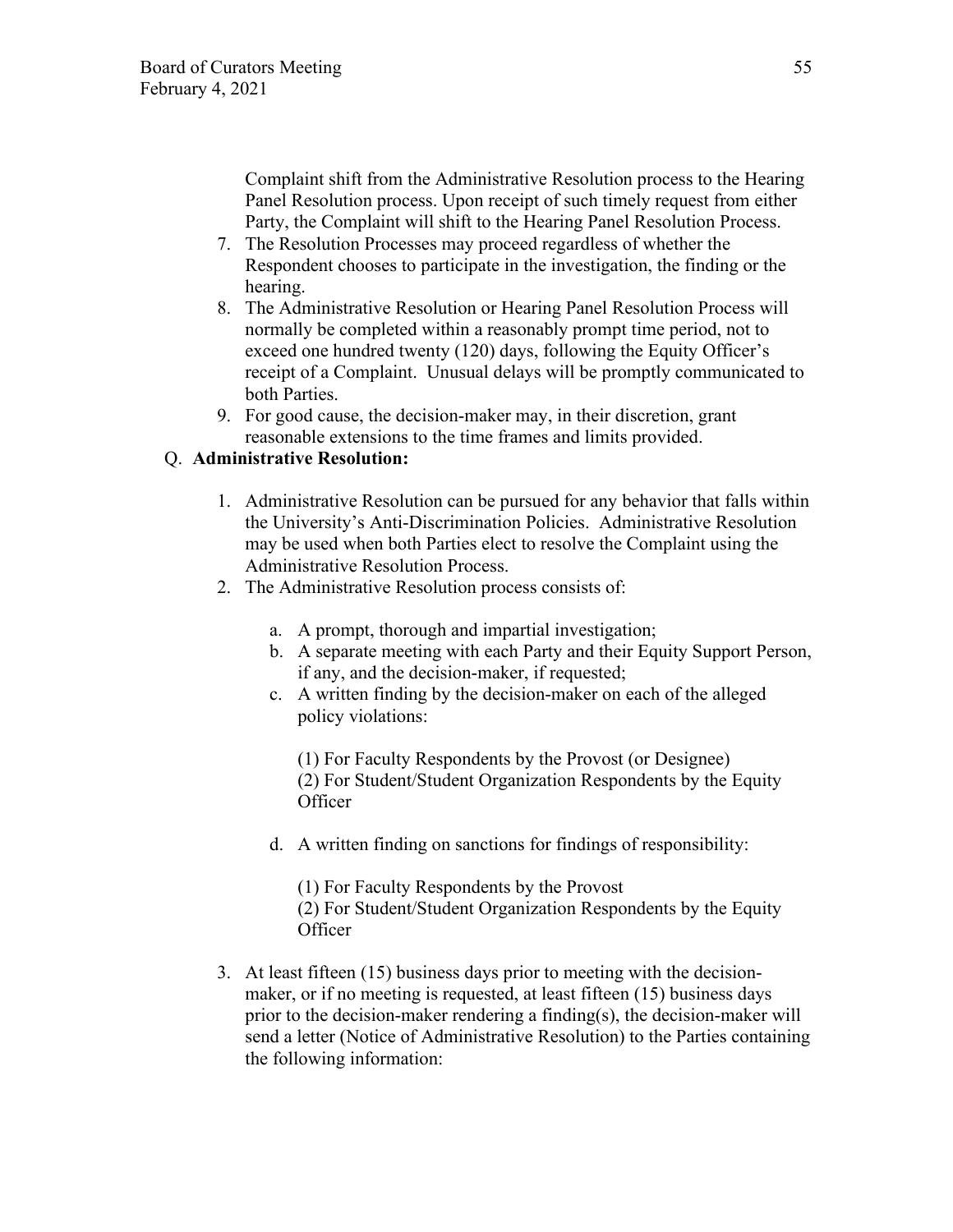Complaint shift from the Administrative Resolution process to the Hearing Panel Resolution process. Upon receipt of such timely request from either Party, the Complaint will shift to the Hearing Panel Resolution Process.

- 7. The Resolution Processes may proceed regardless of whether the Respondent chooses to participate in the investigation, the finding or the hearing.
- 8. The Administrative Resolution or Hearing Panel Resolution Process will normally be completed within a reasonably prompt time period, not to exceed one hundred twenty (120) days, following the Equity Officer's receipt of a Complaint. Unusual delays will be promptly communicated to both Parties.
- 9. For good cause, the decision-maker may, in their discretion, grant reasonable extensions to the time frames and limits provided.

### Q. **Administrative Resolution:**

- 1. Administrative Resolution can be pursued for any behavior that falls within the University's Anti-Discrimination Policies. Administrative Resolution may be used when both Parties elect to resolve the Complaint using the Administrative Resolution Process.
- 2. The Administrative Resolution process consists of:
	- a. A prompt, thorough and impartial investigation;
	- b. A separate meeting with each Party and their Equity Support Person, if any, and the decision-maker, if requested;
	- c. A written finding by the decision-maker on each of the alleged policy violations:

(1) For Faculty Respondents by the Provost (or Designee) (2) For Student/Student Organization Respondents by the Equity **Officer** 

d. A written finding on sanctions for findings of responsibility:

(1) For Faculty Respondents by the Provost (2) For Student/Student Organization Respondents by the Equity **Officer** 

3. At least fifteen (15) business days prior to meeting with the decisionmaker, or if no meeting is requested, at least fifteen (15) business days prior to the decision-maker rendering a finding(s), the decision-maker will send a letter (Notice of Administrative Resolution) to the Parties containing the following information: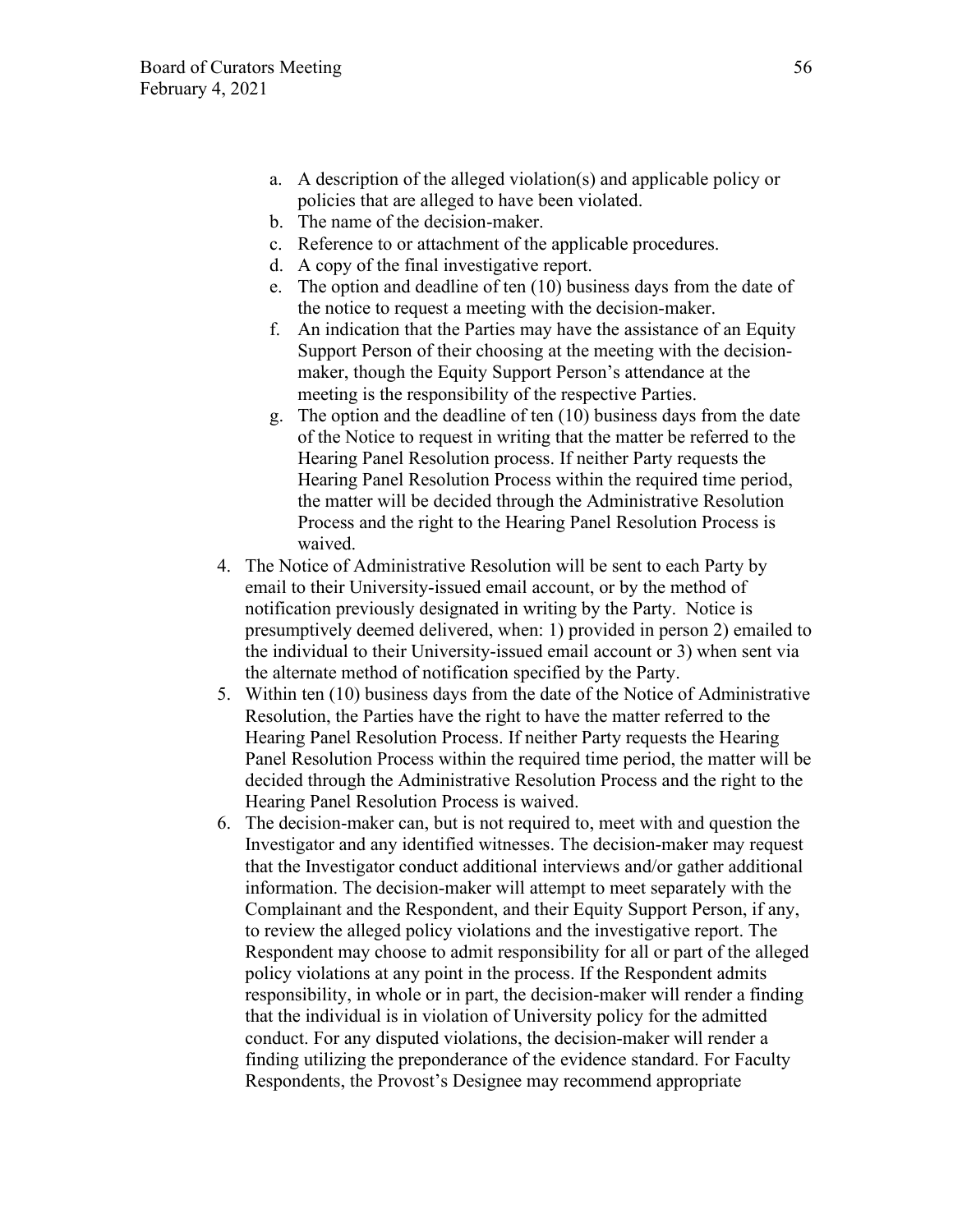- a. A description of the alleged violation(s) and applicable policy or policies that are alleged to have been violated.
- b. The name of the decision-maker.
- c. Reference to or attachment of the applicable procedures.
- d. A copy of the final investigative report.
- e. The option and deadline of ten (10) business days from the date of the notice to request a meeting with the decision-maker.
- f. An indication that the Parties may have the assistance of an Equity Support Person of their choosing at the meeting with the decisionmaker, though the Equity Support Person's attendance at the meeting is the responsibility of the respective Parties.
- g. The option and the deadline of ten (10) business days from the date of the Notice to request in writing that the matter be referred to the Hearing Panel Resolution process. If neither Party requests the Hearing Panel Resolution Process within the required time period, the matter will be decided through the Administrative Resolution Process and the right to the Hearing Panel Resolution Process is waived.
- 4. The Notice of Administrative Resolution will be sent to each Party by email to their University-issued email account, or by the method of notification previously designated in writing by the Party. Notice is presumptively deemed delivered, when: 1) provided in person 2) emailed to the individual to their University-issued email account or 3) when sent via the alternate method of notification specified by the Party.
- 5. Within ten (10) business days from the date of the Notice of Administrative Resolution, the Parties have the right to have the matter referred to the Hearing Panel Resolution Process. If neither Party requests the Hearing Panel Resolution Process within the required time period, the matter will be decided through the Administrative Resolution Process and the right to the Hearing Panel Resolution Process is waived.
- 6. The decision-maker can, but is not required to, meet with and question the Investigator and any identified witnesses. The decision-maker may request that the Investigator conduct additional interviews and/or gather additional information. The decision-maker will attempt to meet separately with the Complainant and the Respondent, and their Equity Support Person, if any, to review the alleged policy violations and the investigative report. The Respondent may choose to admit responsibility for all or part of the alleged policy violations at any point in the process. If the Respondent admits responsibility, in whole or in part, the decision-maker will render a finding that the individual is in violation of University policy for the admitted conduct. For any disputed violations, the decision-maker will render a finding utilizing the preponderance of the evidence standard. For Faculty Respondents, the Provost's Designee may recommend appropriate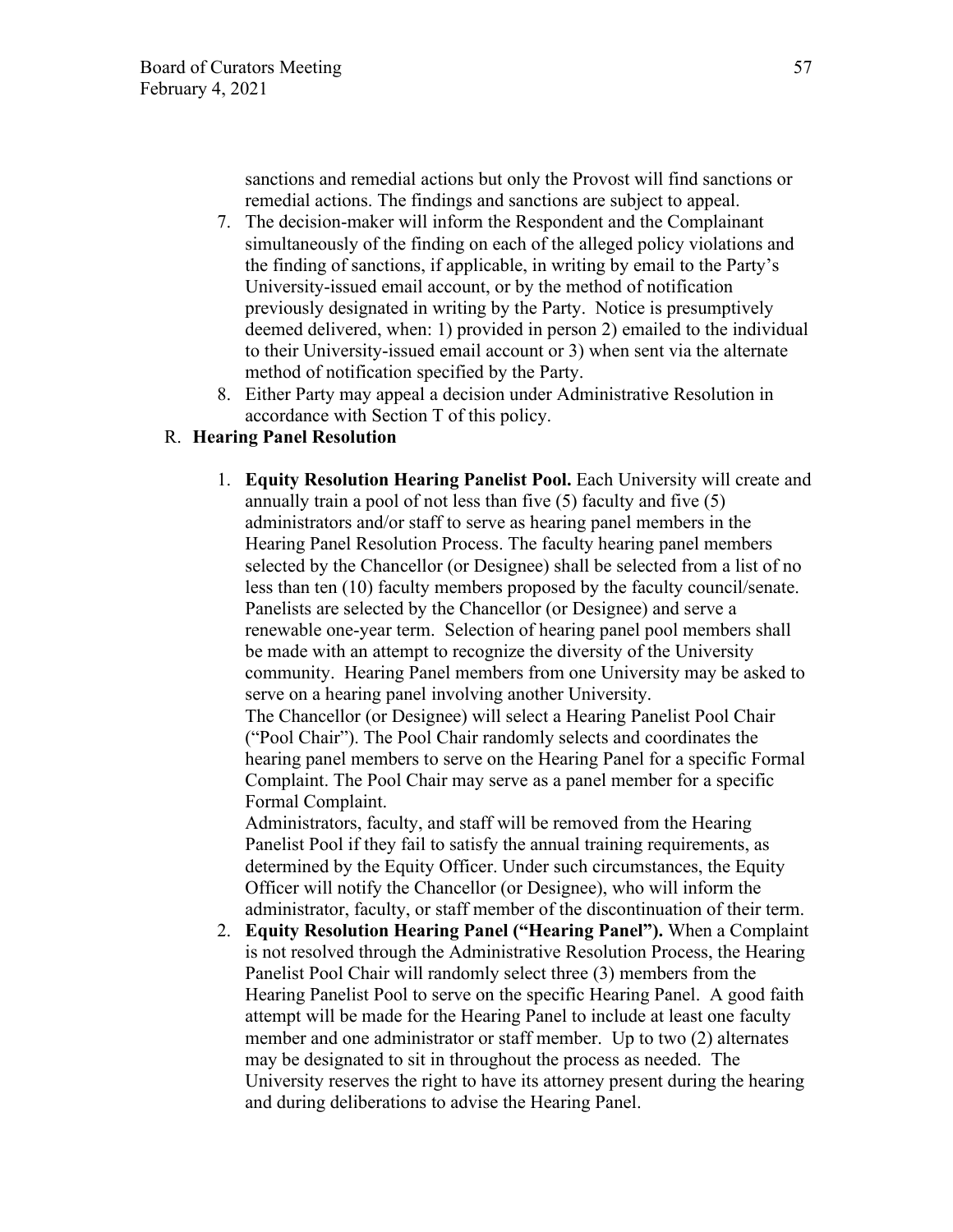sanctions and remedial actions but only the Provost will find sanctions or remedial actions. The findings and sanctions are subject to appeal.

- 7. The decision-maker will inform the Respondent and the Complainant simultaneously of the finding on each of the alleged policy violations and the finding of sanctions, if applicable, in writing by email to the Party's University-issued email account, or by the method of notification previously designated in writing by the Party. Notice is presumptively deemed delivered, when: 1) provided in person 2) emailed to the individual to their University-issued email account or 3) when sent via the alternate method of notification specified by the Party.
- 8. Either Party may appeal a decision under Administrative Resolution in accordance with Section T of this policy.

# R. **Hearing Panel Resolution**

1. **Equity Resolution Hearing Panelist Pool.** Each University will create and annually train a pool of not less than five (5) faculty and five (5) administrators and/or staff to serve as hearing panel members in the Hearing Panel Resolution Process. The faculty hearing panel members selected by the Chancellor (or Designee) shall be selected from a list of no less than ten (10) faculty members proposed by the faculty council/senate. Panelists are selected by the Chancellor (or Designee) and serve a renewable one-year term. Selection of hearing panel pool members shall be made with an attempt to recognize the diversity of the University community. Hearing Panel members from one University may be asked to serve on a hearing panel involving another University. The Chancellor (or Designee) will select a Hearing Panelist Pool Chair

("Pool Chair"). The Pool Chair randomly selects and coordinates the hearing panel members to serve on the Hearing Panel for a specific Formal Complaint. The Pool Chair may serve as a panel member for a specific Formal Complaint.

Administrators, faculty, and staff will be removed from the Hearing Panelist Pool if they fail to satisfy the annual training requirements, as determined by the Equity Officer. Under such circumstances, the Equity Officer will notify the Chancellor (or Designee), who will inform the administrator, faculty, or staff member of the discontinuation of their term.

2. **Equity Resolution Hearing Panel ("Hearing Panel").** When a Complaint is not resolved through the Administrative Resolution Process, the Hearing Panelist Pool Chair will randomly select three (3) members from the Hearing Panelist Pool to serve on the specific Hearing Panel. A good faith attempt will be made for the Hearing Panel to include at least one faculty member and one administrator or staff member. Up to two (2) alternates may be designated to sit in throughout the process as needed. The University reserves the right to have its attorney present during the hearing and during deliberations to advise the Hearing Panel.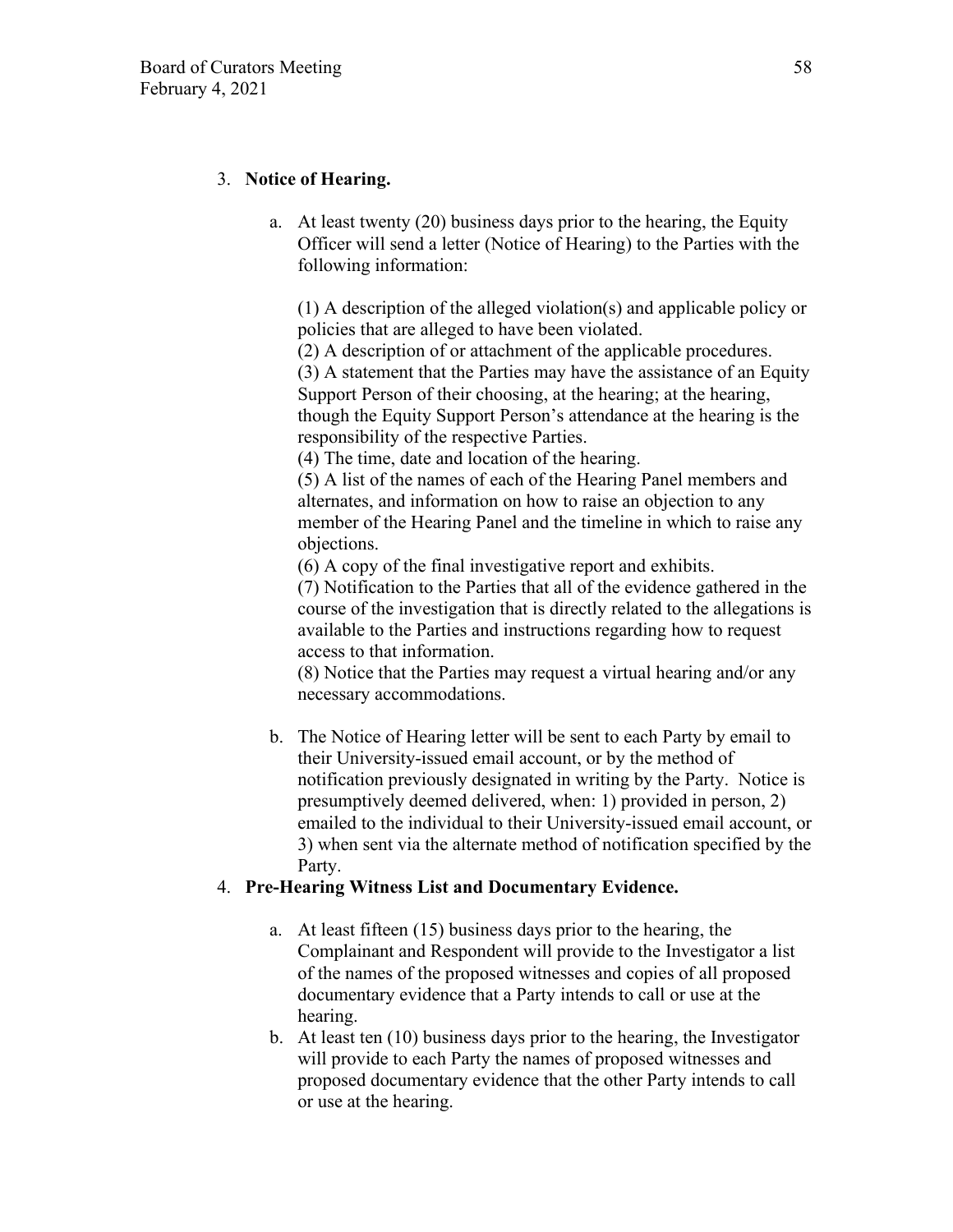# 3. **Notice of Hearing.**

a. At least twenty (20) business days prior to the hearing, the Equity Officer will send a letter (Notice of Hearing) to the Parties with the following information:

(1) A description of the alleged violation(s) and applicable policy or policies that are alleged to have been violated.

(2) A description of or attachment of the applicable procedures. (3) A statement that the Parties may have the assistance of an Equity Support Person of their choosing, at the hearing; at the hearing, though the Equity Support Person's attendance at the hearing is the responsibility of the respective Parties.

(4) The time, date and location of the hearing.

(5) A list of the names of each of the Hearing Panel members and alternates, and information on how to raise an objection to any member of the Hearing Panel and the timeline in which to raise any objections.

(6) A copy of the final investigative report and exhibits.

(7) Notification to the Parties that all of the evidence gathered in the course of the investigation that is directly related to the allegations is available to the Parties and instructions regarding how to request access to that information.

(8) Notice that the Parties may request a virtual hearing and/or any necessary accommodations.

b. The Notice of Hearing letter will be sent to each Party by email to their University-issued email account, or by the method of notification previously designated in writing by the Party. Notice is presumptively deemed delivered, when: 1) provided in person, 2) emailed to the individual to their University-issued email account, or 3) when sent via the alternate method of notification specified by the Party.

## 4. **Pre-Hearing Witness List and Documentary Evidence.**

- a. At least fifteen (15) business days prior to the hearing, the Complainant and Respondent will provide to the Investigator a list of the names of the proposed witnesses and copies of all proposed documentary evidence that a Party intends to call or use at the hearing.
- b. At least ten (10) business days prior to the hearing, the Investigator will provide to each Party the names of proposed witnesses and proposed documentary evidence that the other Party intends to call or use at the hearing.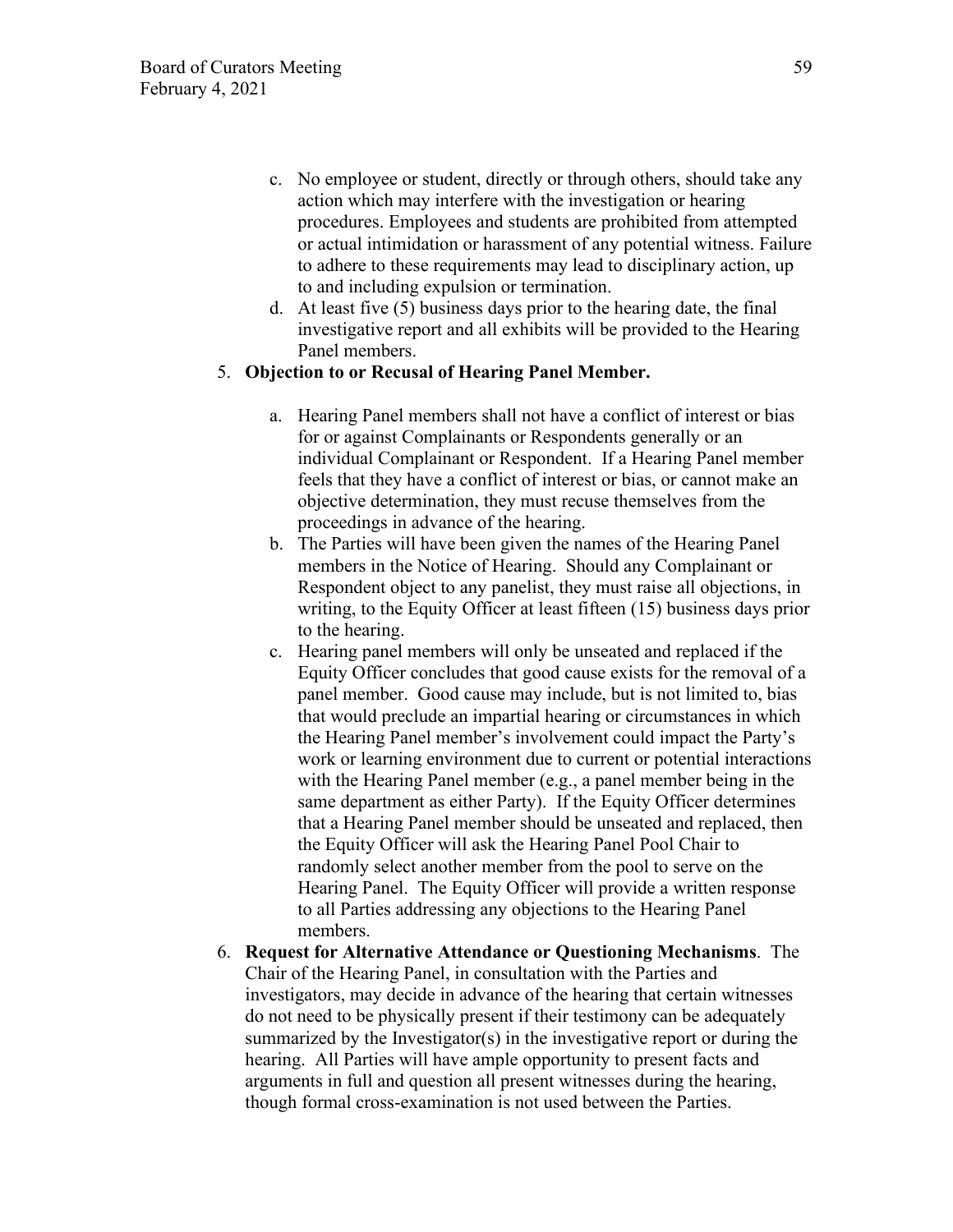- c. No employee or student, directly or through others, should take any action which may interfere with the investigation or hearing procedures. Employees and students are prohibited from attempted or actual intimidation or harassment of any potential witness. Failure to adhere to these requirements may lead to disciplinary action, up to and including expulsion or termination.
- d. At least five (5) business days prior to the hearing date, the final investigative report and all exhibits will be provided to the Hearing Panel members.

### 5. **Objection to or Recusal of Hearing Panel Member.**

- a. Hearing Panel members shall not have a conflict of interest or bias for or against Complainants or Respondents generally or an individual Complainant or Respondent. If a Hearing Panel member feels that they have a conflict of interest or bias, or cannot make an objective determination, they must recuse themselves from the proceedings in advance of the hearing.
- b. The Parties will have been given the names of the Hearing Panel members in the Notice of Hearing. Should any Complainant or Respondent object to any panelist, they must raise all objections, in writing, to the Equity Officer at least fifteen (15) business days prior to the hearing.
- c. Hearing panel members will only be unseated and replaced if the Equity Officer concludes that good cause exists for the removal of a panel member. Good cause may include, but is not limited to, bias that would preclude an impartial hearing or circumstances in which the Hearing Panel member's involvement could impact the Party's work or learning environment due to current or potential interactions with the Hearing Panel member (e.g., a panel member being in the same department as either Party). If the Equity Officer determines that a Hearing Panel member should be unseated and replaced, then the Equity Officer will ask the Hearing Panel Pool Chair to randomly select another member from the pool to serve on the Hearing Panel. The Equity Officer will provide a written response to all Parties addressing any objections to the Hearing Panel members.
- 6. **Request for Alternative Attendance or Questioning Mechanisms**. The Chair of the Hearing Panel, in consultation with the Parties and investigators, may decide in advance of the hearing that certain witnesses do not need to be physically present if their testimony can be adequately summarized by the Investigator(s) in the investigative report or during the hearing. All Parties will have ample opportunity to present facts and arguments in full and question all present witnesses during the hearing, though formal cross-examination is not used between the Parties.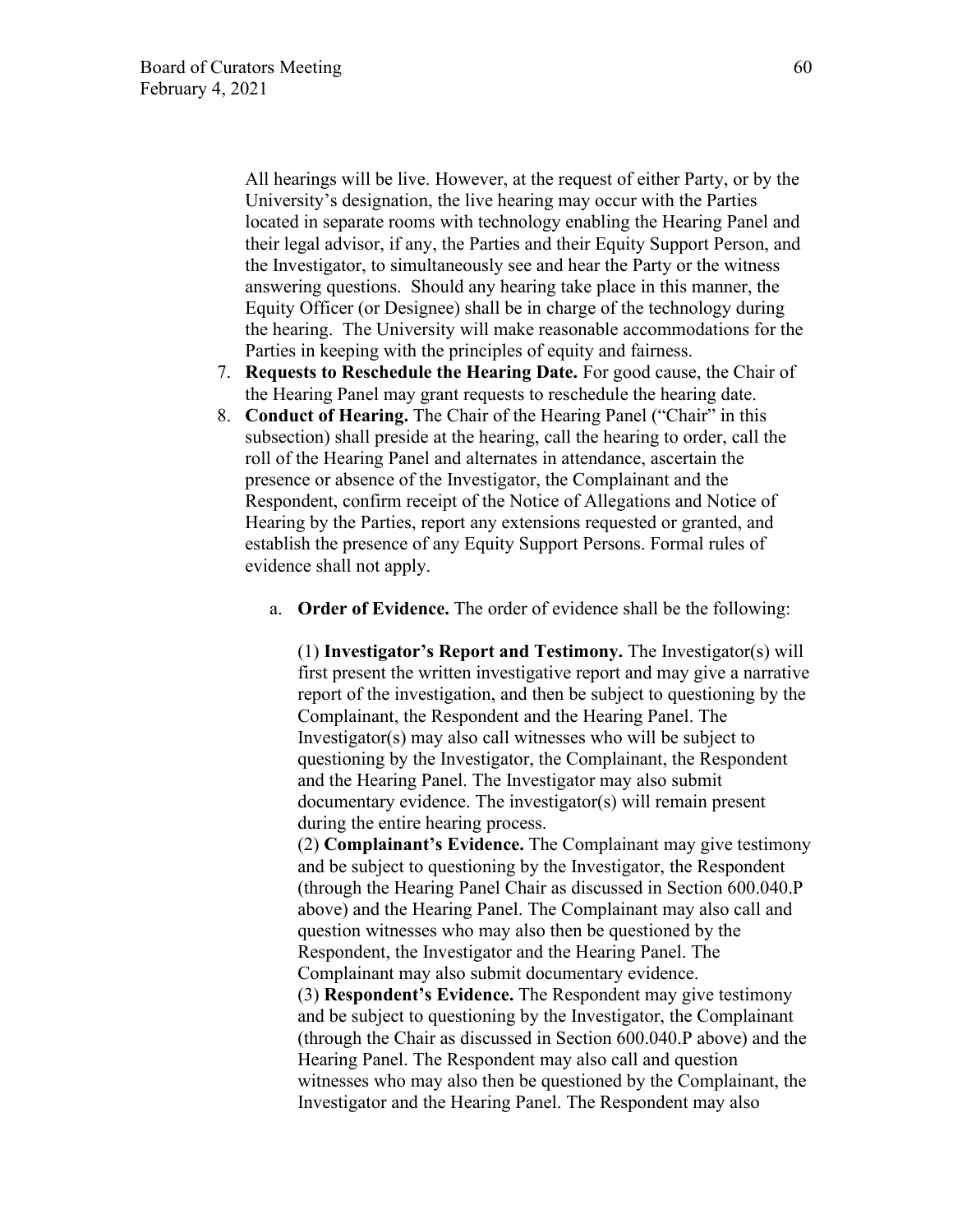All hearings will be live. However, at the request of either Party, or by the University's designation, the live hearing may occur with the Parties located in separate rooms with technology enabling the Hearing Panel and their legal advisor, if any, the Parties and their Equity Support Person, and the Investigator, to simultaneously see and hear the Party or the witness answering questions. Should any hearing take place in this manner, the Equity Officer (or Designee) shall be in charge of the technology during the hearing. The University will make reasonable accommodations for the Parties in keeping with the principles of equity and fairness.

- 7. **Requests to Reschedule the Hearing Date.** For good cause, the Chair of the Hearing Panel may grant requests to reschedule the hearing date.
- 8. **Conduct of Hearing.** The Chair of the Hearing Panel ("Chair" in this subsection) shall preside at the hearing, call the hearing to order, call the roll of the Hearing Panel and alternates in attendance, ascertain the presence or absence of the Investigator, the Complainant and the Respondent, confirm receipt of the Notice of Allegations and Notice of Hearing by the Parties, report any extensions requested or granted, and establish the presence of any Equity Support Persons. Formal rules of evidence shall not apply.
	- a. **Order of Evidence.** The order of evidence shall be the following:

(1) **Investigator's Report and Testimony.** The Investigator(s) will first present the written investigative report and may give a narrative report of the investigation, and then be subject to questioning by the Complainant, the Respondent and the Hearing Panel. The Investigator(s) may also call witnesses who will be subject to questioning by the Investigator, the Complainant, the Respondent and the Hearing Panel. The Investigator may also submit documentary evidence. The investigator(s) will remain present during the entire hearing process.

(2) **Complainant's Evidence.** The Complainant may give testimony and be subject to questioning by the Investigator, the Respondent (through the Hearing Panel Chair as discussed in Section 600.040.P above) and the Hearing Panel. The Complainant may also call and question witnesses who may also then be questioned by the Respondent, the Investigator and the Hearing Panel. The Complainant may also submit documentary evidence.

(3) **Respondent's Evidence.** The Respondent may give testimony and be subject to questioning by the Investigator, the Complainant (through the Chair as discussed in Section 600.040.P above) and the Hearing Panel. The Respondent may also call and question witnesses who may also then be questioned by the Complainant, the Investigator and the Hearing Panel. The Respondent may also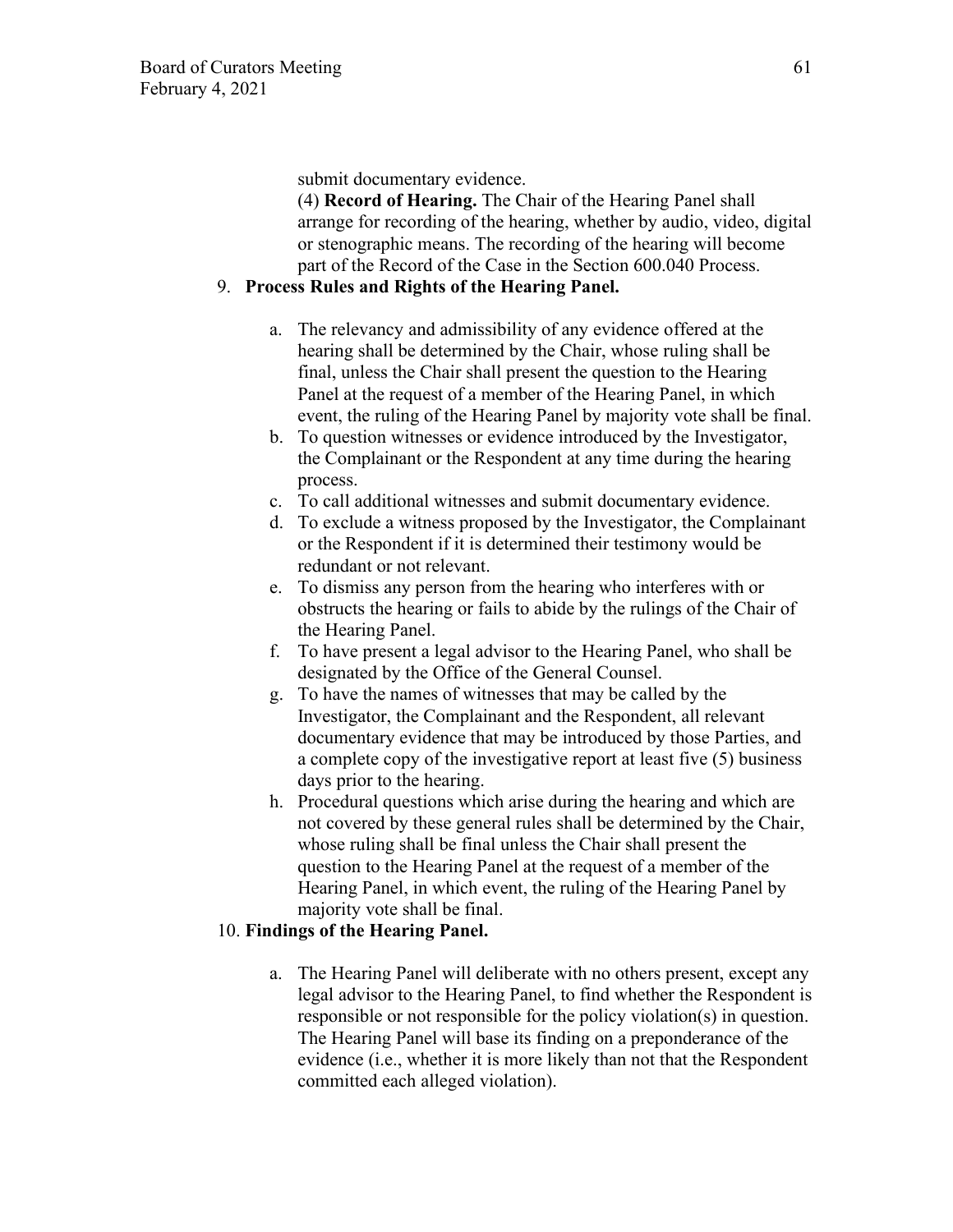submit documentary evidence.

(4) **Record of Hearing.** The Chair of the Hearing Panel shall arrange for recording of the hearing, whether by audio, video, digital or stenographic means. The recording of the hearing will become part of the Record of the Case in the Section 600.040 Process.

## 9. **Process Rules and Rights of the Hearing Panel.**

- a. The relevancy and admissibility of any evidence offered at the hearing shall be determined by the Chair, whose ruling shall be final, unless the Chair shall present the question to the Hearing Panel at the request of a member of the Hearing Panel, in which event, the ruling of the Hearing Panel by majority vote shall be final.
- b. To question witnesses or evidence introduced by the Investigator, the Complainant or the Respondent at any time during the hearing process.
- c. To call additional witnesses and submit documentary evidence.
- d. To exclude a witness proposed by the Investigator, the Complainant or the Respondent if it is determined their testimony would be redundant or not relevant.
- e. To dismiss any person from the hearing who interferes with or obstructs the hearing or fails to abide by the rulings of the Chair of the Hearing Panel.
- f. To have present a legal advisor to the Hearing Panel, who shall be designated by the Office of the General Counsel.
- g. To have the names of witnesses that may be called by the Investigator, the Complainant and the Respondent, all relevant documentary evidence that may be introduced by those Parties, and a complete copy of the investigative report at least five (5) business days prior to the hearing.
- h. Procedural questions which arise during the hearing and which are not covered by these general rules shall be determined by the Chair, whose ruling shall be final unless the Chair shall present the question to the Hearing Panel at the request of a member of the Hearing Panel, in which event, the ruling of the Hearing Panel by majority vote shall be final.

### 10. **Findings of the Hearing Panel.**

a. The Hearing Panel will deliberate with no others present, except any legal advisor to the Hearing Panel, to find whether the Respondent is responsible or not responsible for the policy violation(s) in question. The Hearing Panel will base its finding on a preponderance of the evidence (i.e., whether it is more likely than not that the Respondent committed each alleged violation).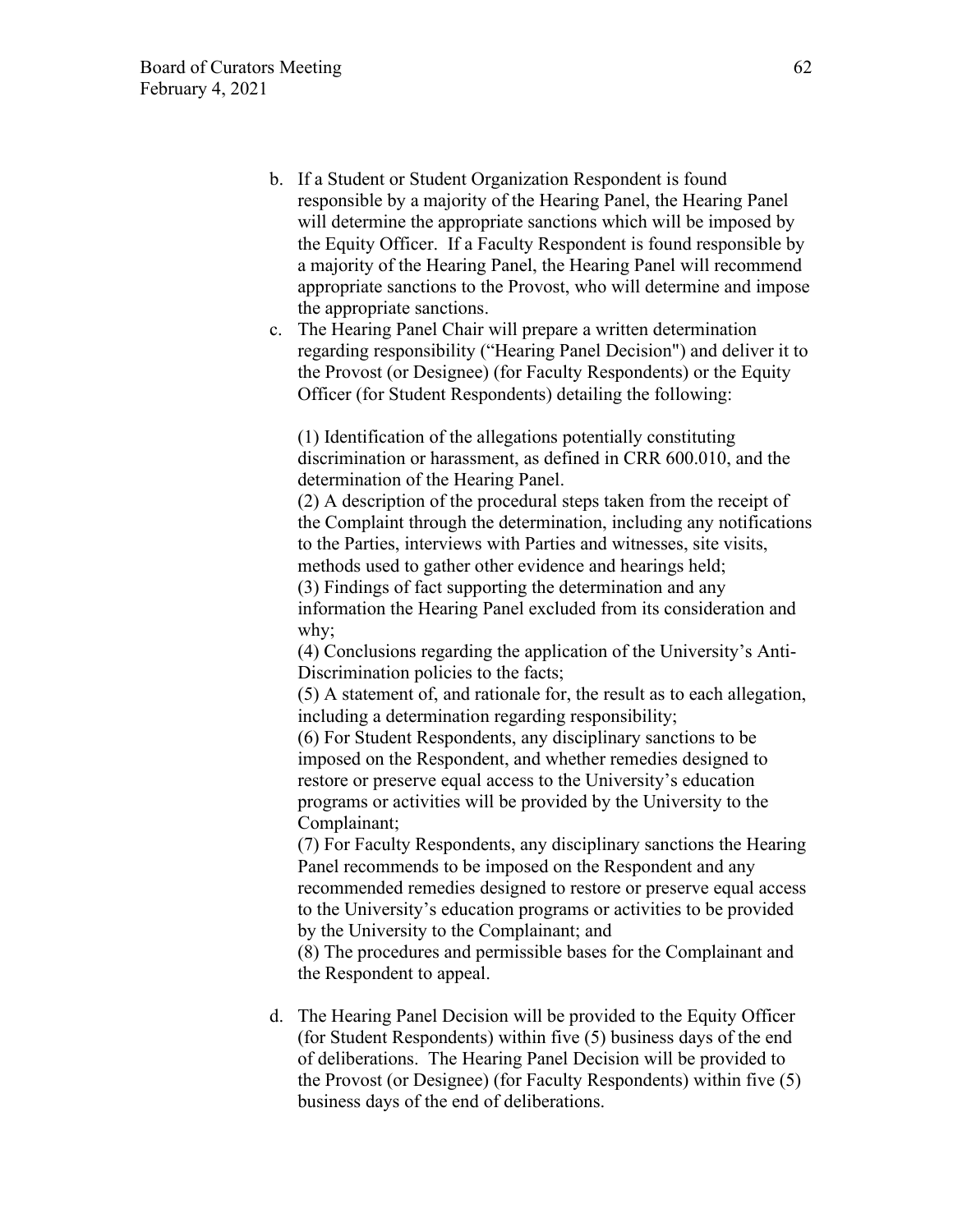- b. If a Student or Student Organization Respondent is found responsible by a majority of the Hearing Panel, the Hearing Panel will determine the appropriate sanctions which will be imposed by the Equity Officer. If a Faculty Respondent is found responsible by a majority of the Hearing Panel, the Hearing Panel will recommend appropriate sanctions to the Provost, who will determine and impose the appropriate sanctions.
- c. The Hearing Panel Chair will prepare a written determination regarding responsibility ("Hearing Panel Decision") and deliver it to the Provost (or Designee) (for Faculty Respondents) or the Equity Officer (for Student Respondents) detailing the following:

(1) Identification of the allegations potentially constituting discrimination or harassment, as defined in CRR 600.010, and the determination of the Hearing Panel.

(2) A description of the procedural steps taken from the receipt of the Complaint through the determination, including any notifications to the Parties, interviews with Parties and witnesses, site visits, methods used to gather other evidence and hearings held;

(3) Findings of fact supporting the determination and any information the Hearing Panel excluded from its consideration and why;

(4) Conclusions regarding the application of the University's Anti-Discrimination policies to the facts;

(5) A statement of, and rationale for, the result as to each allegation, including a determination regarding responsibility;

(6) For Student Respondents, any disciplinary sanctions to be imposed on the Respondent, and whether remedies designed to restore or preserve equal access to the University's education programs or activities will be provided by the University to the Complainant;

(7) For Faculty Respondents, any disciplinary sanctions the Hearing Panel recommends to be imposed on the Respondent and any recommended remedies designed to restore or preserve equal access to the University's education programs or activities to be provided by the University to the Complainant; and

(8) The procedures and permissible bases for the Complainant and the Respondent to appeal.

d. The Hearing Panel Decision will be provided to the Equity Officer (for Student Respondents) within five (5) business days of the end of deliberations. The Hearing Panel Decision will be provided to the Provost (or Designee) (for Faculty Respondents) within five (5) business days of the end of deliberations.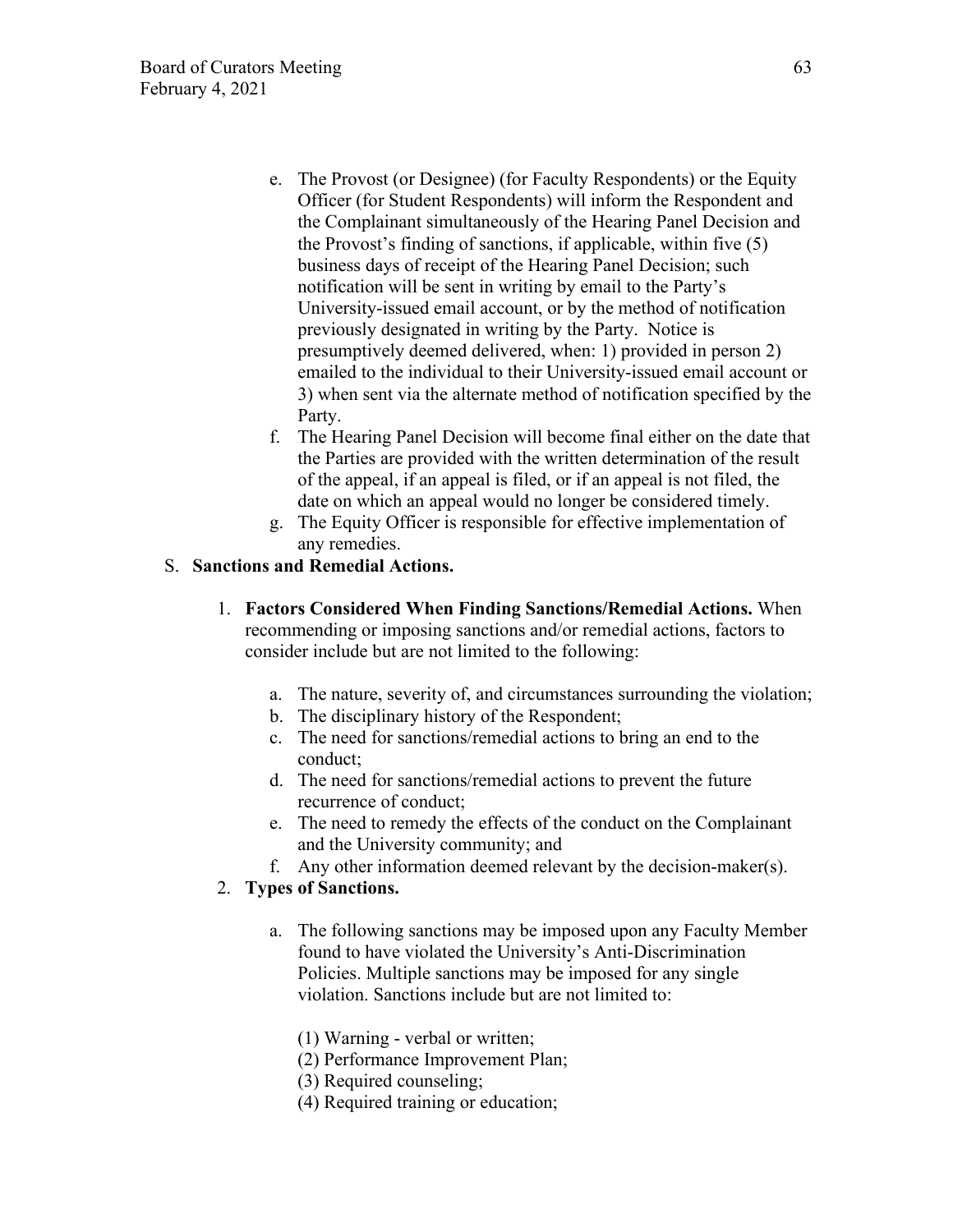- e. The Provost (or Designee) (for Faculty Respondents) or the Equity Officer (for Student Respondents) will inform the Respondent and the Complainant simultaneously of the Hearing Panel Decision and the Provost's finding of sanctions, if applicable, within five (5) business days of receipt of the Hearing Panel Decision; such notification will be sent in writing by email to the Party's University-issued email account, or by the method of notification previously designated in writing by the Party. Notice is presumptively deemed delivered, when: 1) provided in person 2) emailed to the individual to their University-issued email account or 3) when sent via the alternate method of notification specified by the Party.
- f. The Hearing Panel Decision will become final either on the date that the Parties are provided with the written determination of the result of the appeal, if an appeal is filed, or if an appeal is not filed, the date on which an appeal would no longer be considered timely.
- g. The Equity Officer is responsible for effective implementation of any remedies.

### S. **Sanctions and Remedial Actions.**

- 1. **Factors Considered When Finding Sanctions/Remedial Actions.** When recommending or imposing sanctions and/or remedial actions, factors to consider include but are not limited to the following:
	- a. The nature, severity of, and circumstances surrounding the violation;
	- b. The disciplinary history of the Respondent;
	- c. The need for sanctions/remedial actions to bring an end to the conduct;
	- d. The need for sanctions/remedial actions to prevent the future recurrence of conduct;
	- e. The need to remedy the effects of the conduct on the Complainant and the University community; and
	- f. Any other information deemed relevant by the decision-maker(s).

### 2. **Types of Sanctions.**

- a. The following sanctions may be imposed upon any Faculty Member found to have violated the University's Anti-Discrimination Policies. Multiple sanctions may be imposed for any single violation. Sanctions include but are not limited to:
	- (1) Warning verbal or written;
	- (2) Performance Improvement Plan;
	- (3) Required counseling;
	- (4) Required training or education;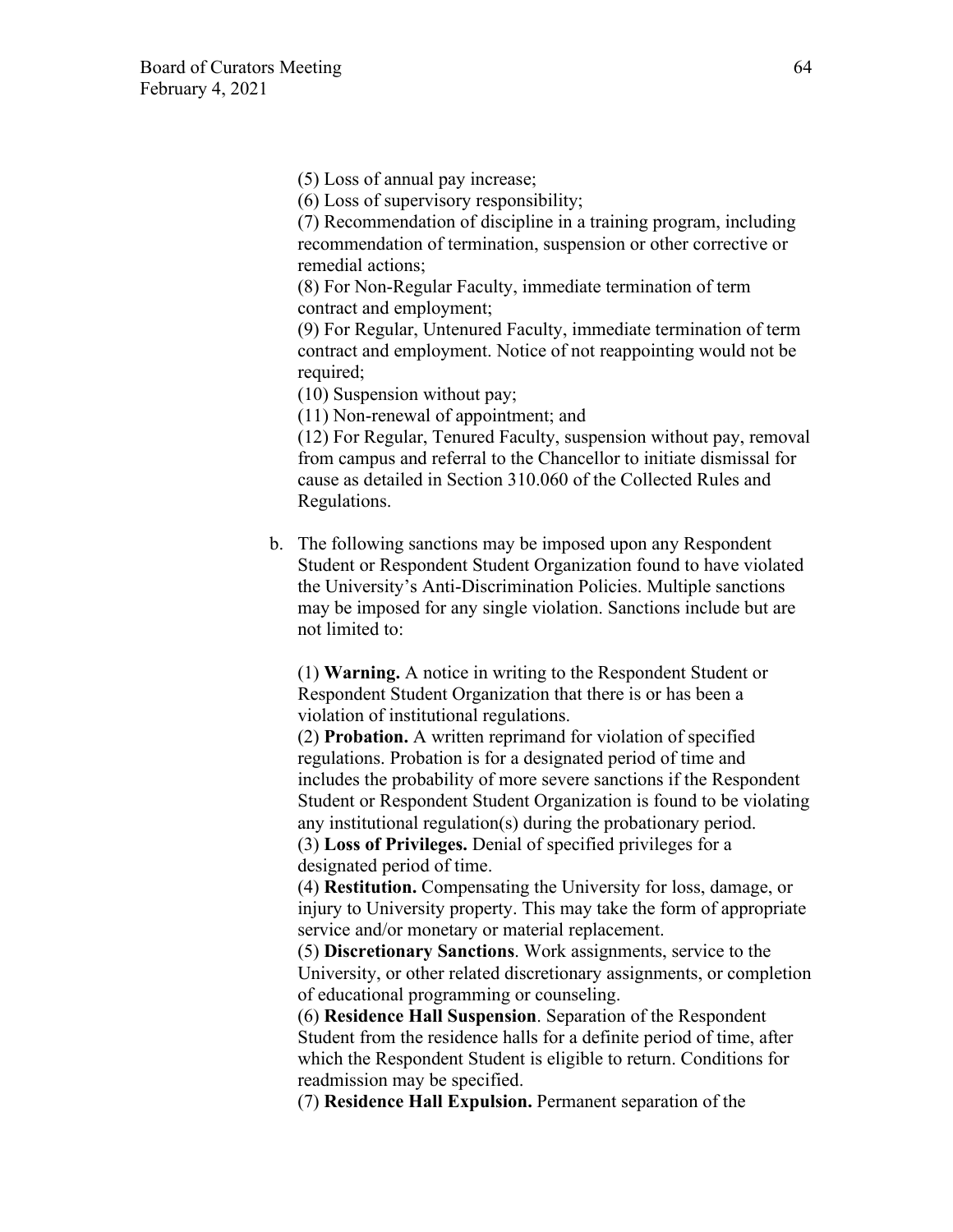(5) Loss of annual pay increase;

(6) Loss of supervisory responsibility;

(7) Recommendation of discipline in a training program, including recommendation of termination, suspension or other corrective or remedial actions;

(8) For Non-Regular Faculty, immediate termination of term contract and employment;

(9) For Regular, Untenured Faculty, immediate termination of term contract and employment. Notice of not reappointing would not be required;

(10) Suspension without pay;

(11) Non-renewal of appointment; and

(12) For Regular, Tenured Faculty, suspension without pay, removal from campus and referral to the Chancellor to initiate dismissal for cause as detailed in Section 310.060 of the Collected Rules and Regulations.

b. The following sanctions may be imposed upon any Respondent Student or Respondent Student Organization found to have violated the University's Anti-Discrimination Policies. Multiple sanctions may be imposed for any single violation. Sanctions include but are not limited to:

(1) **Warning.** A notice in writing to the Respondent Student or Respondent Student Organization that there is or has been a violation of institutional regulations.

(2) **Probation.** A written reprimand for violation of specified regulations. Probation is for a designated period of time and includes the probability of more severe sanctions if the Respondent Student or Respondent Student Organization is found to be violating any institutional regulation(s) during the probationary period. (3) **Loss of Privileges.** Denial of specified privileges for a designated period of time.

(4) **Restitution.** Compensating the University for loss, damage, or injury to University property. This may take the form of appropriate service and/or monetary or material replacement.

(5) **Discretionary Sanctions**. Work assignments, service to the University, or other related discretionary assignments, or completion of educational programming or counseling.

(6) **Residence Hall Suspension**. Separation of the Respondent Student from the residence halls for a definite period of time, after which the Respondent Student is eligible to return. Conditions for readmission may be specified.

(7) **Residence Hall Expulsion.** Permanent separation of the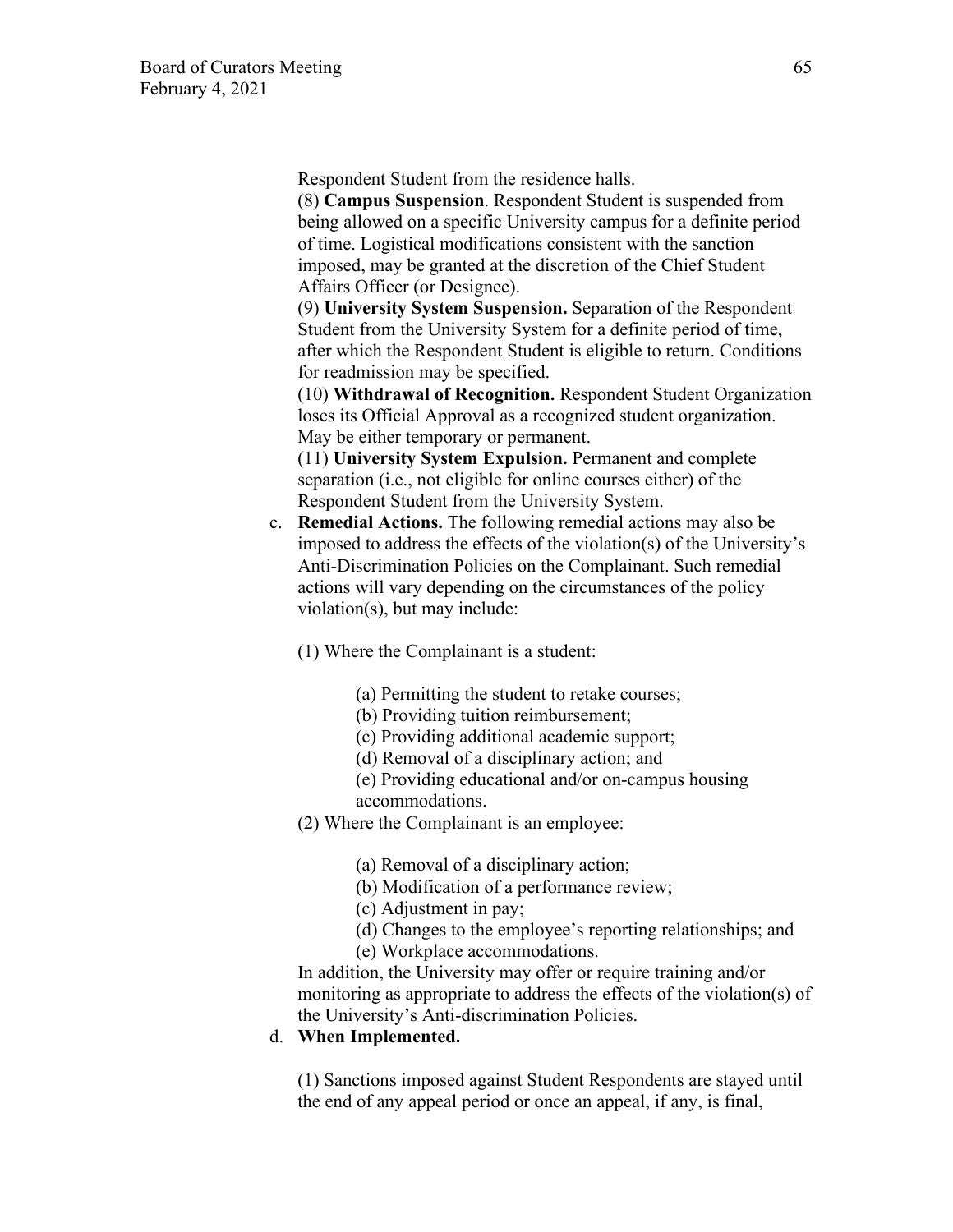Respondent Student from the residence halls.

(8) **Campus Suspension**. Respondent Student is suspended from being allowed on a specific University campus for a definite period of time. Logistical modifications consistent with the sanction imposed, may be granted at the discretion of the Chief Student Affairs Officer (or Designee).

(9) **University System Suspension.** Separation of the Respondent Student from the University System for a definite period of time, after which the Respondent Student is eligible to return. Conditions for readmission may be specified.

(10) **Withdrawal of Recognition.** Respondent Student Organization loses its Official Approval as a recognized student organization. May be either temporary or permanent.

(11) **University System Expulsion.** Permanent and complete separation (i.e., not eligible for online courses either) of the Respondent Student from the University System.

c. **Remedial Actions.** The following remedial actions may also be imposed to address the effects of the violation(s) of the University's Anti-Discrimination Policies on the Complainant. Such remedial actions will vary depending on the circumstances of the policy violation(s), but may include:

(1) Where the Complainant is a student:

- (a) Permitting the student to retake courses;
- (b) Providing tuition reimbursement;
- (c) Providing additional academic support;
- (d) Removal of a disciplinary action; and
- (e) Providing educational and/or on-campus housing accommodations.
- (2) Where the Complainant is an employee:
	- (a) Removal of a disciplinary action;
	- (b) Modification of a performance review;
	- (c) Adjustment in pay;
	- (d) Changes to the employee's reporting relationships; and
	- (e) Workplace accommodations.

In addition, the University may offer or require training and/or monitoring as appropriate to address the effects of the violation(s) of the University's Anti-discrimination Policies.

### d. **When Implemented.**

(1) Sanctions imposed against Student Respondents are stayed until the end of any appeal period or once an appeal, if any, is final,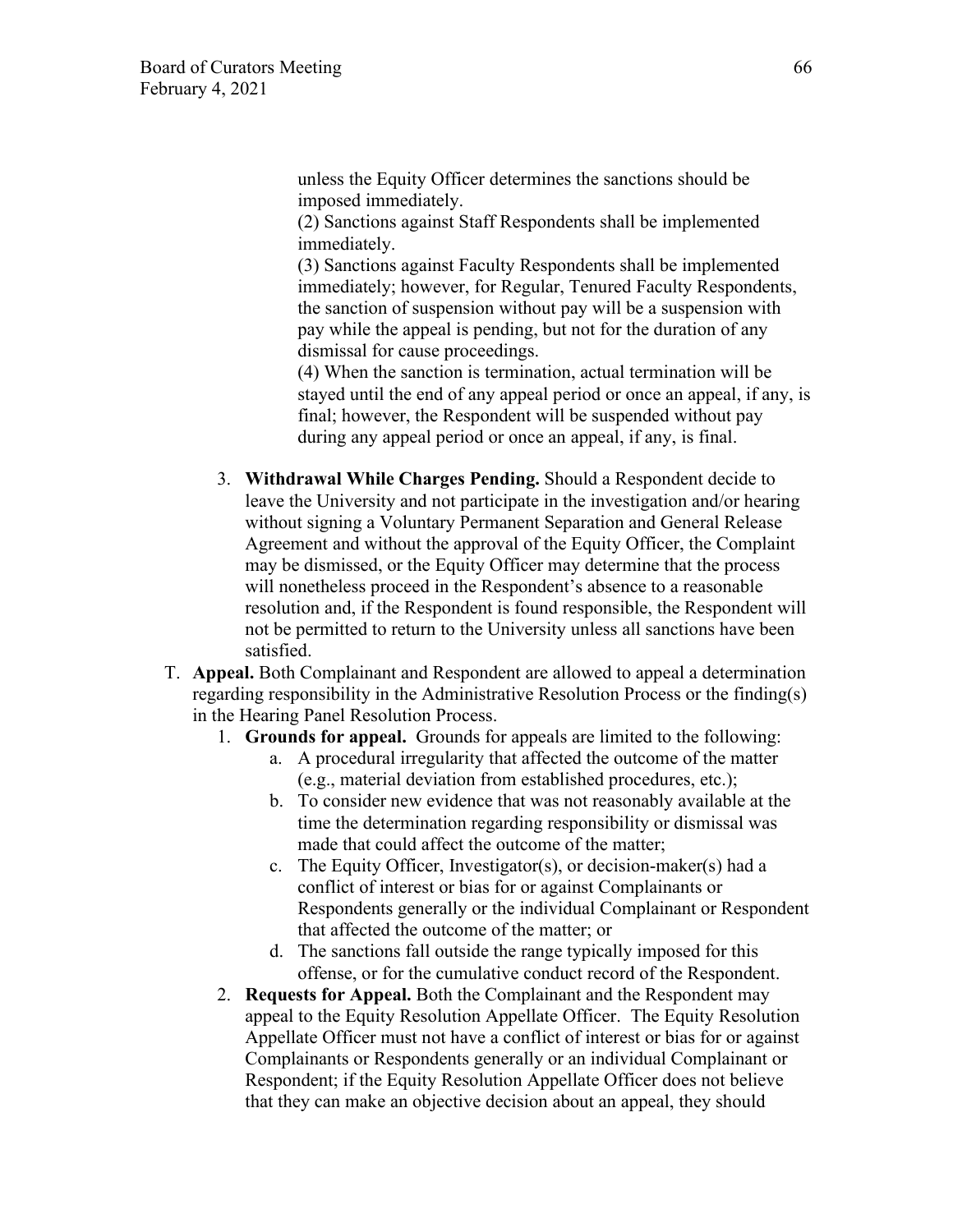unless the Equity Officer determines the sanctions should be imposed immediately.

(2) Sanctions against Staff Respondents shall be implemented immediately.

(3) Sanctions against Faculty Respondents shall be implemented immediately; however, for Regular, Tenured Faculty Respondents, the sanction of suspension without pay will be a suspension with pay while the appeal is pending, but not for the duration of any dismissal for cause proceedings.

(4) When the sanction is termination, actual termination will be stayed until the end of any appeal period or once an appeal, if any, is final; however, the Respondent will be suspended without pay during any appeal period or once an appeal, if any, is final.

- 3. **Withdrawal While Charges Pending.** Should a Respondent decide to leave the University and not participate in the investigation and/or hearing without signing a Voluntary Permanent Separation and General Release Agreement and without the approval of the Equity Officer, the Complaint may be dismissed, or the Equity Officer may determine that the process will nonetheless proceed in the Respondent's absence to a reasonable resolution and, if the Respondent is found responsible, the Respondent will not be permitted to return to the University unless all sanctions have been satisfied.
- T. **Appeal.** Both Complainant and Respondent are allowed to appeal a determination regarding responsibility in the Administrative Resolution Process or the finding(s) in the Hearing Panel Resolution Process.
	- 1. **Grounds for appeal.** Grounds for appeals are limited to the following:
		- a. A procedural irregularity that affected the outcome of the matter (e.g., material deviation from established procedures, etc.);
		- b. To consider new evidence that was not reasonably available at the time the determination regarding responsibility or dismissal was made that could affect the outcome of the matter;
		- c. The Equity Officer, Investigator(s), or decision-maker(s) had a conflict of interest or bias for or against Complainants or Respondents generally or the individual Complainant or Respondent that affected the outcome of the matter; or
		- d. The sanctions fall outside the range typically imposed for this offense, or for the cumulative conduct record of the Respondent.
	- 2. **Requests for Appeal.** Both the Complainant and the Respondent may appeal to the Equity Resolution Appellate Officer. The Equity Resolution Appellate Officer must not have a conflict of interest or bias for or against Complainants or Respondents generally or an individual Complainant or Respondent; if the Equity Resolution Appellate Officer does not believe that they can make an objective decision about an appeal, they should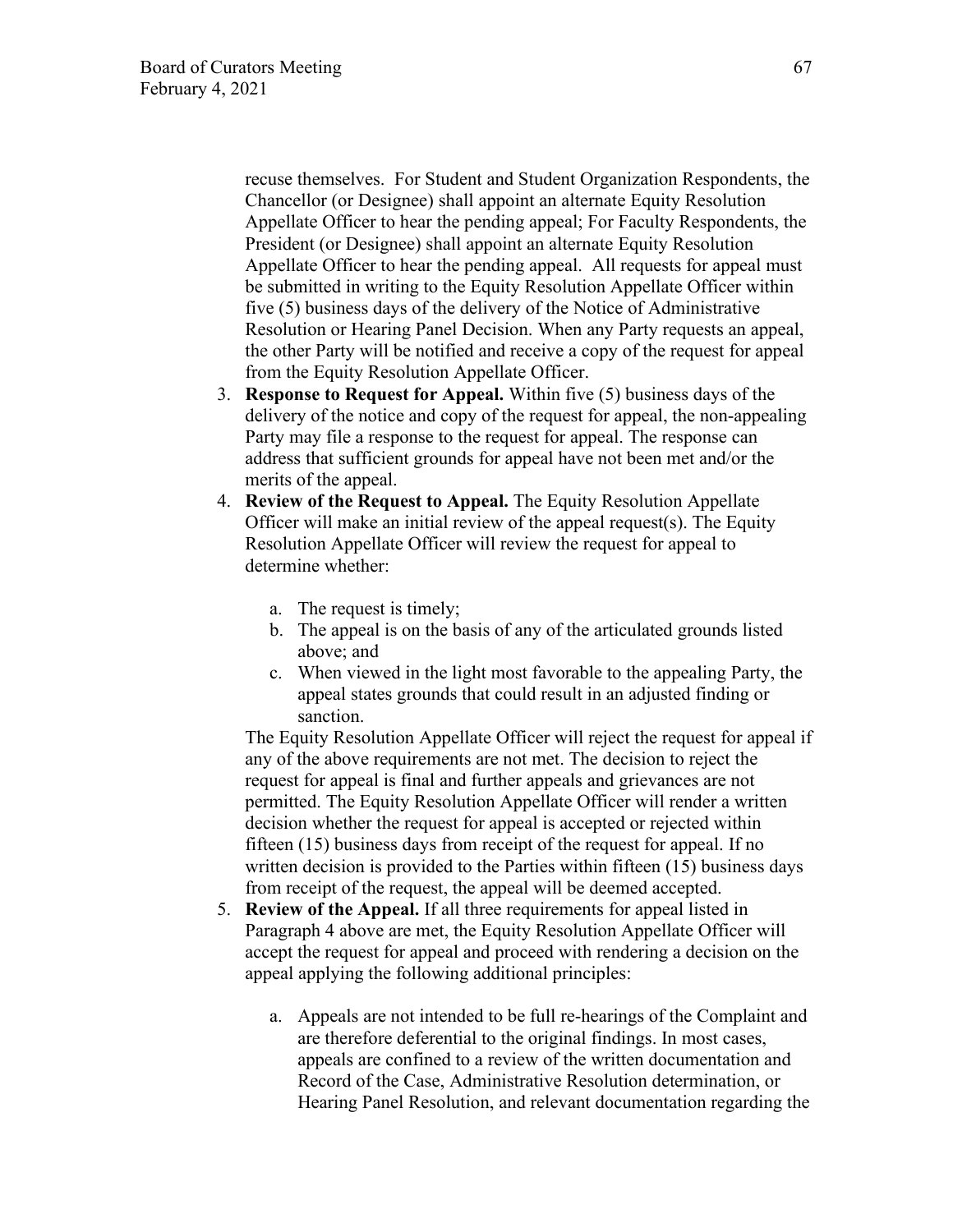recuse themselves. For Student and Student Organization Respondents, the Chancellor (or Designee) shall appoint an alternate Equity Resolution Appellate Officer to hear the pending appeal; For Faculty Respondents, the President (or Designee) shall appoint an alternate Equity Resolution Appellate Officer to hear the pending appeal. All requests for appeal must be submitted in writing to the Equity Resolution Appellate Officer within five (5) business days of the delivery of the Notice of Administrative Resolution or Hearing Panel Decision. When any Party requests an appeal, the other Party will be notified and receive a copy of the request for appeal from the Equity Resolution Appellate Officer.

- 3. **Response to Request for Appeal.** Within five (5) business days of the delivery of the notice and copy of the request for appeal, the non-appealing Party may file a response to the request for appeal. The response can address that sufficient grounds for appeal have not been met and/or the merits of the appeal.
- 4. **Review of the Request to Appeal.** The Equity Resolution Appellate Officer will make an initial review of the appeal request(s). The Equity Resolution Appellate Officer will review the request for appeal to determine whether:
	- a. The request is timely;
	- b. The appeal is on the basis of any of the articulated grounds listed above; and
	- c. When viewed in the light most favorable to the appealing Party, the appeal states grounds that could result in an adjusted finding or sanction.

The Equity Resolution Appellate Officer will reject the request for appeal if any of the above requirements are not met. The decision to reject the request for appeal is final and further appeals and grievances are not permitted. The Equity Resolution Appellate Officer will render a written decision whether the request for appeal is accepted or rejected within fifteen (15) business days from receipt of the request for appeal. If no written decision is provided to the Parties within fifteen (15) business days from receipt of the request, the appeal will be deemed accepted.

- 5. **Review of the Appeal.** If all three requirements for appeal listed in Paragraph 4 above are met, the Equity Resolution Appellate Officer will accept the request for appeal and proceed with rendering a decision on the appeal applying the following additional principles:
	- a. Appeals are not intended to be full re-hearings of the Complaint and are therefore deferential to the original findings. In most cases, appeals are confined to a review of the written documentation and Record of the Case, Administrative Resolution determination, or Hearing Panel Resolution, and relevant documentation regarding the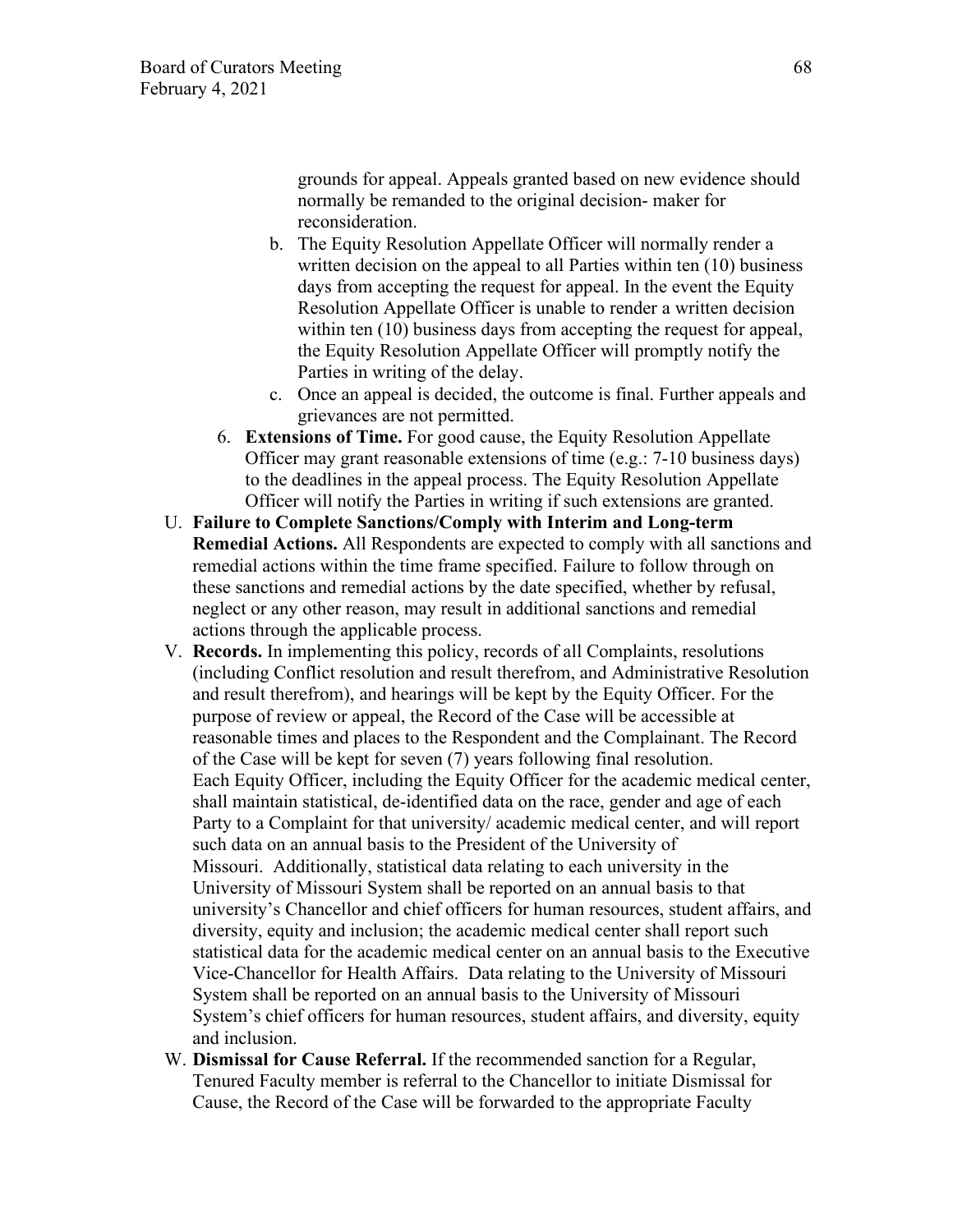grounds for appeal. Appeals granted based on new evidence should normally be remanded to the original decision- maker for reconsideration.

- b. The Equity Resolution Appellate Officer will normally render a written decision on the appeal to all Parties within ten (10) business days from accepting the request for appeal. In the event the Equity Resolution Appellate Officer is unable to render a written decision within ten (10) business days from accepting the request for appeal, the Equity Resolution Appellate Officer will promptly notify the Parties in writing of the delay.
- c. Once an appeal is decided, the outcome is final. Further appeals and grievances are not permitted.
- 6. **Extensions of Time.** For good cause, the Equity Resolution Appellate Officer may grant reasonable extensions of time (e.g.: 7-10 business days) to the deadlines in the appeal process. The Equity Resolution Appellate Officer will notify the Parties in writing if such extensions are granted.
- U. **Failure to Complete Sanctions/Comply with Interim and Long-term Remedial Actions.** All Respondents are expected to comply with all sanctions and remedial actions within the time frame specified. Failure to follow through on these sanctions and remedial actions by the date specified, whether by refusal, neglect or any other reason, may result in additional sanctions and remedial actions through the applicable process.
- V. **Records.** In implementing this policy, records of all Complaints, resolutions (including Conflict resolution and result therefrom, and Administrative Resolution and result therefrom), and hearings will be kept by the Equity Officer. For the purpose of review or appeal, the Record of the Case will be accessible at reasonable times and places to the Respondent and the Complainant. The Record of the Case will be kept for seven (7) years following final resolution. Each Equity Officer, including the Equity Officer for the academic medical center, shall maintain statistical, de-identified data on the race, gender and age of each Party to a Complaint for that university/ academic medical center, and will report such data on an annual basis to the President of the University of Missouri. Additionally, statistical data relating to each university in the University of Missouri System shall be reported on an annual basis to that university's Chancellor and chief officers for human resources, student affairs, and diversity, equity and inclusion; the academic medical center shall report such statistical data for the academic medical center on an annual basis to the Executive Vice-Chancellor for Health Affairs. Data relating to the University of Missouri System shall be reported on an annual basis to the University of Missouri System's chief officers for human resources, student affairs, and diversity, equity and inclusion.
- W. **Dismissal for Cause Referral.** If the recommended sanction for a Regular, Tenured Faculty member is referral to the Chancellor to initiate Dismissal for Cause, the Record of the Case will be forwarded to the appropriate Faculty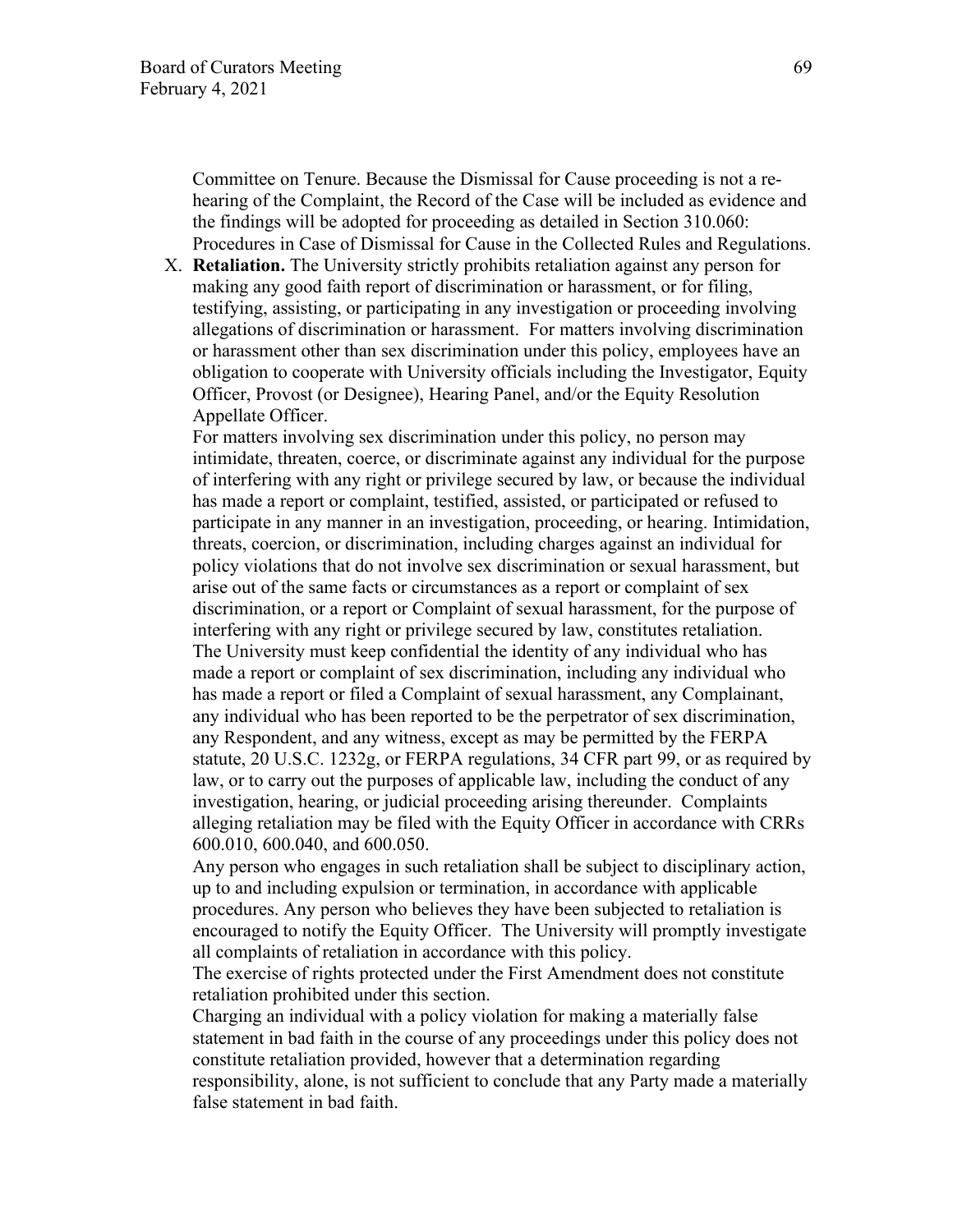Committee on Tenure. Because the Dismissal for Cause proceeding is not a rehearing of the Complaint, the Record of the Case will be included as evidence and the findings will be adopted for proceeding as detailed in Section 310.060: Procedures in Case of Dismissal for Cause in the Collected Rules and Regulations.

X. **Retaliation.** The University strictly prohibits retaliation against any person for making any good faith report of discrimination or harassment, or for filing, testifying, assisting, or participating in any investigation or proceeding involving allegations of discrimination or harassment. For matters involving discrimination or harassment other than sex discrimination under this policy, employees have an obligation to cooperate with University officials including the Investigator, Equity Officer, Provost (or Designee), Hearing Panel, and/or the Equity Resolution Appellate Officer.

For matters involving sex discrimination under this policy, no person may intimidate, threaten, coerce, or discriminate against any individual for the purpose of interfering with any right or privilege secured by law, or because the individual has made a report or complaint, testified, assisted, or participated or refused to participate in any manner in an investigation, proceeding, or hearing. Intimidation, threats, coercion, or discrimination, including charges against an individual for policy violations that do not involve sex discrimination or sexual harassment, but arise out of the same facts or circumstances as a report or complaint of sex discrimination, or a report or Complaint of sexual harassment, for the purpose of interfering with any right or privilege secured by law, constitutes retaliation. The University must keep confidential the identity of any individual who has made a report or complaint of sex discrimination, including any individual who has made a report or filed a Complaint of sexual harassment, any Complainant, any individual who has been reported to be the perpetrator of sex discrimination, any Respondent, and any witness, except as may be permitted by the FERPA statute, 20 U.S.C. 1232g, or FERPA regulations, 34 CFR part 99, or as required by law, or to carry out the purposes of applicable law, including the conduct of any investigation, hearing, or judicial proceeding arising thereunder. Complaints alleging retaliation may be filed with the Equity Officer in accordance with CRRs 600.010, 600.040, and 600.050.

Any person who engages in such retaliation shall be subject to disciplinary action, up to and including expulsion or termination, in accordance with applicable procedures. Any person who believes they have been subjected to retaliation is encouraged to notify the Equity Officer. The University will promptly investigate all complaints of retaliation in accordance with this policy.

The exercise of rights protected under the First Amendment does not constitute retaliation prohibited under this section.

Charging an individual with a policy violation for making a materially false statement in bad faith in the course of any proceedings under this policy does not constitute retaliation provided, however that a determination regarding responsibility, alone, is not sufficient to conclude that any Party made a materially false statement in bad faith.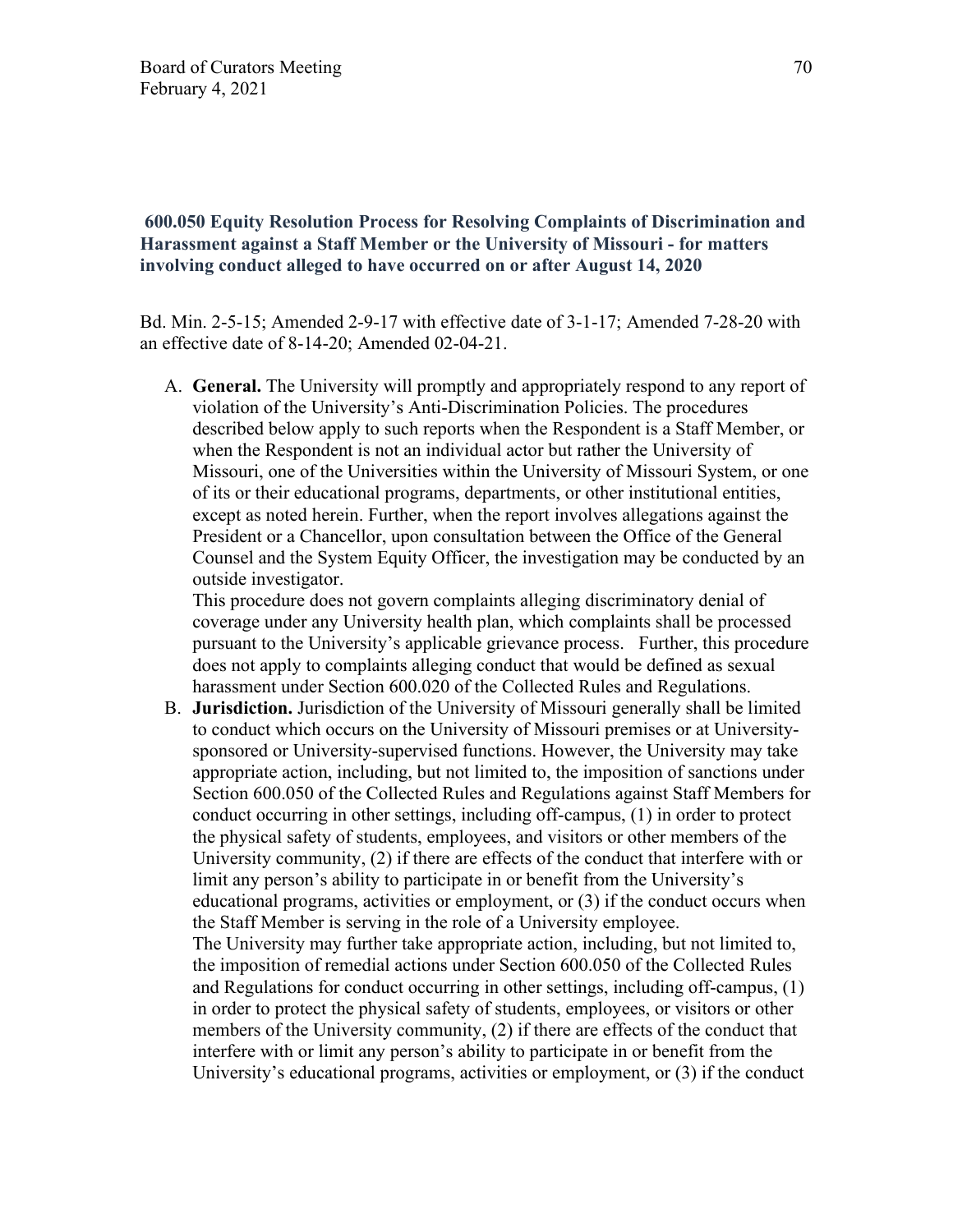### **600.050 Equity Resolution Process for Resolving Complaints of Discrimination and Harassment against a Staff Member or the University of Missouri - for matters involving conduct alleged to have occurred on or after August 14, 2020**

Bd. Min. 2-5-15; Amended 2-9-17 with effective date of 3-1-17; Amended 7-28-20 with an effective date of 8-14-20; Amended 02-04-21.

A. **General.** The University will promptly and appropriately respond to any report of violation of the University's Anti-Discrimination Policies. The procedures described below apply to such reports when the Respondent is a Staff Member, or when the Respondent is not an individual actor but rather the University of Missouri, one of the Universities within the University of Missouri System, or one of its or their educational programs, departments, or other institutional entities, except as noted herein. Further, when the report involves allegations against the President or a Chancellor, upon consultation between the Office of the General Counsel and the System Equity Officer, the investigation may be conducted by an outside investigator.

This procedure does not govern complaints alleging discriminatory denial of coverage under any University health plan, which complaints shall be processed pursuant to the University's applicable grievance process. Further, this procedure does not apply to complaints alleging conduct that would be defined as sexual harassment under Section 600.020 of the Collected Rules and Regulations.

B. **Jurisdiction.** Jurisdiction of the University of Missouri generally shall be limited to conduct which occurs on the University of Missouri premises or at Universitysponsored or University-supervised functions. However, the University may take appropriate action, including, but not limited to, the imposition of sanctions under Section 600.050 of the Collected Rules and Regulations against Staff Members for conduct occurring in other settings, including off-campus, (1) in order to protect the physical safety of students, employees, and visitors or other members of the University community, (2) if there are effects of the conduct that interfere with or limit any person's ability to participate in or benefit from the University's educational programs, activities or employment, or (3) if the conduct occurs when the Staff Member is serving in the role of a University employee. The University may further take appropriate action, including, but not limited to, the imposition of remedial actions under Section 600.050 of the Collected Rules and Regulations for conduct occurring in other settings, including off-campus, (1) in order to protect the physical safety of students, employees, or visitors or other members of the University community, (2) if there are effects of the conduct that interfere with or limit any person's ability to participate in or benefit from the University's educational programs, activities or employment, or (3) if the conduct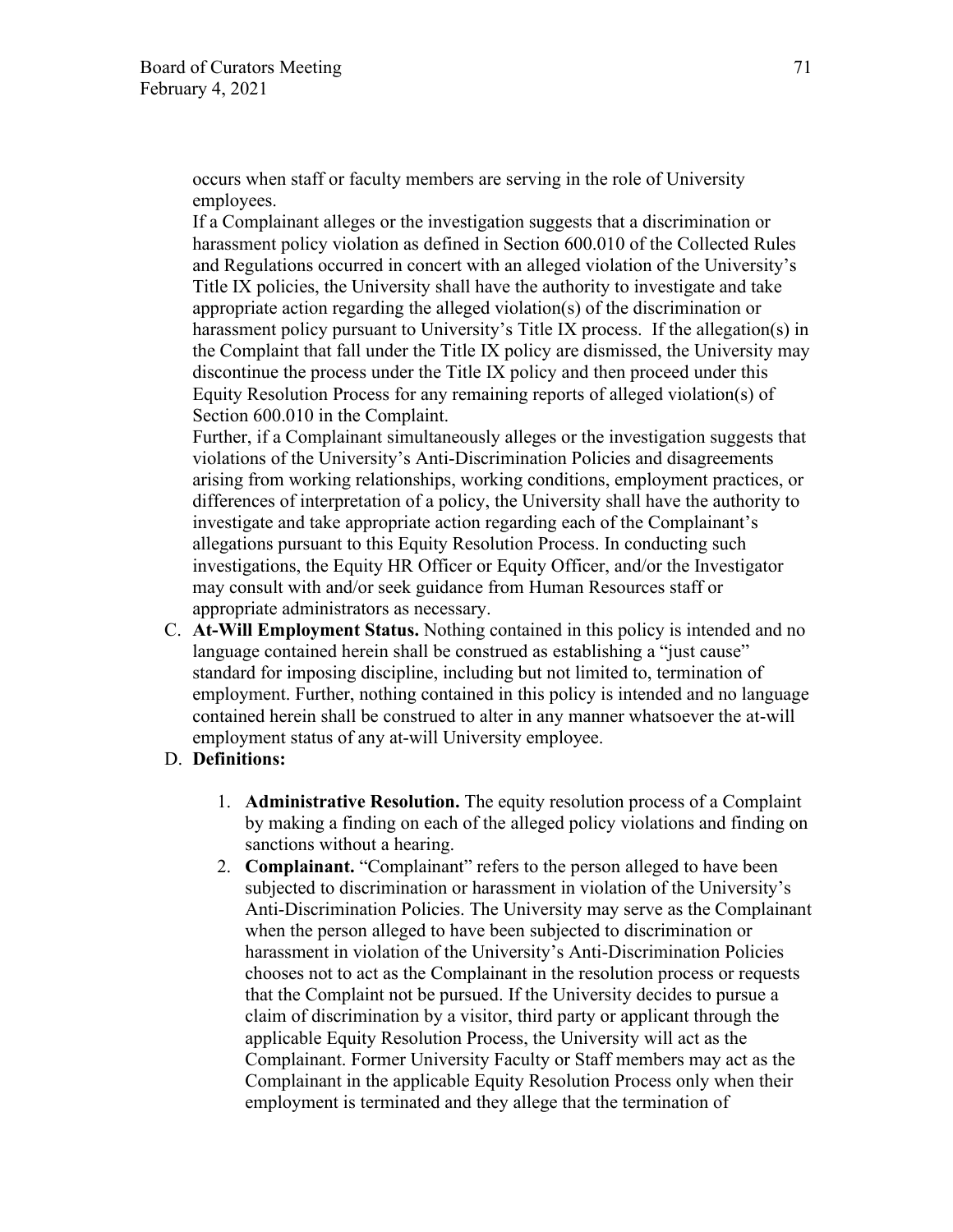occurs when staff or faculty members are serving in the role of University employees.

If a Complainant alleges or the investigation suggests that a discrimination or harassment policy violation as defined in Section 600.010 of the Collected Rules and Regulations occurred in concert with an alleged violation of the University's Title IX policies, the University shall have the authority to investigate and take appropriate action regarding the alleged violation(s) of the discrimination or harassment policy pursuant to University's Title IX process. If the allegation(s) in the Complaint that fall under the Title IX policy are dismissed, the University may discontinue the process under the Title IX policy and then proceed under this Equity Resolution Process for any remaining reports of alleged violation(s) of Section 600.010 in the Complaint.

Further, if a Complainant simultaneously alleges or the investigation suggests that violations of the University's Anti-Discrimination Policies and disagreements arising from working relationships, working conditions, employment practices, or differences of interpretation of a policy, the University shall have the authority to investigate and take appropriate action regarding each of the Complainant's allegations pursuant to this Equity Resolution Process. In conducting such investigations, the Equity HR Officer or Equity Officer, and/or the Investigator may consult with and/or seek guidance from Human Resources staff or appropriate administrators as necessary.

C. **At-Will Employment Status.** Nothing contained in this policy is intended and no language contained herein shall be construed as establishing a "just cause" standard for imposing discipline, including but not limited to, termination of employment. Further, nothing contained in this policy is intended and no language contained herein shall be construed to alter in any manner whatsoever the at-will employment status of any at-will University employee.

### D. **Definitions:**

- 1. **Administrative Resolution.** The equity resolution process of a Complaint by making a finding on each of the alleged policy violations and finding on sanctions without a hearing.
- 2. **Complainant.** "Complainant" refers to the person alleged to have been subjected to discrimination or harassment in violation of the University's Anti-Discrimination Policies. The University may serve as the Complainant when the person alleged to have been subjected to discrimination or harassment in violation of the University's Anti-Discrimination Policies chooses not to act as the Complainant in the resolution process or requests that the Complaint not be pursued. If the University decides to pursue a claim of discrimination by a visitor, third party or applicant through the applicable Equity Resolution Process, the University will act as the Complainant. Former University Faculty or Staff members may act as the Complainant in the applicable Equity Resolution Process only when their employment is terminated and they allege that the termination of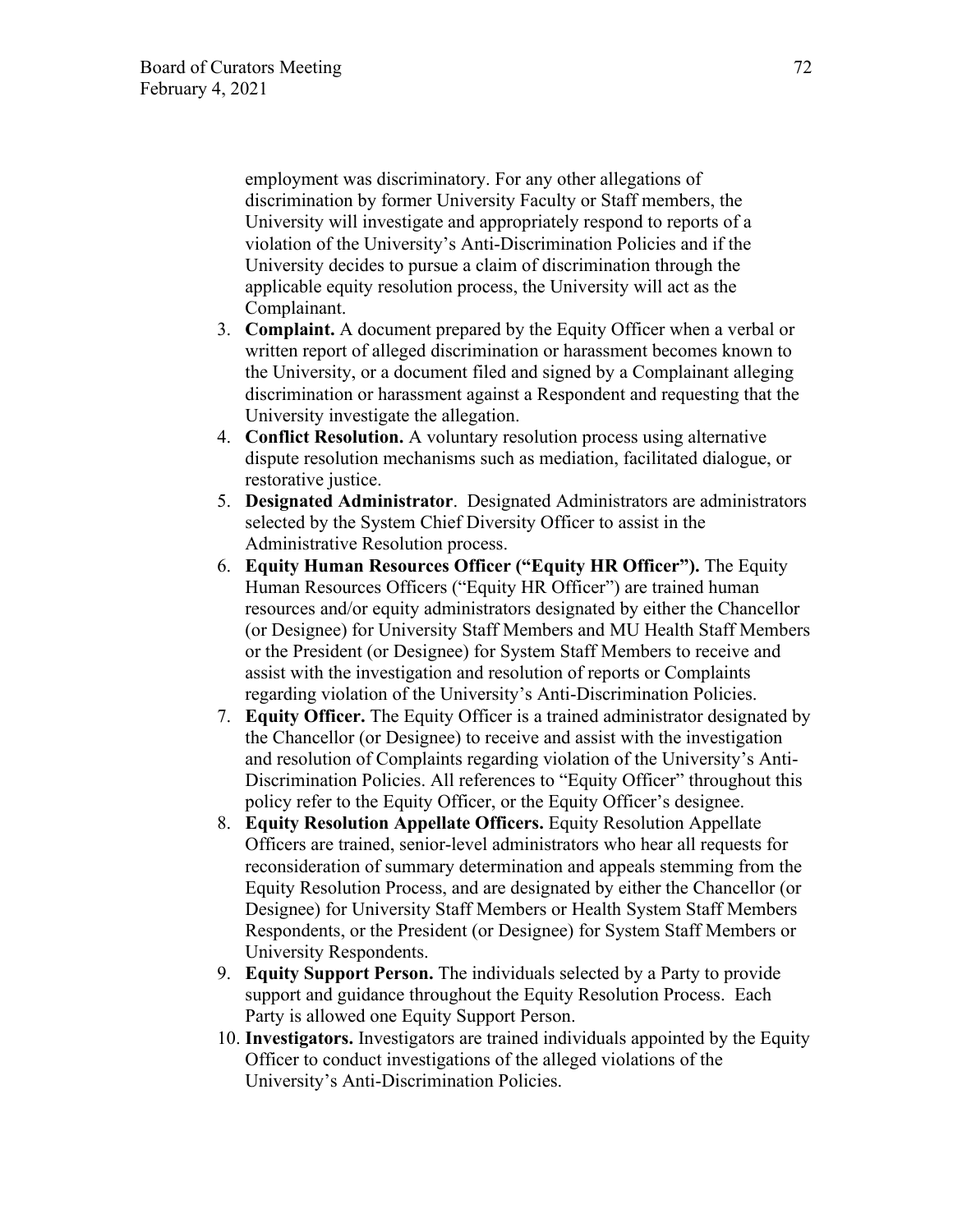employment was discriminatory. For any other allegations of discrimination by former University Faculty or Staff members, the University will investigate and appropriately respond to reports of a violation of the University's Anti-Discrimination Policies and if the University decides to pursue a claim of discrimination through the applicable equity resolution process, the University will act as the Complainant.

- 3. **Complaint.** A document prepared by the Equity Officer when a verbal or written report of alleged discrimination or harassment becomes known to the University, or a document filed and signed by a Complainant alleging discrimination or harassment against a Respondent and requesting that the University investigate the allegation.
- 4. **Conflict Resolution.** A voluntary resolution process using alternative dispute resolution mechanisms such as mediation, facilitated dialogue, or restorative justice.
- 5. **Designated Administrator**. Designated Administrators are administrators selected by the System Chief Diversity Officer to assist in the Administrative Resolution process.
- 6. **Equity Human Resources Officer ("Equity HR Officer").** The Equity Human Resources Officers ("Equity HR Officer") are trained human resources and/or equity administrators designated by either the Chancellor (or Designee) for University Staff Members and MU Health Staff Members or the President (or Designee) for System Staff Members to receive and assist with the investigation and resolution of reports or Complaints regarding violation of the University's Anti-Discrimination Policies.
- 7. **Equity Officer.** The Equity Officer is a trained administrator designated by the Chancellor (or Designee) to receive and assist with the investigation and resolution of Complaints regarding violation of the University's Anti-Discrimination Policies. All references to "Equity Officer" throughout this policy refer to the Equity Officer, or the Equity Officer's designee.
- 8. **Equity Resolution Appellate Officers.** Equity Resolution Appellate Officers are trained, senior-level administrators who hear all requests for reconsideration of summary determination and appeals stemming from the Equity Resolution Process, and are designated by either the Chancellor (or Designee) for University Staff Members or Health System Staff Members Respondents, or the President (or Designee) for System Staff Members or University Respondents.
- 9. **Equity Support Person.** The individuals selected by a Party to provide support and guidance throughout the Equity Resolution Process. Each Party is allowed one Equity Support Person.
- 10. **Investigators.** Investigators are trained individuals appointed by the Equity Officer to conduct investigations of the alleged violations of the University's Anti-Discrimination Policies.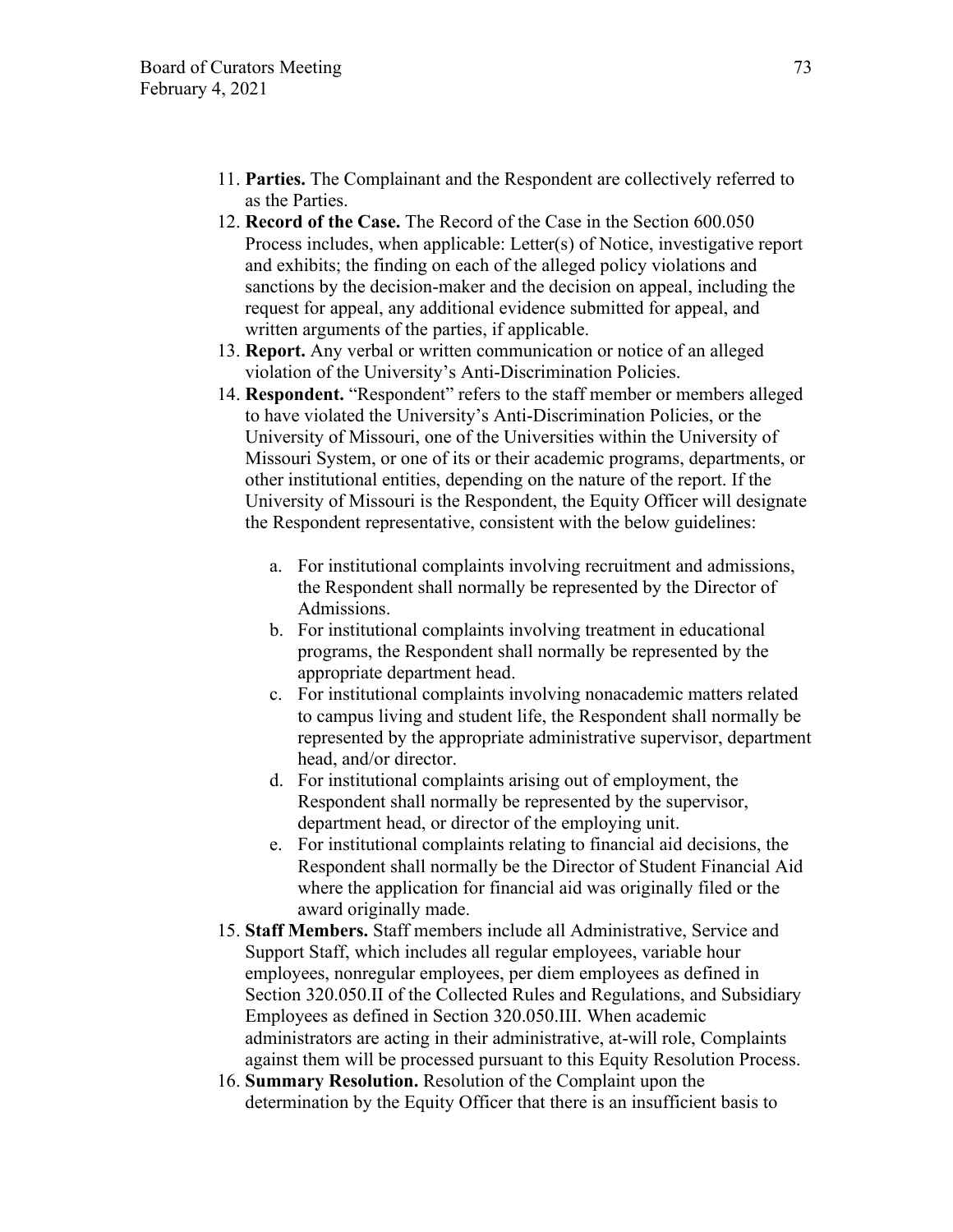- 11. **Parties.** The Complainant and the Respondent are collectively referred to as the Parties.
- 12. **Record of the Case.** The Record of the Case in the Section 600.050 Process includes, when applicable: Letter(s) of Notice, investigative report and exhibits; the finding on each of the alleged policy violations and sanctions by the decision-maker and the decision on appeal, including the request for appeal, any additional evidence submitted for appeal, and written arguments of the parties, if applicable.
- 13. **Report.** Any verbal or written communication or notice of an alleged violation of the University's Anti-Discrimination Policies.
- 14. **Respondent.** "Respondent" refers to the staff member or members alleged to have violated the University's Anti-Discrimination Policies, or the University of Missouri, one of the Universities within the University of Missouri System, or one of its or their academic programs, departments, or other institutional entities, depending on the nature of the report. If the University of Missouri is the Respondent, the Equity Officer will designate the Respondent representative, consistent with the below guidelines:
	- a. For institutional complaints involving recruitment and admissions, the Respondent shall normally be represented by the Director of Admissions.
	- b. For institutional complaints involving treatment in educational programs, the Respondent shall normally be represented by the appropriate department head.
	- c. For institutional complaints involving nonacademic matters related to campus living and student life, the Respondent shall normally be represented by the appropriate administrative supervisor, department head, and/or director.
	- d. For institutional complaints arising out of employment, the Respondent shall normally be represented by the supervisor, department head, or director of the employing unit.
	- e. For institutional complaints relating to financial aid decisions, the Respondent shall normally be the Director of Student Financial Aid where the application for financial aid was originally filed or the award originally made.
- 15. **Staff Members.** Staff members include all Administrative, Service and Support Staff, which includes all regular employees, variable hour employees, nonregular employees, per diem employees as defined in Section 320.050.II of the Collected Rules and Regulations, and Subsidiary Employees as defined in Section 320.050.III. When academic administrators are acting in their administrative, at-will role, Complaints against them will be processed pursuant to this Equity Resolution Process.
- 16. **Summary Resolution.** Resolution of the Complaint upon the determination by the Equity Officer that there is an insufficient basis to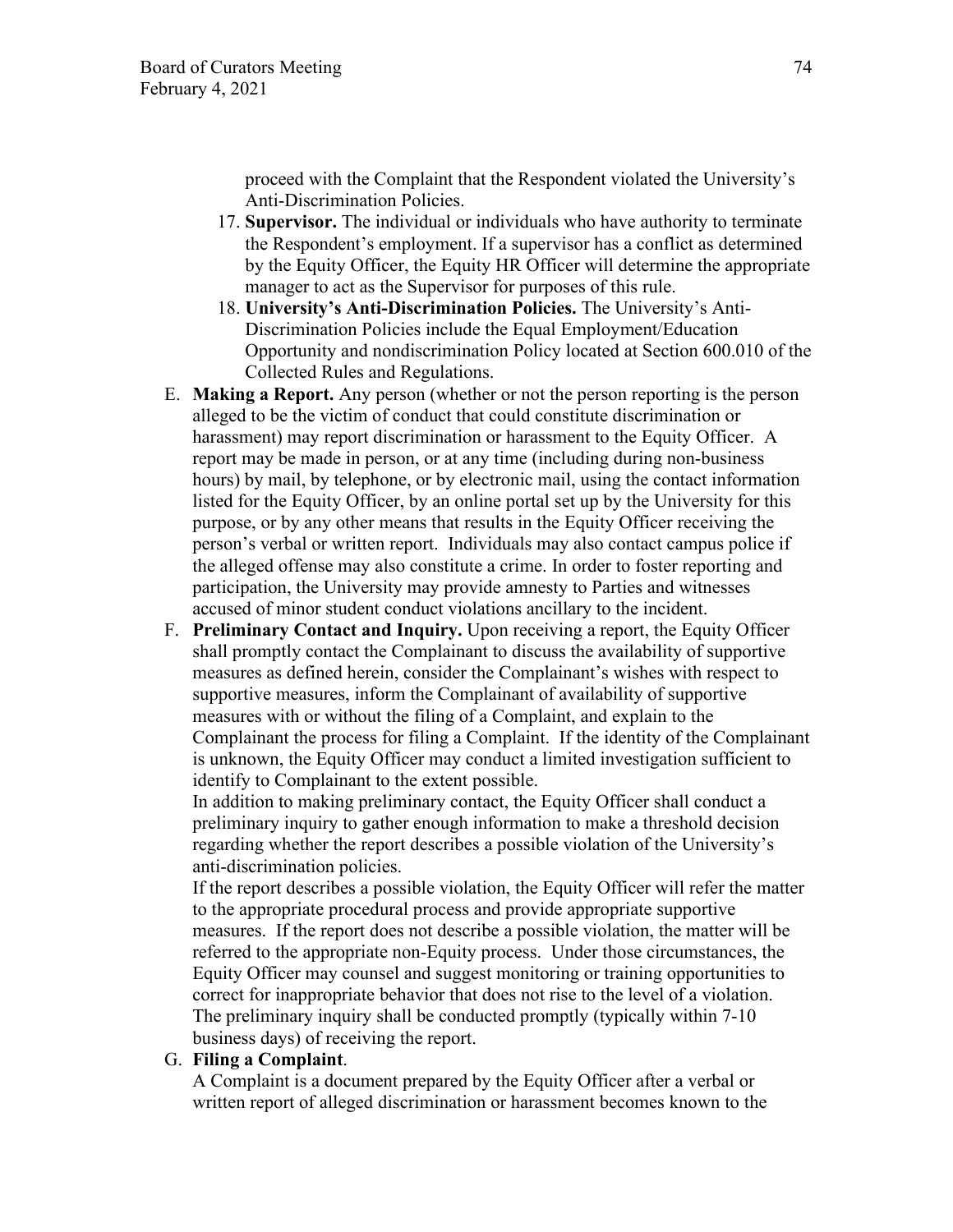proceed with the Complaint that the Respondent violated the University's Anti-Discrimination Policies.

- 17. **Supervisor.** The individual or individuals who have authority to terminate the Respondent's employment. If a supervisor has a conflict as determined by the Equity Officer, the Equity HR Officer will determine the appropriate manager to act as the Supervisor for purposes of this rule.
- 18. **University's Anti-Discrimination Policies.** The University's Anti-Discrimination Policies include the Equal Employment/Education Opportunity and nondiscrimination Policy located at Section 600.010 of the Collected Rules and Regulations.
- E. **Making a Report.** Any person (whether or not the person reporting is the person alleged to be the victim of conduct that could constitute discrimination or harassment) may report discrimination or harassment to the Equity Officer. A report may be made in person, or at any time (including during non-business hours) by mail, by telephone, or by electronic mail, using the contact information listed for the Equity Officer, by an online portal set up by the University for this purpose, or by any other means that results in the Equity Officer receiving the person's verbal or written report. Individuals may also contact campus police if the alleged offense may also constitute a crime. In order to foster reporting and participation, the University may provide amnesty to Parties and witnesses accused of minor student conduct violations ancillary to the incident.
- F. **Preliminary Contact and Inquiry.** Upon receiving a report, the Equity Officer shall promptly contact the Complainant to discuss the availability of supportive measures as defined herein, consider the Complainant's wishes with respect to supportive measures, inform the Complainant of availability of supportive measures with or without the filing of a Complaint, and explain to the Complainant the process for filing a Complaint. If the identity of the Complainant is unknown, the Equity Officer may conduct a limited investigation sufficient to identify to Complainant to the extent possible.

In addition to making preliminary contact, the Equity Officer shall conduct a preliminary inquiry to gather enough information to make a threshold decision regarding whether the report describes a possible violation of the University's anti-discrimination policies.

If the report describes a possible violation, the Equity Officer will refer the matter to the appropriate procedural process and provide appropriate supportive measures. If the report does not describe a possible violation, the matter will be referred to the appropriate non-Equity process. Under those circumstances, the Equity Officer may counsel and suggest monitoring or training opportunities to correct for inappropriate behavior that does not rise to the level of a violation. The preliminary inquiry shall be conducted promptly (typically within 7-10 business days) of receiving the report.

### G. **Filing a Complaint**.

A Complaint is a document prepared by the Equity Officer after a verbal or written report of alleged discrimination or harassment becomes known to the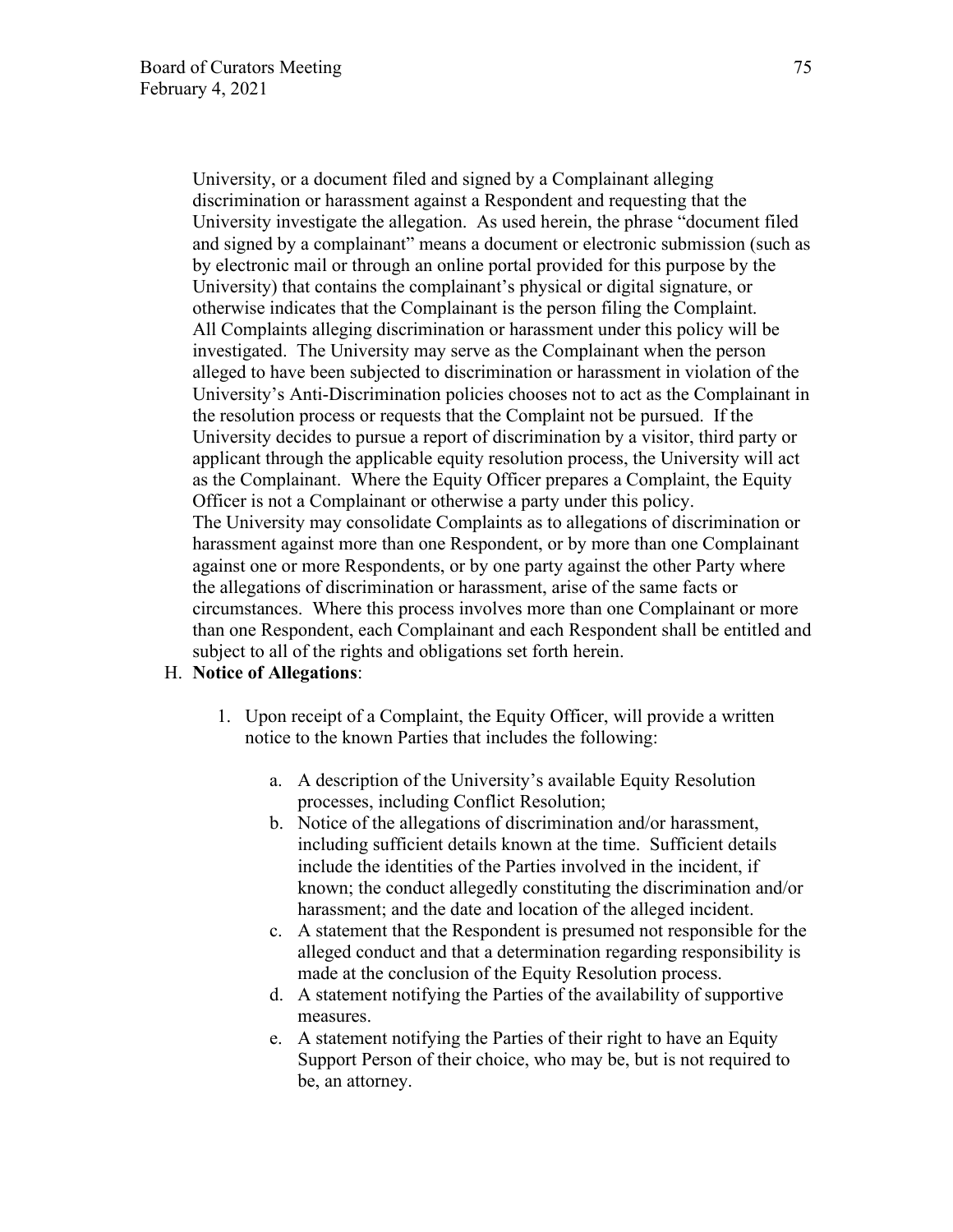University, or a document filed and signed by a Complainant alleging discrimination or harassment against a Respondent and requesting that the University investigate the allegation. As used herein, the phrase "document filed and signed by a complainant" means a document or electronic submission (such as by electronic mail or through an online portal provided for this purpose by the University) that contains the complainant's physical or digital signature, or otherwise indicates that the Complainant is the person filing the Complaint. All Complaints alleging discrimination or harassment under this policy will be investigated. The University may serve as the Complainant when the person alleged to have been subjected to discrimination or harassment in violation of the University's Anti-Discrimination policies chooses not to act as the Complainant in the resolution process or requests that the Complaint not be pursued. If the University decides to pursue a report of discrimination by a visitor, third party or applicant through the applicable equity resolution process, the University will act as the Complainant. Where the Equity Officer prepares a Complaint, the Equity Officer is not a Complainant or otherwise a party under this policy. The University may consolidate Complaints as to allegations of discrimination or harassment against more than one Respondent, or by more than one Complainant against one or more Respondents, or by one party against the other Party where the allegations of discrimination or harassment, arise of the same facts or circumstances. Where this process involves more than one Complainant or more than one Respondent, each Complainant and each Respondent shall be entitled and subject to all of the rights and obligations set forth herein.

#### H. **Notice of Allegations**:

- 1. Upon receipt of a Complaint, the Equity Officer, will provide a written notice to the known Parties that includes the following:
	- a. A description of the University's available Equity Resolution processes, including Conflict Resolution;
	- b. Notice of the allegations of discrimination and/or harassment, including sufficient details known at the time. Sufficient details include the identities of the Parties involved in the incident, if known; the conduct allegedly constituting the discrimination and/or harassment; and the date and location of the alleged incident.
	- c. A statement that the Respondent is presumed not responsible for the alleged conduct and that a determination regarding responsibility is made at the conclusion of the Equity Resolution process.
	- d. A statement notifying the Parties of the availability of supportive measures.
	- e. A statement notifying the Parties of their right to have an Equity Support Person of their choice, who may be, but is not required to be, an attorney.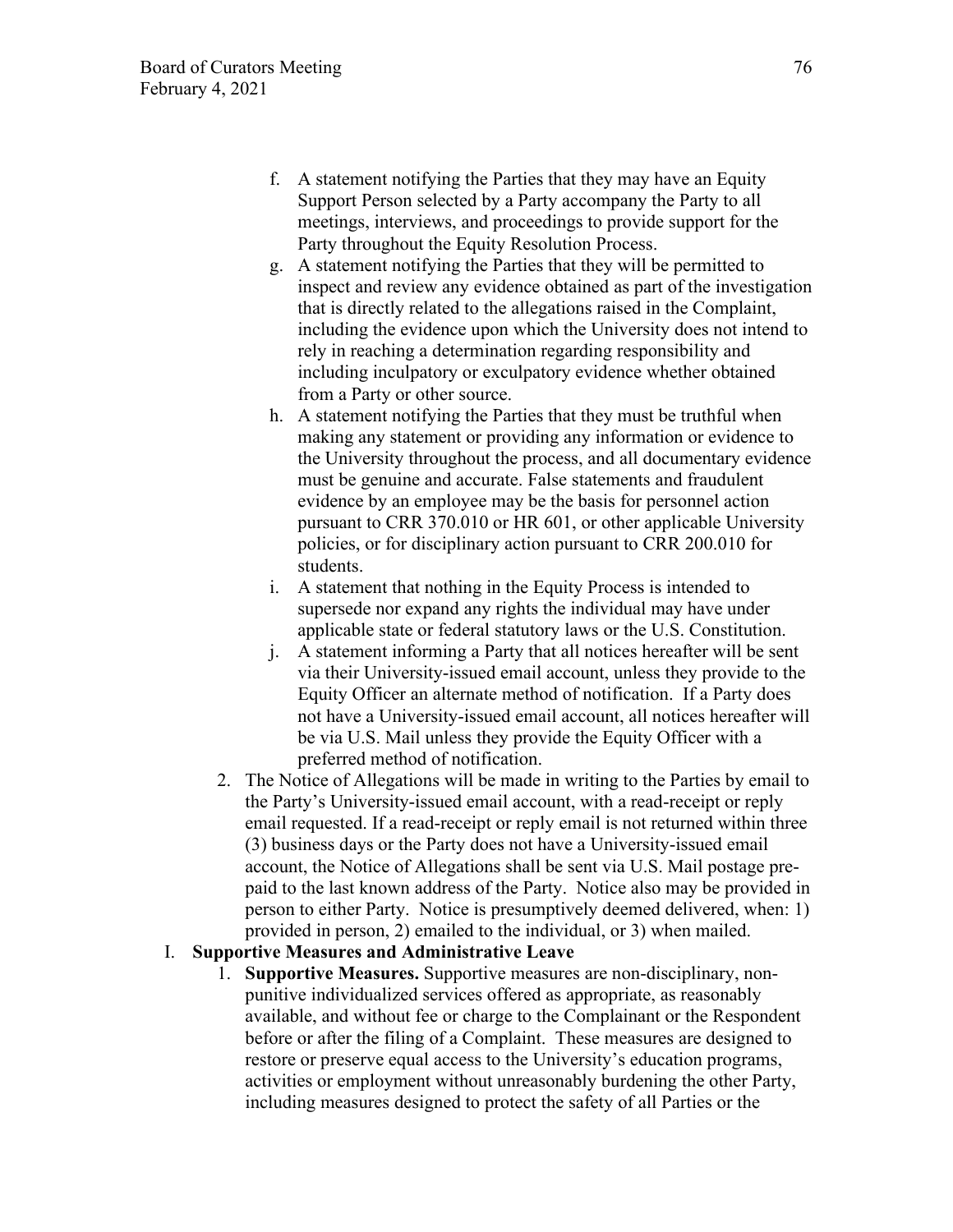- f. A statement notifying the Parties that they may have an Equity Support Person selected by a Party accompany the Party to all meetings, interviews, and proceedings to provide support for the Party throughout the Equity Resolution Process.
- g. A statement notifying the Parties that they will be permitted to inspect and review any evidence obtained as part of the investigation that is directly related to the allegations raised in the Complaint, including the evidence upon which the University does not intend to rely in reaching a determination regarding responsibility and including inculpatory or exculpatory evidence whether obtained from a Party or other source.
- h. A statement notifying the Parties that they must be truthful when making any statement or providing any information or evidence to the University throughout the process, and all documentary evidence must be genuine and accurate. False statements and fraudulent evidence by an employee may be the basis for personnel action pursuant to CRR 370.010 or HR 601, or other applicable University policies, or for disciplinary action pursuant to CRR 200.010 for students.
- i. A statement that nothing in the Equity Process is intended to supersede nor expand any rights the individual may have under applicable state or federal statutory laws or the U.S. Constitution.
- j. A statement informing a Party that all notices hereafter will be sent via their University-issued email account, unless they provide to the Equity Officer an alternate method of notification. If a Party does not have a University-issued email account, all notices hereafter will be via U.S. Mail unless they provide the Equity Officer with a preferred method of notification.
- 2. The Notice of Allegations will be made in writing to the Parties by email to the Party's University-issued email account, with a read-receipt or reply email requested. If a read-receipt or reply email is not returned within three (3) business days or the Party does not have a University-issued email account, the Notice of Allegations shall be sent via U.S. Mail postage prepaid to the last known address of the Party. Notice also may be provided in person to either Party. Notice is presumptively deemed delivered, when: 1) provided in person, 2) emailed to the individual, or 3) when mailed.

## I. **Supportive Measures and Administrative Leave**

1. **Supportive Measures.** Supportive measures are non-disciplinary, nonpunitive individualized services offered as appropriate, as reasonably available, and without fee or charge to the Complainant or the Respondent before or after the filing of a Complaint. These measures are designed to restore or preserve equal access to the University's education programs, activities or employment without unreasonably burdening the other Party, including measures designed to protect the safety of all Parties or the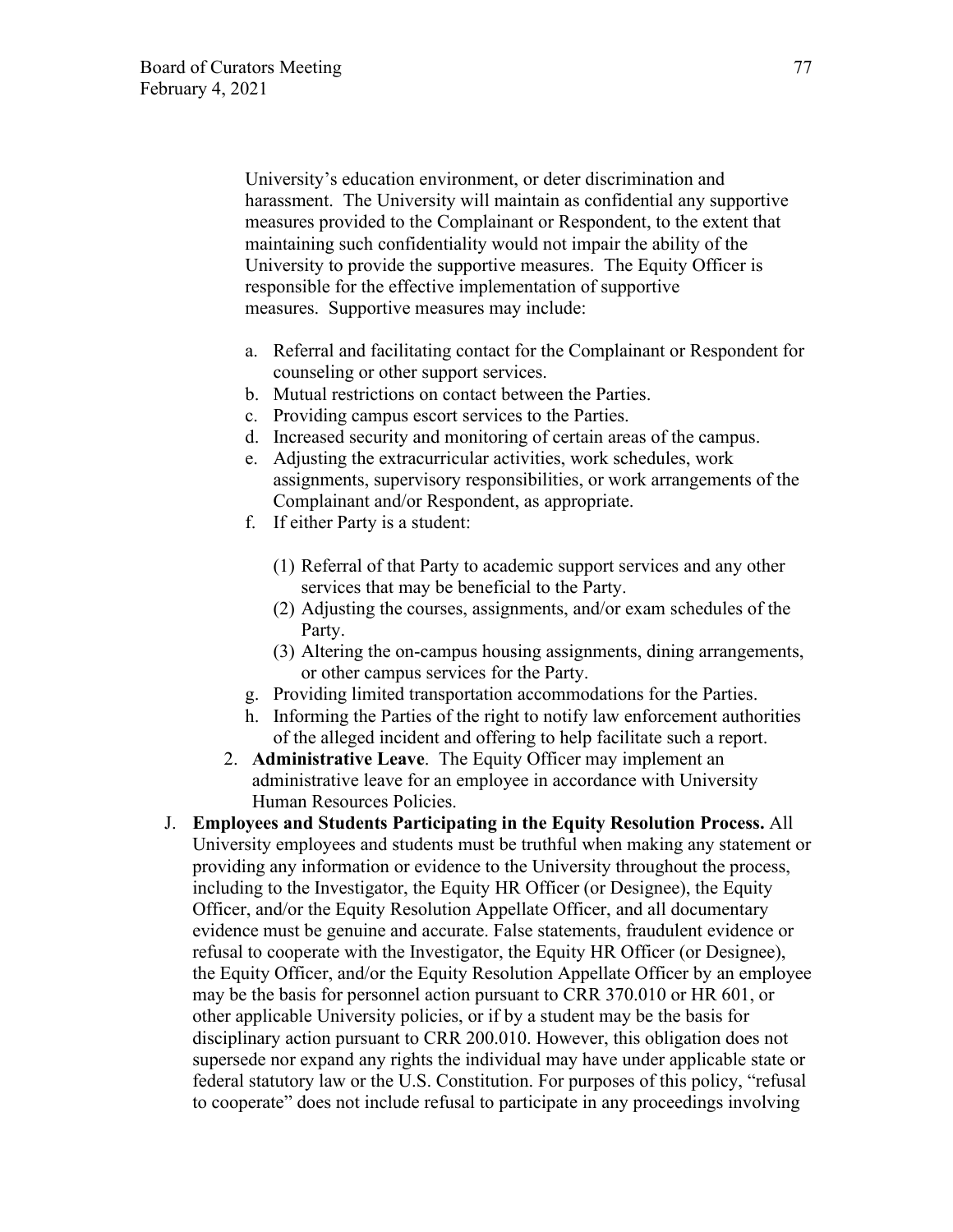University's education environment, or deter discrimination and harassment. The University will maintain as confidential any supportive measures provided to the Complainant or Respondent, to the extent that maintaining such confidentiality would not impair the ability of the University to provide the supportive measures. The Equity Officer is responsible for the effective implementation of supportive measures. Supportive measures may include:

- a. Referral and facilitating contact for the Complainant or Respondent for counseling or other support services.
- b. Mutual restrictions on contact between the Parties.
- c. Providing campus escort services to the Parties.
- d. Increased security and monitoring of certain areas of the campus.
- e. Adjusting the extracurricular activities, work schedules, work assignments, supervisory responsibilities, or work arrangements of the Complainant and/or Respondent, as appropriate.
- f. If either Party is a student:
	- (1) Referral of that Party to academic support services and any other services that may be beneficial to the Party.
	- (2) Adjusting the courses, assignments, and/or exam schedules of the Party.
	- (3) Altering the on-campus housing assignments, dining arrangements, or other campus services for the Party.
- g. Providing limited transportation accommodations for the Parties.
- h. Informing the Parties of the right to notify law enforcement authorities of the alleged incident and offering to help facilitate such a report.
- 2. **Administrative Leave**. The Equity Officer may implement an administrative leave for an employee in accordance with University Human Resources Policies.
- J. **Employees and Students Participating in the Equity Resolution Process.** All University employees and students must be truthful when making any statement or providing any information or evidence to the University throughout the process, including to the Investigator, the Equity HR Officer (or Designee), the Equity Officer, and/or the Equity Resolution Appellate Officer, and all documentary evidence must be genuine and accurate. False statements, fraudulent evidence or refusal to cooperate with the Investigator, the Equity HR Officer (or Designee), the Equity Officer, and/or the Equity Resolution Appellate Officer by an employee may be the basis for personnel action pursuant to CRR 370.010 or HR 601, or other applicable University policies, or if by a student may be the basis for disciplinary action pursuant to CRR 200.010. However, this obligation does not supersede nor expand any rights the individual may have under applicable state or federal statutory law or the U.S. Constitution. For purposes of this policy, "refusal to cooperate" does not include refusal to participate in any proceedings involving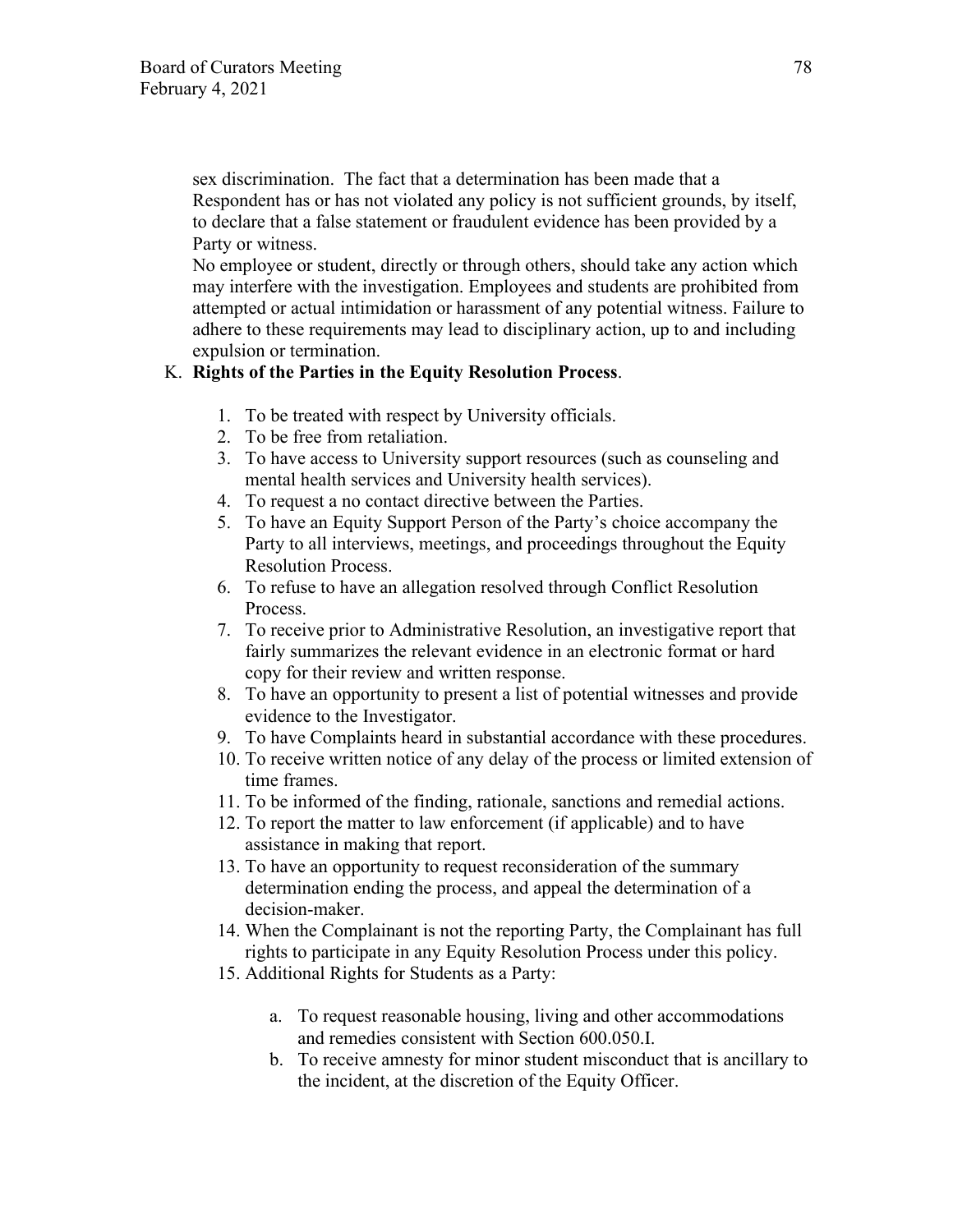sex discrimination. The fact that a determination has been made that a Respondent has or has not violated any policy is not sufficient grounds, by itself, to declare that a false statement or fraudulent evidence has been provided by a Party or witness.

No employee or student, directly or through others, should take any action which may interfere with the investigation. Employees and students are prohibited from attempted or actual intimidation or harassment of any potential witness. Failure to adhere to these requirements may lead to disciplinary action, up to and including expulsion or termination.

### K. **Rights of the Parties in the Equity Resolution Process**.

- 1. To be treated with respect by University officials.
- 2. To be free from retaliation.
- 3. To have access to University support resources (such as counseling and mental health services and University health services).
- 4. To request a no contact directive between the Parties.
- 5. To have an Equity Support Person of the Party's choice accompany the Party to all interviews, meetings, and proceedings throughout the Equity Resolution Process.
- 6. To refuse to have an allegation resolved through Conflict Resolution Process.
- 7. To receive prior to Administrative Resolution, an investigative report that fairly summarizes the relevant evidence in an electronic format or hard copy for their review and written response.
- 8. To have an opportunity to present a list of potential witnesses and provide evidence to the Investigator.
- 9. To have Complaints heard in substantial accordance with these procedures.
- 10. To receive written notice of any delay of the process or limited extension of time frames.
- 11. To be informed of the finding, rationale, sanctions and remedial actions.
- 12. To report the matter to law enforcement (if applicable) and to have assistance in making that report.
- 13. To have an opportunity to request reconsideration of the summary determination ending the process, and appeal the determination of a decision-maker.
- 14. When the Complainant is not the reporting Party, the Complainant has full rights to participate in any Equity Resolution Process under this policy.
- 15. Additional Rights for Students as a Party:
	- a. To request reasonable housing, living and other accommodations and remedies consistent with Section 600.050.I.
	- b. To receive amnesty for minor student misconduct that is ancillary to the incident, at the discretion of the Equity Officer.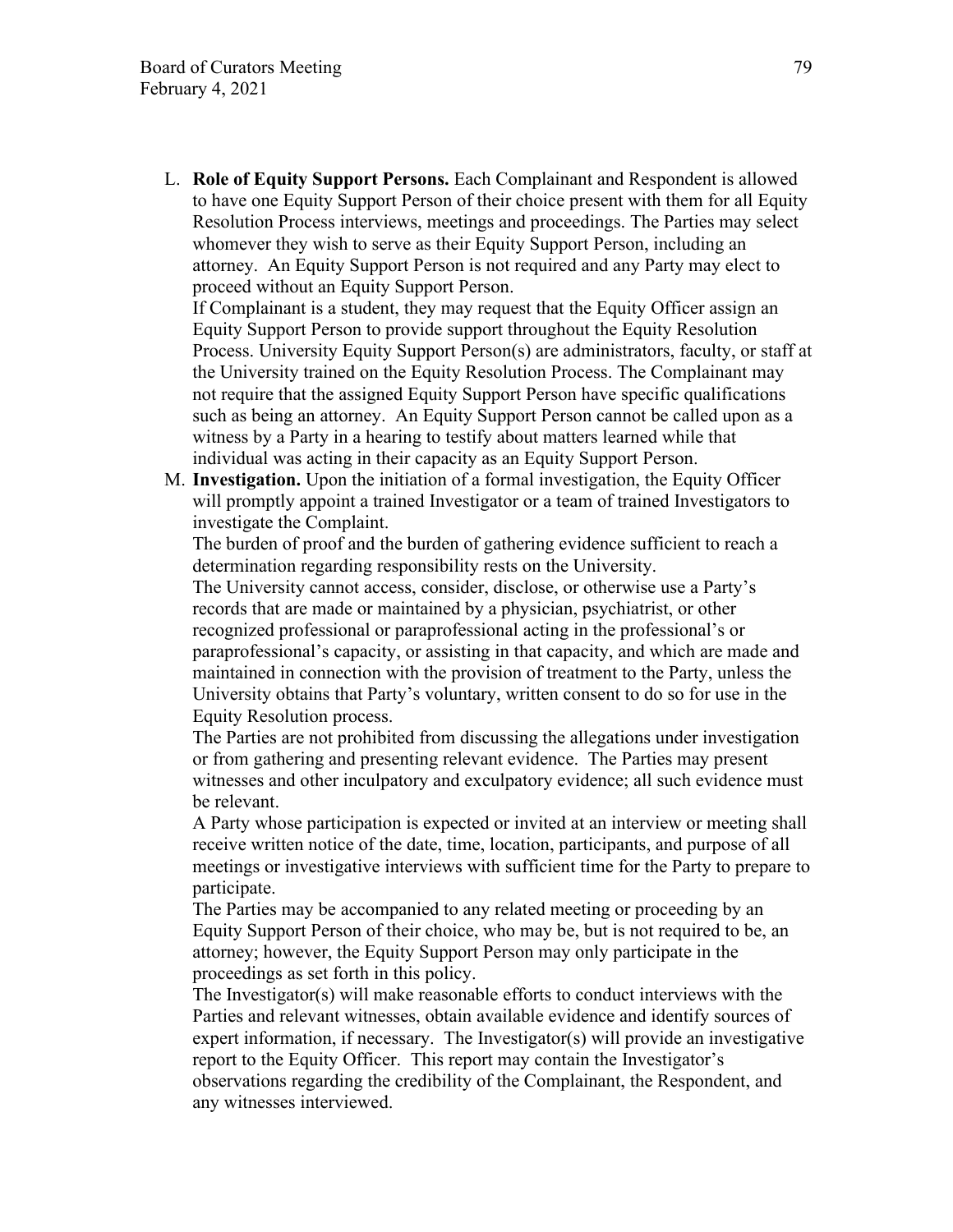L. **Role of Equity Support Persons.** Each Complainant and Respondent is allowed to have one Equity Support Person of their choice present with them for all Equity Resolution Process interviews, meetings and proceedings. The Parties may select whomever they wish to serve as their Equity Support Person, including an attorney. An Equity Support Person is not required and any Party may elect to proceed without an Equity Support Person.

If Complainant is a student, they may request that the Equity Officer assign an Equity Support Person to provide support throughout the Equity Resolution Process. University Equity Support Person(s) are administrators, faculty, or staff at the University trained on the Equity Resolution Process. The Complainant may not require that the assigned Equity Support Person have specific qualifications such as being an attorney. An Equity Support Person cannot be called upon as a witness by a Party in a hearing to testify about matters learned while that individual was acting in their capacity as an Equity Support Person.

M. **Investigation.** Upon the initiation of a formal investigation, the Equity Officer will promptly appoint a trained Investigator or a team of trained Investigators to investigate the Complaint.

The burden of proof and the burden of gathering evidence sufficient to reach a determination regarding responsibility rests on the University.

The University cannot access, consider, disclose, or otherwise use a Party's records that are made or maintained by a physician, psychiatrist, or other recognized professional or paraprofessional acting in the professional's or paraprofessional's capacity, or assisting in that capacity, and which are made and maintained in connection with the provision of treatment to the Party, unless the University obtains that Party's voluntary, written consent to do so for use in the Equity Resolution process.

The Parties are not prohibited from discussing the allegations under investigation or from gathering and presenting relevant evidence. The Parties may present witnesses and other inculpatory and exculpatory evidence; all such evidence must be relevant.

A Party whose participation is expected or invited at an interview or meeting shall receive written notice of the date, time, location, participants, and purpose of all meetings or investigative interviews with sufficient time for the Party to prepare to participate.

The Parties may be accompanied to any related meeting or proceeding by an Equity Support Person of their choice, who may be, but is not required to be, an attorney; however, the Equity Support Person may only participate in the proceedings as set forth in this policy.

The Investigator(s) will make reasonable efforts to conduct interviews with the Parties and relevant witnesses, obtain available evidence and identify sources of expert information, if necessary. The Investigator(s) will provide an investigative report to the Equity Officer. This report may contain the Investigator's observations regarding the credibility of the Complainant, the Respondent, and any witnesses interviewed.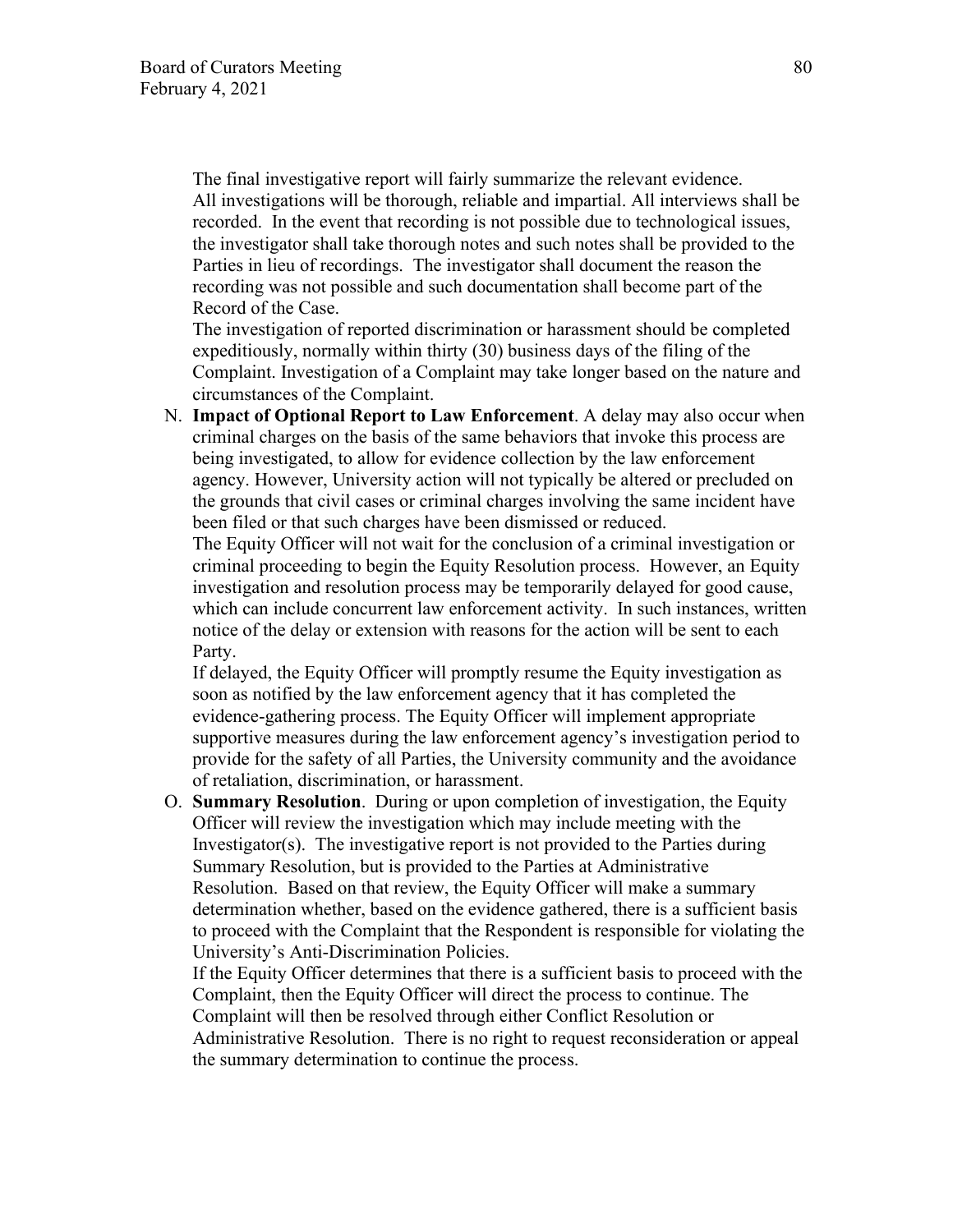The final investigative report will fairly summarize the relevant evidence. All investigations will be thorough, reliable and impartial. All interviews shall be recorded. In the event that recording is not possible due to technological issues, the investigator shall take thorough notes and such notes shall be provided to the Parties in lieu of recordings. The investigator shall document the reason the recording was not possible and such documentation shall become part of the Record of the Case.

The investigation of reported discrimination or harassment should be completed expeditiously, normally within thirty (30) business days of the filing of the Complaint. Investigation of a Complaint may take longer based on the nature and circumstances of the Complaint.

N. **Impact of Optional Report to Law Enforcement**. A delay may also occur when criminal charges on the basis of the same behaviors that invoke this process are being investigated, to allow for evidence collection by the law enforcement agency. However, University action will not typically be altered or precluded on the grounds that civil cases or criminal charges involving the same incident have been filed or that such charges have been dismissed or reduced.

The Equity Officer will not wait for the conclusion of a criminal investigation or criminal proceeding to begin the Equity Resolution process. However, an Equity investigation and resolution process may be temporarily delayed for good cause, which can include concurrent law enforcement activity. In such instances, written notice of the delay or extension with reasons for the action will be sent to each Party.

If delayed, the Equity Officer will promptly resume the Equity investigation as soon as notified by the law enforcement agency that it has completed the evidence-gathering process. The Equity Officer will implement appropriate supportive measures during the law enforcement agency's investigation period to provide for the safety of all Parties, the University community and the avoidance of retaliation, discrimination, or harassment.

O. **Summary Resolution**. During or upon completion of investigation, the Equity Officer will review the investigation which may include meeting with the Investigator(s). The investigative report is not provided to the Parties during Summary Resolution, but is provided to the Parties at Administrative Resolution. Based on that review, the Equity Officer will make a summary determination whether, based on the evidence gathered, there is a sufficient basis to proceed with the Complaint that the Respondent is responsible for violating the University's Anti-Discrimination Policies.

If the Equity Officer determines that there is a sufficient basis to proceed with the Complaint, then the Equity Officer will direct the process to continue. The Complaint will then be resolved through either Conflict Resolution or Administrative Resolution. There is no right to request reconsideration or appeal the summary determination to continue the process.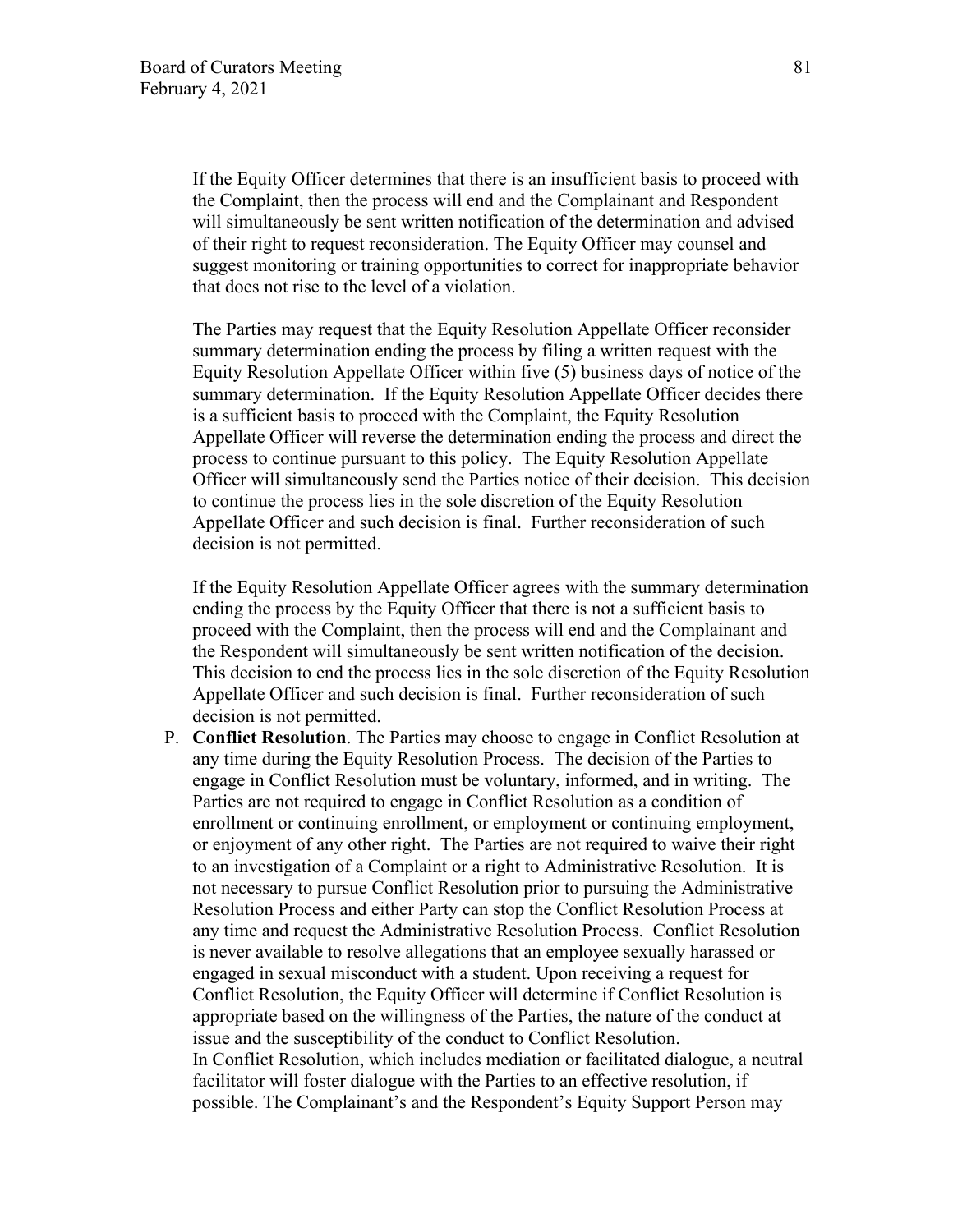If the Equity Officer determines that there is an insufficient basis to proceed with the Complaint, then the process will end and the Complainant and Respondent will simultaneously be sent written notification of the determination and advised of their right to request reconsideration. The Equity Officer may counsel and suggest monitoring or training opportunities to correct for inappropriate behavior that does not rise to the level of a violation.

The Parties may request that the Equity Resolution Appellate Officer reconsider summary determination ending the process by filing a written request with the Equity Resolution Appellate Officer within five (5) business days of notice of the summary determination. If the Equity Resolution Appellate Officer decides there is a sufficient basis to proceed with the Complaint, the Equity Resolution Appellate Officer will reverse the determination ending the process and direct the process to continue pursuant to this policy. The Equity Resolution Appellate Officer will simultaneously send the Parties notice of their decision. This decision to continue the process lies in the sole discretion of the Equity Resolution Appellate Officer and such decision is final. Further reconsideration of such decision is not permitted.

If the Equity Resolution Appellate Officer agrees with the summary determination ending the process by the Equity Officer that there is not a sufficient basis to proceed with the Complaint, then the process will end and the Complainant and the Respondent will simultaneously be sent written notification of the decision. This decision to end the process lies in the sole discretion of the Equity Resolution Appellate Officer and such decision is final. Further reconsideration of such decision is not permitted.

P. **Conflict Resolution**. The Parties may choose to engage in Conflict Resolution at any time during the Equity Resolution Process. The decision of the Parties to engage in Conflict Resolution must be voluntary, informed, and in writing. The Parties are not required to engage in Conflict Resolution as a condition of enrollment or continuing enrollment, or employment or continuing employment, or enjoyment of any other right. The Parties are not required to waive their right to an investigation of a Complaint or a right to Administrative Resolution. It is not necessary to pursue Conflict Resolution prior to pursuing the Administrative Resolution Process and either Party can stop the Conflict Resolution Process at any time and request the Administrative Resolution Process. Conflict Resolution is never available to resolve allegations that an employee sexually harassed or engaged in sexual misconduct with a student. Upon receiving a request for Conflict Resolution, the Equity Officer will determine if Conflict Resolution is appropriate based on the willingness of the Parties, the nature of the conduct at issue and the susceptibility of the conduct to Conflict Resolution. In Conflict Resolution, which includes mediation or facilitated dialogue, a neutral facilitator will foster dialogue with the Parties to an effective resolution, if possible. The Complainant's and the Respondent's Equity Support Person may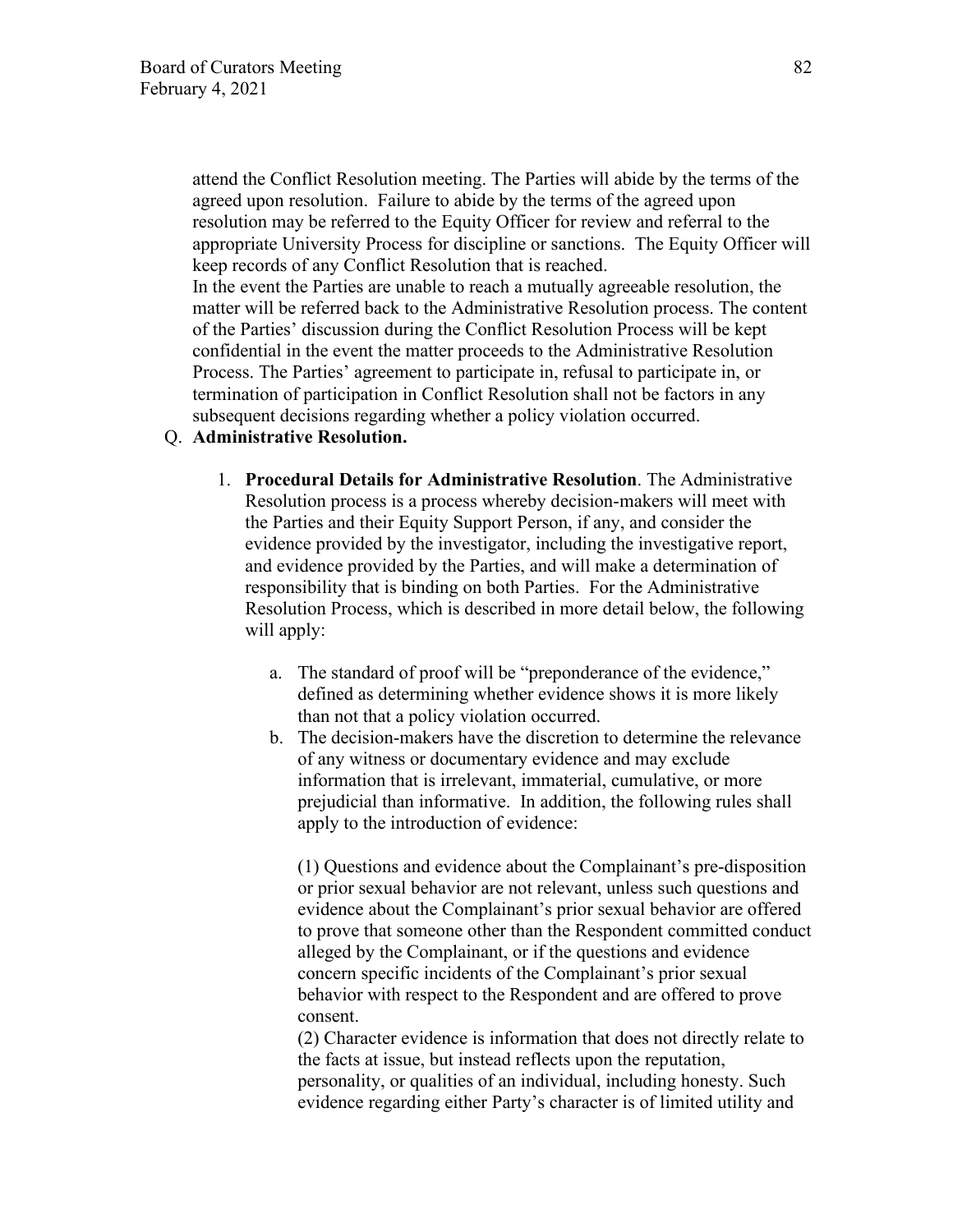attend the Conflict Resolution meeting. The Parties will abide by the terms of the agreed upon resolution. Failure to abide by the terms of the agreed upon resolution may be referred to the Equity Officer for review and referral to the appropriate University Process for discipline or sanctions. The Equity Officer will keep records of any Conflict Resolution that is reached.

In the event the Parties are unable to reach a mutually agreeable resolution, the matter will be referred back to the Administrative Resolution process. The content of the Parties' discussion during the Conflict Resolution Process will be kept confidential in the event the matter proceeds to the Administrative Resolution Process. The Parties' agreement to participate in, refusal to participate in, or termination of participation in Conflict Resolution shall not be factors in any subsequent decisions regarding whether a policy violation occurred.

### Q. **Administrative Resolution.**

- 1. **Procedural Details for Administrative Resolution**. The Administrative Resolution process is a process whereby decision-makers will meet with the Parties and their Equity Support Person, if any, and consider the evidence provided by the investigator, including the investigative report, and evidence provided by the Parties, and will make a determination of responsibility that is binding on both Parties. For the Administrative Resolution Process, which is described in more detail below, the following will apply:
	- a. The standard of proof will be "preponderance of the evidence," defined as determining whether evidence shows it is more likely than not that a policy violation occurred.
	- b. The decision-makers have the discretion to determine the relevance of any witness or documentary evidence and may exclude information that is irrelevant, immaterial, cumulative, or more prejudicial than informative. In addition, the following rules shall apply to the introduction of evidence:

(1) Questions and evidence about the Complainant's pre-disposition or prior sexual behavior are not relevant, unless such questions and evidence about the Complainant's prior sexual behavior are offered to prove that someone other than the Respondent committed conduct alleged by the Complainant, or if the questions and evidence concern specific incidents of the Complainant's prior sexual behavior with respect to the Respondent and are offered to prove consent.

(2) Character evidence is information that does not directly relate to the facts at issue, but instead reflects upon the reputation, personality, or qualities of an individual, including honesty. Such evidence regarding either Party's character is of limited utility and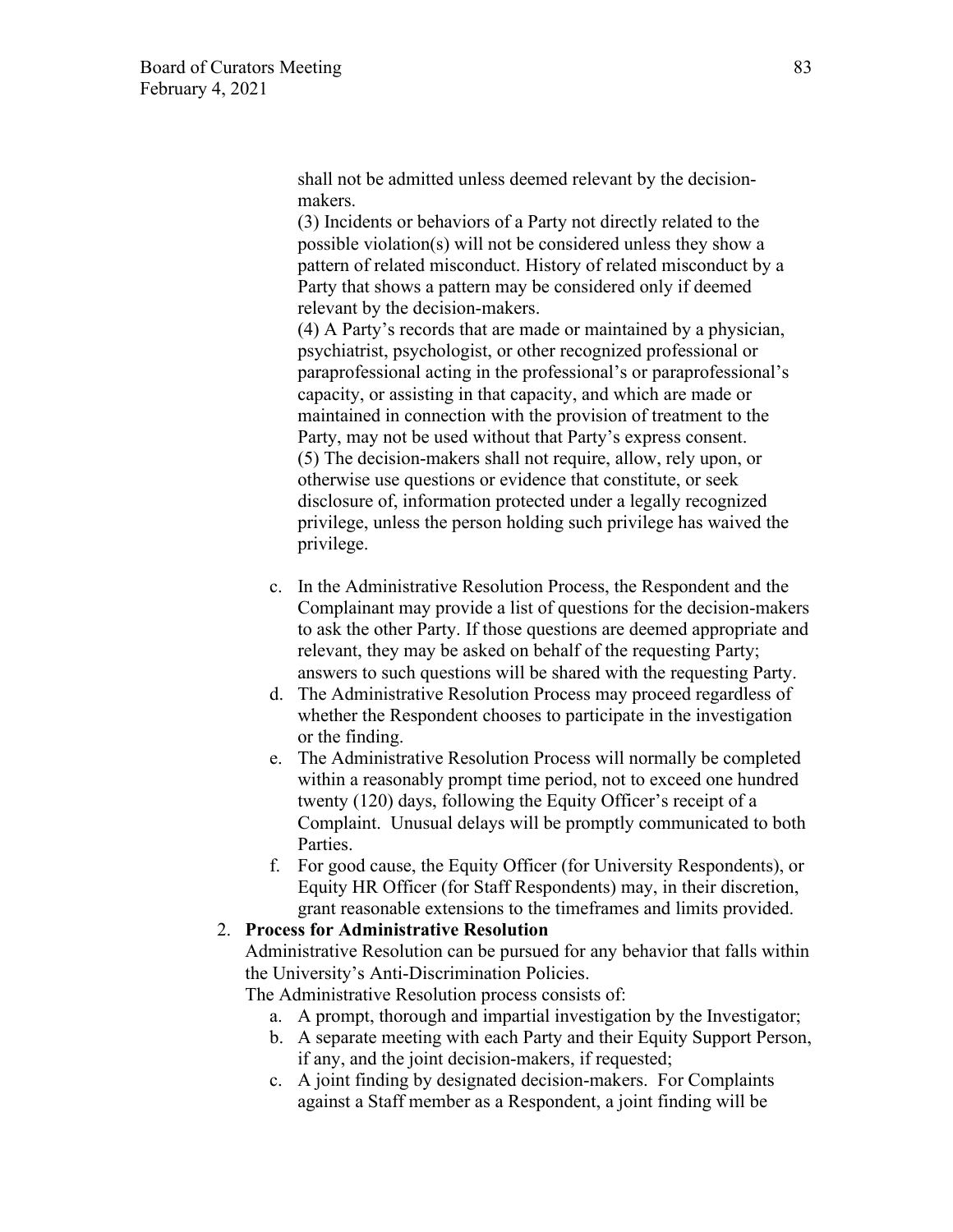shall not be admitted unless deemed relevant by the decisionmakers.

(3) Incidents or behaviors of a Party not directly related to the possible violation(s) will not be considered unless they show a pattern of related misconduct. History of related misconduct by a Party that shows a pattern may be considered only if deemed relevant by the decision-makers.

(4) A Party's records that are made or maintained by a physician, psychiatrist, psychologist, or other recognized professional or paraprofessional acting in the professional's or paraprofessional's capacity, or assisting in that capacity, and which are made or maintained in connection with the provision of treatment to the Party, may not be used without that Party's express consent. (5) The decision-makers shall not require, allow, rely upon, or otherwise use questions or evidence that constitute, or seek disclosure of, information protected under a legally recognized privilege, unless the person holding such privilege has waived the privilege.

- c. In the Administrative Resolution Process, the Respondent and the Complainant may provide a list of questions for the decision-makers to ask the other Party. If those questions are deemed appropriate and relevant, they may be asked on behalf of the requesting Party; answers to such questions will be shared with the requesting Party.
- d. The Administrative Resolution Process may proceed regardless of whether the Respondent chooses to participate in the investigation or the finding.
- e. The Administrative Resolution Process will normally be completed within a reasonably prompt time period, not to exceed one hundred twenty (120) days, following the Equity Officer's receipt of a Complaint. Unusual delays will be promptly communicated to both Parties.
- f. For good cause, the Equity Officer (for University Respondents), or Equity HR Officer (for Staff Respondents) may, in their discretion, grant reasonable extensions to the timeframes and limits provided.

#### 2. **Process for Administrative Resolution**

Administrative Resolution can be pursued for any behavior that falls within the University's Anti-Discrimination Policies.

The Administrative Resolution process consists of:

- a. A prompt, thorough and impartial investigation by the Investigator;
- b. A separate meeting with each Party and their Equity Support Person, if any, and the joint decision-makers, if requested;
- c. A joint finding by designated decision-makers. For Complaints against a Staff member as a Respondent, a joint finding will be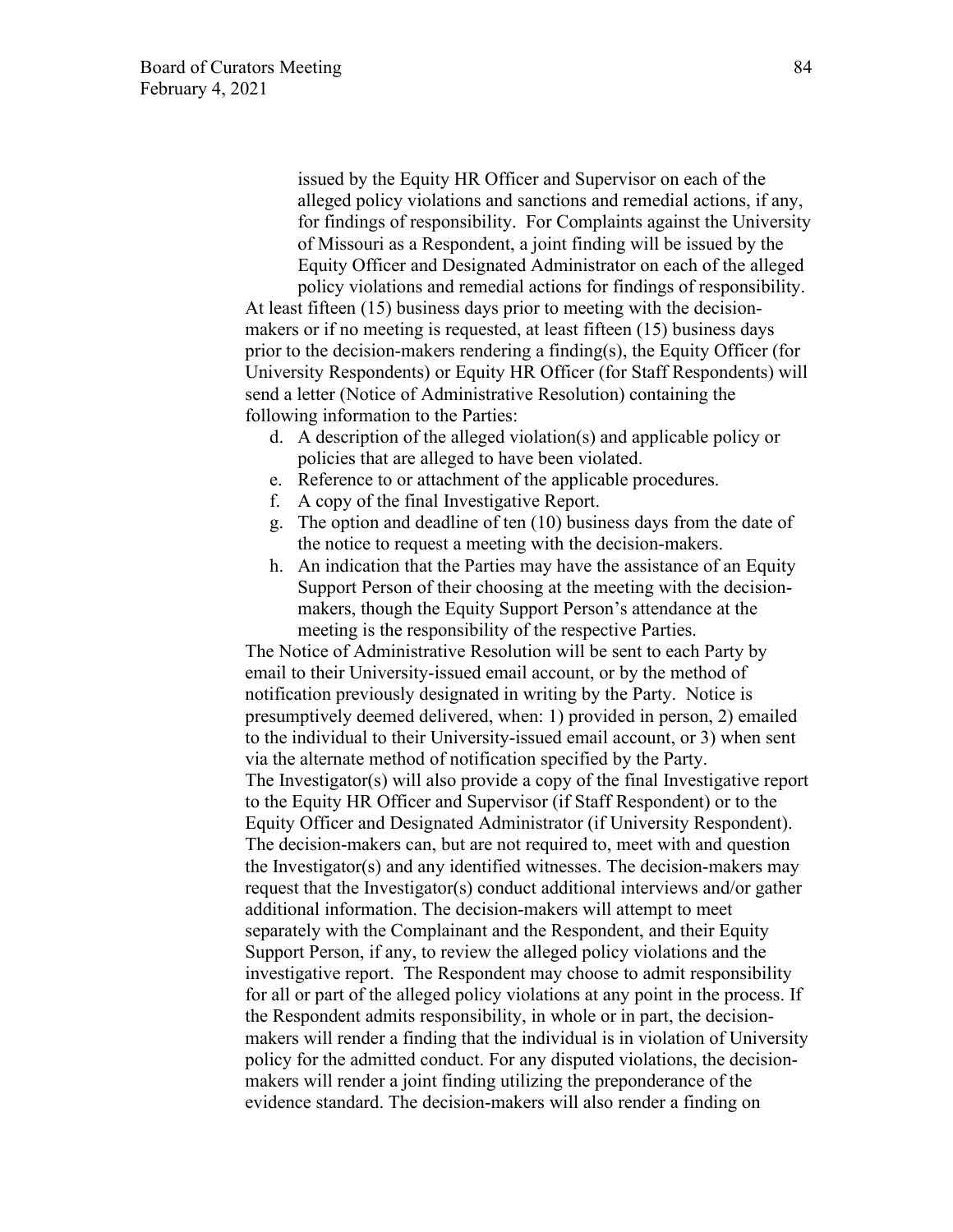issued by the Equity HR Officer and Supervisor on each of the alleged policy violations and sanctions and remedial actions, if any, for findings of responsibility. For Complaints against the University of Missouri as a Respondent, a joint finding will be issued by the Equity Officer and Designated Administrator on each of the alleged

policy violations and remedial actions for findings of responsibility. At least fifteen (15) business days prior to meeting with the decisionmakers or if no meeting is requested, at least fifteen (15) business days prior to the decision-makers rendering a finding(s), the Equity Officer (for University Respondents) or Equity HR Officer (for Staff Respondents) will send a letter (Notice of Administrative Resolution) containing the following information to the Parties:

- d. A description of the alleged violation(s) and applicable policy or policies that are alleged to have been violated.
- e. Reference to or attachment of the applicable procedures.
- f. A copy of the final Investigative Report.
- g. The option and deadline of ten (10) business days from the date of the notice to request a meeting with the decision-makers.
- h. An indication that the Parties may have the assistance of an Equity Support Person of their choosing at the meeting with the decisionmakers, though the Equity Support Person's attendance at the meeting is the responsibility of the respective Parties.

The Notice of Administrative Resolution will be sent to each Party by email to their University-issued email account, or by the method of notification previously designated in writing by the Party. Notice is presumptively deemed delivered, when: 1) provided in person, 2) emailed to the individual to their University-issued email account, or 3) when sent via the alternate method of notification specified by the Party. The Investigator(s) will also provide a copy of the final Investigative report to the Equity HR Officer and Supervisor (if Staff Respondent) or to the Equity Officer and Designated Administrator (if University Respondent). The decision-makers can, but are not required to, meet with and question the Investigator(s) and any identified witnesses. The decision-makers may request that the Investigator(s) conduct additional interviews and/or gather additional information. The decision-makers will attempt to meet separately with the Complainant and the Respondent, and their Equity Support Person, if any, to review the alleged policy violations and the investigative report. The Respondent may choose to admit responsibility for all or part of the alleged policy violations at any point in the process. If the Respondent admits responsibility, in whole or in part, the decisionmakers will render a finding that the individual is in violation of University policy for the admitted conduct. For any disputed violations, the decisionmakers will render a joint finding utilizing the preponderance of the evidence standard. The decision-makers will also render a finding on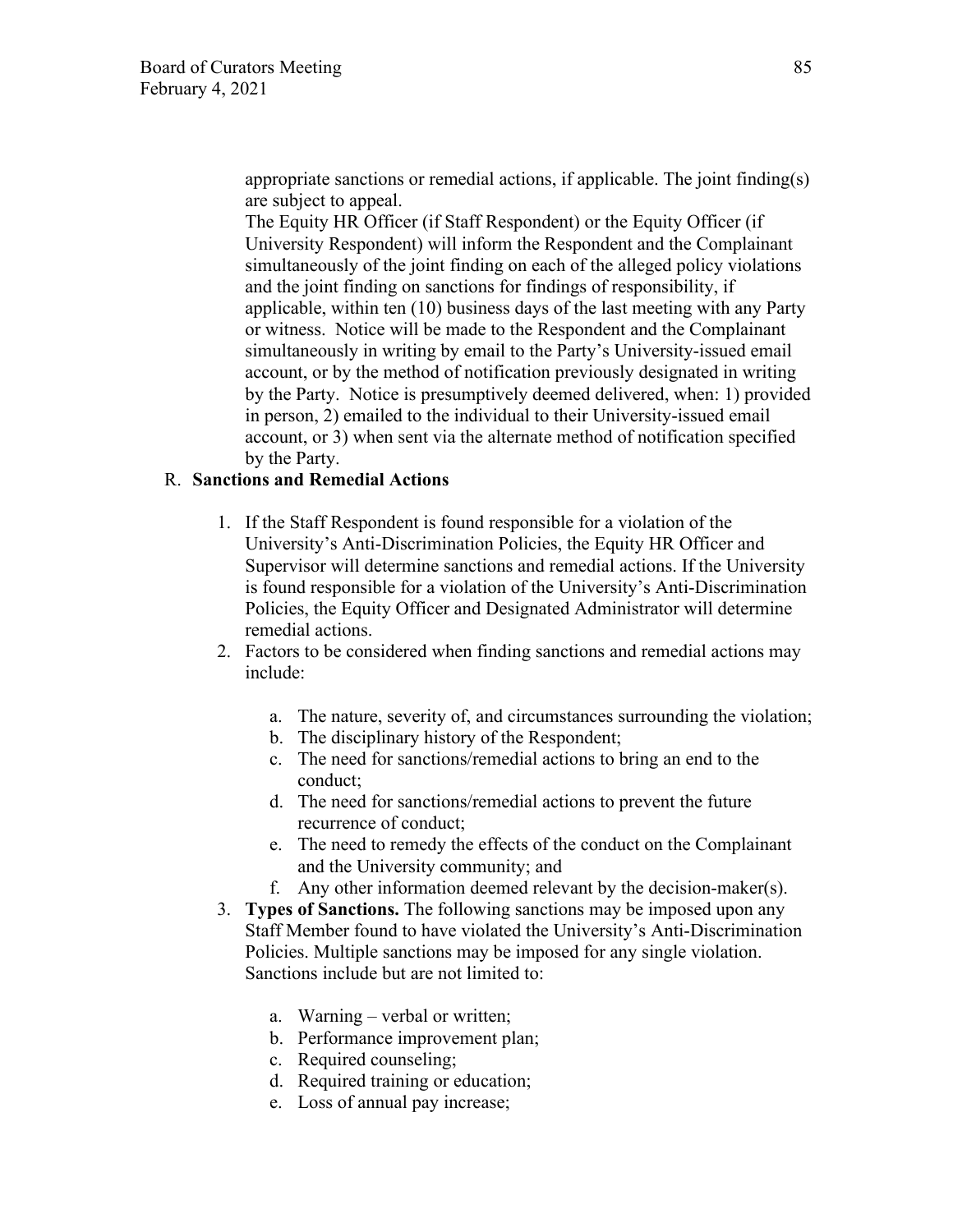appropriate sanctions or remedial actions, if applicable. The joint finding(s) are subject to appeal.

The Equity HR Officer (if Staff Respondent) or the Equity Officer (if University Respondent) will inform the Respondent and the Complainant simultaneously of the joint finding on each of the alleged policy violations and the joint finding on sanctions for findings of responsibility, if applicable, within ten (10) business days of the last meeting with any Party or witness. Notice will be made to the Respondent and the Complainant simultaneously in writing by email to the Party's University-issued email account, or by the method of notification previously designated in writing by the Party. Notice is presumptively deemed delivered, when: 1) provided in person, 2) emailed to the individual to their University-issued email account, or 3) when sent via the alternate method of notification specified by the Party.

## R. **Sanctions and Remedial Actions**

- 1. If the Staff Respondent is found responsible for a violation of the University's Anti-Discrimination Policies, the Equity HR Officer and Supervisor will determine sanctions and remedial actions. If the University is found responsible for a violation of the University's Anti-Discrimination Policies, the Equity Officer and Designated Administrator will determine remedial actions.
- 2. Factors to be considered when finding sanctions and remedial actions may include:
	- a. The nature, severity of, and circumstances surrounding the violation;
	- b. The disciplinary history of the Respondent;
	- c. The need for sanctions/remedial actions to bring an end to the conduct;
	- d. The need for sanctions/remedial actions to prevent the future recurrence of conduct;
	- e. The need to remedy the effects of the conduct on the Complainant and the University community; and
	- f. Any other information deemed relevant by the decision-maker(s).
- 3. **Types of Sanctions.** The following sanctions may be imposed upon any Staff Member found to have violated the University's Anti-Discrimination Policies. Multiple sanctions may be imposed for any single violation. Sanctions include but are not limited to:
	- a. Warning verbal or written;
	- b. Performance improvement plan;
	- c. Required counseling;
	- d. Required training or education;
	- e. Loss of annual pay increase;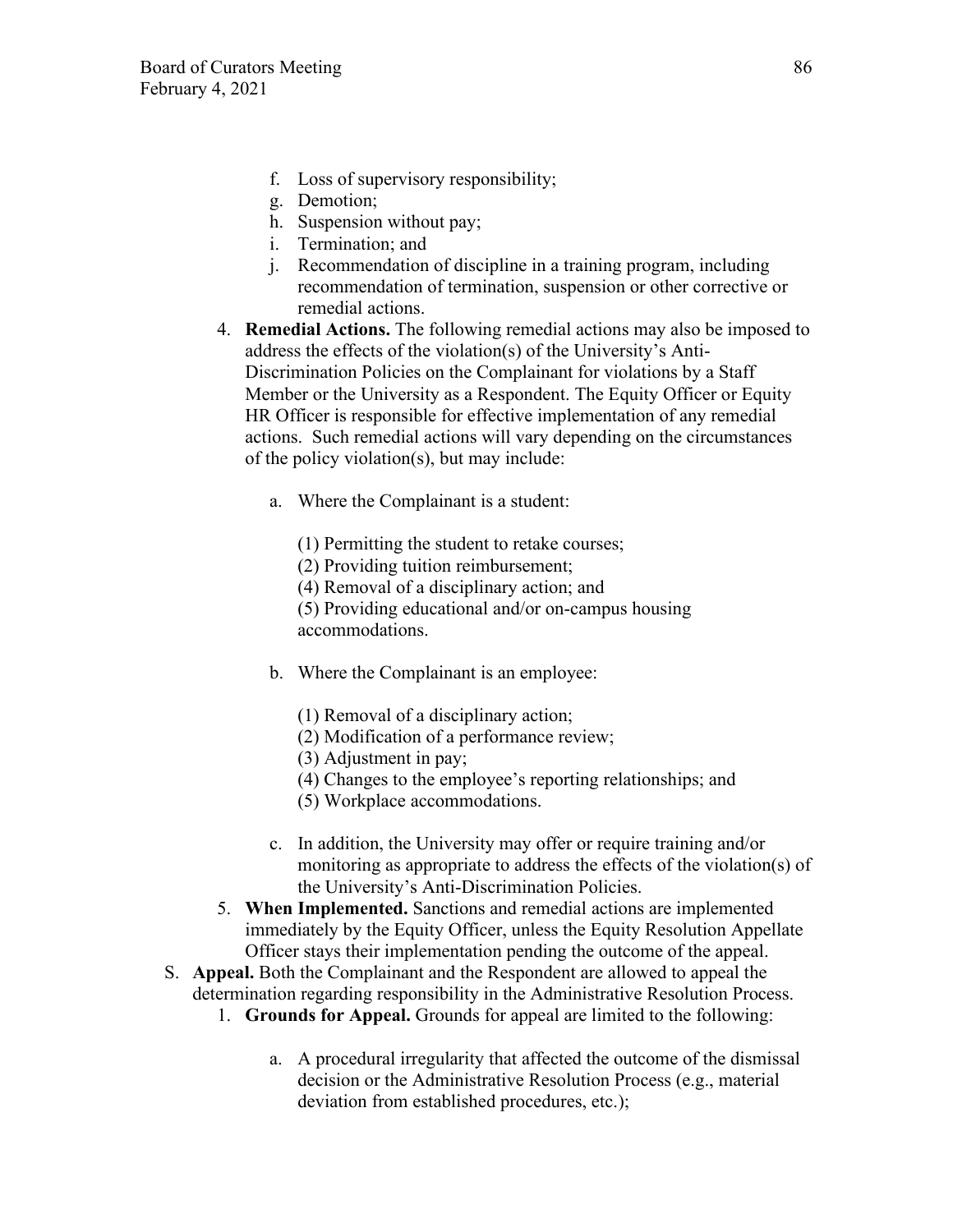- f. Loss of supervisory responsibility;
- g. Demotion;
- h. Suspension without pay;
- i. Termination; and
- j. Recommendation of discipline in a training program, including recommendation of termination, suspension or other corrective or remedial actions.
- 4. **Remedial Actions.** The following remedial actions may also be imposed to address the effects of the violation(s) of the University's Anti-Discrimination Policies on the Complainant for violations by a Staff Member or the University as a Respondent. The Equity Officer or Equity HR Officer is responsible for effective implementation of any remedial actions. Such remedial actions will vary depending on the circumstances of the policy violation(s), but may include:
	- a. Where the Complainant is a student:
		- (1) Permitting the student to retake courses;
		- (2) Providing tuition reimbursement;
		- (4) Removal of a disciplinary action; and

(5) Providing educational and/or on-campus housing accommodations.

- b. Where the Complainant is an employee:
	- (1) Removal of a disciplinary action;
	- (2) Modification of a performance review;
	- (3) Adjustment in pay;
	- (4) Changes to the employee's reporting relationships; and
	- (5) Workplace accommodations.
- c. In addition, the University may offer or require training and/or monitoring as appropriate to address the effects of the violation(s) of the University's Anti-Discrimination Policies.
- 5. **When Implemented.** Sanctions and remedial actions are implemented immediately by the Equity Officer, unless the Equity Resolution Appellate Officer stays their implementation pending the outcome of the appeal.
- S. **Appeal.** Both the Complainant and the Respondent are allowed to appeal the determination regarding responsibility in the Administrative Resolution Process.
	- 1. **Grounds for Appeal.** Grounds for appeal are limited to the following:
		- a. A procedural irregularity that affected the outcome of the dismissal decision or the Administrative Resolution Process (e.g., material deviation from established procedures, etc.);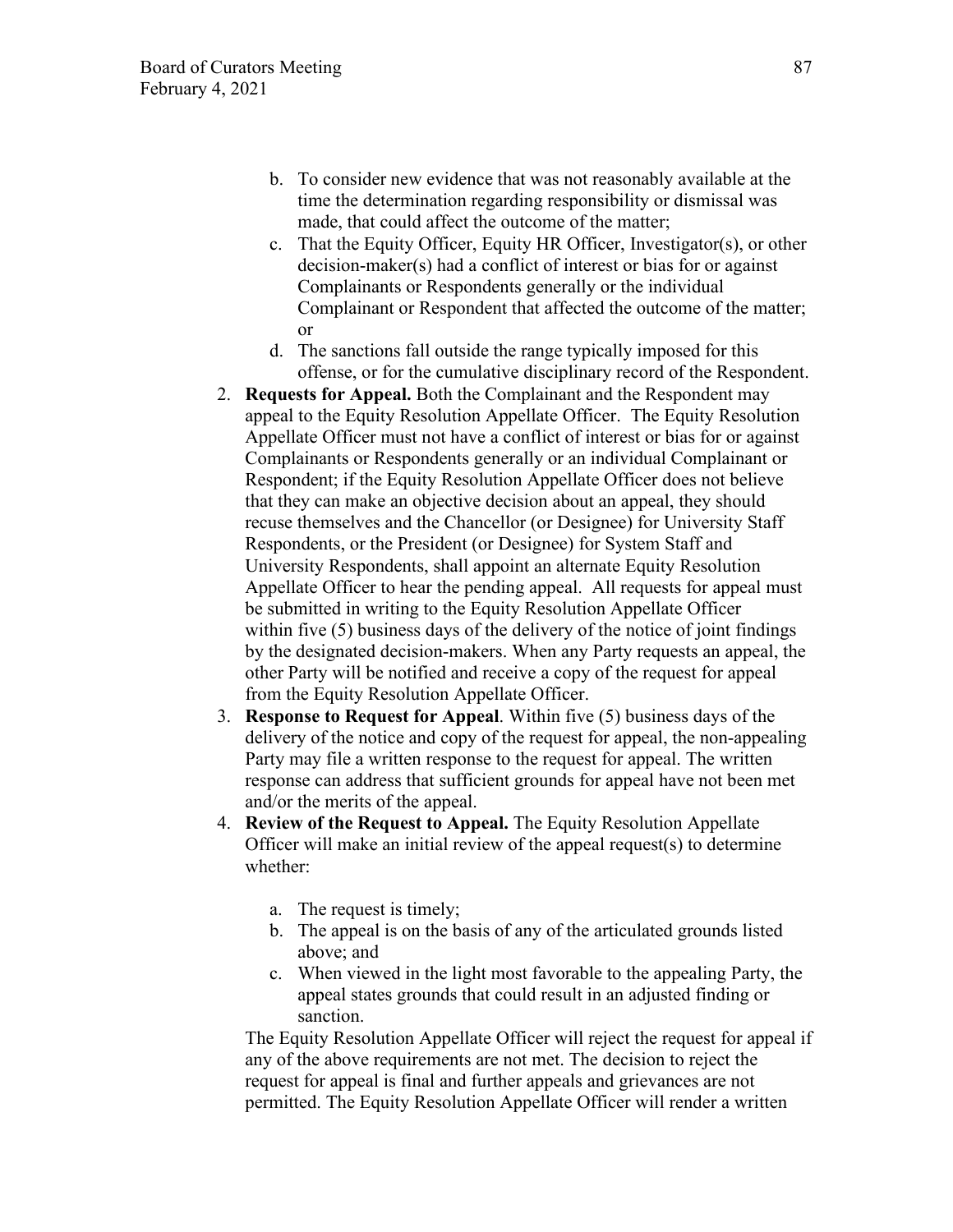- b. To consider new evidence that was not reasonably available at the time the determination regarding responsibility or dismissal was made, that could affect the outcome of the matter;
- c. That the Equity Officer, Equity HR Officer, Investigator(s), or other decision-maker(s) had a conflict of interest or bias for or against Complainants or Respondents generally or the individual Complainant or Respondent that affected the outcome of the matter; or
- d. The sanctions fall outside the range typically imposed for this offense, or for the cumulative disciplinary record of the Respondent.
- 2. **Requests for Appeal.** Both the Complainant and the Respondent may appeal to the Equity Resolution Appellate Officer. The Equity Resolution Appellate Officer must not have a conflict of interest or bias for or against Complainants or Respondents generally or an individual Complainant or Respondent; if the Equity Resolution Appellate Officer does not believe that they can make an objective decision about an appeal, they should recuse themselves and the Chancellor (or Designee) for University Staff Respondents, or the President (or Designee) for System Staff and University Respondents, shall appoint an alternate Equity Resolution Appellate Officer to hear the pending appeal. All requests for appeal must be submitted in writing to the Equity Resolution Appellate Officer within five (5) business days of the delivery of the notice of joint findings by the designated decision-makers. When any Party requests an appeal, the other Party will be notified and receive a copy of the request for appeal from the Equity Resolution Appellate Officer.
- 3. **Response to Request for Appeal**. Within five (5) business days of the delivery of the notice and copy of the request for appeal, the non-appealing Party may file a written response to the request for appeal. The written response can address that sufficient grounds for appeal have not been met and/or the merits of the appeal.
- 4. **Review of the Request to Appeal.** The Equity Resolution Appellate Officer will make an initial review of the appeal request(s) to determine whether:
	- a. The request is timely;
	- b. The appeal is on the basis of any of the articulated grounds listed above; and
	- c. When viewed in the light most favorable to the appealing Party, the appeal states grounds that could result in an adjusted finding or sanction.

The Equity Resolution Appellate Officer will reject the request for appeal if any of the above requirements are not met. The decision to reject the request for appeal is final and further appeals and grievances are not permitted. The Equity Resolution Appellate Officer will render a written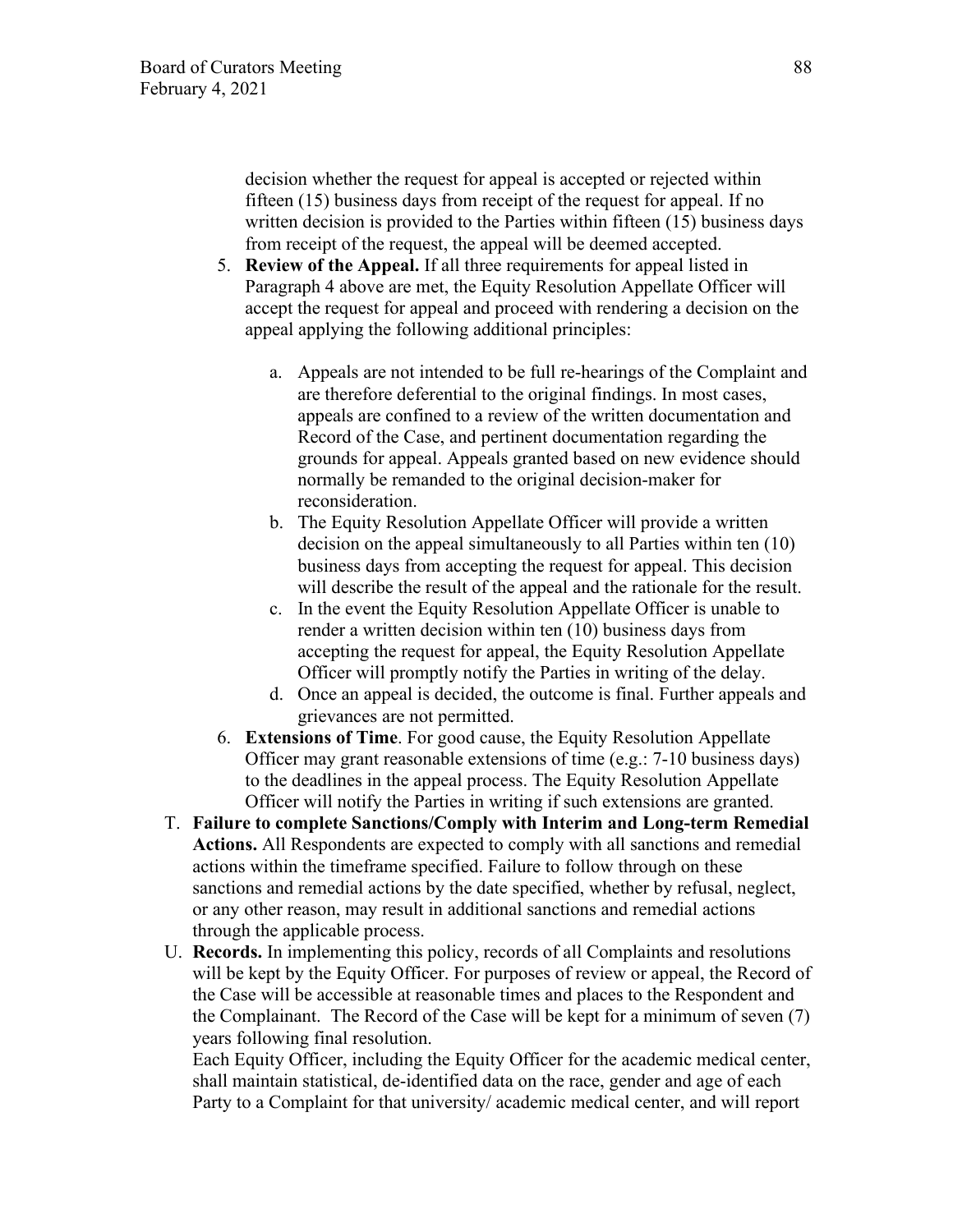decision whether the request for appeal is accepted or rejected within fifteen (15) business days from receipt of the request for appeal. If no written decision is provided to the Parties within fifteen (15) business days from receipt of the request, the appeal will be deemed accepted.

- 5. **Review of the Appeal.** If all three requirements for appeal listed in Paragraph 4 above are met, the Equity Resolution Appellate Officer will accept the request for appeal and proceed with rendering a decision on the appeal applying the following additional principles:
	- a. Appeals are not intended to be full re-hearings of the Complaint and are therefore deferential to the original findings. In most cases, appeals are confined to a review of the written documentation and Record of the Case, and pertinent documentation regarding the grounds for appeal. Appeals granted based on new evidence should normally be remanded to the original decision-maker for reconsideration.
	- b. The Equity Resolution Appellate Officer will provide a written decision on the appeal simultaneously to all Parties within ten (10) business days from accepting the request for appeal. This decision will describe the result of the appeal and the rationale for the result.
	- c. In the event the Equity Resolution Appellate Officer is unable to render a written decision within ten (10) business days from accepting the request for appeal, the Equity Resolution Appellate Officer will promptly notify the Parties in writing of the delay.
	- d. Once an appeal is decided, the outcome is final. Further appeals and grievances are not permitted.
- 6. **Extensions of Time**. For good cause, the Equity Resolution Appellate Officer may grant reasonable extensions of time (e.g.: 7-10 business days) to the deadlines in the appeal process. The Equity Resolution Appellate Officer will notify the Parties in writing if such extensions are granted.
- T. **Failure to complete Sanctions/Comply with Interim and Long-term Remedial Actions.** All Respondents are expected to comply with all sanctions and remedial actions within the timeframe specified. Failure to follow through on these sanctions and remedial actions by the date specified, whether by refusal, neglect, or any other reason, may result in additional sanctions and remedial actions through the applicable process.
- U. **Records.** In implementing this policy, records of all Complaints and resolutions will be kept by the Equity Officer. For purposes of review or appeal, the Record of the Case will be accessible at reasonable times and places to the Respondent and the Complainant. The Record of the Case will be kept for a minimum of seven (7) years following final resolution.

Each Equity Officer, including the Equity Officer for the academic medical center, shall maintain statistical, de-identified data on the race, gender and age of each Party to a Complaint for that university/ academic medical center, and will report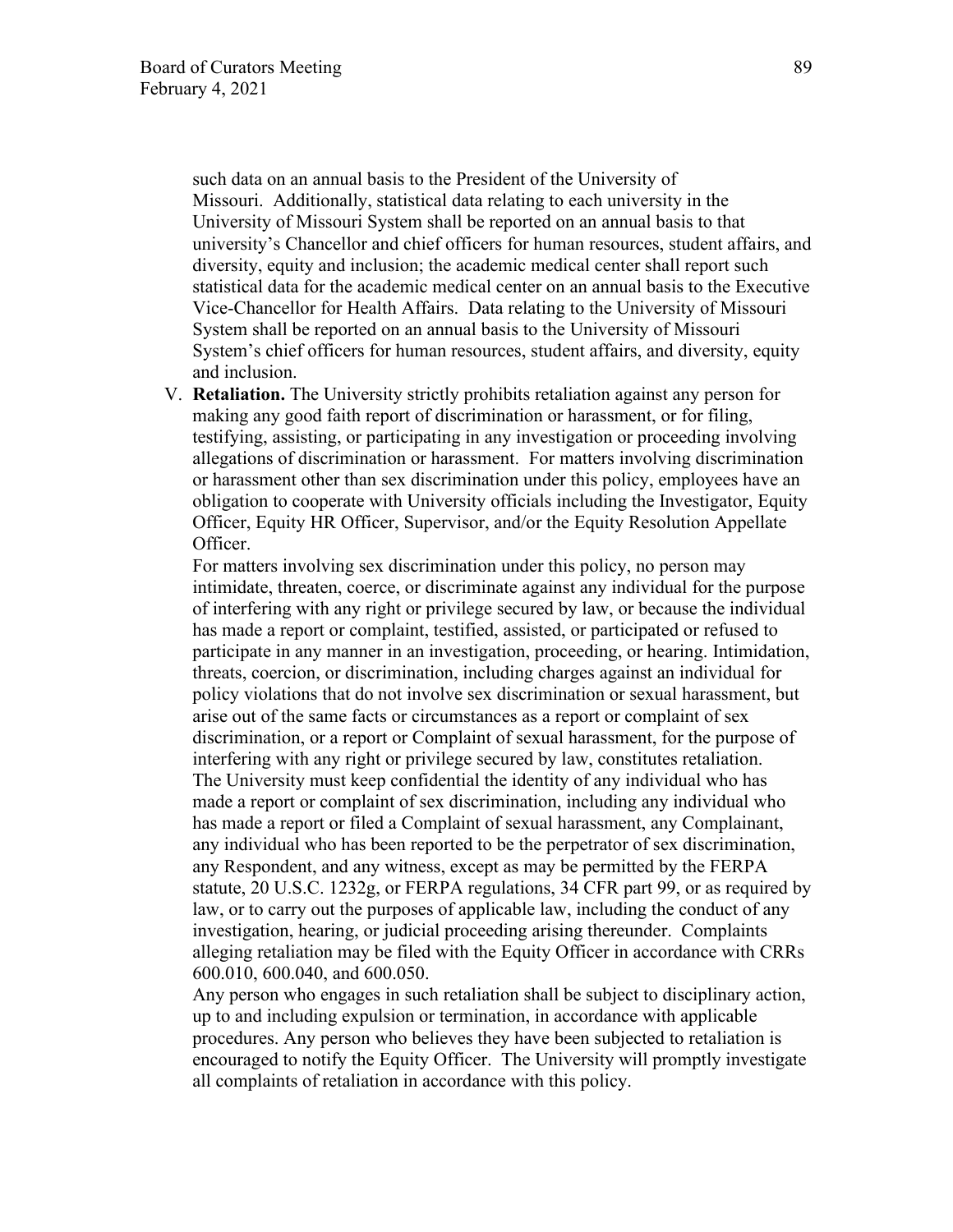such data on an annual basis to the President of the University of Missouri. Additionally, statistical data relating to each university in the University of Missouri System shall be reported on an annual basis to that university's Chancellor and chief officers for human resources, student affairs, and diversity, equity and inclusion; the academic medical center shall report such statistical data for the academic medical center on an annual basis to the Executive Vice-Chancellor for Health Affairs. Data relating to the University of Missouri System shall be reported on an annual basis to the University of Missouri System's chief officers for human resources, student affairs, and diversity, equity and inclusion.

V. **Retaliation.** The University strictly prohibits retaliation against any person for making any good faith report of discrimination or harassment, or for filing, testifying, assisting, or participating in any investigation or proceeding involving allegations of discrimination or harassment. For matters involving discrimination or harassment other than sex discrimination under this policy, employees have an obligation to cooperate with University officials including the Investigator, Equity Officer, Equity HR Officer, Supervisor, and/or the Equity Resolution Appellate Officer.

For matters involving sex discrimination under this policy, no person may intimidate, threaten, coerce, or discriminate against any individual for the purpose of interfering with any right or privilege secured by law, or because the individual has made a report or complaint, testified, assisted, or participated or refused to participate in any manner in an investigation, proceeding, or hearing. Intimidation, threats, coercion, or discrimination, including charges against an individual for policy violations that do not involve sex discrimination or sexual harassment, but arise out of the same facts or circumstances as a report or complaint of sex discrimination, or a report or Complaint of sexual harassment, for the purpose of interfering with any right or privilege secured by law, constitutes retaliation. The University must keep confidential the identity of any individual who has made a report or complaint of sex discrimination, including any individual who has made a report or filed a Complaint of sexual harassment, any Complainant, any individual who has been reported to be the perpetrator of sex discrimination, any Respondent, and any witness, except as may be permitted by the FERPA statute, 20 U.S.C. 1232g, or FERPA regulations, 34 CFR part 99, or as required by law, or to carry out the purposes of applicable law, including the conduct of any investigation, hearing, or judicial proceeding arising thereunder. Complaints alleging retaliation may be filed with the Equity Officer in accordance with CRRs 600.010, 600.040, and 600.050.

Any person who engages in such retaliation shall be subject to disciplinary action, up to and including expulsion or termination, in accordance with applicable procedures. Any person who believes they have been subjected to retaliation is encouraged to notify the Equity Officer. The University will promptly investigate all complaints of retaliation in accordance with this policy.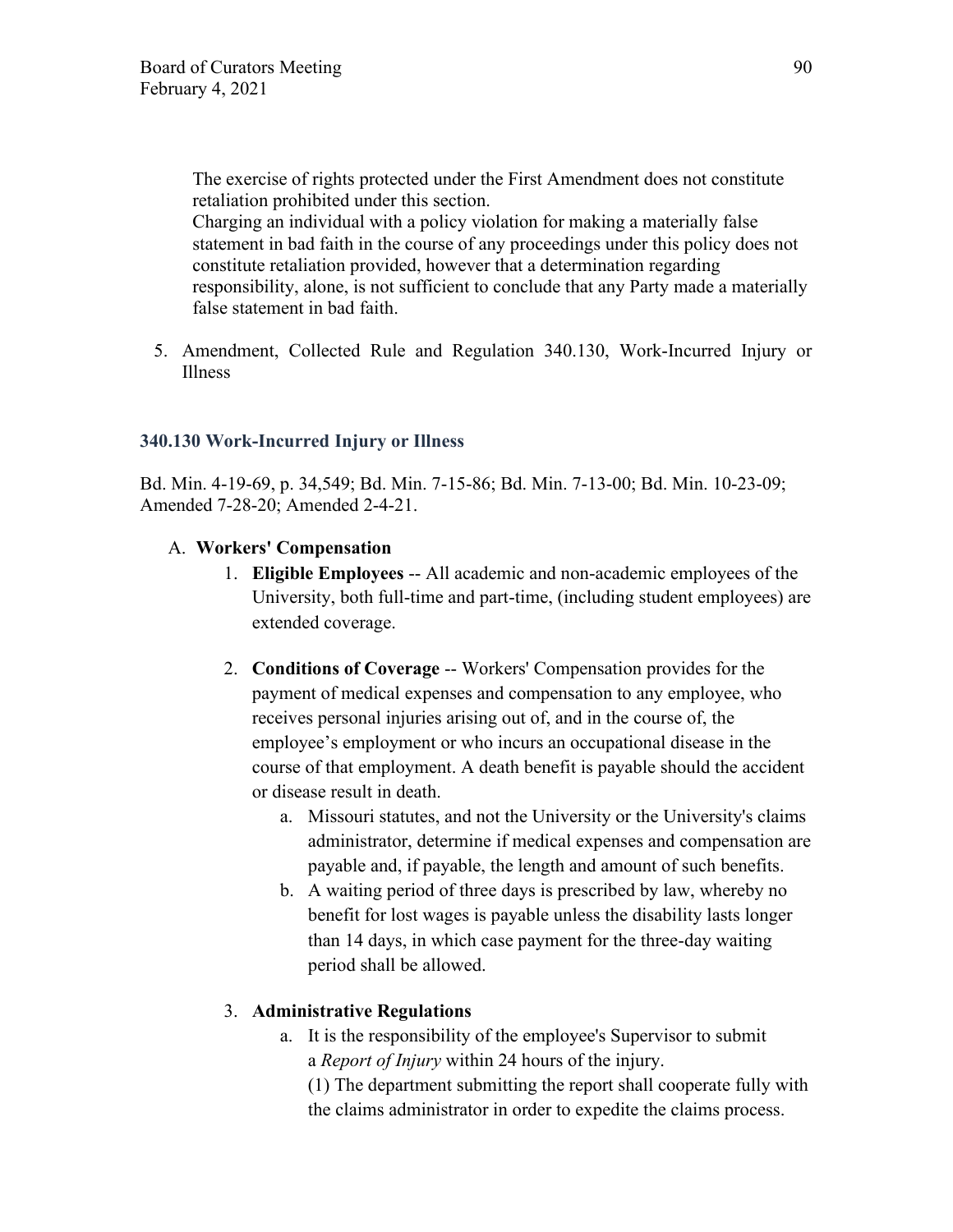The exercise of rights protected under the First Amendment does not constitute retaliation prohibited under this section.

Charging an individual with a policy violation for making a materially false statement in bad faith in the course of any proceedings under this policy does not constitute retaliation provided, however that a determination regarding responsibility, alone, is not sufficient to conclude that any Party made a materially false statement in bad faith.

5. Amendment, Collected Rule and Regulation 340.130, Work-Incurred Injury or Illness

# **340.130 Work-Incurred Injury or Illness**

Bd. Min. 4-19-69, p. 34,549; Bd. Min. 7-15-86; Bd. Min. 7-13-00; Bd. Min. 10-23-09; Amended 7-28-20; Amended 2-4-21.

# A. **Workers' Compensation**

- 1. **Eligible Employees** -- All academic and non-academic employees of the University, both full-time and part-time, (including student employees) are extended coverage.
- 2. **Conditions of Coverage** -- Workers' Compensation provides for the payment of medical expenses and compensation to any employee, who receives personal injuries arising out of, and in the course of, the employee's employment or who incurs an occupational disease in the course of that employment. A death benefit is payable should the accident or disease result in death.
	- a. Missouri statutes, and not the University or the University's claims administrator, determine if medical expenses and compensation are payable and, if payable, the length and amount of such benefits.
	- b. A waiting period of three days is prescribed by law, whereby no benefit for lost wages is payable unless the disability lasts longer than 14 days, in which case payment for the three-day waiting period shall be allowed.

# 3. **Administrative Regulations**

a. It is the responsibility of the employee's Supervisor to submit a *Report of Injury* within 24 hours of the injury.

(1) The department submitting the report shall cooperate fully with the claims administrator in order to expedite the claims process.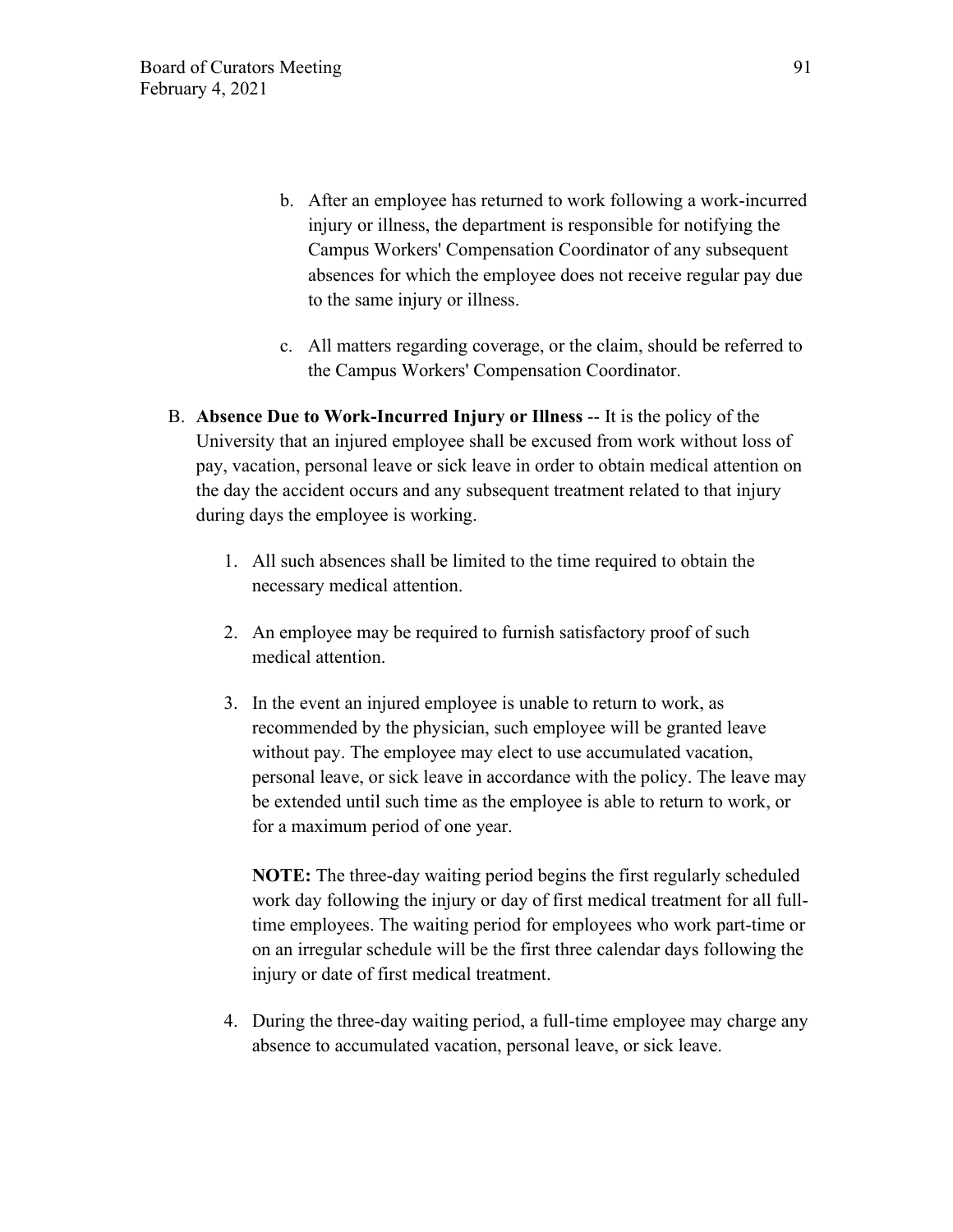- b. After an employee has returned to work following a work-incurred injury or illness, the department is responsible for notifying the Campus Workers' Compensation Coordinator of any subsequent absences for which the employee does not receive regular pay due to the same injury or illness.
- c. All matters regarding coverage, or the claim, should be referred to the Campus Workers' Compensation Coordinator.
- B. **Absence Due to Work-Incurred Injury or Illness** -- It is the policy of the University that an injured employee shall be excused from work without loss of pay, vacation, personal leave or sick leave in order to obtain medical attention on the day the accident occurs and any subsequent treatment related to that injury during days the employee is working.
	- 1. All such absences shall be limited to the time required to obtain the necessary medical attention.
	- 2. An employee may be required to furnish satisfactory proof of such medical attention.
	- 3. In the event an injured employee is unable to return to work, as recommended by the physician, such employee will be granted leave without pay. The employee may elect to use accumulated vacation, personal leave, or sick leave in accordance with the policy. The leave may be extended until such time as the employee is able to return to work, or for a maximum period of one year.

**NOTE:** The three-day waiting period begins the first regularly scheduled work day following the injury or day of first medical treatment for all fulltime employees. The waiting period for employees who work part-time or on an irregular schedule will be the first three calendar days following the injury or date of first medical treatment.

4. During the three-day waiting period, a full-time employee may charge any absence to accumulated vacation, personal leave, or sick leave.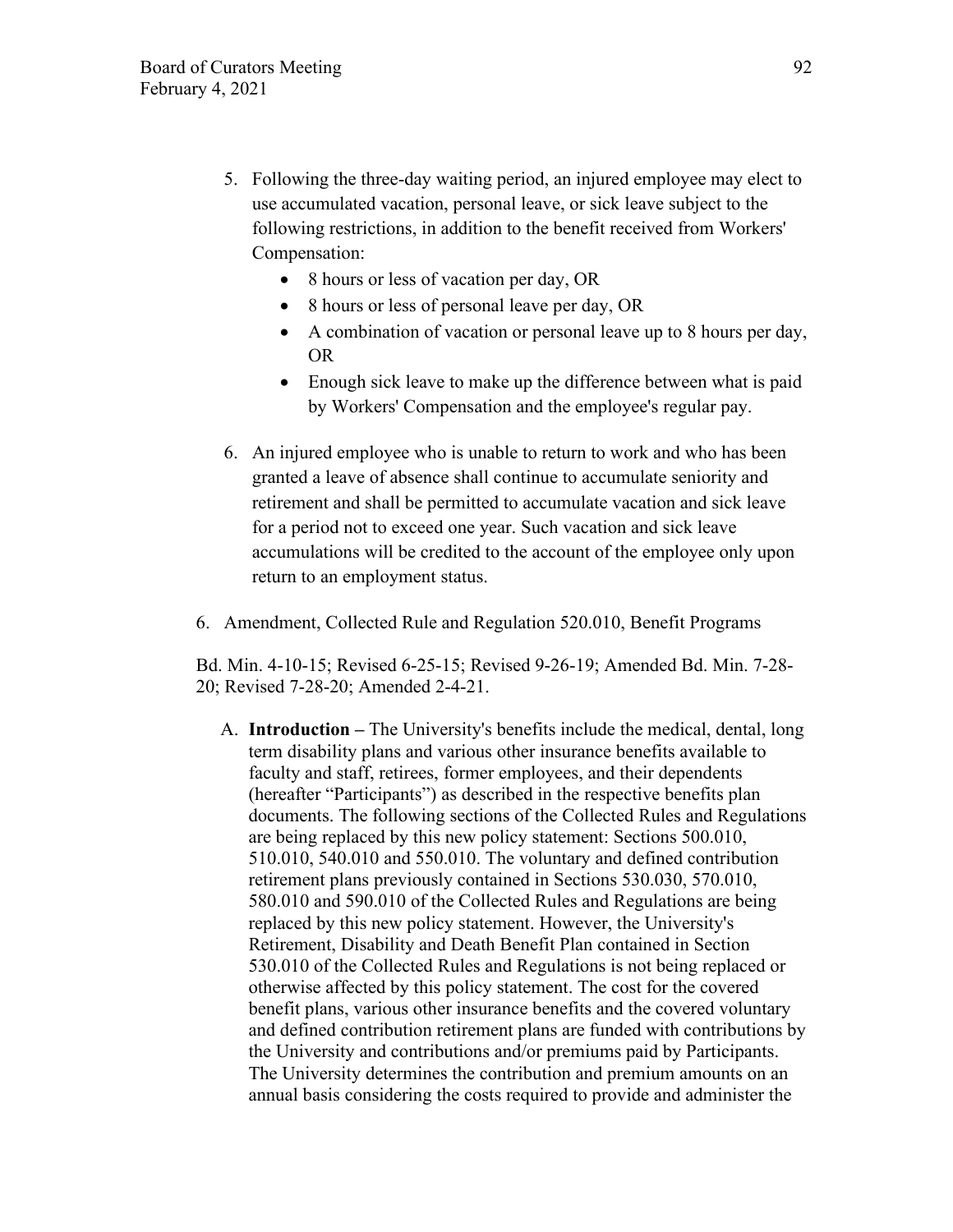- 5. Following the three-day waiting period, an injured employee may elect to use accumulated vacation, personal leave, or sick leave subject to the following restrictions, in addition to the benefit received from Workers' Compensation:
	- 8 hours or less of vacation per day, OR
	- 8 hours or less of personal leave per day, OR
	- A combination of vacation or personal leave up to 8 hours per day, OR
	- Enough sick leave to make up the difference between what is paid by Workers' Compensation and the employee's regular pay.
- 6. An injured employee who is unable to return to work and who has been granted a leave of absence shall continue to accumulate seniority and retirement and shall be permitted to accumulate vacation and sick leave for a period not to exceed one year. Such vacation and sick leave accumulations will be credited to the account of the employee only upon return to an employment status.
- 6. Amendment, Collected Rule and Regulation 520.010, Benefit Programs

Bd. Min. 4-10-15; Revised 6-25-15; Revised 9-26-19; Amended Bd. Min. 7-28- 20; Revised 7-28-20; Amended 2-4-21.

A. **Introduction –** The University's benefits include the medical, dental, long term disability plans and various other insurance benefits available to faculty and staff, retirees, former employees, and their dependents (hereafter "Participants") as described in the respective benefits plan documents. The following sections of the Collected Rules and Regulations are being replaced by this new policy statement: Sections 500.010, 510.010, 540.010 and 550.010. The voluntary and defined contribution retirement plans previously contained in Sections 530.030, 570.010, 580.010 and 590.010 of the Collected Rules and Regulations are being replaced by this new policy statement. However, the University's Retirement, Disability and Death Benefit Plan contained in Section 530.010 of the Collected Rules and Regulations is not being replaced or otherwise affected by this policy statement. The cost for the covered benefit plans, various other insurance benefits and the covered voluntary and defined contribution retirement plans are funded with contributions by the University and contributions and/or premiums paid by Participants. The University determines the contribution and premium amounts on an annual basis considering the costs required to provide and administer the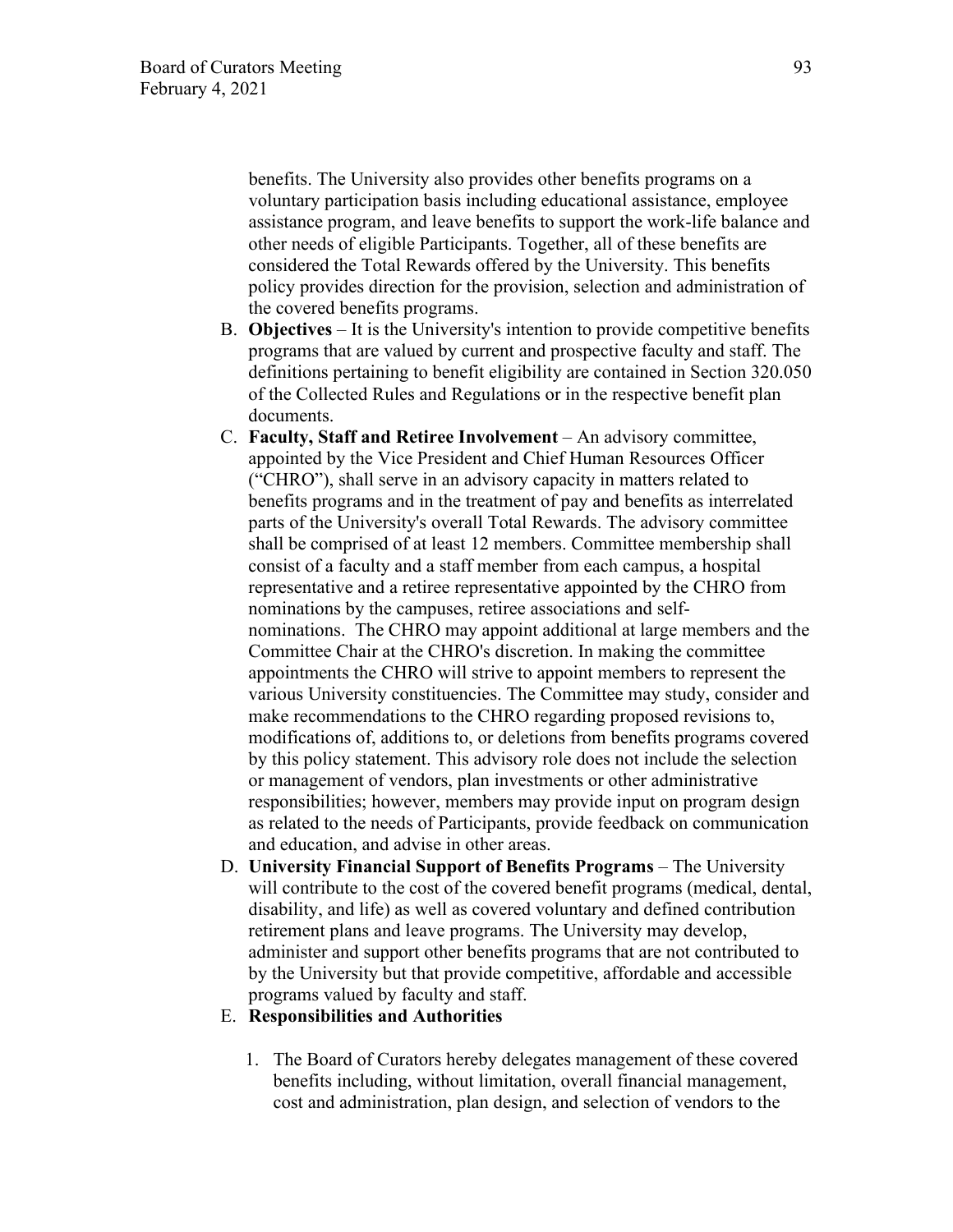benefits. The University also provides other benefits programs on a voluntary participation basis including educational assistance, employee assistance program, and leave benefits to support the work-life balance and other needs of eligible Participants. Together, all of these benefits are considered the Total Rewards offered by the University. This benefits policy provides direction for the provision, selection and administration of the covered benefits programs.

- B. **Objectives** It is the University's intention to provide competitive benefits programs that are valued by current and prospective faculty and staff. The definitions pertaining to benefit eligibility are contained in Section 320.050 of the Collected Rules and Regulations or in the respective benefit plan documents.
- C. **Faculty, Staff and Retiree Involvement**  An advisory committee, appointed by the Vice President and Chief Human Resources Officer ("CHRO"), shall serve in an advisory capacity in matters related to benefits programs and in the treatment of pay and benefits as interrelated parts of the University's overall Total Rewards. The advisory committee shall be comprised of at least 12 members. Committee membership shall consist of a faculty and a staff member from each campus, a hospital representative and a retiree representative appointed by the CHRO from nominations by the campuses, retiree associations and selfnominations. The CHRO may appoint additional at large members and the Committee Chair at the CHRO's discretion. In making the committee appointments the CHRO will strive to appoint members to represent the various University constituencies. The Committee may study, consider and make recommendations to the CHRO regarding proposed revisions to, modifications of, additions to, or deletions from benefits programs covered by this policy statement. This advisory role does not include the selection or management of vendors, plan investments or other administrative responsibilities; however, members may provide input on program design as related to the needs of Participants, provide feedback on communication and education, and advise in other areas.
- D. **University Financial Support of Benefits Programs**  The University will contribute to the cost of the covered benefit programs (medical, dental, disability, and life) as well as covered voluntary and defined contribution retirement plans and leave programs. The University may develop, administer and support other benefits programs that are not contributed to by the University but that provide competitive, affordable and accessible programs valued by faculty and staff.

#### E. **Responsibilities and Authorities**

1. The Board of Curators hereby delegates management of these covered benefits including, without limitation, overall financial management, cost and administration, plan design, and selection of vendors to the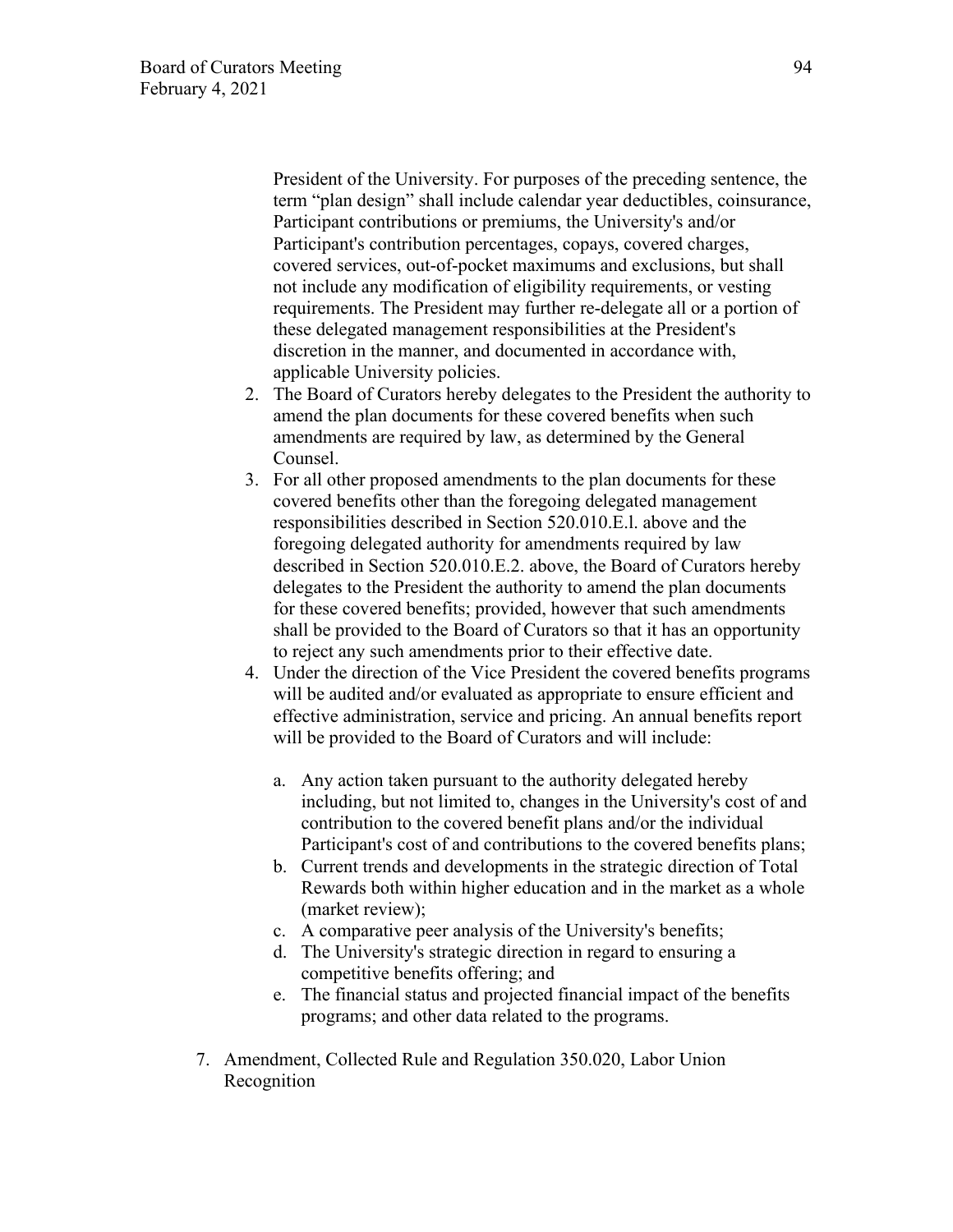President of the University. For purposes of the preceding sentence, the term "plan design" shall include calendar year deductibles, coinsurance, Participant contributions or premiums, the University's and/or Participant's contribution percentages, copays, covered charges, covered services, out-of-pocket maximums and exclusions, but shall not include any modification of eligibility requirements, or vesting requirements. The President may further re-delegate all or a portion of these delegated management responsibilities at the President's discretion in the manner, and documented in accordance with, applicable University policies.

- 2. The Board of Curators hereby delegates to the President the authority to amend the plan documents for these covered benefits when such amendments are required by law, as determined by the General Counsel.
- 3. For all other proposed amendments to the plan documents for these covered benefits other than the foregoing delegated management responsibilities described in Section 520.010.E.l. above and the foregoing delegated authority for amendments required by law described in Section 520.010.E.2. above, the Board of Curators hereby delegates to the President the authority to amend the plan documents for these covered benefits; provided, however that such amendments shall be provided to the Board of Curators so that it has an opportunity to reject any such amendments prior to their effective date.
- 4. Under the direction of the Vice President the covered benefits programs will be audited and/or evaluated as appropriate to ensure efficient and effective administration, service and pricing. An annual benefits report will be provided to the Board of Curators and will include:
	- a. Any action taken pursuant to the authority delegated hereby including, but not limited to, changes in the University's cost of and contribution to the covered benefit plans and/or the individual Participant's cost of and contributions to the covered benefits plans;
	- b. Current trends and developments in the strategic direction of Total Rewards both within higher education and in the market as a whole (market review);
	- c. A comparative peer analysis of the University's benefits;
	- d. The University's strategic direction in regard to ensuring a competitive benefits offering; and
	- e. The financial status and projected financial impact of the benefits programs; and other data related to the programs.
- 7. Amendment, Collected Rule and Regulation 350.020, Labor Union Recognition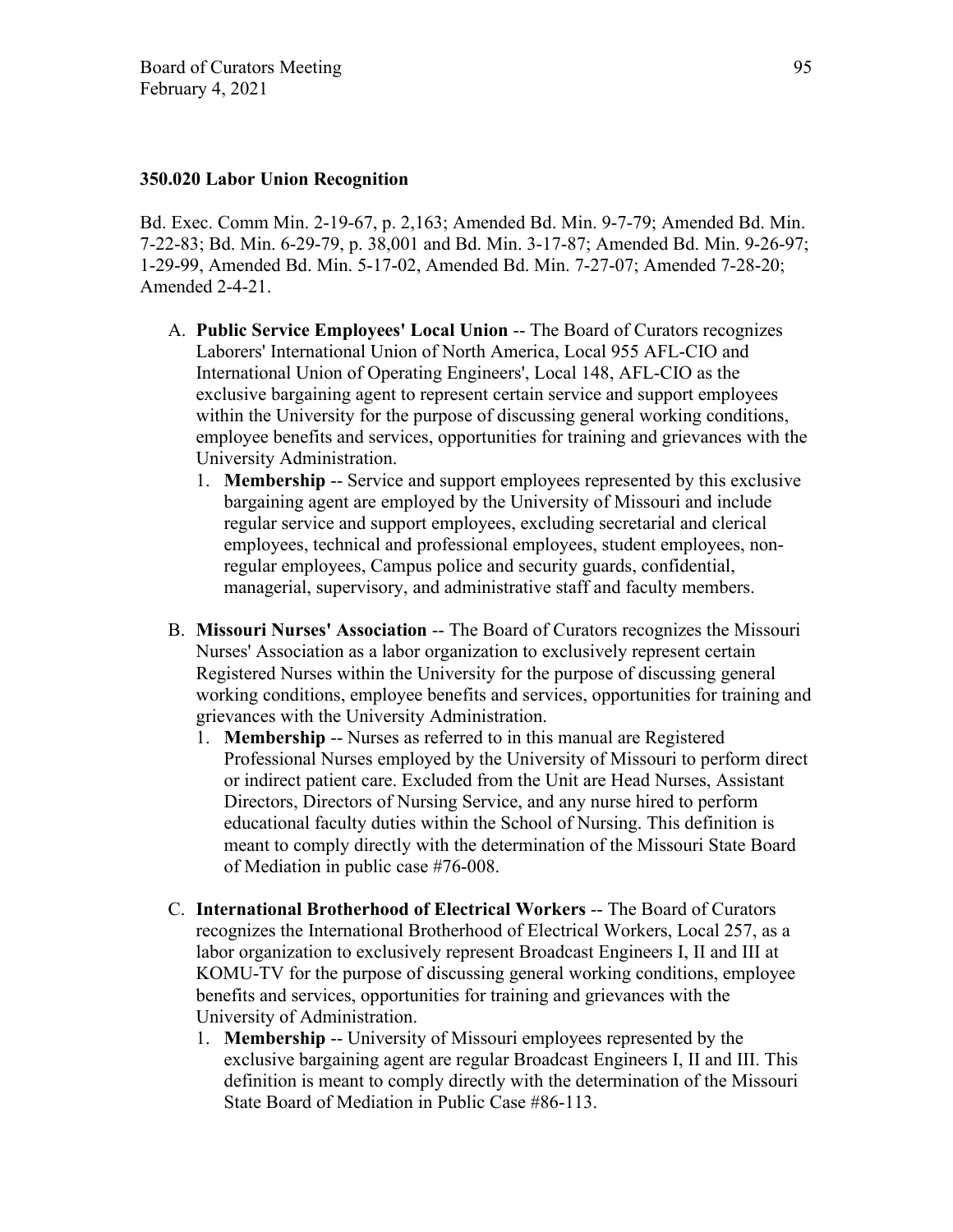### **350.020 Labor Union Recognition**

Bd. Exec. Comm Min. 2-19-67, p. 2,163; Amended Bd. Min. 9-7-79; Amended Bd. Min. 7-22-83; Bd. Min. 6-29-79, p. 38,001 and Bd. Min. 3-17-87; Amended Bd. Min. 9-26-97; 1-29-99, Amended Bd. Min. 5-17-02, Amended Bd. Min. 7-27-07; Amended 7-28-20; Amended 2-4-21.

- A. **Public Service Employees' Local Union** -- The Board of Curators recognizes Laborers' International Union of North America, Local 955 AFL-CIO and International Union of Operating Engineers', Local 148, AFL-CIO as the exclusive bargaining agent to represent certain service and support employees within the University for the purpose of discussing general working conditions, employee benefits and services, opportunities for training and grievances with the University Administration.
	- 1. **Membership** -- Service and support employees represented by this exclusive bargaining agent are employed by the University of Missouri and include regular service and support employees, excluding secretarial and clerical employees, technical and professional employees, student employees, nonregular employees, Campus police and security guards, confidential, managerial, supervisory, and administrative staff and faculty members.
- B. **Missouri Nurses' Association** -- The Board of Curators recognizes the Missouri Nurses' Association as a labor organization to exclusively represent certain Registered Nurses within the University for the purpose of discussing general working conditions, employee benefits and services, opportunities for training and grievances with the University Administration.
	- 1. **Membership** -- Nurses as referred to in this manual are Registered Professional Nurses employed by the University of Missouri to perform direct or indirect patient care. Excluded from the Unit are Head Nurses, Assistant Directors, Directors of Nursing Service, and any nurse hired to perform educational faculty duties within the School of Nursing. This definition is meant to comply directly with the determination of the Missouri State Board of Mediation in public case #76-008.
- C. **International Brotherhood of Electrical Workers** -- The Board of Curators recognizes the International Brotherhood of Electrical Workers, Local 257, as a labor organization to exclusively represent Broadcast Engineers I, II and III at KOMU-TV for the purpose of discussing general working conditions, employee benefits and services, opportunities for training and grievances with the University of Administration.
	- 1. **Membership** -- University of Missouri employees represented by the exclusive bargaining agent are regular Broadcast Engineers I, II and III. This definition is meant to comply directly with the determination of the Missouri State Board of Mediation in Public Case #86-113.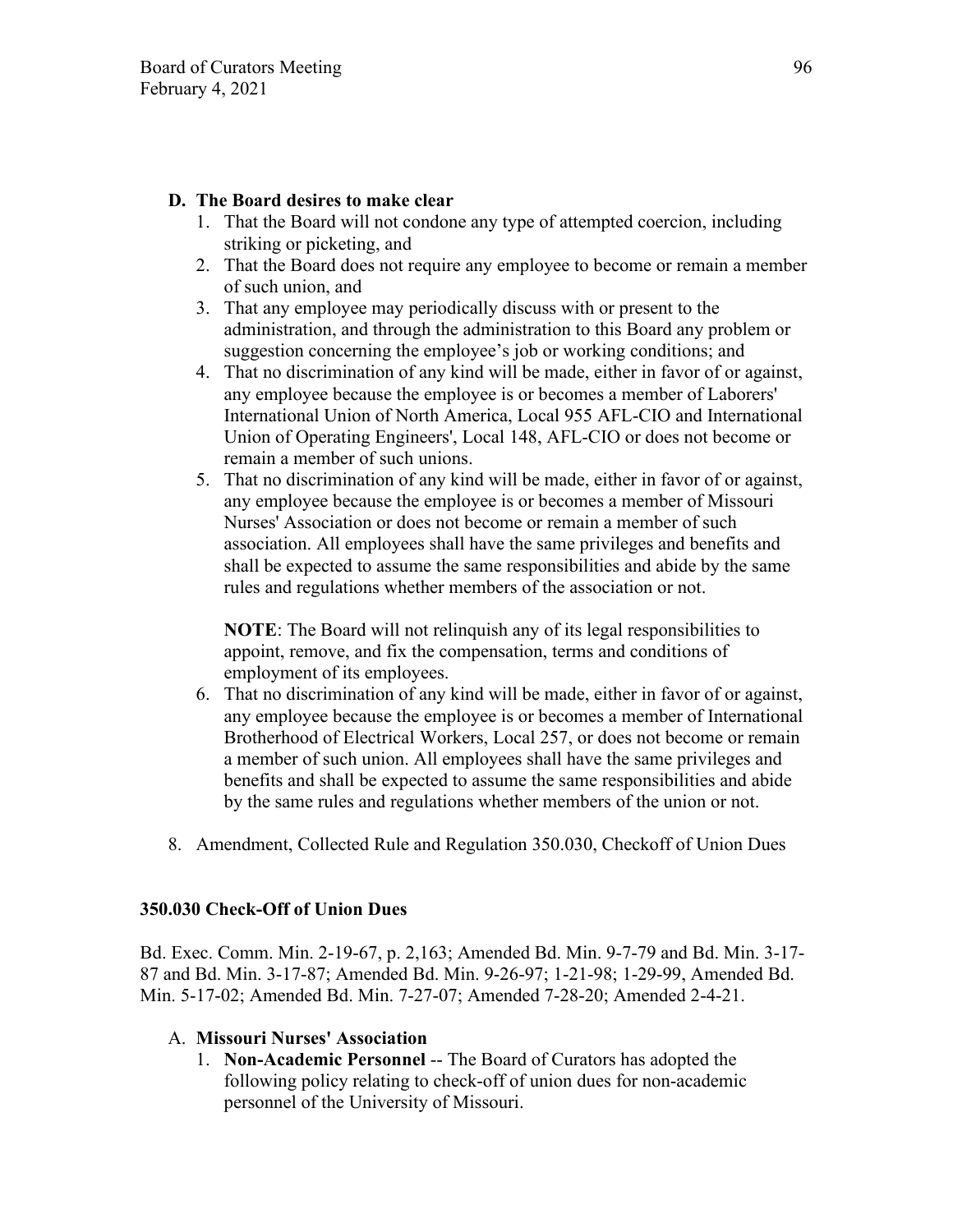## **D. The Board desires to make clear**

- 1. That the Board will not condone any type of attempted coercion, including striking or picketing, and
- 2. That the Board does not require any employee to become or remain a member of such union, and
- 3. That any employee may periodically discuss with or present to the administration, and through the administration to this Board any problem or suggestion concerning the employee's job or working conditions; and
- 4. That no discrimination of any kind will be made, either in favor of or against, any employee because the employee is or becomes a member of Laborers' International Union of North America, Local 955 AFL-CIO and International Union of Operating Engineers', Local 148, AFL-CIO or does not become or remain a member of such unions.
- 5. That no discrimination of any kind will be made, either in favor of or against, any employee because the employee is or becomes a member of Missouri Nurses' Association or does not become or remain a member of such association. All employees shall have the same privileges and benefits and shall be expected to assume the same responsibilities and abide by the same rules and regulations whether members of the association or not.

**NOTE**: The Board will not relinquish any of its legal responsibilities to appoint, remove, and fix the compensation, terms and conditions of employment of its employees.

- 6. That no discrimination of any kind will be made, either in favor of or against, any employee because the employee is or becomes a member of International Brotherhood of Electrical Workers, Local 257, or does not become or remain a member of such union. All employees shall have the same privileges and benefits and shall be expected to assume the same responsibilities and abide by the same rules and regulations whether members of the union or not.
- 8. Amendment, Collected Rule and Regulation 350.030, Checkoff of Union Dues

### **350.030 Check-Off of Union Dues**

Bd. Exec. Comm. Min. 2-19-67, p. 2,163; Amended Bd. Min. 9-7-79 and Bd. Min. 3-17- 87 and Bd. Min. 3-17-87; Amended Bd. Min. 9-26-97; 1-21-98; 1-29-99, Amended Bd. Min. 5-17-02; Amended Bd. Min. 7-27-07; Amended 7-28-20; Amended 2-4-21.

# A. **Missouri Nurses' Association**

1. **Non-Academic Personnel** -- The Board of Curators has adopted the following policy relating to check-off of union dues for non-academic personnel of the University of Missouri.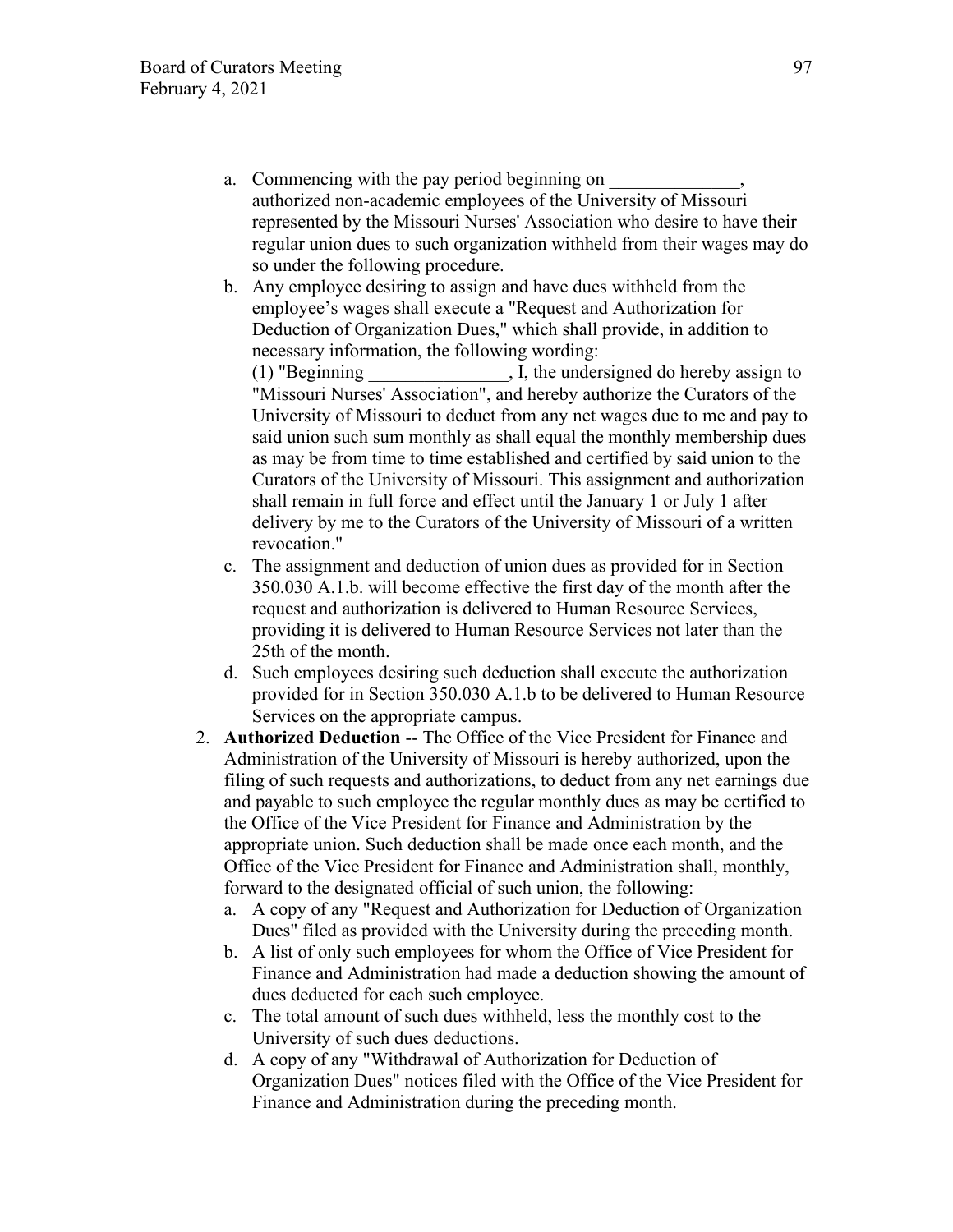- a. Commencing with the pay period beginning on authorized non-academic employees of the University of Missouri represented by the Missouri Nurses' Association who desire to have their regular union dues to such organization withheld from their wages may do so under the following procedure.
- b. Any employee desiring to assign and have dues withheld from the employee's wages shall execute a "Request and Authorization for Deduction of Organization Dues," which shall provide, in addition to necessary information, the following wording:

 $(1)$  "Beginning  $\qquad \qquad$  . I, the undersigned do hereby assign to "Missouri Nurses' Association", and hereby authorize the Curators of the University of Missouri to deduct from any net wages due to me and pay to said union such sum monthly as shall equal the monthly membership dues as may be from time to time established and certified by said union to the Curators of the University of Missouri. This assignment and authorization shall remain in full force and effect until the January 1 or July 1 after delivery by me to the Curators of the University of Missouri of a written revocation."

- c. The assignment and deduction of union dues as provided for in Section 350.030 A.1.b. will become effective the first day of the month after the request and authorization is delivered to Human Resource Services, providing it is delivered to Human Resource Services not later than the 25th of the month.
- d. Such employees desiring such deduction shall execute the authorization provided for in Section 350.030 A.1.b to be delivered to Human Resource Services on the appropriate campus.
- 2. **Authorized Deduction** -- The Office of the Vice President for Finance and Administration of the University of Missouri is hereby authorized, upon the filing of such requests and authorizations, to deduct from any net earnings due and payable to such employee the regular monthly dues as may be certified to the Office of the Vice President for Finance and Administration by the appropriate union. Such deduction shall be made once each month, and the Office of the Vice President for Finance and Administration shall, monthly, forward to the designated official of such union, the following:
	- a. A copy of any "Request and Authorization for Deduction of Organization Dues" filed as provided with the University during the preceding month.
	- b. A list of only such employees for whom the Office of Vice President for Finance and Administration had made a deduction showing the amount of dues deducted for each such employee.
	- c. The total amount of such dues withheld, less the monthly cost to the University of such dues deductions.
	- d. A copy of any "Withdrawal of Authorization for Deduction of Organization Dues" notices filed with the Office of the Vice President for Finance and Administration during the preceding month.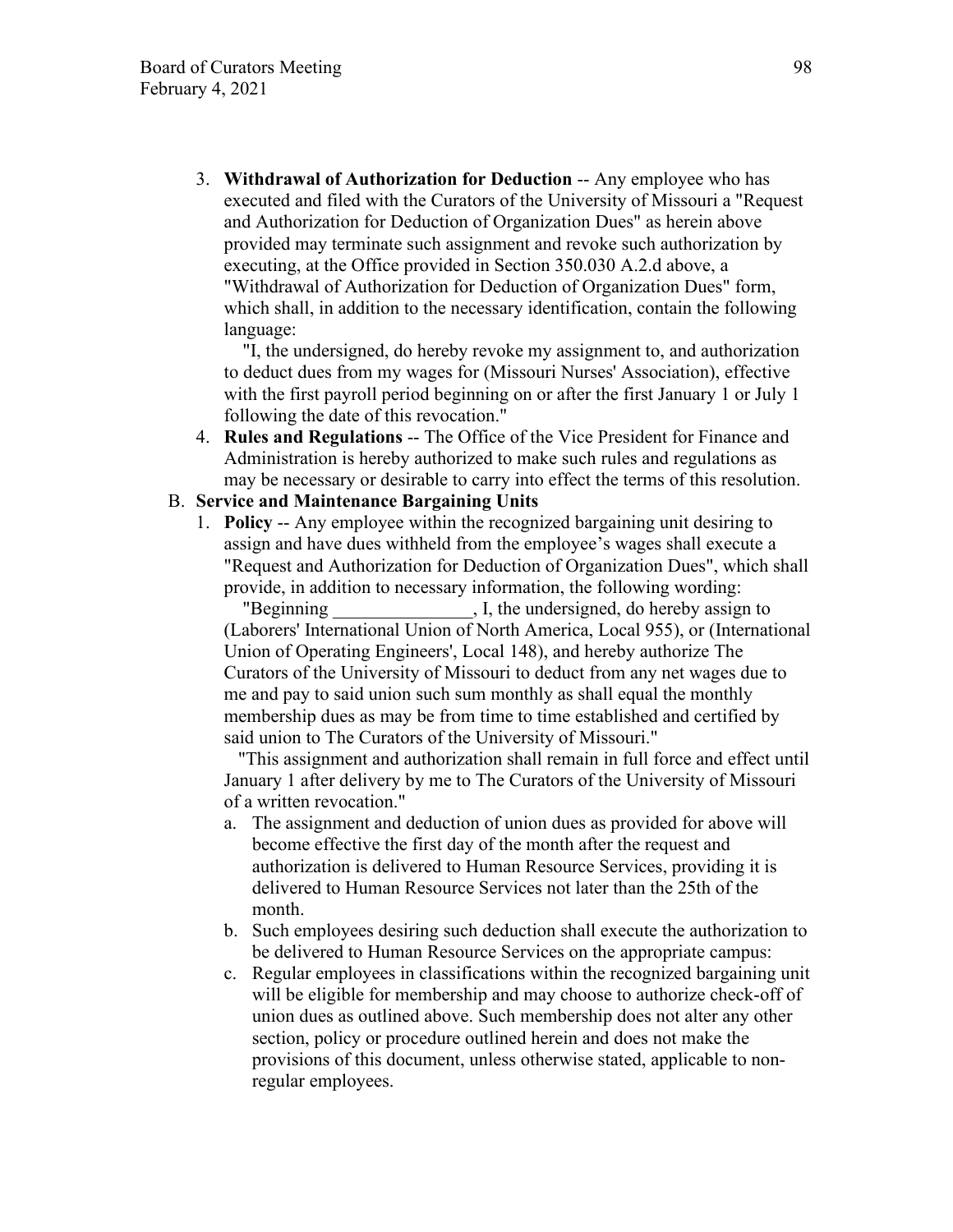3. **Withdrawal of Authorization for Deduction** -- Any employee who has executed and filed with the Curators of the University of Missouri a "Request and Authorization for Deduction of Organization Dues" as herein above provided may terminate such assignment and revoke such authorization by executing, at the Office provided in Section 350.030 A.2.d above, a "Withdrawal of Authorization for Deduction of Organization Dues" form, which shall, in addition to the necessary identification, contain the following language:

 "I, the undersigned, do hereby revoke my assignment to, and authorization to deduct dues from my wages for (Missouri Nurses' Association), effective with the first payroll period beginning on or after the first January 1 or July 1 following the date of this revocation."

4. **Rules and Regulations** -- The Office of the Vice President for Finance and Administration is hereby authorized to make such rules and regulations as may be necessary or desirable to carry into effect the terms of this resolution.

#### B. **Service and Maintenance Bargaining Units**

1. **Policy** -- Any employee within the recognized bargaining unit desiring to assign and have dues withheld from the employee's wages shall execute a "Request and Authorization for Deduction of Organization Dues", which shall provide, in addition to necessary information, the following wording:

"Beginning The U.S. I, the undersigned, do hereby assign to (Laborers' International Union of North America, Local 955), or (International Union of Operating Engineers', Local 148), and hereby authorize The Curators of the University of Missouri to deduct from any net wages due to me and pay to said union such sum monthly as shall equal the monthly membership dues as may be from time to time established and certified by said union to The Curators of the University of Missouri."

 "This assignment and authorization shall remain in full force and effect until January 1 after delivery by me to The Curators of the University of Missouri of a written revocation."

- a. The assignment and deduction of union dues as provided for above will become effective the first day of the month after the request and authorization is delivered to Human Resource Services, providing it is delivered to Human Resource Services not later than the 25th of the month.
- b. Such employees desiring such deduction shall execute the authorization to be delivered to Human Resource Services on the appropriate campus:
- c. Regular employees in classifications within the recognized bargaining unit will be eligible for membership and may choose to authorize check-off of union dues as outlined above. Such membership does not alter any other section, policy or procedure outlined herein and does not make the provisions of this document, unless otherwise stated, applicable to nonregular employees.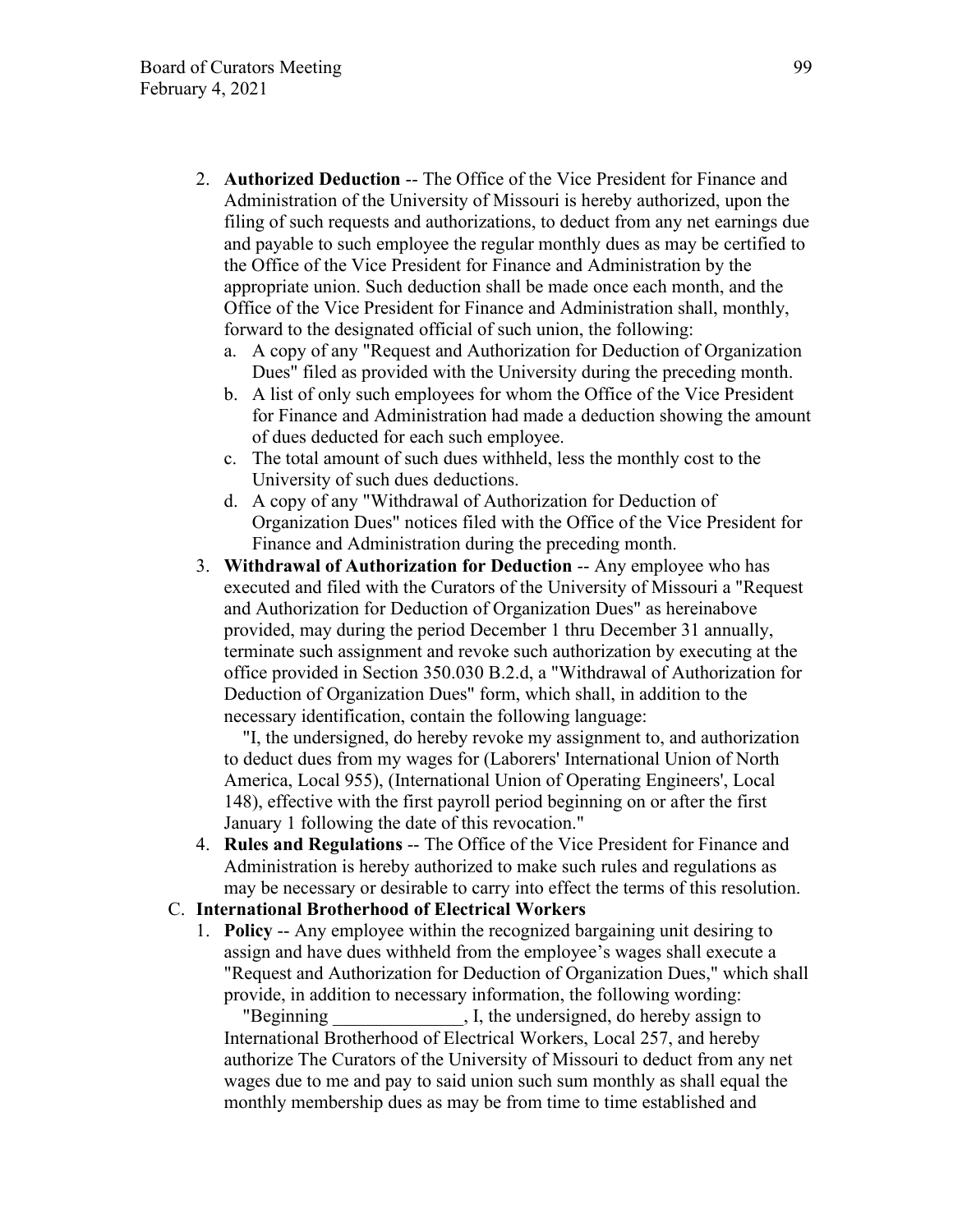- 2. **Authorized Deduction** -- The Office of the Vice President for Finance and Administration of the University of Missouri is hereby authorized, upon the filing of such requests and authorizations, to deduct from any net earnings due and payable to such employee the regular monthly dues as may be certified to the Office of the Vice President for Finance and Administration by the appropriate union. Such deduction shall be made once each month, and the Office of the Vice President for Finance and Administration shall, monthly, forward to the designated official of such union, the following:
	- a. A copy of any "Request and Authorization for Deduction of Organization Dues" filed as provided with the University during the preceding month.
	- b. A list of only such employees for whom the Office of the Vice President for Finance and Administration had made a deduction showing the amount of dues deducted for each such employee.
	- c. The total amount of such dues withheld, less the monthly cost to the University of such dues deductions.
	- d. A copy of any "Withdrawal of Authorization for Deduction of Organization Dues" notices filed with the Office of the Vice President for Finance and Administration during the preceding month.
- 3. **Withdrawal of Authorization for Deduction** -- Any employee who has executed and filed with the Curators of the University of Missouri a "Request and Authorization for Deduction of Organization Dues" as hereinabove provided, may during the period December 1 thru December 31 annually, terminate such assignment and revoke such authorization by executing at the office provided in Section 350.030 B.2.d, a "Withdrawal of Authorization for Deduction of Organization Dues" form, which shall, in addition to the necessary identification, contain the following language:

 "I, the undersigned, do hereby revoke my assignment to, and authorization to deduct dues from my wages for (Laborers' International Union of North America, Local 955), (International Union of Operating Engineers', Local 148), effective with the first payroll period beginning on or after the first January 1 following the date of this revocation."

4. **Rules and Regulations** -- The Office of the Vice President for Finance and Administration is hereby authorized to make such rules and regulations as may be necessary or desirable to carry into effect the terms of this resolution.

### C. **International Brotherhood of Electrical Workers**

1. **Policy** -- Any employee within the recognized bargaining unit desiring to assign and have dues withheld from the employee's wages shall execute a "Request and Authorization for Deduction of Organization Dues," which shall provide, in addition to necessary information, the following wording:

"Beginning The U.S. I, the undersigned, do hereby assign to International Brotherhood of Electrical Workers, Local 257, and hereby authorize The Curators of the University of Missouri to deduct from any net wages due to me and pay to said union such sum monthly as shall equal the monthly membership dues as may be from time to time established and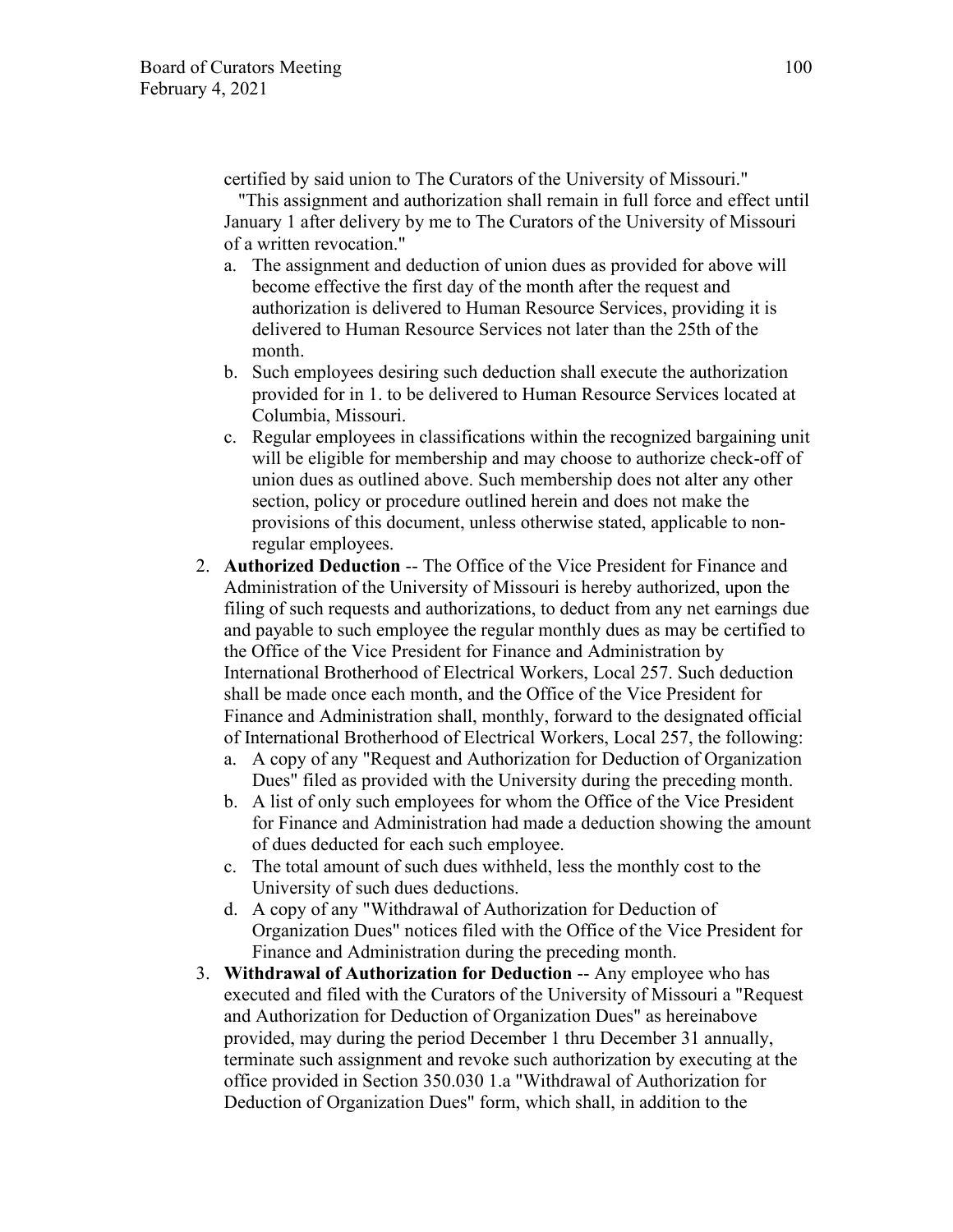certified by said union to The Curators of the University of Missouri."

 "This assignment and authorization shall remain in full force and effect until January 1 after delivery by me to The Curators of the University of Missouri of a written revocation."

- a. The assignment and deduction of union dues as provided for above will become effective the first day of the month after the request and authorization is delivered to Human Resource Services, providing it is delivered to Human Resource Services not later than the 25th of the month.
- b. Such employees desiring such deduction shall execute the authorization provided for in 1. to be delivered to Human Resource Services located at Columbia, Missouri.
- c. Regular employees in classifications within the recognized bargaining unit will be eligible for membership and may choose to authorize check-off of union dues as outlined above. Such membership does not alter any other section, policy or procedure outlined herein and does not make the provisions of this document, unless otherwise stated, applicable to nonregular employees.
- 2. **Authorized Deduction** -- The Office of the Vice President for Finance and Administration of the University of Missouri is hereby authorized, upon the filing of such requests and authorizations, to deduct from any net earnings due and payable to such employee the regular monthly dues as may be certified to the Office of the Vice President for Finance and Administration by International Brotherhood of Electrical Workers, Local 257. Such deduction shall be made once each month, and the Office of the Vice President for Finance and Administration shall, monthly, forward to the designated official of International Brotherhood of Electrical Workers, Local 257, the following:
	- a. A copy of any "Request and Authorization for Deduction of Organization Dues" filed as provided with the University during the preceding month.
	- b. A list of only such employees for whom the Office of the Vice President for Finance and Administration had made a deduction showing the amount of dues deducted for each such employee.
	- c. The total amount of such dues withheld, less the monthly cost to the University of such dues deductions.
	- d. A copy of any "Withdrawal of Authorization for Deduction of Organization Dues" notices filed with the Office of the Vice President for Finance and Administration during the preceding month.
- 3. **Withdrawal of Authorization for Deduction** -- Any employee who has executed and filed with the Curators of the University of Missouri a "Request and Authorization for Deduction of Organization Dues" as hereinabove provided, may during the period December 1 thru December 31 annually, terminate such assignment and revoke such authorization by executing at the office provided in Section 350.030 1.a "Withdrawal of Authorization for Deduction of Organization Dues" form, which shall, in addition to the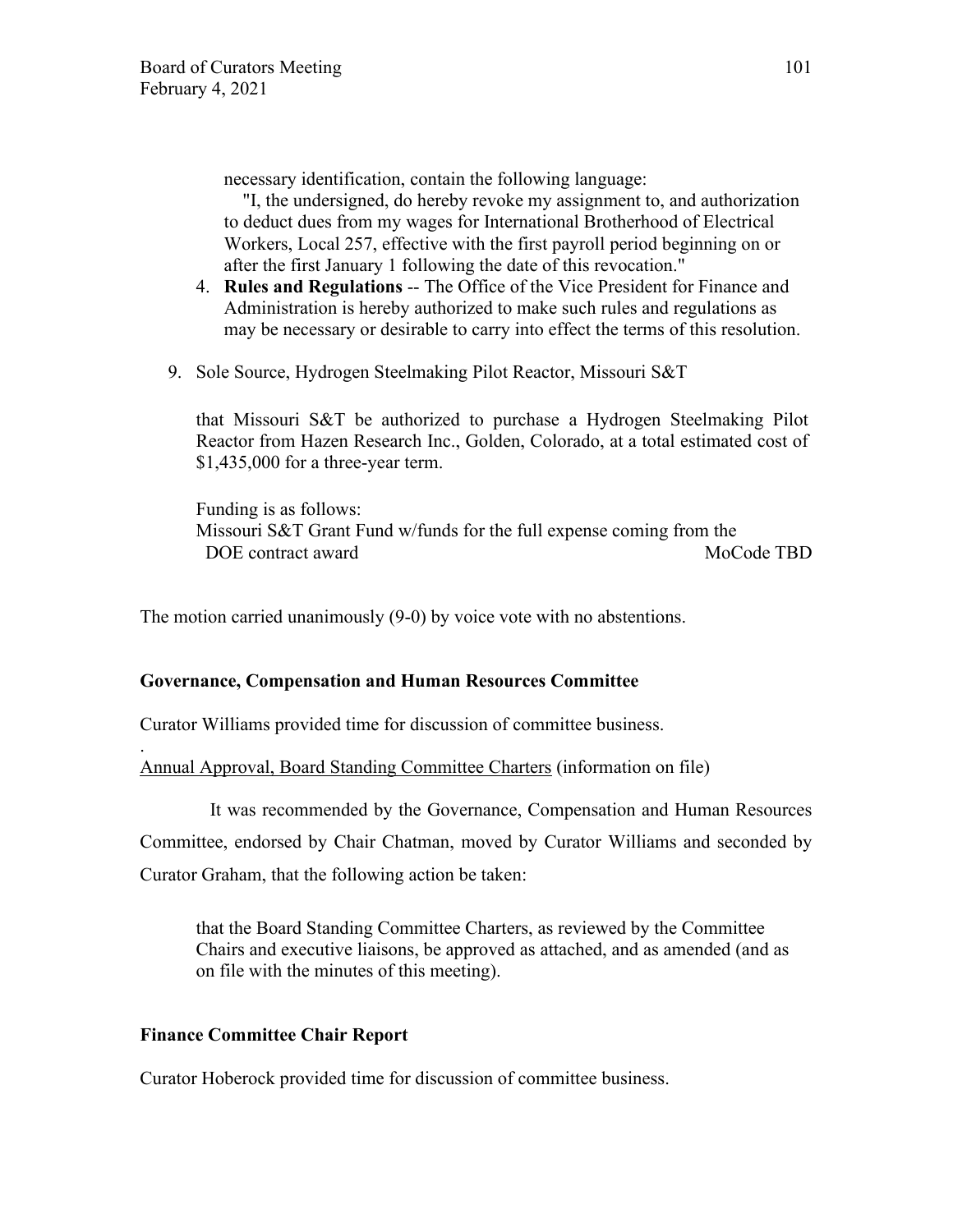necessary identification, contain the following language:

 "I, the undersigned, do hereby revoke my assignment to, and authorization to deduct dues from my wages for International Brotherhood of Electrical Workers, Local 257, effective with the first payroll period beginning on or after the first January 1 following the date of this revocation."

- 4. **Rules and Regulations** -- The Office of the Vice President for Finance and Administration is hereby authorized to make such rules and regulations as may be necessary or desirable to carry into effect the terms of this resolution.
- 9. Sole Source, Hydrogen Steelmaking Pilot Reactor, Missouri S&T

that Missouri S&T be authorized to purchase a Hydrogen Steelmaking Pilot Reactor from Hazen Research Inc., Golden, Colorado, at a total estimated cost of \$1,435,000 for a three-year term.

Funding is as follows: Missouri S&T Grant Fund w/funds for the full expense coming from the DOE contract award MoCode TBD

The motion carried unanimously (9-0) by voice vote with no abstentions.

# **Governance, Compensation and Human Resources Committee**

Curator Williams provided time for discussion of committee business.

Annual Approval, Board Standing Committee Charters (information on file)

It was recommended by the Governance, Compensation and Human Resources Committee, endorsed by Chair Chatman, moved by Curator Williams and seconded by Curator Graham, that the following action be taken:

that the Board Standing Committee Charters, as reviewed by the Committee Chairs and executive liaisons, be approved as attached, and as amended (and as on file with the minutes of this meeting).

# **Finance Committee Chair Report**

.

Curator Hoberock provided time for discussion of committee business.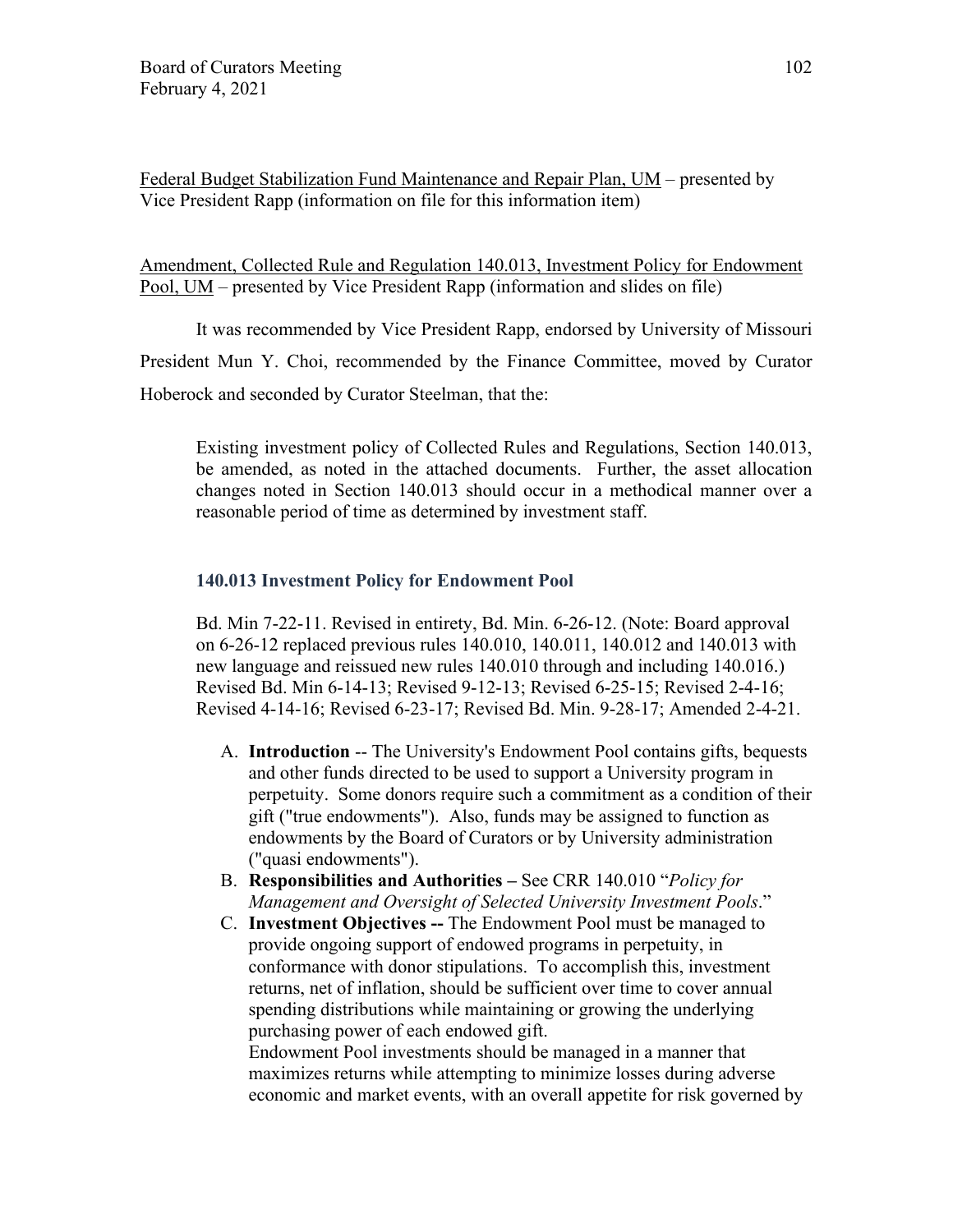Federal Budget Stabilization Fund Maintenance and Repair Plan, UM – presented by Vice President Rapp (information on file for this information item)

Amendment, Collected Rule and Regulation 140.013, Investment Policy for Endowment Pool, UM – presented by Vice President Rapp (information and slides on file)

It was recommended by Vice President Rapp, endorsed by University of Missouri President Mun Y. Choi, recommended by the Finance Committee, moved by Curator Hoberock and seconded by Curator Steelman, that the:

Existing investment policy of Collected Rules and Regulations, Section 140.013, be amended, as noted in the attached documents. Further, the asset allocation changes noted in Section 140.013 should occur in a methodical manner over a reasonable period of time as determined by investment staff.

## **140.013 Investment Policy for Endowment Pool**

Bd. Min 7-22-11. Revised in entirety, Bd. Min. 6-26-12. (Note: Board approval on 6-26-12 replaced previous rules 140.010, 140.011, 140.012 and 140.013 with new language and reissued new rules 140.010 through and including 140.016.) Revised Bd. Min 6-14-13; Revised 9-12-13; Revised 6-25-15; Revised 2-4-16; Revised 4-14-16; Revised 6-23-17; Revised Bd. Min. 9-28-17; Amended 2-4-21.

- A. **Introduction** -- The University's Endowment Pool contains gifts, bequests and other funds directed to be used to support a University program in perpetuity. Some donors require such a commitment as a condition of their gift ("true endowments"). Also, funds may be assigned to function as endowments by the Board of Curators or by University administration ("quasi endowments").
- B. **Responsibilities and Authorities** See CRR 140.010 "*Policy for Management and Oversight of Selected University Investment Pools*."
- C. **Investment Objectives --** The Endowment Pool must be managed to provide ongoing support of endowed programs in perpetuity, in conformance with donor stipulations. To accomplish this, investment returns, net of inflation, should be sufficient over time to cover annual spending distributions while maintaining or growing the underlying purchasing power of each endowed gift.

Endowment Pool investments should be managed in a manner that maximizes returns while attempting to minimize losses during adverse economic and market events, with an overall appetite for risk governed by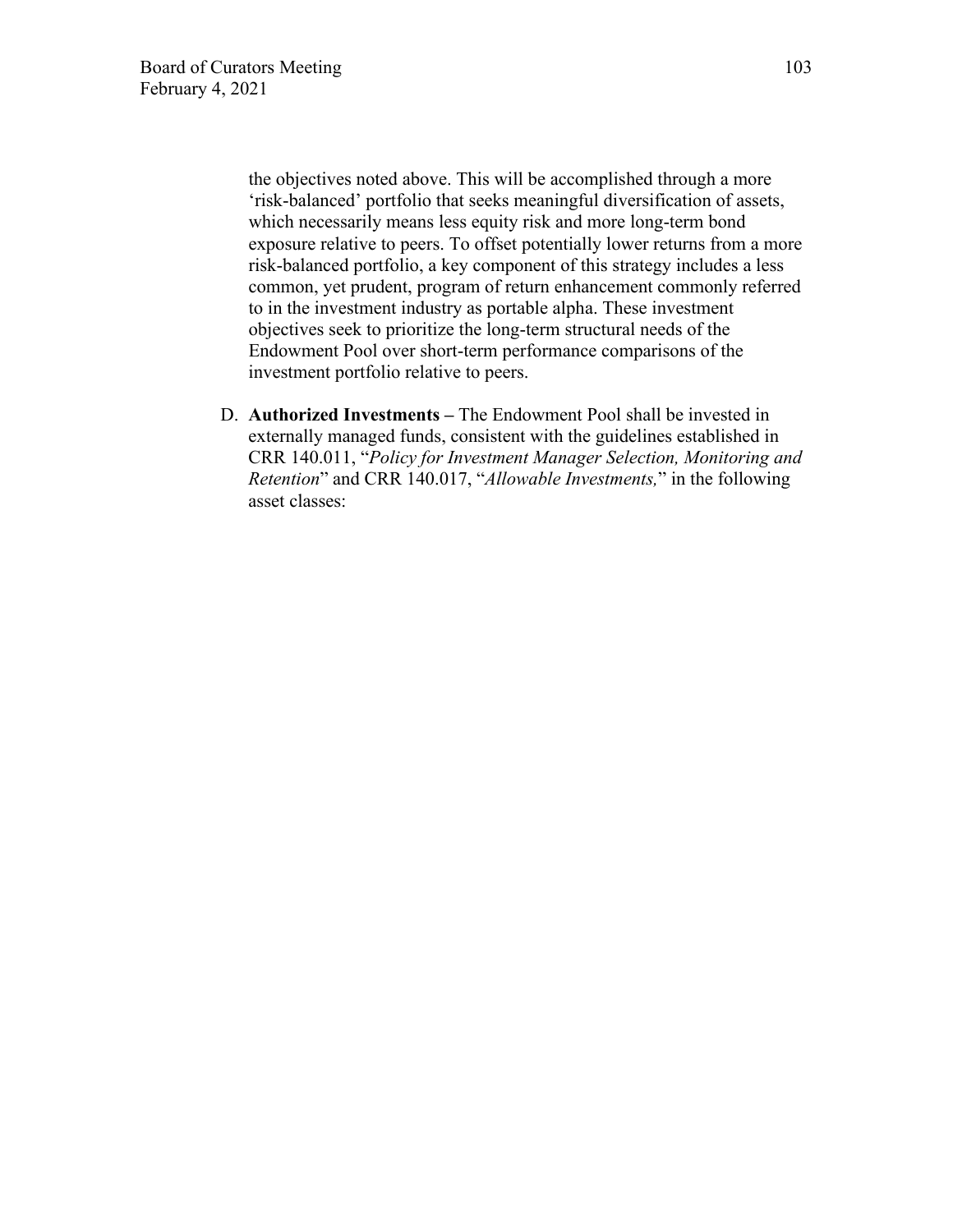the objectives noted above. This will be accomplished through a more 'risk-balanced' portfolio that seeks meaningful diversification of assets, which necessarily means less equity risk and more long-term bond exposure relative to peers. To offset potentially lower returns from a more risk-balanced portfolio, a key component of this strategy includes a less common, yet prudent, program of return enhancement commonly referred to in the investment industry as portable alpha. These investment objectives seek to prioritize the long-term structural needs of the Endowment Pool over short-term performance comparisons of the investment portfolio relative to peers.

D. **Authorized Investments –** The Endowment Pool shall be invested in externally managed funds, consistent with the guidelines established in CRR 140.011, "*Policy for Investment Manager Selection, Monitoring and Retention*" and CRR 140.017, "*Allowable Investments,*" in the following asset classes: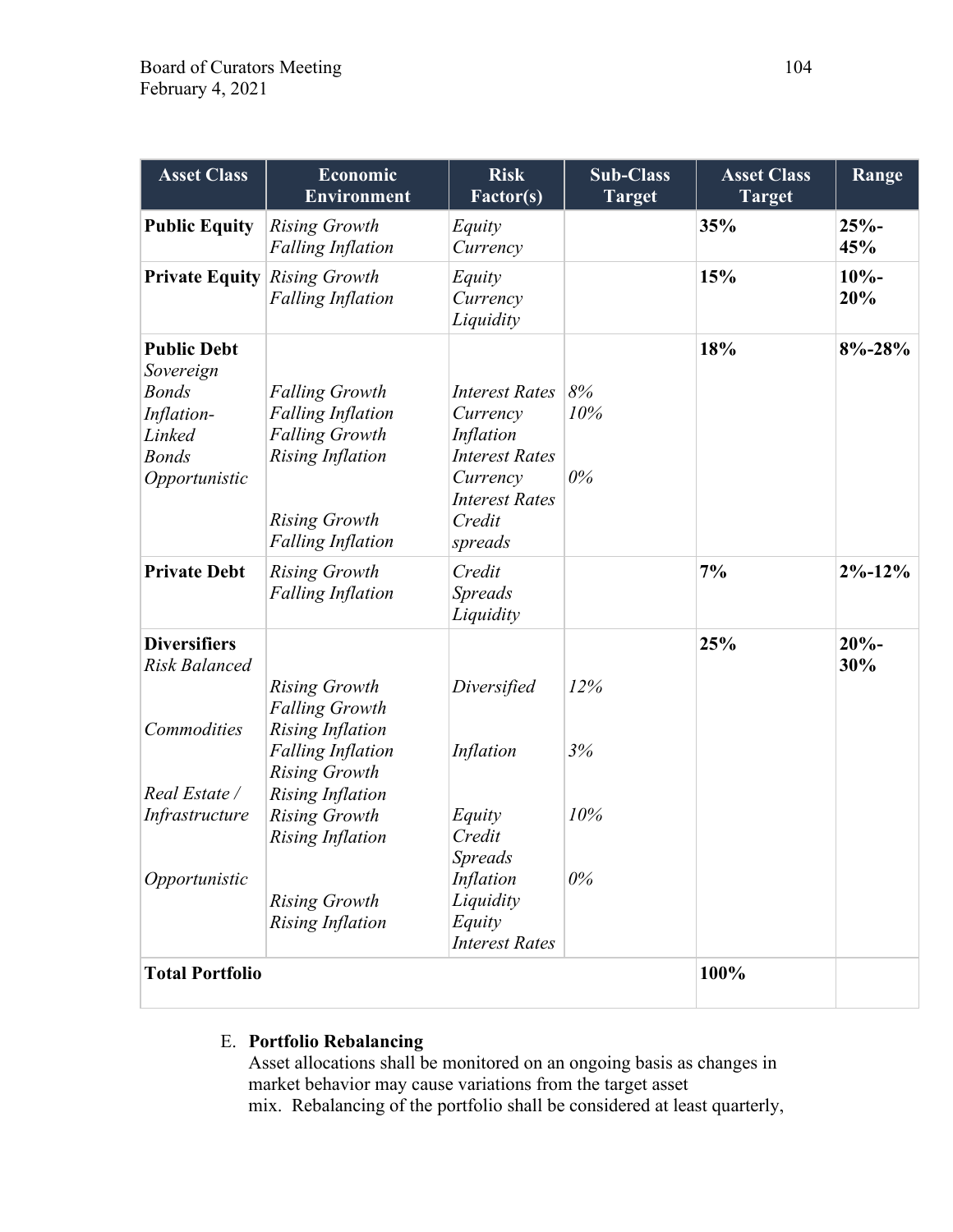| <b>Asset Class</b>                                                                                       | <b>Economic</b><br><b>Environment</b>                                                                                                                     | <b>Risk</b><br><b>Factor(s)</b>                                                                                                   | <b>Sub-Class</b><br><b>Target</b> | <b>Asset Class</b><br><b>Target</b> | Range          |
|----------------------------------------------------------------------------------------------------------|-----------------------------------------------------------------------------------------------------------------------------------------------------------|-----------------------------------------------------------------------------------------------------------------------------------|-----------------------------------|-------------------------------------|----------------|
| <b>Public Equity</b>                                                                                     | <b>Rising Growth</b><br><b>Falling Inflation</b>                                                                                                          | Equity<br>Currency                                                                                                                |                                   | 35%                                 | $25% -$<br>45% |
| <b>Private Equity</b>                                                                                    | <b>Rising Growth</b><br><b>Falling Inflation</b>                                                                                                          | Equity<br>Currency<br>Liquidity                                                                                                   |                                   | 15%                                 | $10% -$<br>20% |
| <b>Public Debt</b><br>Sovereign<br><b>Bonds</b><br>Inflation-<br>Linked<br><b>Bonds</b><br>Opportunistic | <b>Falling Growth</b><br><b>Falling Inflation</b><br><b>Falling Growth</b><br><b>Rising Inflation</b><br><b>Rising Growth</b><br><b>Falling Inflation</b> | <b>Interest Rates</b><br>Currency<br>Inflation<br><b>Interest Rates</b><br>Currency<br><b>Interest Rates</b><br>Credit<br>spreads | 8%<br>10%<br>$0\%$                | 18%                                 | $8\% - 28\%$   |
| <b>Private Debt</b>                                                                                      | <b>Rising Growth</b><br><b>Falling Inflation</b>                                                                                                          | Credit<br><b>Spreads</b><br>Liquidity                                                                                             |                                   | 7%                                  | $2\% - 12\%$   |
| <b>Diversifiers</b><br>Risk Balanced<br>Commodities                                                      | <b>Rising Growth</b><br><b>Falling Growth</b><br><b>Rising Inflation</b>                                                                                  | Diversified                                                                                                                       | 12%                               | 25%                                 | $20% -$<br>30% |
| Real Estate /                                                                                            | <b>Falling Inflation</b><br><b>Rising Growth</b><br><b>Rising Inflation</b>                                                                               | Inflation                                                                                                                         | 3%                                |                                     |                |
| Infrastructure                                                                                           | <b>Rising Growth</b><br><b>Rising Inflation</b>                                                                                                           | Equity<br>Credit<br><b>Spreads</b>                                                                                                | 10%                               |                                     |                |
| Opportunistic                                                                                            | <b>Rising Growth</b><br><b>Rising Inflation</b>                                                                                                           | Inflation<br>Liquidity<br>Equity<br><b>Interest Rates</b>                                                                         | $0\%$                             |                                     |                |
| <b>Total Portfolio</b>                                                                                   |                                                                                                                                                           |                                                                                                                                   | 100%                              |                                     |                |

# E. **Portfolio Rebalancing**

Asset allocations shall be monitored on an ongoing basis as changes in market behavior may cause variations from the target asset mix. Rebalancing of the portfolio shall be considered at least quarterly,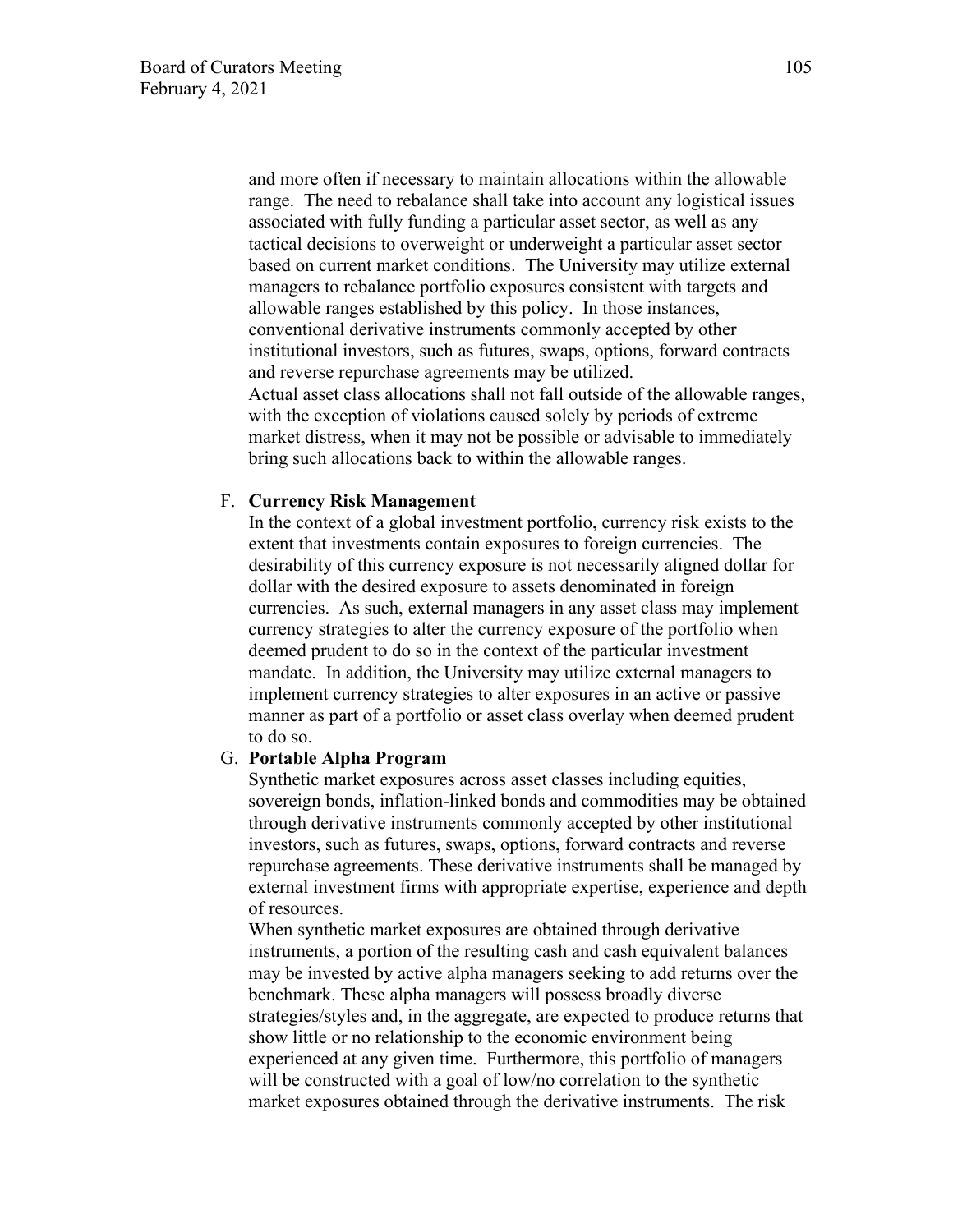and more often if necessary to maintain allocations within the allowable range. The need to rebalance shall take into account any logistical issues associated with fully funding a particular asset sector, as well as any tactical decisions to overweight or underweight a particular asset sector based on current market conditions. The University may utilize external managers to rebalance portfolio exposures consistent with targets and allowable ranges established by this policy. In those instances, conventional derivative instruments commonly accepted by other institutional investors, such as futures, swaps, options, forward contracts and reverse repurchase agreements may be utilized. Actual asset class allocations shall not fall outside of the allowable ranges, with the exception of violations caused solely by periods of extreme market distress, when it may not be possible or advisable to immediately bring such allocations back to within the allowable ranges.

#### F. **Currency Risk Management**

In the context of a global investment portfolio, currency risk exists to the extent that investments contain exposures to foreign currencies. The desirability of this currency exposure is not necessarily aligned dollar for dollar with the desired exposure to assets denominated in foreign currencies. As such, external managers in any asset class may implement currency strategies to alter the currency exposure of the portfolio when deemed prudent to do so in the context of the particular investment mandate. In addition, the University may utilize external managers to implement currency strategies to alter exposures in an active or passive manner as part of a portfolio or asset class overlay when deemed prudent to do so.

#### G. **Portable Alpha Program**

Synthetic market exposures across asset classes including equities, sovereign bonds, inflation-linked bonds and commodities may be obtained through derivative instruments commonly accepted by other institutional investors, such as futures, swaps, options, forward contracts and reverse repurchase agreements. These derivative instruments shall be managed by external investment firms with appropriate expertise, experience and depth of resources.

When synthetic market exposures are obtained through derivative instruments, a portion of the resulting cash and cash equivalent balances may be invested by active alpha managers seeking to add returns over the benchmark. These alpha managers will possess broadly diverse strategies/styles and, in the aggregate, are expected to produce returns that show little or no relationship to the economic environment being experienced at any given time. Furthermore, this portfolio of managers will be constructed with a goal of low/no correlation to the synthetic market exposures obtained through the derivative instruments. The risk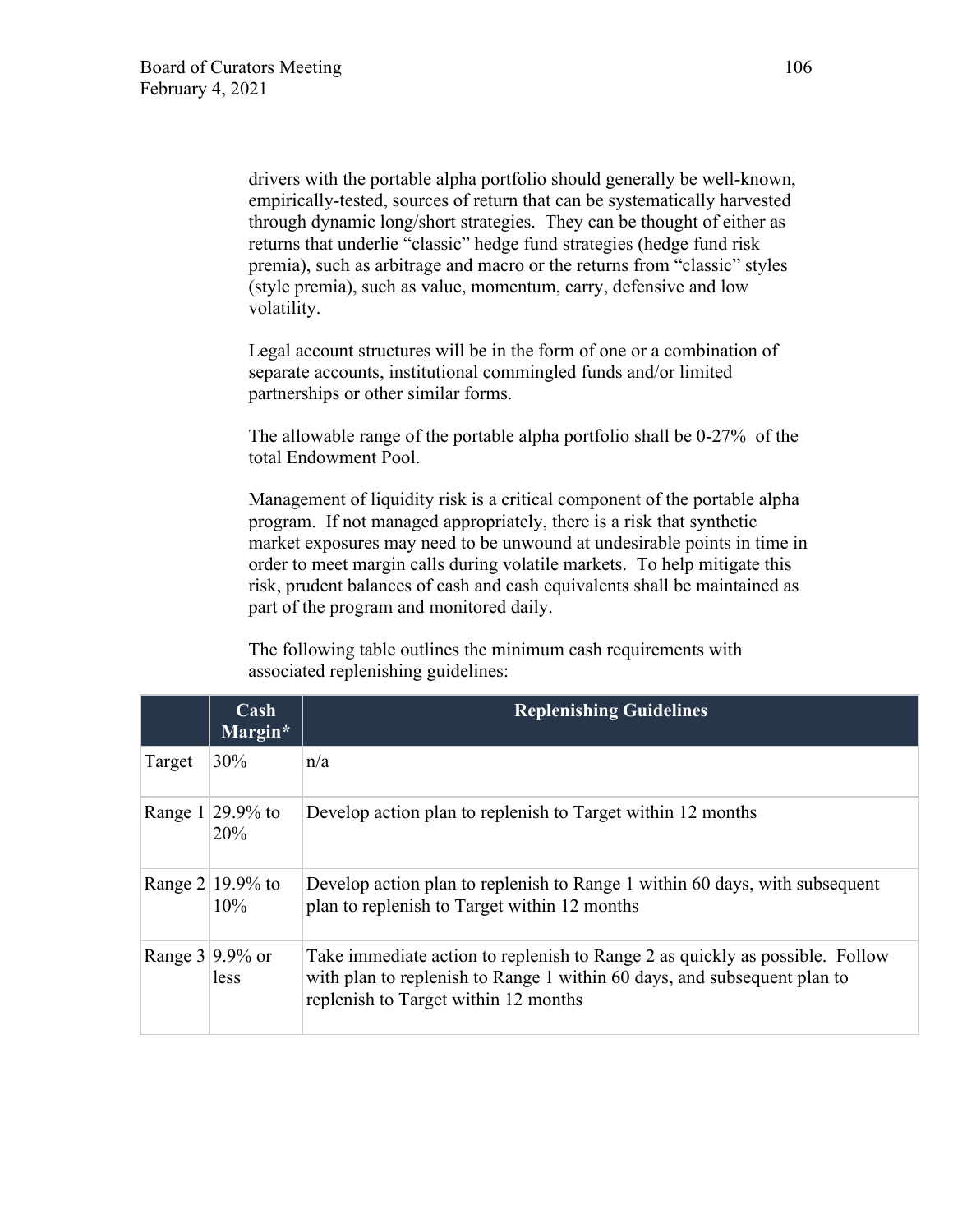drivers with the portable alpha portfolio should generally be well-known, empirically-tested, sources of return that can be systematically harvested through dynamic long/short strategies. They can be thought of either as returns that underlie "classic" hedge fund strategies (hedge fund risk premia), such as arbitrage and macro or the returns from "classic" styles (style premia), such as value, momentum, carry, defensive and low volatility.

Legal account structures will be in the form of one or a combination of separate accounts, institutional commingled funds and/or limited partnerships or other similar forms.

The allowable range of the portable alpha portfolio shall be 0-27% of the total Endowment Pool.

Management of liquidity risk is a critical component of the portable alpha program. If not managed appropriately, there is a risk that synthetic market exposures may need to be unwound at undesirable points in time in order to meet margin calls during volatile markets. To help mitigate this risk, prudent balances of cash and cash equivalents shall be maintained as part of the program and monitored daily.

The following table outlines the minimum cash requirements with associated replenishing guidelines:

|         | Cash<br>Margin*            | <b>Replenishing Guidelines</b>                                                                                                                                                                   |
|---------|----------------------------|--------------------------------------------------------------------------------------------------------------------------------------------------------------------------------------------------|
| Target  | 30%                        | n/a                                                                                                                                                                                              |
| Range 1 | $29.9\%$ to<br>20%         | Develop action plan to replenish to Target within 12 months                                                                                                                                      |
|         | Range $2 19.9\%$ to<br>10% | Develop action plan to replenish to Range 1 within 60 days, with subsequent<br>plan to replenish to Target within 12 months                                                                      |
|         | Range $3 9.9\%$ or<br>less | Take immediate action to replenish to Range 2 as quickly as possible. Follow<br>with plan to replenish to Range 1 within 60 days, and subsequent plan to<br>replenish to Target within 12 months |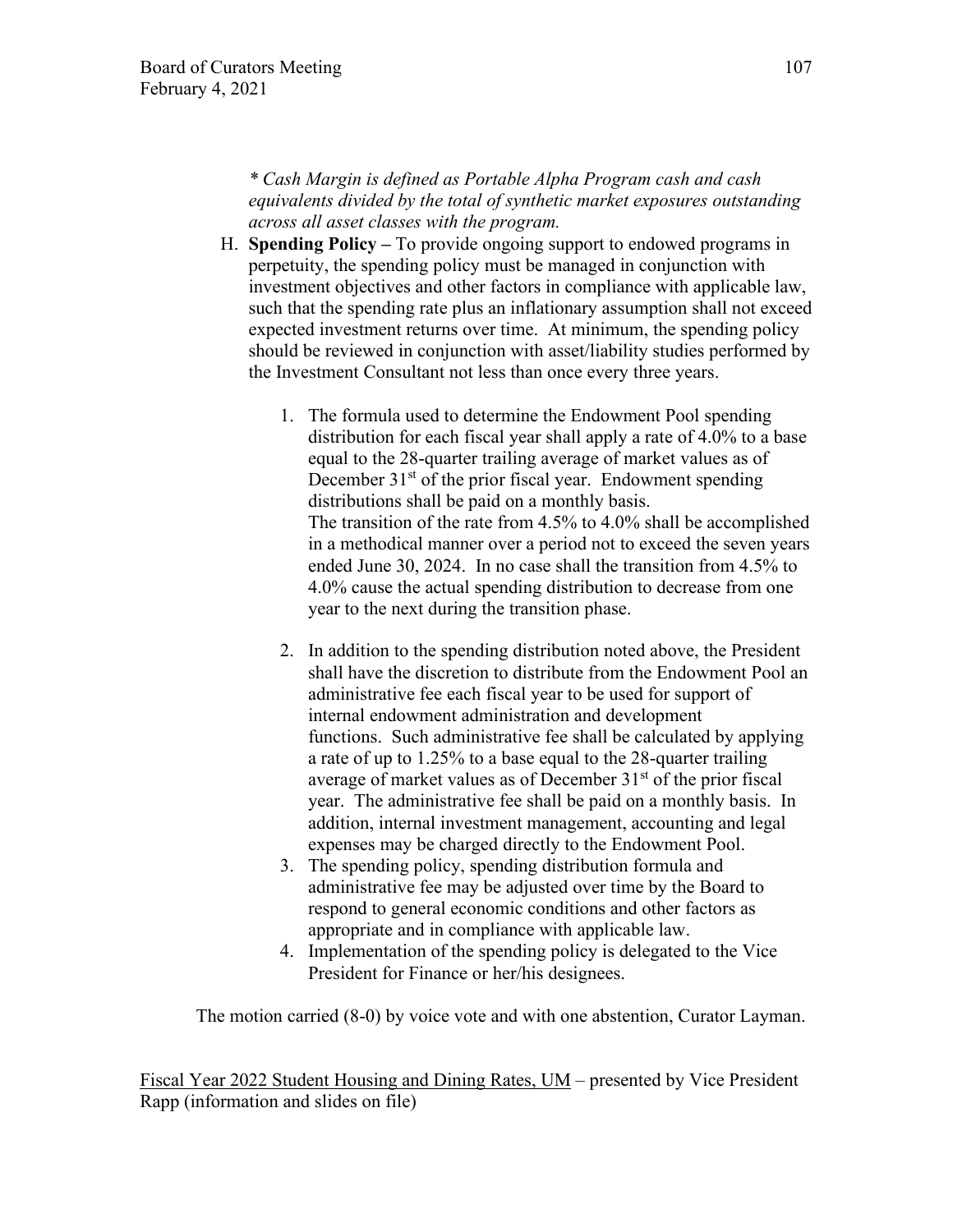*\* Cash Margin is defined as Portable Alpha Program cash and cash equivalents divided by the total of synthetic market exposures outstanding across all asset classes with the program.*

- H. **Spending Policy** To provide ongoing support to endowed programs in perpetuity, the spending policy must be managed in conjunction with investment objectives and other factors in compliance with applicable law, such that the spending rate plus an inflationary assumption shall not exceed expected investment returns over time. At minimum, the spending policy should be reviewed in conjunction with asset/liability studies performed by the Investment Consultant not less than once every three years.
	- 1. The formula used to determine the Endowment Pool spending distribution for each fiscal year shall apply a rate of 4.0% to a base equal to the 28-quarter trailing average of market values as of December  $31<sup>st</sup>$  of the prior fiscal year. Endowment spending distributions shall be paid on a monthly basis. The transition of the rate from 4.5% to 4.0% shall be accomplished in a methodical manner over a period not to exceed the seven years ended June 30, 2024. In no case shall the transition from 4.5% to 4.0% cause the actual spending distribution to decrease from one year to the next during the transition phase.
	- 2. In addition to the spending distribution noted above, the President shall have the discretion to distribute from the Endowment Pool an administrative fee each fiscal year to be used for support of internal endowment administration and development functions. Such administrative fee shall be calculated by applying a rate of up to 1.25% to a base equal to the 28-quarter trailing average of market values as of December  $31<sup>st</sup>$  of the prior fiscal year. The administrative fee shall be paid on a monthly basis. In addition, internal investment management, accounting and legal expenses may be charged directly to the Endowment Pool.
	- 3. The spending policy, spending distribution formula and administrative fee may be adjusted over time by the Board to respond to general economic conditions and other factors as appropriate and in compliance with applicable law.
	- 4. Implementation of the spending policy is delegated to the Vice President for Finance or her/his designees.

The motion carried (8-0) by voice vote and with one abstention, Curator Layman.

Fiscal Year 2022 Student Housing and Dining Rates, UM – presented by Vice President Rapp (information and slides on file)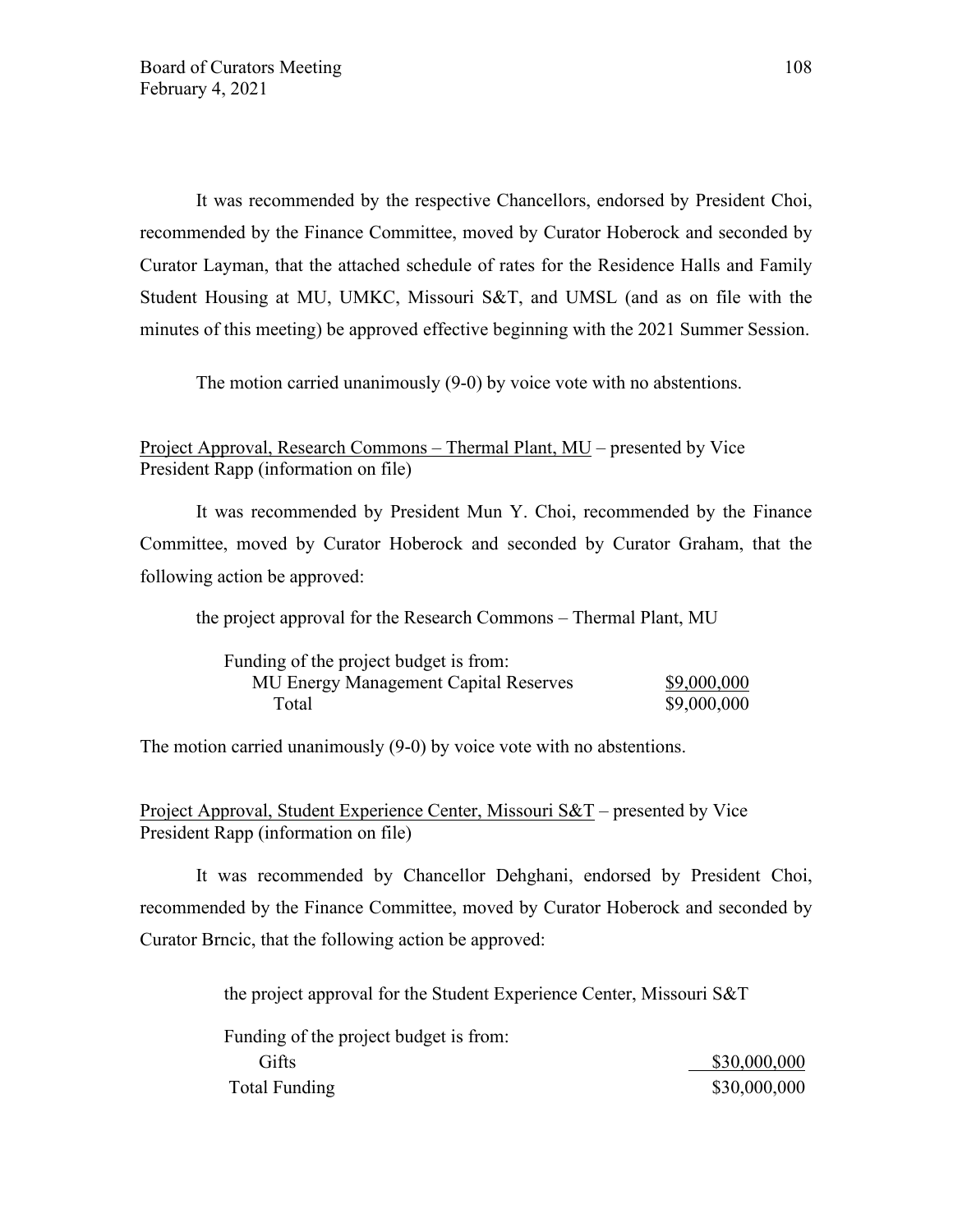It was recommended by the respective Chancellors, endorsed by President Choi, recommended by the Finance Committee, moved by Curator Hoberock and seconded by Curator Layman, that the attached schedule of rates for the Residence Halls and Family Student Housing at MU, UMKC, Missouri S&T, and UMSL (and as on file with the minutes of this meeting) be approved effective beginning with the 2021 Summer Session.

The motion carried unanimously (9-0) by voice vote with no abstentions.

## Project Approval, Research Commons – Thermal Plant, MU – presented by Vice President Rapp (information on file)

It was recommended by President Mun Y. Choi, recommended by the Finance Committee, moved by Curator Hoberock and seconded by Curator Graham, that the following action be approved:

the project approval for the Research Commons – Thermal Plant, MU

| Funding of the project budget is from: |             |
|----------------------------------------|-------------|
| MU Energy Management Capital Reserves  | \$9,000,000 |
| Total                                  | \$9,000,000 |

The motion carried unanimously (9-0) by voice vote with no abstentions.

Project Approval, Student Experience Center, Missouri S&T – presented by Vice President Rapp (information on file)

It was recommended by Chancellor Dehghani, endorsed by President Choi, recommended by the Finance Committee, moved by Curator Hoberock and seconded by Curator Brncic, that the following action be approved:

the project approval for the Student Experience Center, Missouri S&T

| Funding of the project budget is from: |              |
|----------------------------------------|--------------|
| Gifts                                  | \$30,000,000 |
| Total Funding                          | \$30,000,000 |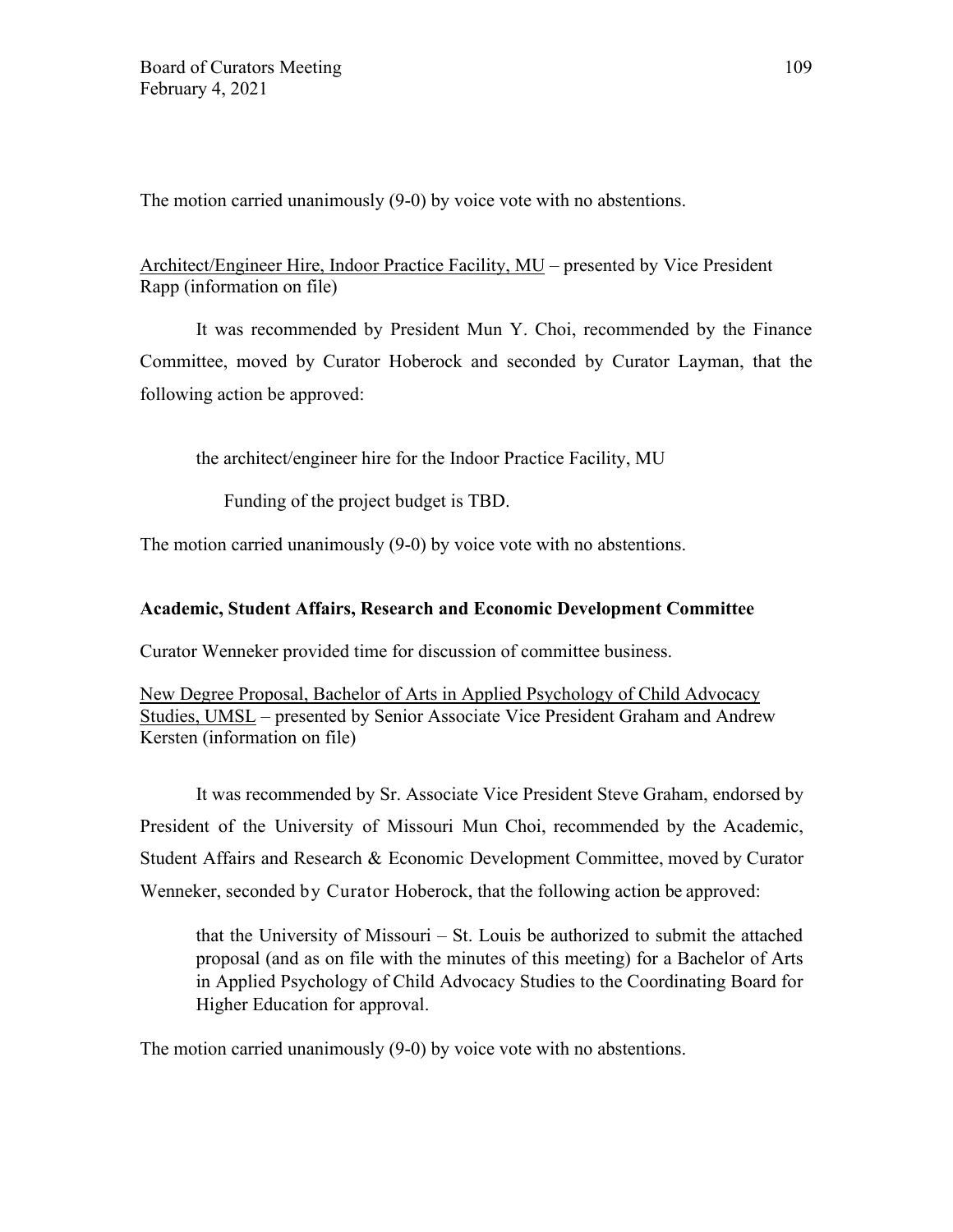The motion carried unanimously (9-0) by voice vote with no abstentions.

# Architect/Engineer Hire, Indoor Practice Facility, MU – presented by Vice President Rapp (information on file)

It was recommended by President Mun Y. Choi, recommended by the Finance Committee, moved by Curator Hoberock and seconded by Curator Layman, that the following action be approved:

the architect/engineer hire for the Indoor Practice Facility, MU

Funding of the project budget is TBD.

The motion carried unanimously (9-0) by voice vote with no abstentions.

## **Academic, Student Affairs, Research and Economic Development Committee**

Curator Wenneker provided time for discussion of committee business.

New Degree Proposal, Bachelor of Arts in Applied Psychology of Child Advocacy Studies, UMSL – presented by Senior Associate Vice President Graham and Andrew Kersten (information on file)

It was recommended by Sr. Associate Vice President Steve Graham, endorsed by President of the University of Missouri Mun Choi, recommended by the Academic, Student Affairs and Research & Economic Development Committee, moved by Curator Wenneker, seconded by Curator Hoberock, that the following action be approved:

that the University of Missouri – St. Louis be authorized to submit the attached proposal (and as on file with the minutes of this meeting) for a Bachelor of Arts in Applied Psychology of Child Advocacy Studies to the Coordinating Board for Higher Education for approval.

The motion carried unanimously (9-0) by voice vote with no abstentions.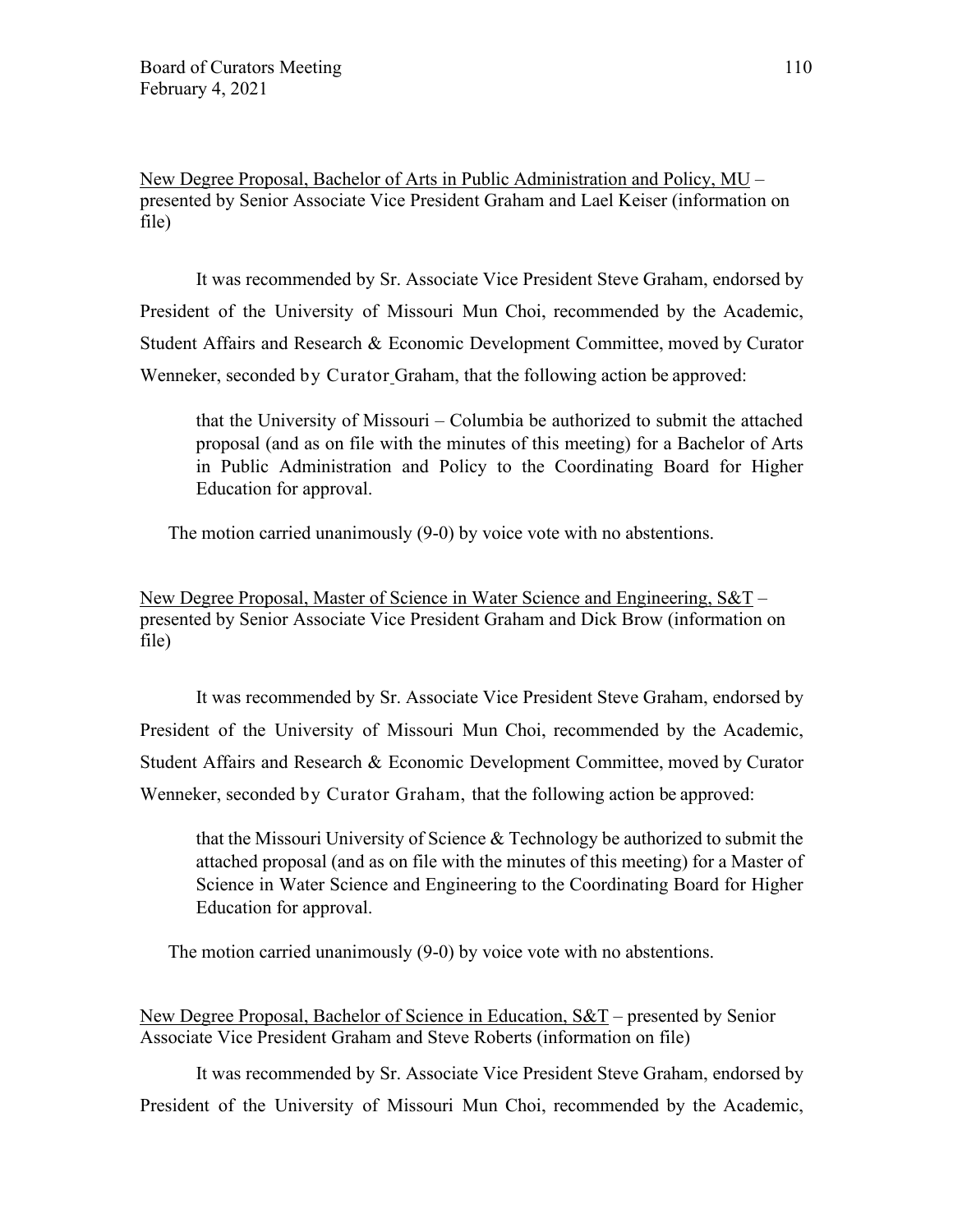New Degree Proposal, Bachelor of Arts in Public Administration and Policy, MU – presented by Senior Associate Vice President Graham and Lael Keiser (information on file)

It was recommended by Sr. Associate Vice President Steve Graham, endorsed by President of the University of Missouri Mun Choi, recommended by the Academic, Student Affairs and Research & Economic Development Committee, moved by Curator Wenneker, seconded by Curator Graham, that the following action be approved:

that the University of Missouri – Columbia be authorized to submit the attached proposal (and as on file with the minutes of this meeting) for a Bachelor of Arts in Public Administration and Policy to the Coordinating Board for Higher Education for approval.

The motion carried unanimously (9-0) by voice vote with no abstentions.

New Degree Proposal, Master of Science in Water Science and Engineering, S&T – presented by Senior Associate Vice President Graham and Dick Brow (information on file)

It was recommended by Sr. Associate Vice President Steve Graham, endorsed by President of the University of Missouri Mun Choi, recommended by the Academic, Student Affairs and Research & Economic Development Committee, moved by Curator Wenneker, seconded by Curator Graham, that the following action be approved:

that the Missouri University of Science & Technology be authorized to submit the attached proposal (and as on file with the minutes of this meeting) for a Master of Science in Water Science and Engineering to the Coordinating Board for Higher Education for approval.

The motion carried unanimously (9-0) by voice vote with no abstentions.

New Degree Proposal, Bachelor of Science in Education, S&T – presented by Senior Associate Vice President Graham and Steve Roberts (information on file)

It was recommended by Sr. Associate Vice President Steve Graham, endorsed by President of the University of Missouri Mun Choi, recommended by the Academic,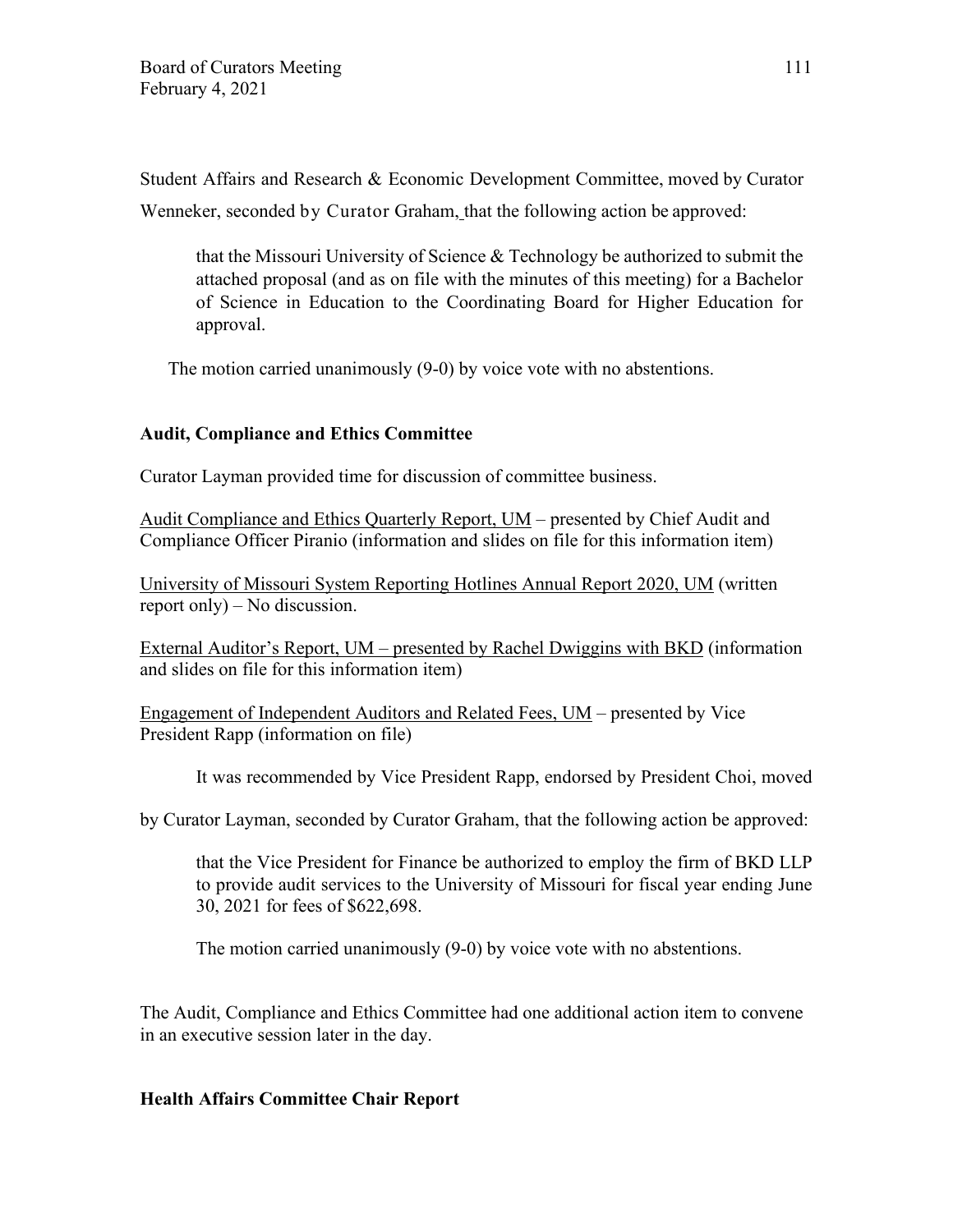Student Affairs and Research & Economic Development Committee, moved by Curator Wenneker, seconded by Curator Graham, that the following action be approved:

that the Missouri University of Science & Technology be authorized to submit the attached proposal (and as on file with the minutes of this meeting) for a Bachelor of Science in Education to the Coordinating Board for Higher Education for approval.

The motion carried unanimously (9-0) by voice vote with no abstentions.

## **Audit, Compliance and Ethics Committee**

Curator Layman provided time for discussion of committee business.

Audit Compliance and Ethics Quarterly Report, UM – presented by Chief Audit and Compliance Officer Piranio (information and slides on file for this information item)

University of Missouri System Reporting Hotlines Annual Report 2020, UM (written report only) – No discussion.

External Auditor's Report, UM – presented by Rachel Dwiggins with BKD (information and slides on file for this information item)

Engagement of Independent Auditors and Related Fees, UM – presented by Vice President Rapp (information on file)

It was recommended by Vice President Rapp, endorsed by President Choi, moved

by Curator Layman, seconded by Curator Graham, that the following action be approved:

that the Vice President for Finance be authorized to employ the firm of BKD LLP to provide audit services to the University of Missouri for fiscal year ending June 30, 2021 for fees of \$622,698.

The motion carried unanimously (9-0) by voice vote with no abstentions.

The Audit, Compliance and Ethics Committee had one additional action item to convene in an executive session later in the day.

#### **Health Affairs Committee Chair Report**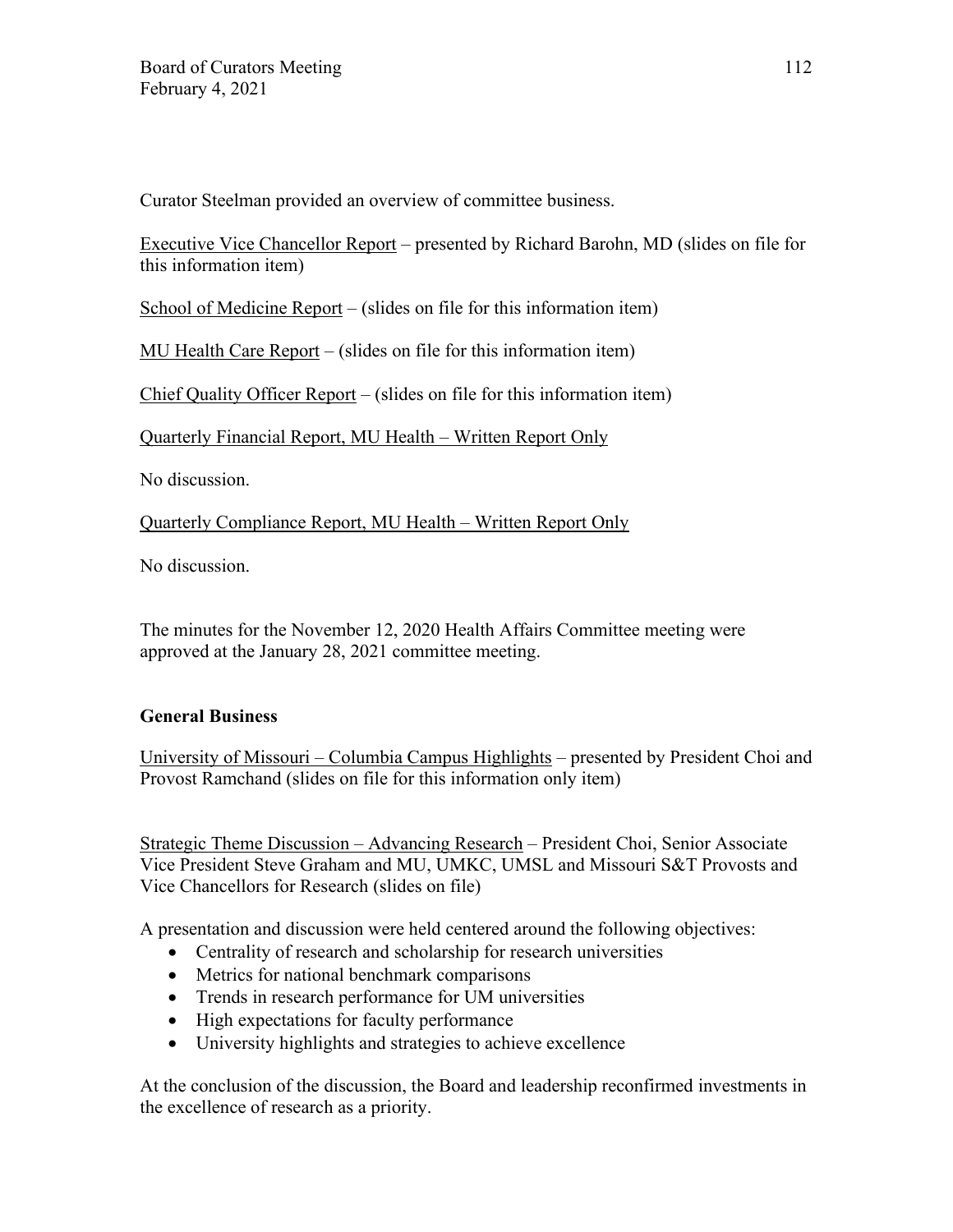Curator Steelman provided an overview of committee business.

Executive Vice Chancellor Report – presented by Richard Barohn, MD (slides on file for this information item)

School of Medicine Report – (slides on file for this information item)

MU Health Care Report – (slides on file for this information item)

Chief Quality Officer Report – (slides on file for this information item)

Quarterly Financial Report, MU Health – Written Report Only

No discussion.

Quarterly Compliance Report, MU Health – Written Report Only

No discussion.

The minutes for the November 12, 2020 Health Affairs Committee meeting were approved at the January 28, 2021 committee meeting.

# **General Business**

University of Missouri – Columbia Campus Highlights – presented by President Choi and Provost Ramchand (slides on file for this information only item)

Strategic Theme Discussion – Advancing Research – President Choi, Senior Associate Vice President Steve Graham and MU, UMKC, UMSL and Missouri S&T Provosts and Vice Chancellors for Research (slides on file)

A presentation and discussion were held centered around the following objectives:

- Centrality of research and scholarship for research universities
- Metrics for national benchmark comparisons
- Trends in research performance for UM universities
- High expectations for faculty performance
- University highlights and strategies to achieve excellence

At the conclusion of the discussion, the Board and leadership reconfirmed investments in the excellence of research as a priority.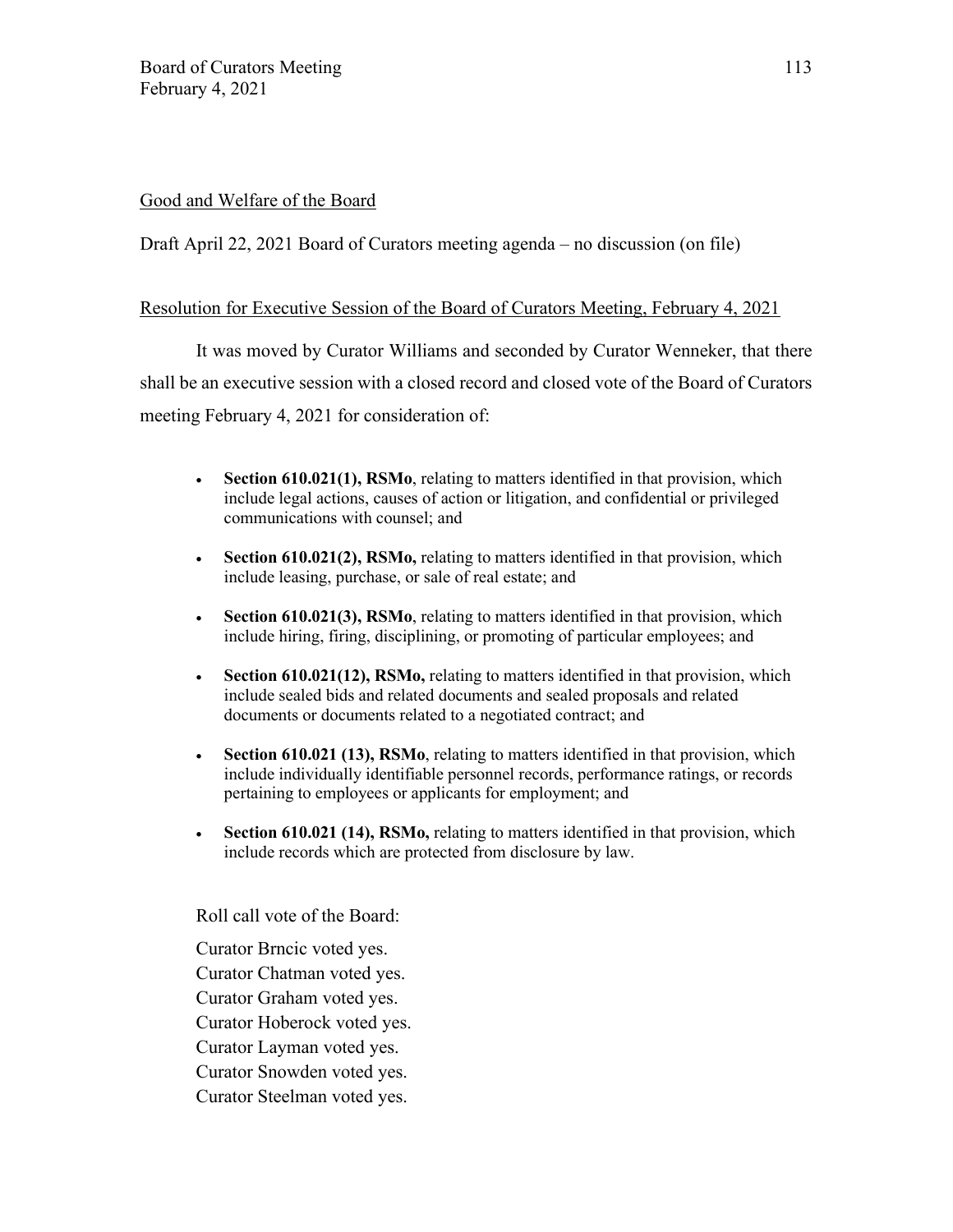## Good and Welfare of the Board

Draft April 22, 2021 Board of Curators meeting agenda – no discussion (on file)

### Resolution for Executive Session of the Board of Curators Meeting, February 4, 2021

It was moved by Curator Williams and seconded by Curator Wenneker, that there shall be an executive session with a closed record and closed vote of the Board of Curators meeting February 4, 2021 for consideration of:

- **Section 610.021(1), RSMo**, relating to matters identified in that provision, which include legal actions, causes of action or litigation, and confidential or privileged communications with counsel; and
- **Section 610.021(2), RSMo,** relating to matters identified in that provision, which include leasing, purchase, or sale of real estate; and
- **Section 610.021(3), RSMo**, relating to matters identified in that provision, which include hiring, firing, disciplining, or promoting of particular employees; and
- **Section 610.021(12), RSMo,** relating to matters identified in that provision, which include sealed bids and related documents and sealed proposals and related documents or documents related to a negotiated contract; and
- **Section 610.021 (13), RSMo**, relating to matters identified in that provision, which include individually identifiable personnel records, performance ratings, or records pertaining to employees or applicants for employment; and
- **Section 610.021 (14), RSMo,** relating to matters identified in that provision, which include records which are protected from disclosure by law.

Roll call vote of the Board:

Curator Brncic voted yes. Curator Chatman voted yes. Curator Graham voted yes. Curator Hoberock voted yes. Curator Layman voted yes. Curator Snowden voted yes. Curator Steelman voted yes.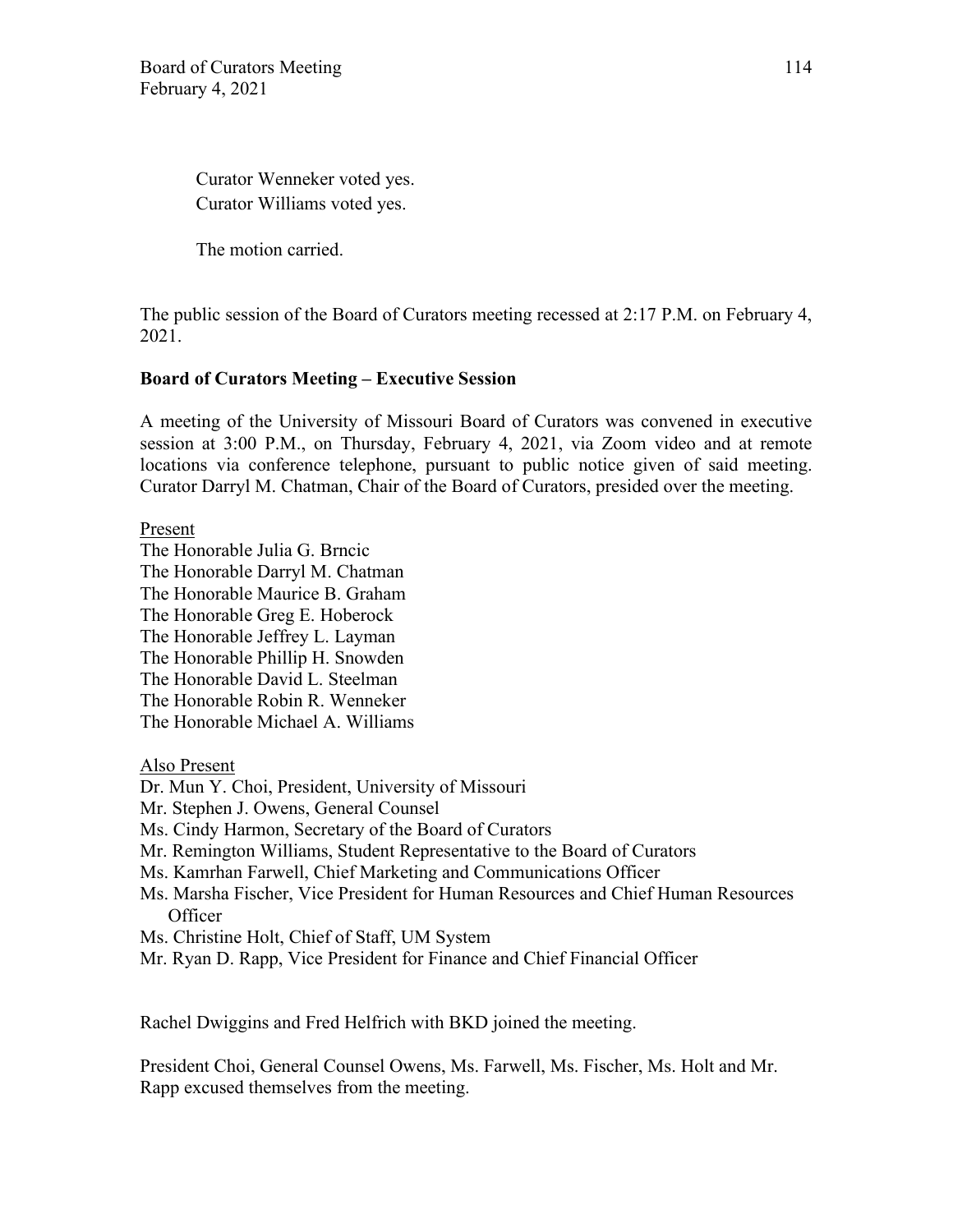Curator Wenneker voted yes. Curator Williams voted yes.

The motion carried.

The public session of the Board of Curators meeting recessed at 2:17 P.M. on February 4, 2021.

## **Board of Curators Meeting – Executive Session**

A meeting of the University of Missouri Board of Curators was convened in executive session at 3:00 P.M., on Thursday, February 4, 2021, via Zoom video and at remote locations via conference telephone, pursuant to public notice given of said meeting. Curator Darryl M. Chatman, Chair of the Board of Curators, presided over the meeting.

Present

The Honorable Julia G. Brncic The Honorable Darryl M. Chatman The Honorable Maurice B. Graham The Honorable Greg E. Hoberock The Honorable Jeffrey L. Layman The Honorable Phillip H. Snowden The Honorable David L. Steelman The Honorable Robin R. Wenneker The Honorable Michael A. Williams

Also Present

- Dr. Mun Y. Choi, President, University of Missouri
- Mr. Stephen J. Owens, General Counsel
- Ms. Cindy Harmon, Secretary of the Board of Curators
- Mr. Remington Williams, Student Representative to the Board of Curators
- Ms. Kamrhan Farwell, Chief Marketing and Communications Officer
- Ms. Marsha Fischer, Vice President for Human Resources and Chief Human Resources **Officer**
- Ms. Christine Holt, Chief of Staff, UM System
- Mr. Ryan D. Rapp, Vice President for Finance and Chief Financial Officer

Rachel Dwiggins and Fred Helfrich with BKD joined the meeting.

President Choi, General Counsel Owens, Ms. Farwell, Ms. Fischer, Ms. Holt and Mr. Rapp excused themselves from the meeting.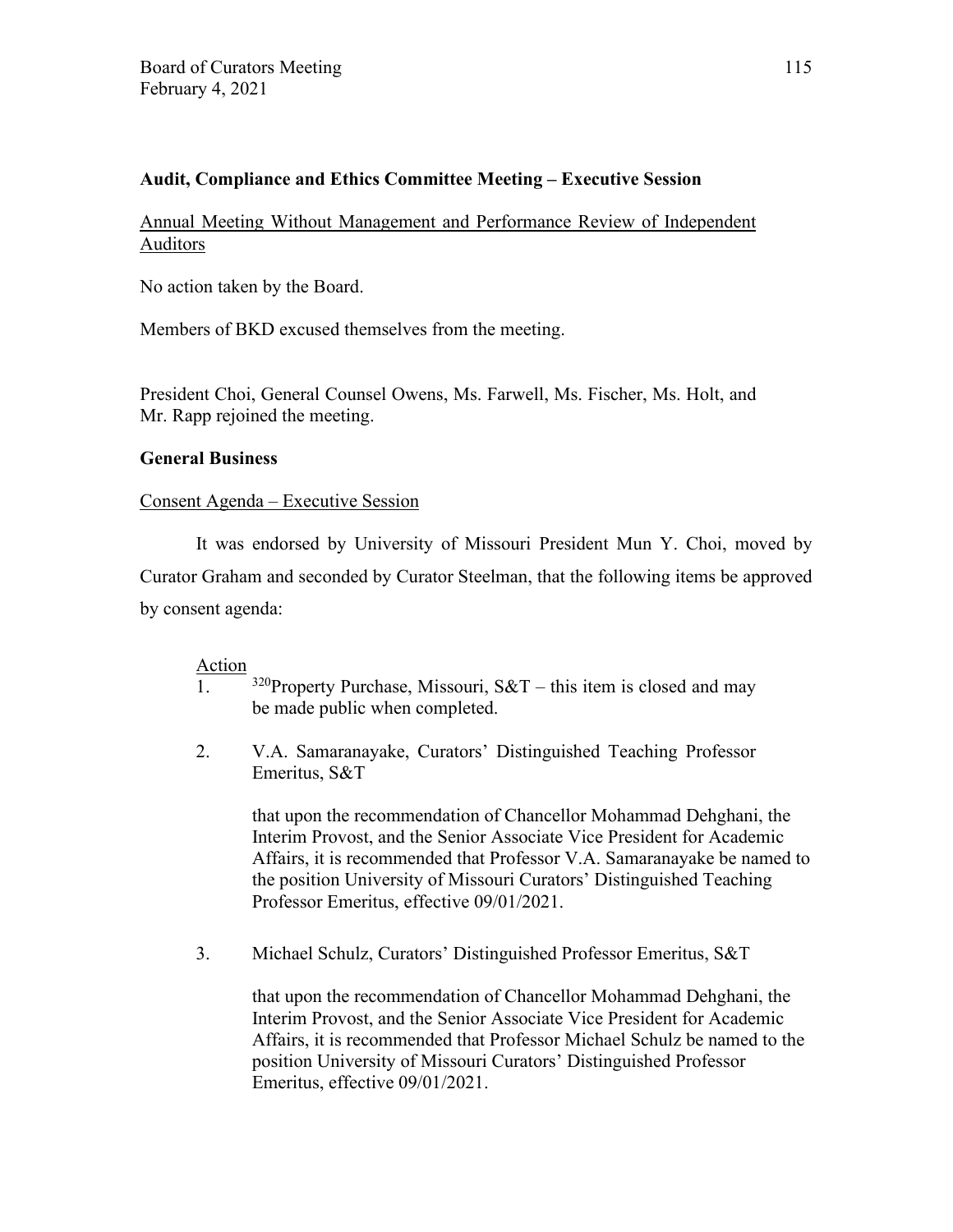# **Audit, Compliance and Ethics Committee Meeting – Executive Session**

Annual Meeting Without Management and Performance Review of Independent Auditors

No action taken by the Board.

Members of BKD excused themselves from the meeting.

President Choi, General Counsel Owens, Ms. Farwell, Ms. Fischer, Ms. Holt, and Mr. Rapp rejoined the meeting.

### **General Business**

### Consent Agenda – Executive Session

It was endorsed by University of Missouri President Mun Y. Choi, moved by Curator Graham and seconded by Curator Steelman, that the following items be approved by consent agenda:

#### Action

- $\overline{1.}$  <sup>320</sup>Property Purchase, Missouri, S&T this item is closed and may be made public when completed.
- 2. V.A. Samaranayake, Curators' Distinguished Teaching Professor Emeritus, S&T

that upon the recommendation of Chancellor Mohammad Dehghani, the Interim Provost, and the Senior Associate Vice President for Academic Affairs, it is recommended that Professor V.A. Samaranayake be named to the position University of Missouri Curators' Distinguished Teaching Professor Emeritus, effective 09/01/2021.

3. Michael Schulz, Curators' Distinguished Professor Emeritus, S&T

that upon the recommendation of Chancellor Mohammad Dehghani, the Interim Provost, and the Senior Associate Vice President for Academic Affairs, it is recommended that Professor Michael Schulz be named to the position University of Missouri Curators' Distinguished Professor Emeritus, effective 09/01/2021.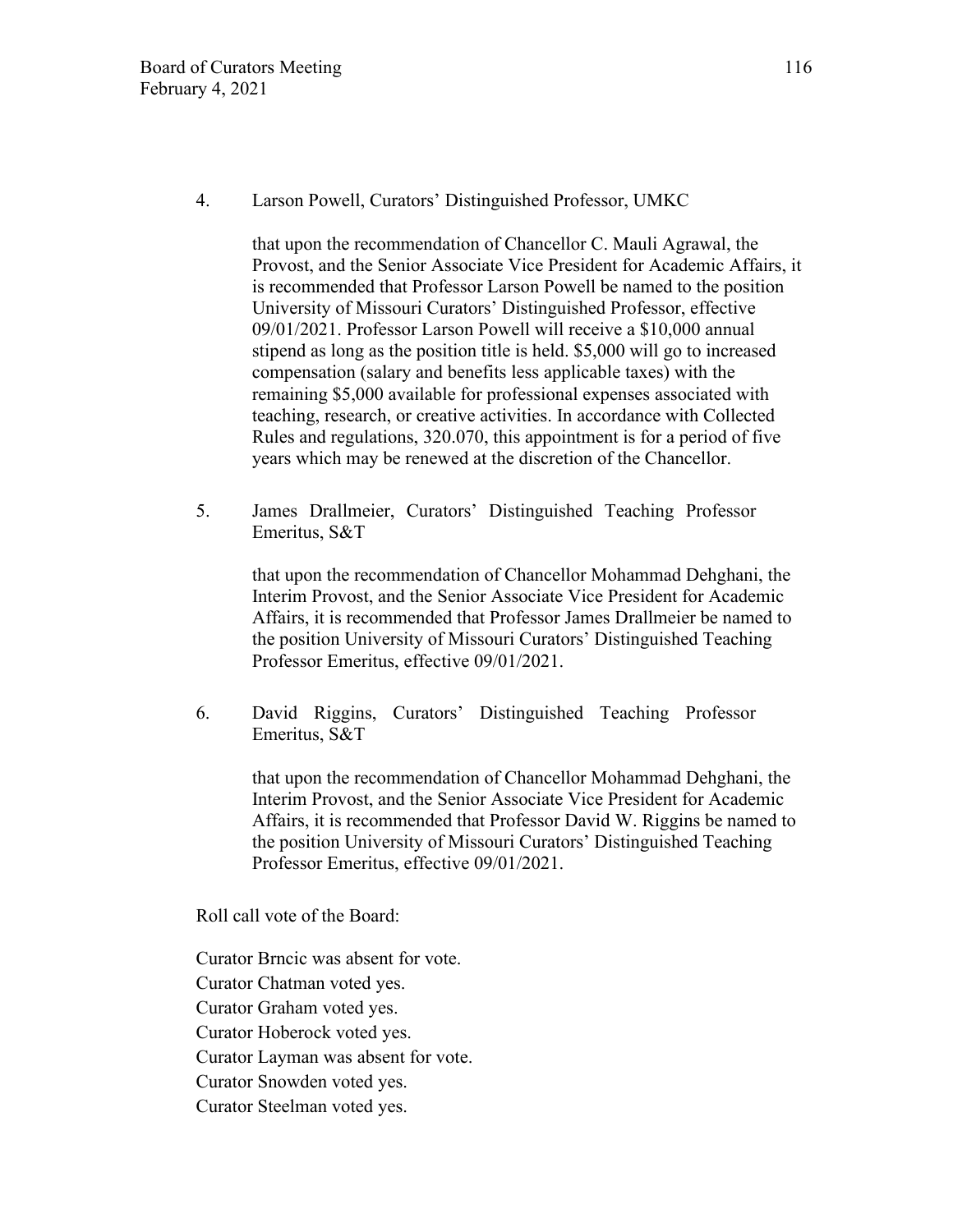that upon the recommendation of Chancellor C. Mauli Agrawal, the Provost, and the Senior Associate Vice President for Academic Affairs, it is recommended that Professor Larson Powell be named to the position University of Missouri Curators' Distinguished Professor, effective 09/01/2021. Professor Larson Powell will receive a \$10,000 annual stipend as long as the position title is held. \$5,000 will go to increased compensation (salary and benefits less applicable taxes) with the remaining \$5,000 available for professional expenses associated with teaching, research, or creative activities. In accordance with Collected Rules and regulations, 320.070, this appointment is for a period of five years which may be renewed at the discretion of the Chancellor.

5. James Drallmeier, Curators' Distinguished Teaching Professor Emeritus, S&T

> that upon the recommendation of Chancellor Mohammad Dehghani, the Interim Provost, and the Senior Associate Vice President for Academic Affairs, it is recommended that Professor James Drallmeier be named to the position University of Missouri Curators' Distinguished Teaching Professor Emeritus, effective 09/01/2021.

6. David Riggins, Curators' Distinguished Teaching Professor Emeritus, S&T

> that upon the recommendation of Chancellor Mohammad Dehghani, the Interim Provost, and the Senior Associate Vice President for Academic Affairs, it is recommended that Professor David W. Riggins be named to the position University of Missouri Curators' Distinguished Teaching Professor Emeritus, effective 09/01/2021.

Roll call vote of the Board:

Curator Brncic was absent for vote. Curator Chatman voted yes. Curator Graham voted yes. Curator Hoberock voted yes. Curator Layman was absent for vote. Curator Snowden voted yes. Curator Steelman voted yes.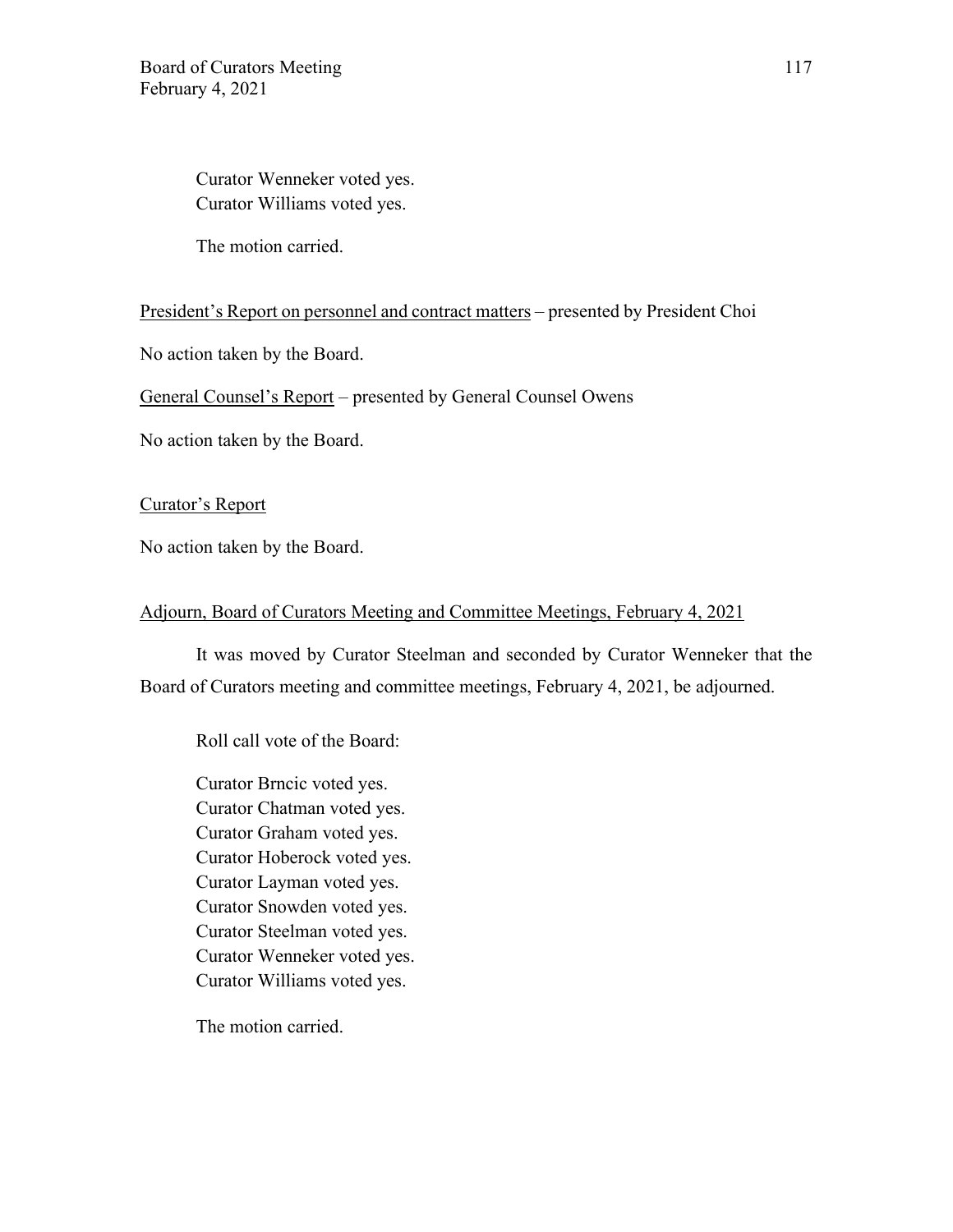Curator Wenneker voted yes. Curator Williams voted yes.

The motion carried.

President's Report on personnel and contract matters – presented by President Choi

No action taken by the Board.

General Counsel's Report – presented by General Counsel Owens

No action taken by the Board.

Curator's Report

No action taken by the Board.

#### Adjourn, Board of Curators Meeting and Committee Meetings, February 4, 2021

It was moved by Curator Steelman and seconded by Curator Wenneker that the Board of Curators meeting and committee meetings, February 4, 2021, be adjourned.

Roll call vote of the Board:

Curator Brncic voted yes. Curator Chatman voted yes. Curator Graham voted yes. Curator Hoberock voted yes. Curator Layman voted yes. Curator Snowden voted yes. Curator Steelman voted yes. Curator Wenneker voted yes. Curator Williams voted yes.

The motion carried.